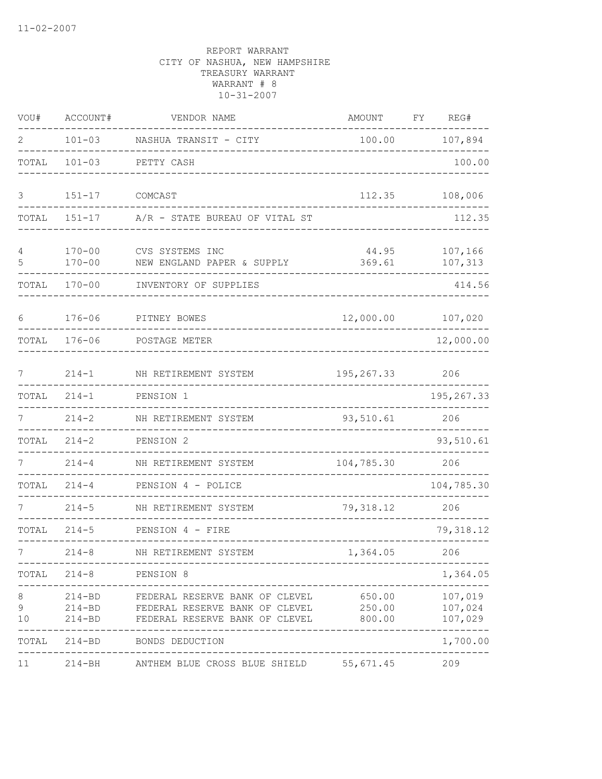| VOU#         | ACCOUNT#                 | VENDOR NAME                                                                                                      | AMOUNT           | FY | REG#                                      |
|--------------|--------------------------|------------------------------------------------------------------------------------------------------------------|------------------|----|-------------------------------------------|
| 2            | $101 - 03$               | NASHUA TRANSIT - CITY                                                                                            | 100.00           |    | 107,894                                   |
| TOTAL        | $101 - 03$               | PETTY CASH                                                                                                       |                  |    | 100.00                                    |
| 3            | $151 - 17$               | COMCAST                                                                                                          | 112.35           |    | 108,006                                   |
| TOTAL        | $151 - 17$               | A/R - STATE BUREAU OF VITAL ST                                                                                   |                  |    | 112.35                                    |
| 4<br>5       | $170 - 00$<br>$170 - 00$ | CVS SYSTEMS INC<br>NEW ENGLAND PAPER & SUPPLY                                                                    | 44.95<br>369.61  |    | 107,166<br>107,313                        |
| TOTAL        | $170 - 00$               | INVENTORY OF SUPPLIES                                                                                            |                  |    | 414.56                                    |
| $6\,$        | $176 - 06$               | PITNEY BOWES                                                                                                     | 12,000.00        |    | 107,020                                   |
| TOTAL        | $176 - 06$               | POSTAGE METER                                                                                                    |                  |    | 12,000.00                                 |
| 7            | $214 - 1$                | NH RETIREMENT SYSTEM                                                                                             | 195, 267.33      |    | 206                                       |
| TOTAL        | $214 - 1$                | PENSION 1                                                                                                        |                  |    | 195, 267.33                               |
| 7            | $214 - 2$                | NH RETIREMENT SYSTEM                                                                                             | 93,510.61        |    | 206                                       |
| TOTAL        | $214 - 2$                | PENSION 2                                                                                                        |                  |    | 93,510.61                                 |
|              | $214 - 4$                | NH RETIREMENT SYSTEM                                                                                             | 104,785.30       |    | 206                                       |
| TOTAL        | $214 - 4$                | PENSION 4 - POLICE                                                                                               |                  |    | 104,785.30                                |
|              | $214 - 5$                | NH RETIREMENT SYSTEM                                                                                             | 79, 318.12       |    | 206                                       |
| TOTAL        | $214 - 5$                | PENSION 4 - FIRE                                                                                                 |                  |    | 79, 318.12                                |
|              | $214 - 8$                | NH RETIREMENT SYSTEM                                                                                             | 1,364.05         |    | 206                                       |
|              | TOTAL 214-8 PENSION 8    |                                                                                                                  | ---------        |    | 1,364.05                                  |
| 8<br>9<br>10 | $214 - BD$<br>$214 - BD$ | 214-BD FEDERAL RESERVE BANK OF CLEVEL<br>FEDERAL RESERVE BANK OF CLEVEL 250.00<br>FEDERAL RESERVE BANK OF CLEVEL | 650.00<br>800.00 |    | 107,019<br>107,024<br>107,029<br>-------- |
|              | TOTAL 214-BD             | BONDS DEDUCTION                                                                                                  |                  |    | 1,700.00                                  |
| 11           | $214 - BH$               | ANTHEM BLUE CROSS BLUE SHIELD 55,671.45                                                                          |                  |    | 209                                       |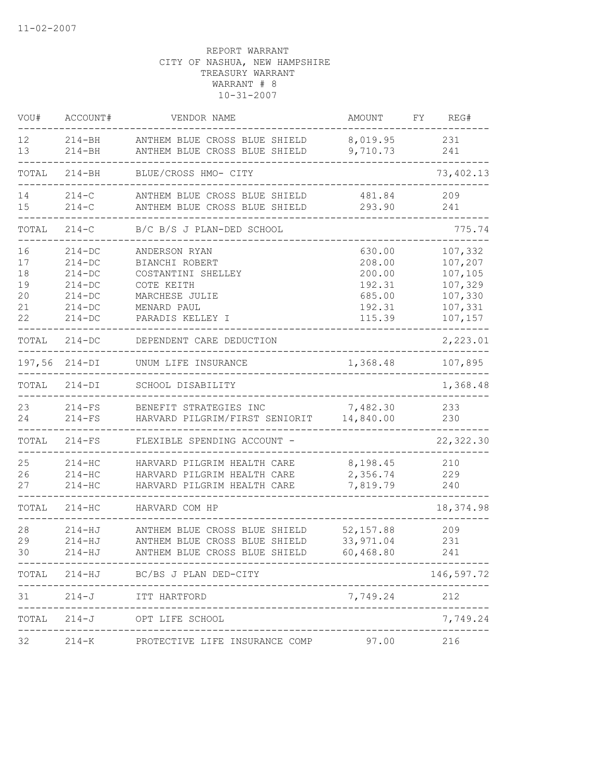| VOU#                                   | ACCOUNT#                                                                                   | VENDOR NAME                                                                                                              | AMOUNT                                                             | REG#<br>FY.                                                               |
|----------------------------------------|--------------------------------------------------------------------------------------------|--------------------------------------------------------------------------------------------------------------------------|--------------------------------------------------------------------|---------------------------------------------------------------------------|
| $12 \overline{ }$<br>13                | $214 - BH$<br>$214 - BH$                                                                   | ANTHEM BLUE CROSS BLUE SHIELD<br>ANTHEM BLUE CROSS BLUE SHIELD                                                           | 8,019.95<br>9,710.73                                               | 231<br>241                                                                |
| TOTAL                                  | $214 - BH$                                                                                 | BLUE/CROSS HMO- CITY                                                                                                     |                                                                    | 73, 402.13                                                                |
| 14<br>15                               | $214-C$<br>$214-C$                                                                         | ANTHEM BLUE CROSS BLUE SHIELD<br>ANTHEM BLUE CROSS BLUE SHIELD                                                           | 481.84<br>293.90                                                   | 209<br>241                                                                |
| TOTAL                                  | $214 - C$                                                                                  | B/C B/S J PLAN-DED SCHOOL                                                                                                |                                                                    | 775.74                                                                    |
| 16<br>17<br>18<br>19<br>20<br>21<br>22 | $214 - DC$<br>$214 - DC$<br>$214 - DC$<br>$214 - DC$<br>$214-DC$<br>$214-DC$<br>$214 - DC$ | ANDERSON RYAN<br>BIANCHI ROBERT<br>COSTANTINI SHELLEY<br>COTE KEITH<br>MARCHESE JULIE<br>MENARD PAUL<br>PARADIS KELLEY I | 630.00<br>208.00<br>200.00<br>192.31<br>685.00<br>192.31<br>115.39 | 107,332<br>107,207<br>107,105<br>107,329<br>107,330<br>107,331<br>107,157 |
| TOTAL                                  | $214 - DC$                                                                                 | DEPENDENT CARE DEDUCTION                                                                                                 |                                                                    | 2,223.01                                                                  |
| 197,56                                 | $214-DI$                                                                                   | UNUM LIFE INSURANCE                                                                                                      | 1,368.48                                                           | 107,895                                                                   |
| TOTAL                                  | $214-DI$                                                                                   | SCHOOL DISABILITY                                                                                                        |                                                                    | 1,368.48                                                                  |
| 23<br>24                               | $214-FS$<br>$214-FS$                                                                       | BENEFIT STRATEGIES INC<br>HARVARD PILGRIM/FIRST SENIORIT                                                                 | 7,482.30<br>14,840.00                                              | 233<br>230                                                                |
| TOTAL                                  | $214-FS$                                                                                   | FLEXIBLE SPENDING ACCOUNT -                                                                                              |                                                                    | 22,322.30                                                                 |
| 25<br>26<br>27                         | $214-HC$<br>$214 - HC$<br>$214 - HC$                                                       | HARVARD PILGRIM HEALTH CARE<br>HARVARD PILGRIM HEALTH CARE<br>HARVARD PILGRIM HEALTH CARE                                | 8,198.45<br>2,356.74<br>7,819.79                                   | 210<br>229<br>240                                                         |
| TOTAL                                  | $214 - HC$                                                                                 | HARVARD COM HP                                                                                                           |                                                                    | 18,374.98                                                                 |
| 28<br>29<br>30                         | $214 - HJ$<br>$214 - HJ$<br>$214 - HJ$                                                     | ANTHEM BLUE CROSS BLUE SHIELD<br>ANTHEM BLUE CROSS BLUE SHIELD<br>ANTHEM BLUE CROSS BLUE SHIELD                          | 52, 157.88<br>33, 971.04<br>60,468.80                              | 209<br>231<br>241                                                         |
|                                        |                                                                                            | TOTAL 214-HJ BC/BS J PLAN DED-CITY                                                                                       |                                                                    | 146,597.72                                                                |
| 31                                     | $214 - J$                                                                                  | ITT HARTFORD<br>----------------------------                                                                             | 7,749.24                                                           | 212                                                                       |
| TOTAL                                  |                                                                                            | 214-J OPT LIFE SCHOOL<br>-----------------------                                                                         |                                                                    | 7,749.24                                                                  |
| 32                                     |                                                                                            | 214-K PROTECTIVE LIFE INSURANCE COMP 97.00 216                                                                           |                                                                    |                                                                           |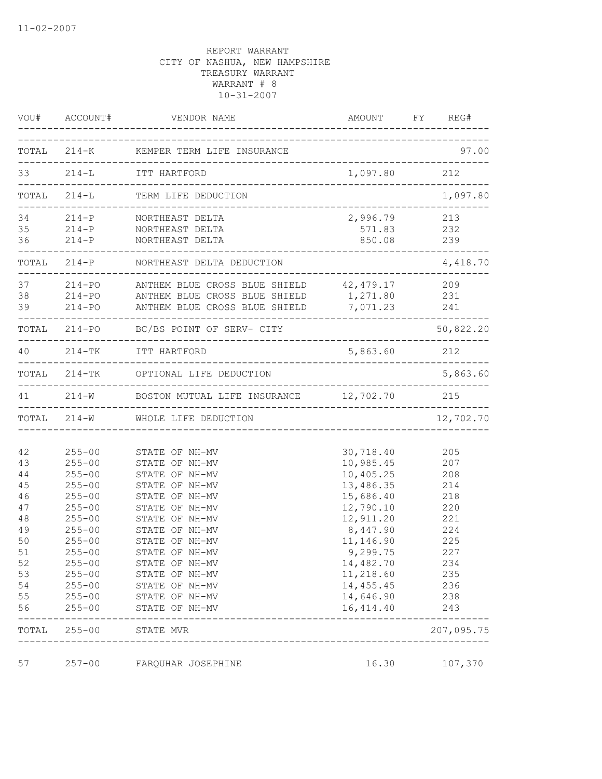|                                                                                            | VOU# ACCOUNT#                                                                                                                                                                                                  | VENDOR NAME                                                                                                                                                                                                                                                                |                                                                                                                                                                                                 | AMOUNT FY REG#                                                                                        |
|--------------------------------------------------------------------------------------------|----------------------------------------------------------------------------------------------------------------------------------------------------------------------------------------------------------------|----------------------------------------------------------------------------------------------------------------------------------------------------------------------------------------------------------------------------------------------------------------------------|-------------------------------------------------------------------------------------------------------------------------------------------------------------------------------------------------|-------------------------------------------------------------------------------------------------------|
|                                                                                            |                                                                                                                                                                                                                | TOTAL 214-K KEMPER TERM LIFE INSURANCE                                                                                                                                                                                                                                     | ------------------------------                                                                                                                                                                  | 97.00                                                                                                 |
|                                                                                            |                                                                                                                                                                                                                | 33 214-L ITT HARTFORD                                                                                                                                                                                                                                                      | 1,097.80 212                                                                                                                                                                                    |                                                                                                       |
|                                                                                            |                                                                                                                                                                                                                | __________________________________<br>TOTAL 214-L TERM LIFE DEDUCTION                                                                                                                                                                                                      |                                                                                                                                                                                                 | 1,097.80                                                                                              |
| 34<br>35<br>36                                                                             |                                                                                                                                                                                                                | 214-P NORTHEAST DELTA<br>214-P NORTHEAST DELTA<br>214-P NORTHEAST DELTA                                                                                                                                                                                                    | 2,996.79 213<br>571.83<br>850.08<br>___________________                                                                                                                                         | 232<br>239                                                                                            |
|                                                                                            |                                                                                                                                                                                                                | TOTAL 214-P NORTHEAST DELTA DEDUCTION                                                                                                                                                                                                                                      |                                                                                                                                                                                                 | 4,418.70                                                                                              |
|                                                                                            |                                                                                                                                                                                                                | 37 214-PO ANTHEM BLUE CROSS BLUE SHIELD 42,479.17 209<br>38 214-PO ANTHEM BLUE CROSS BLUE SHIELD 1,271.80 231<br>39 214-PO ANTHEM BLUE CROSS BLUE SHIELD 7,071.23 241                                                                                                      |                                                                                                                                                                                                 |                                                                                                       |
|                                                                                            |                                                                                                                                                                                                                | TOTAL 214-PO BC/BS POINT OF SERV- CITY                                                                                                                                                                                                                                     |                                                                                                                                                                                                 | 50,822.20                                                                                             |
|                                                                                            |                                                                                                                                                                                                                | 40 214-TK ITT HARTFORD                                                                                                                                                                                                                                                     | 5,863.60 212                                                                                                                                                                                    |                                                                                                       |
|                                                                                            |                                                                                                                                                                                                                | TOTAL 214-TK OPTIONAL LIFE DEDUCTION                                                                                                                                                                                                                                       |                                                                                                                                                                                                 | 5,863.60                                                                                              |
|                                                                                            |                                                                                                                                                                                                                | 41 214-W BOSTON MUTUAL LIFE INSURANCE 12,702.70                                                                                                                                                                                                                            |                                                                                                                                                                                                 | 215<br>. _ _ _ <b>_ _ _ _ _ _ _ _ _ _</b> .                                                           |
|                                                                                            |                                                                                                                                                                                                                | TOTAL 214-W WHOLE LIFE DEDUCTION                                                                                                                                                                                                                                           |                                                                                                                                                                                                 | 12,702.70                                                                                             |
| 42<br>43<br>44<br>45<br>46<br>47<br>48<br>49<br>50<br>$5\,1$<br>52<br>53<br>54<br>55<br>56 | $255 - 00$<br>$255 - 00$<br>$255 - 00$<br>$255 - 00$<br>$255 - 00$<br>$255 - 00$<br>$255 - 00$<br>$255 - 00$<br>$255 - 00$<br>$255 - 00$<br>$255 - 00$<br>$255 - 00$<br>$255 - 00$<br>$255 - 00$<br>$255 - 00$ | STATE OF NH-MV<br>STATE OF NH-MV<br>STATE OF NH-MV<br>STATE OF NH-MV<br>STATE OF NH-MV<br>STATE OF NH-MV<br>STATE OF NH-MV<br>STATE OF NH-MV<br>STATE OF NH-MV<br>STATE OF NH-MV<br>STATE OF NH-MV<br>STATE OF NH-MV<br>STATE OF NH-MV<br>STATE OF NH-MV<br>STATE OF NH-MV | 30,718.40<br>10,985.45<br>10,405.25<br>13,486.35<br>15,686.40<br>12,790.10<br>12,911.20<br>8,447.90<br>11,146.90<br>9,299.75<br>14,482.70<br>11,218.60<br>14, 455.45<br>14,646.90<br>16, 414.40 | 205<br>207<br>208<br>214<br>218<br>220<br>221<br>224<br>225<br>227<br>234<br>235<br>236<br>238<br>243 |
| TOTAL                                                                                      | $255 - 00$                                                                                                                                                                                                     | STATE MVR                                                                                                                                                                                                                                                                  |                                                                                                                                                                                                 | 207,095.75                                                                                            |
| 57                                                                                         | $257 - 00$                                                                                                                                                                                                     | FARQUHAR JOSEPHINE                                                                                                                                                                                                                                                         | 16.30                                                                                                                                                                                           | 107,370                                                                                               |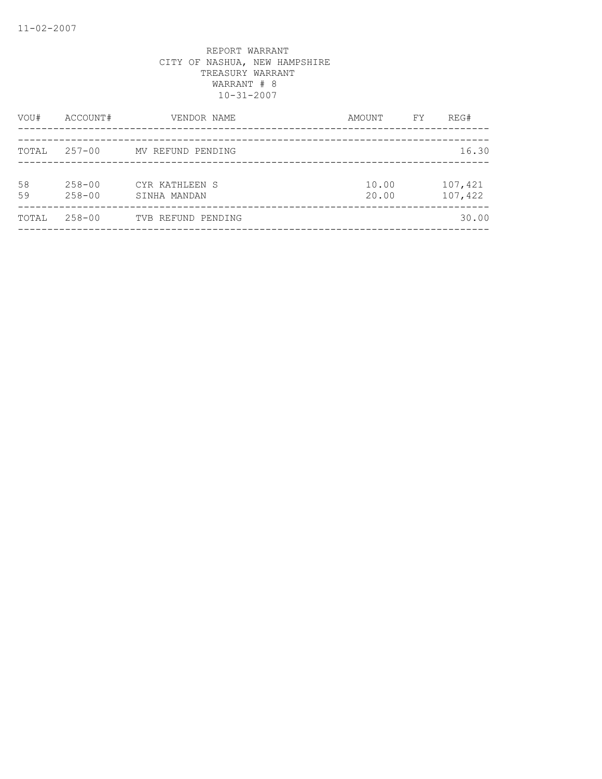| VOU#     | ACCOUNT#                 | VENDOR NAME                    | AMOUNT         | FY. | REG#               |
|----------|--------------------------|--------------------------------|----------------|-----|--------------------|
| TOTAL    | $257 - 00$               | MV REFUND PENDING              |                |     | 16.30              |
| 58<br>59 | $258 - 00$<br>$258 - 00$ | CYR KATHLEEN S<br>SINHA MANDAN | 10.00<br>20.00 |     | 107,421<br>107,422 |
| TOTAL    | 258-00                   | TVB REFUND PENDING             |                |     | 30.00              |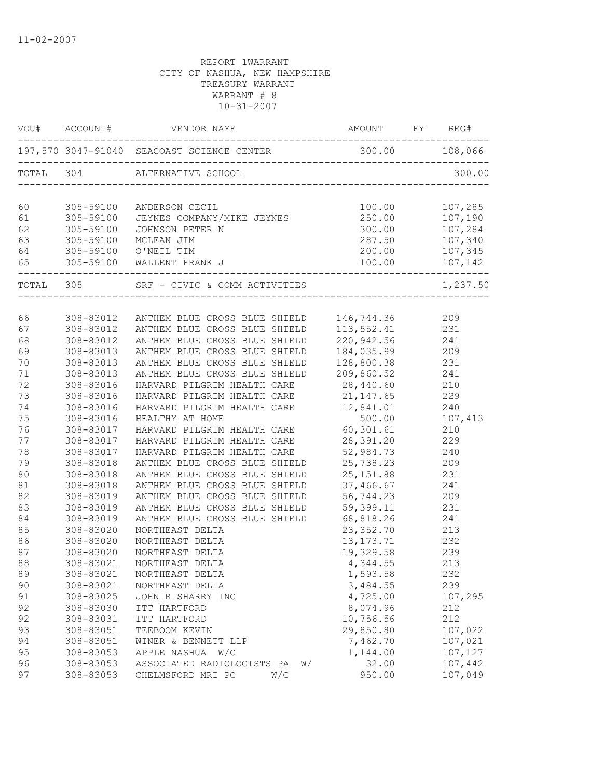|    |                             | VOU# ACCOUNT# VENDOR NAME AMOUNT FY REG#      |                |                    |
|----|-----------------------------|-----------------------------------------------|----------------|--------------------|
|    |                             |                                               |                |                    |
|    |                             | TOTAL 304 ALTERNATIVE SCHOOL                  |                |                    |
| 60 | 305-59100                   | ANDERSON CECIL                                | 100.00         | 107,285            |
| 61 | 305-59100                   | ANDERSON CECIL<br>JEYNES COMPANY/MIKE JEYNES  |                | 250.00 107,190     |
| 62 | 305-59100                   | JOHNSON PETER N                               | 300.00         |                    |
| 63 | 305-59100                   | MCLEAN JIM                                    | 287.50         | 107,284<br>107,340 |
| 64 |                             | 305-59100 O'NEIL TIM                          | 200.00         | 107,345            |
| 65 | ___________________________ | 305-59100 WALLENT FRANK J                     |                |                    |
|    |                             | TOTAL 305 SRF - CIVIC & COMM ACTIVITIES 1,237 |                | 1,237.50           |
|    |                             |                                               |                |                    |
| 66 | 308-83012                   | ANTHEM BLUE CROSS BLUE SHIELD                 | 146,744.36     | 209                |
| 67 | 308-83012                   | ANTHEM BLUE CROSS BLUE SHIELD                 | 113,552.41     | 231                |
| 68 | 308-83012                   | ANTHEM BLUE CROSS BLUE SHIELD                 | 220,942.56     | 241                |
| 69 | 308-83013                   | ANTHEM BLUE CROSS BLUE SHIELD                 | 184,035.99     | 209                |
| 70 | 308-83013                   | ANTHEM BLUE CROSS BLUE SHIELD                 | 128,800.38     | 231                |
| 71 | 308-83013                   | ANTHEM BLUE CROSS BLUE SHIELD                 | 209,860.52     | 241                |
| 72 | 308-83016                   | HARVARD PILGRIM HEALTH CARE                   | 28,440.60      | 210                |
| 73 | 308-83016                   | HARVARD PILGRIM HEALTH CARE 21,147.65         |                | 229                |
| 74 | 308-83016                   | HARVARD PILGRIM HEALTH CARE 12,841.01         |                | 240                |
| 75 | 308-83016                   | HEALTHY AT HOME                               | 500.00         | 107,413            |
| 76 | 308-83017                   | HARVARD PILGRIM HEALTH CARE                   | 60,301.61      | 210                |
| 77 | 308-83017                   | HARVARD PILGRIM HEALTH CARE                   | 28,391.20      | 229                |
| 78 | 308-83017                   | HARVARD PILGRIM HEALTH CARE                   | 52,984.73      | 240                |
| 79 | 308-83018                   | ANTHEM BLUE CROSS BLUE SHIELD                 | 25,738.23      | 209                |
| 80 | 308-83018                   | ANTHEM BLUE CROSS BLUE SHIELD                 | 25, 151.88 231 |                    |
| 81 | 308-83018                   | ANTHEM BLUE CROSS BLUE SHIELD                 | 37,466.67      | 241                |
| 82 | 308-83019                   | ANTHEM BLUE CROSS BLUE SHIELD                 | 56,744.23      | 209                |
| 83 | 308-83019                   | ANTHEM BLUE CROSS BLUE SHIELD                 | 59,399.11      | 231                |
| 84 | 308-83019                   | ANTHEM BLUE CROSS BLUE SHIELD                 | 68,818.26      | 241                |
| 85 | 308-83020                   | NORTHEAST DELTA                               | 23, 352.70     | 213                |
| 86 | 308-83020                   | NORTHEAST DELTA                               | 13, 173. 71    | 232                |
| 87 | 308-83020                   | NORTHEAST DELTA                               | 19,329.58      | 239                |
| 88 | 308-83021                   | NORTHEAST DELTA                               | 4,344.55       | 213                |
| 89 | 308-83021                   | NORTHEAST DELTA                               | 1,593.58       | 232                |
| 90 | 308-83021                   | NORTHEAST DELTA                               | 3,484.55       | 239                |
| 91 | 308-83025                   | JOHN R SHARRY INC                             | 4,725.00       | 107,295            |
| 92 | 308-83030                   | ITT HARTFORD                                  | 8,074.96       | 212                |
| 92 | 308-83031                   | ITT HARTFORD                                  | 10,756.56      | 212                |
| 93 | 308-83051                   | TEEBOOM KEVIN                                 | 29,850.80      | 107,022            |
| 94 | 308-83051                   | WINER & BENNETT LLP                           | 7,462.70       | 107,021            |
| 95 | 308-83053                   | APPLE NASHUA W/C                              | 1,144.00       | 107,127            |
| 96 | 308-83053                   | ASSOCIATED RADIOLOGISTS PA<br>W/              | 32.00          | 107,442            |
| 97 | 308-83053                   | CHELMSFORD MRI PC<br>W/C                      | 950.00         | 107,049            |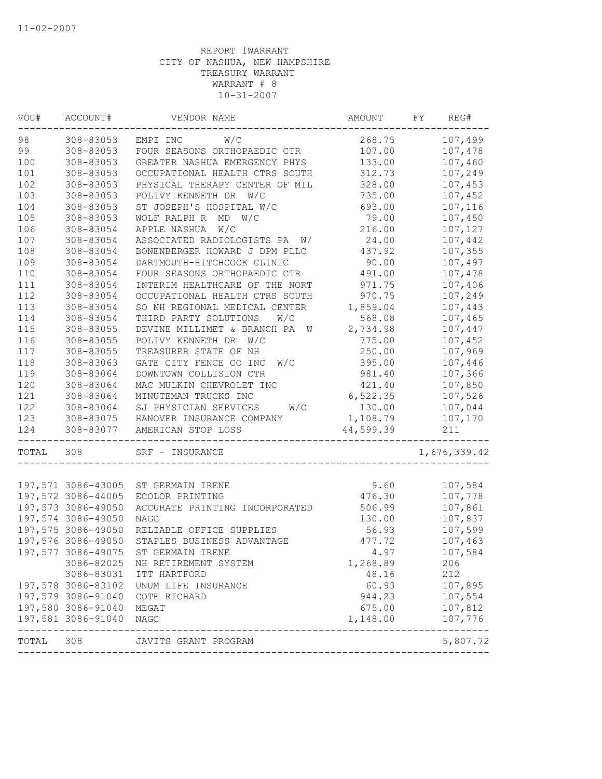| VOU#               | ACCOUNT#           | VENDOR NAME                      | AMOUNT    | FY<br>REG#   |
|--------------------|--------------------|----------------------------------|-----------|--------------|
| 98                 | 308-83053          | EMPI INC<br>W/C                  | 268.75    | 107,499      |
| 99                 | 308-83053          | FOUR SEASONS ORTHOPAEDIC CTR     | 107.00    | 107,478      |
| 100                | 308-83053          | GREATER NASHUA EMERGENCY PHYS    | 133.00    | 107,460      |
| 101                | 308-83053          | OCCUPATIONAL HEALTH CTRS SOUTH   | 312.73    | 107,249      |
| 102                | 308-83053          | PHYSICAL THERAPY CENTER OF MIL   | 328.00    | 107,453      |
| 103                | 308-83053          | POLIVY KENNETH DR W/C            | 735.00    | 107,452      |
| 104                | 308-83053          | ST JOSEPH'S HOSPITAL W/C         | 693.00    | 107,116      |
| 105                | 308-83053          | WOLF RALPH R MD W/C              | 79.00     | 107,450      |
| 106                | 308-83054          | APPLE NASHUA W/C                 | 216.00    | 107,127      |
| 107                | 308-83054          | ASSOCIATED RADIOLOGISTS PA<br>W/ | 24.00     | 107,442      |
| 108                | 308-83054          | BONENBERGER HOWARD J DPM PLLC    | 437.92    | 107,355      |
| 109                | 308-83054          | DARTMOUTH-HITCHCOCK CLINIC       | 90.00     | 107,497      |
| 110                | 308-83054          | FOUR SEASONS ORTHOPAEDIC CTR     | 491.00    | 107,478      |
| 111                | 308-83054          | INTERIM HEALTHCARE OF THE NORT   | 971.75    | 107,406      |
| 112                | 308-83054          | OCCUPATIONAL HEALTH CTRS SOUTH   | 970.75    | 107,249      |
| 113                | 308-83054          | SO NH REGIONAL MEDICAL CENTER    | 1,859.04  | 107,443      |
| 114                | 308-83054          | THIRD PARTY SOLUTIONS<br>W/C     | 568.08    | 107,465      |
| 115                | 308-83055          | DEVINE MILLIMET & BRANCH PA<br>W | 2,734.98  | 107,447      |
| 116                | 308-83055          | POLIVY KENNETH DR<br>W/C         | 775.00    | 107,452      |
| 117                | 308-83055          | TREASURER STATE OF NH            | 250.00    | 107,969      |
| 118                | 308-83063          | GATE CITY FENCE CO INC<br>W/C    | 395.00    | 107,446      |
| 119                | 308-83064          | DOWNTOWN COLLISION CTR           | 981.40    | 107,366      |
| 120                | 308-83064          | MAC MULKIN CHEVROLET INC         | 421.40    | 107,850      |
| 121                | 308-83064          | MINUTEMAN TRUCKS INC             | 6,522.35  | 107,526      |
| 122                | 308-83064          | SJ PHYSICIAN SERVICES<br>W/C     | 130.00    | 107,044      |
| 123                | 308-83075          | HANOVER INSURANCE COMPANY        | 1,108.79  | 107,170      |
| 124                | 308-83077          | AMERICAN STOP LOSS               | 44,599.39 | 211          |
| TOTAL              | 308                | SRF - INSURANCE                  |           | 1,676,339.42 |
|                    |                    |                                  |           |              |
|                    | 197,571 3086-43005 | ST GERMAIN IRENE                 | 9.60      | 107,584      |
|                    | 197,572 3086-44005 | ECOLOR PRINTING                  | 476.30    | 107,778      |
|                    | 197,573 3086-49050 | ACCURATE PRINTING INCORPORATED   | 506.99    | 107,861      |
|                    | 197,574 3086-49050 | <b>NAGC</b>                      | 130.00    | 107,837      |
|                    | 197,575 3086-49050 | RELIABLE OFFICE SUPPLIES         | 56.93     | 107,599      |
|                    | 197,576 3086-49050 | STAPLES BUSINESS ADVANTAGE       | 477.72    | 107,463      |
|                    | 197,577 3086-49075 | ST GERMAIN IRENE                 | 4.97      | 107,584      |
|                    | 3086-82025         | NH RETIREMENT SYSTEM             | 1,268.89  | 206          |
|                    | 3086-83031         | ITT HARTFORD                     | 48.16     | 212          |
|                    | 197,578 3086-83102 | UNUM LIFE INSURANCE              | 60.93     | 107,895      |
|                    | 197,579 3086-91040 | COTE RICHARD                     | 944.23    | 107,554      |
|                    |                    | MEGAT                            | 675.00    | 107,812      |
| 197,580 3086-91040 |                    |                                  |           |              |
|                    | 197,581 3086-91040 | NAGC                             | 1,148.00  | 107,776      |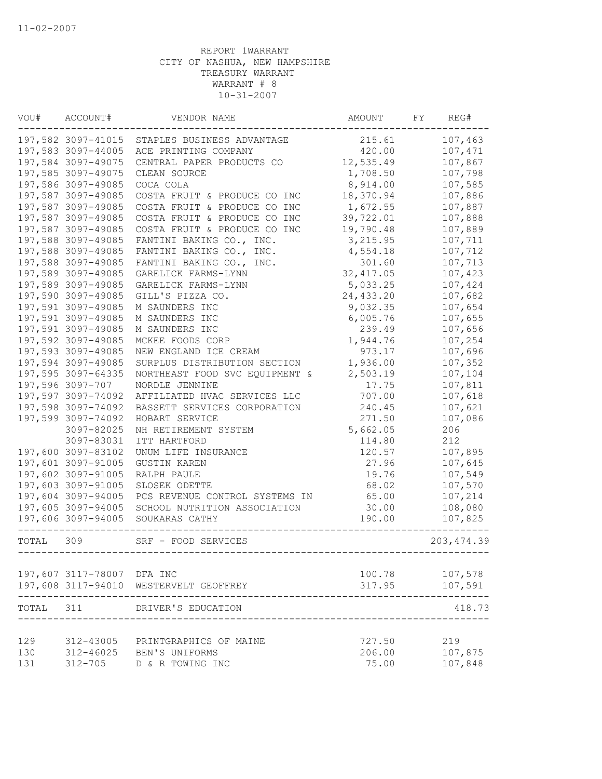| VOU#  | ACCOUNT#                   | VENDOR NAME                            | AMOUNT     | FY | REG#        |
|-------|----------------------------|----------------------------------------|------------|----|-------------|
|       | 197,582 3097-41015         | STAPLES BUSINESS ADVANTAGE             | 215.61     |    | 107,463     |
|       | 197,583 3097-44005         | ACE PRINTING COMPANY                   | 420.00     |    | 107,471     |
|       | 197,584 3097-49075         | CENTRAL PAPER PRODUCTS CO              | 12,535.49  |    | 107,867     |
|       | 197,585 3097-49075         | CLEAN SOURCE                           | 1,708.50   |    | 107,798     |
|       | 197,586 3097-49085         | COCA COLA                              | 8,914.00   |    | 107,585     |
|       | 197,587 3097-49085         | COSTA FRUIT & PRODUCE CO INC           | 18,370.94  |    | 107,886     |
|       | 197,587 3097-49085         | COSTA FRUIT & PRODUCE CO INC           | 1,672.55   |    | 107,887     |
|       | 197,587 3097-49085         | COSTA FRUIT & PRODUCE CO INC           | 39,722.01  |    | 107,888     |
|       | 197,587 3097-49085         | COSTA FRUIT & PRODUCE CO INC           | 19,790.48  |    | 107,889     |
|       | 197,588 3097-49085         | FANTINI BAKING CO., INC.               | 3,215.95   |    | 107,711     |
|       | 197,588 3097-49085         | FANTINI BAKING CO., INC.               | 4,554.18   |    | 107,712     |
|       | 197,588 3097-49085         | FANTINI BAKING CO., INC.               | 301.60     |    | 107,713     |
|       | 197,589 3097-49085         | GARELICK FARMS-LYNN                    | 32, 417.05 |    | 107,423     |
|       | 197,589 3097-49085         | GARELICK FARMS-LYNN                    | 5,033.25   |    | 107,424     |
|       | 197,590 3097-49085         | GILL'S PIZZA CO.                       | 24, 433.20 |    | 107,682     |
|       | 197,591 3097-49085         | M SAUNDERS INC                         | 9,032.35   |    | 107,654     |
|       | 197,591 3097-49085         | M SAUNDERS INC                         | 6,005.76   |    | 107,655     |
|       | 197,591 3097-49085         | M SAUNDERS INC                         | 239.49     |    | 107,656     |
|       | 197,592 3097-49085         | MCKEE FOODS CORP                       | 1,944.76   |    | 107,254     |
|       | 197,593 3097-49085         | NEW ENGLAND ICE CREAM                  | 973.17     |    | 107,696     |
|       | 197,594 3097-49085         | SURPLUS DISTRIBUTION SECTION           | 1,936.00   |    | 107,352     |
|       | 197,595 3097-64335         | NORTHEAST FOOD SVC EQUIPMENT &         | 2,503.19   |    | 107,104     |
|       | 197,596 3097-707           | NORDLE JENNINE                         | 17.75      |    | 107,811     |
|       | 197,597 3097-74092         | AFFILIATED HVAC SERVICES LLC           | 707.00     |    | 107,618     |
|       | 197,598 3097-74092         | BASSETT SERVICES CORPORATION           | 240.45     |    | 107,621     |
|       | 197,599 3097-74092         | HOBART SERVICE                         | 271.50     |    | 107,086     |
|       | 3097-82025                 | NH RETIREMENT SYSTEM                   | 5,662.05   |    | 206         |
|       | 3097-83031                 | ITT HARTFORD                           | 114.80     |    | 212         |
|       | 197,600 3097-83102         | UNUM LIFE INSURANCE                    | 120.57     |    | 107,895     |
|       | 197,601 3097-91005         | <b>GUSTIN KAREN</b>                    | 27.96      |    | 107,645     |
|       | 197,602 3097-91005         | RALPH PAULE                            | 19.76      |    | 107,549     |
|       | 197,603 3097-91005         | SLOSEK ODETTE                          | 68.02      |    | 107,570     |
|       | 197,604 3097-94005         | PCS REVENUE CONTROL SYSTEMS IN         | 65.00      |    | 107,214     |
|       | 197,605 3097-94005         | SCHOOL NUTRITION ASSOCIATION           | 30.00      |    | 108,080     |
|       | 197,606 3097-94005         | SOUKARAS CATHY                         | 190.00     |    | 107,825     |
| TOTAL | 309                        | SRF - FOOD SERVICES                    |            |    | 203, 474.39 |
|       |                            |                                        |            |    |             |
|       | 197,607 3117-78007 DFA INC | 197,608 3117-94010 WESTERVELT GEOFFREY | 100.78     |    | 107,578     |
|       |                            |                                        | 317.95     |    | 107,591     |
| TOTAL | 311                        | DRIVER'S EDUCATION                     |            |    | 418.73      |
| 129   | 312-43005                  | PRINTGRAPHICS OF MAINE                 | 727.50     |    | 219         |
| 130   | 312-46025                  | BEN'S UNIFORMS                         | 206.00     |    | 107,875     |
| 131   | $312 - 705$                | D & R TOWING INC                       | 75.00      |    | 107,848     |
|       |                            |                                        |            |    |             |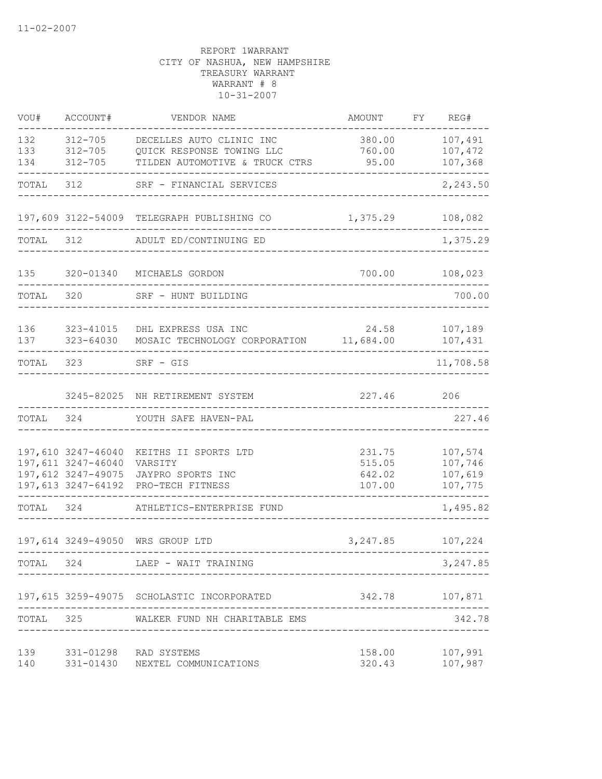| VOU#              | ACCOUNT#                                                                             | VENDOR NAME                                                                             | AMOUNT                               | FY | REG#                                     |
|-------------------|--------------------------------------------------------------------------------------|-----------------------------------------------------------------------------------------|--------------------------------------|----|------------------------------------------|
| 132<br>133<br>134 | $312 - 705$<br>$312 - 705$<br>$312 - 705$                                            | DECELLES AUTO CLINIC INC<br>QUICK RESPONSE TOWING LLC<br>TILDEN AUTOMOTIVE & TRUCK CTRS | 380.00<br>760.00<br>95.00            |    | 107,491<br>107,472<br>107,368            |
| TOTAL             | 312                                                                                  | SRF - FINANCIAL SERVICES                                                                |                                      |    | 2,243.50                                 |
|                   |                                                                                      | 197,609 3122-54009 TELEGRAPH PUBLISHING CO                                              | 1,375.29                             |    | 108,082                                  |
| TOTAL             | 312                                                                                  | ADULT ED/CONTINUING ED                                                                  |                                      |    | 1,375.29                                 |
| 135               | 320-01340                                                                            | MICHAELS GORDON                                                                         | 700.00                               |    | 108,023                                  |
| TOTAL             | 320                                                                                  | SRF - HUNT BUILDING                                                                     |                                      |    | 700.00                                   |
| 136<br>137        | 323-41015<br>323-64030                                                               | DHL EXPRESS USA INC<br>MOSAIC TECHNOLOGY CORPORATION                                    | 24.58<br>11,684.00                   |    | 107,189<br>107,431                       |
| TOTAL             | 323                                                                                  | $SRF - GIS$                                                                             |                                      |    | 11,708.58                                |
|                   |                                                                                      | 3245-82025 NH RETIREMENT SYSTEM                                                         | 227.46                               |    | 206                                      |
| TOTAL             | 324                                                                                  | YOUTH SAFE HAVEN-PAL                                                                    |                                      |    | 227.46                                   |
|                   | 197,610 3247-46040<br>197,611 3247-46040<br>197,612 3247-49075<br>197,613 3247-64192 | KEITHS II SPORTS LTD<br>VARSITY<br>JAYPRO SPORTS INC<br>PRO-TECH FITNESS                | 231.75<br>515.05<br>642.02<br>107.00 |    | 107,574<br>107,746<br>107,619<br>107,775 |
| TOTAL             | 324                                                                                  | ATHLETICS-ENTERPRISE FUND                                                               |                                      |    | 1,495.82                                 |
|                   |                                                                                      | 197,614 3249-49050 WRS GROUP LTD                                                        | 3,247.85                             |    | 107,224                                  |
| TOTAL 324         |                                                                                      | LAEP - WAIT TRAINING                                                                    |                                      |    | 3, 247.85                                |
|                   |                                                                                      | 197,615 3259-49075 SCHOLASTIC INCORPORATED                                              | 342.78                               |    | 107,871                                  |
| TOTAL             | 325                                                                                  | WALKER FUND NH CHARITABLE EMS                                                           |                                      |    | 342.78                                   |
| 139<br>140        |                                                                                      | 331-01298 RAD SYSTEMS<br>331-01430 NEXTEL COMMUNICATIONS                                | 320.43                               |    | 158.00 107,991<br>107,987                |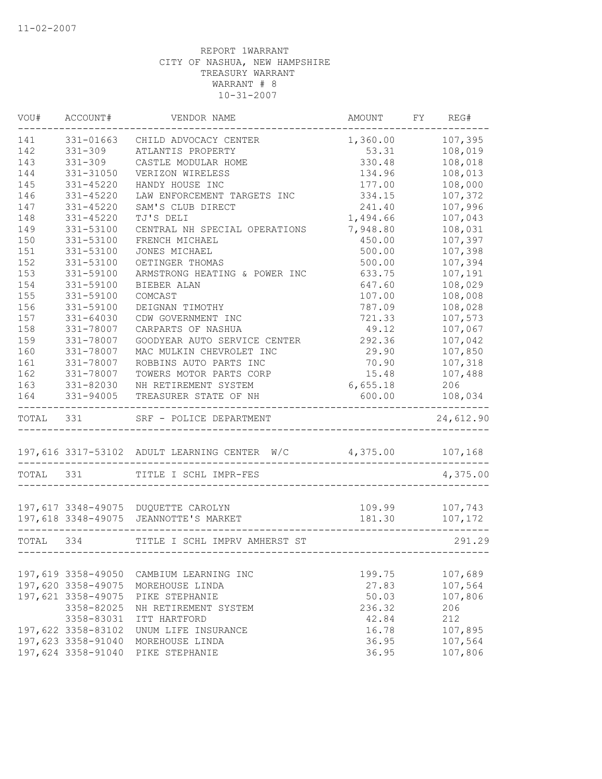| VOU#      | ACCOUNT#           | VENDOR NAME                                  | AMOUNT           | FY REG#   |
|-----------|--------------------|----------------------------------------------|------------------|-----------|
| 141       | 331-01663          | CHILD ADVOCACY CENTER                        | 1,360.00         | 107,395   |
| 142       | $331 - 309$        | ATLANTIS PROPERTY                            | 53.31            | 108,019   |
| 143       | $331 - 309$        | CASTLE MODULAR HOME                          | 330.48           | 108,018   |
| 144       | 331-31050          | VERIZON WIRELESS                             | 134.96           | 108,013   |
| 145       | 331-45220          | HANDY HOUSE INC                              | 177.00           | 108,000   |
| 146       | 331-45220          | LAW ENFORCEMENT TARGETS INC                  | 334.15           | 107,372   |
| 147       | 331-45220          | SAM'S CLUB DIRECT                            | 241.40           | 107,996   |
| 148       | 331-45220          | TJ'S DELI                                    | 1,494.66         | 107,043   |
| 149       | 331-53100          | CENTRAL NH SPECIAL OPERATIONS                | 7,948.80         | 108,031   |
| 150       | 331-53100          | FRENCH MICHAEL                               | 450.00           | 107,397   |
| 151       | 331-53100          | JONES MICHAEL                                | 500.00           | 107,398   |
| 152       | 331-53100          | OETINGER THOMAS                              | 500.00           | 107,394   |
| 153       | 331-59100          | ARMSTRONG HEATING & POWER INC                | 633.75           | 107,191   |
| 154       | 331-59100          | <b>BIEBER ALAN</b>                           | 647.60           | 108,029   |
| 155       | 331-59100          | COMCAST                                      | 107.00           | 108,008   |
| 156       | 331-59100          | DEIGNAN TIMOTHY                              | 787.09           | 108,028   |
| 157       | $331 - 64030$      | CDW GOVERNMENT INC                           | 721.33           | 107,573   |
| 158       | 331-78007          | CARPARTS OF NASHUA                           | 49.12            | 107,067   |
| 159       | 331-78007          | GOODYEAR AUTO SERVICE CENTER                 | 292.36           | 107,042   |
| 160       | 331-78007          | MAC MULKIN CHEVROLET INC                     | 29.90            | 107,850   |
| 161       | 331-78007          | ROBBINS AUTO PARTS INC                       | 70.90            | 107,318   |
| 162       | 331-78007          | TOWERS MOTOR PARTS CORP                      | 15.48            | 107,488   |
| 163       | 331-82030          | NH RETIREMENT SYSTEM                         | 6,655.18         | 206       |
| 164       | 331-94005          | TREASURER STATE OF NH                        | 600.00           | 108,034   |
| TOTAL 331 |                    | SRF - POLICE DEPARTMENT                      |                  | 24,612.90 |
|           |                    | 197,616 3317-53102 ADULT LEARNING CENTER W/C | 4,375.00 107,168 |           |
| TOTAL 331 |                    | TITLE I SCHL IMPR-FES                        |                  | 4,375.00  |
|           |                    |                                              |                  |           |
|           |                    | 197,617 3348-49075 DUQUETTE CAROLYN          | 109.99           | 107,743   |
|           |                    | 197,618 3348-49075 JEANNOTTE'S MARKET        | 181.30           | 107,172   |
| TOTAL 334 |                    | TITLE I SCHL IMPRV AMHERST ST                |                  | 291.29    |
|           |                    |                                              |                  |           |
|           | 197,619 3358-49050 | CAMBIUM LEARNING INC                         | 199.75           | 107,689   |
|           | 197,620 3358-49075 | MOREHOUSE LINDA                              | 27.83            | 107,564   |
|           | 197,621 3358-49075 | PIKE STEPHANIE                               | 50.03            | 107,806   |
|           | 3358-82025         | NH RETIREMENT SYSTEM                         | 236.32           | 206       |
|           | 3358-83031         | ITT HARTFORD                                 | 42.84            | 212       |
|           | 197,622 3358-83102 | UNUM LIFE INSURANCE                          | 16.78            | 107,895   |
|           | 197,623 3358-91040 | MOREHOUSE LINDA                              | 36.95            | 107,564   |
|           | 197,624 3358-91040 | PIKE STEPHANIE                               | 36.95            | 107,806   |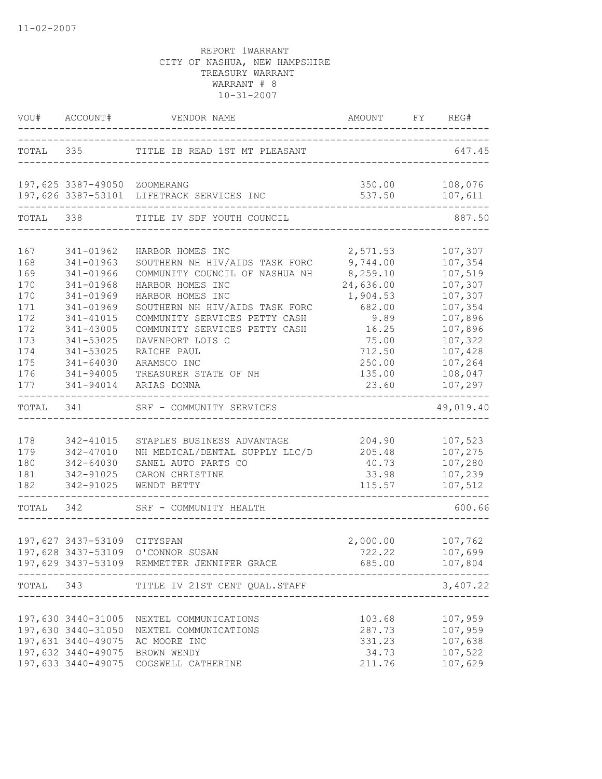|                                                                           | VOU# ACCOUNT#                                                                                                                                                | VENDOR NAME<br>_____________________________________                                                                                                                                                                                                                               | AMOUNT FY REG#                                                                                                    |                                                                                                                       |
|---------------------------------------------------------------------------|--------------------------------------------------------------------------------------------------------------------------------------------------------------|------------------------------------------------------------------------------------------------------------------------------------------------------------------------------------------------------------------------------------------------------------------------------------|-------------------------------------------------------------------------------------------------------------------|-----------------------------------------------------------------------------------------------------------------------|
|                                                                           |                                                                                                                                                              | TOTAL 335 TITLE IB READ 1ST MT PLEASANT                                                                                                                                                                                                                                            | ________________________________                                                                                  | 647.45                                                                                                                |
|                                                                           | 197,625 3387-49050 ZOOMERANG                                                                                                                                 | 197,626 3387-53101 LIFETRACK SERVICES INC                                                                                                                                                                                                                                          | 537.50                                                                                                            | 350.00 108,076<br>107,611                                                                                             |
| TOTAL                                                                     | 338                                                                                                                                                          | TITLE IV SDF YOUTH COUNCIL                                                                                                                                                                                                                                                         |                                                                                                                   | 887.50                                                                                                                |
| 167<br>168<br>169<br>170<br>170<br>171<br>172<br>172<br>173<br>174<br>175 | 341-01962<br>341-01963<br>341-01966<br>341-01968<br>341-01969<br>341-01969<br>341-41015<br>341-43005<br>341-53025<br>341-53025<br>$341 - 64030$<br>341-94005 | HARBOR HOMES INC<br>SOUTHERN NH HIV/AIDS TASK FORC<br>COMMUNITY COUNCIL OF NASHUA NH<br>HARBOR HOMES INC<br>HARBOR HOMES INC<br>SOUTHERN NH HIV/AIDS TASK FORC<br>COMMUNITY SERVICES PETTY CASH<br>COMMUNITY SERVICES PETTY CASH<br>DAVENPORT LOIS C<br>RAICHE PAUL<br>ARAMSCO INC | 2,571.53<br>9,744.00<br>8,259.10<br>24,636.00<br>1,904.53<br>682.00<br>9.89<br>16.25<br>75.00<br>712.50<br>250.00 | 107,307<br>107,354<br>107,519<br>107,307<br>107,307<br>107,354<br>107,896<br>107,896<br>107,322<br>107,428<br>107,264 |
| 176<br>177                                                                | 341-94014                                                                                                                                                    | TREASURER STATE OF NH<br>ARIAS DONNA                                                                                                                                                                                                                                               | 135.00<br>23.60                                                                                                   | 108,047<br>107,297                                                                                                    |
| TOTAL                                                                     | 341                                                                                                                                                          | SRF - COMMUNITY SERVICES                                                                                                                                                                                                                                                           |                                                                                                                   | 49,019.40                                                                                                             |
| 178<br>179<br>180<br>181<br>182                                           | 342-41015<br>342-47010<br>342-64030<br>342-91025<br>342-91025                                                                                                | STAPLES BUSINESS ADVANTAGE<br>NH MEDICAL/DENTAL SUPPLY LLC/D<br>SANEL AUTO PARTS CO<br>CARON CHRISTINE<br>WENDT BETTY                                                                                                                                                              | 204.90<br>205.48<br>40.73<br>33.98<br>115.57                                                                      | 107,523<br>107,275<br>107,280<br>107,239<br>107,512                                                                   |
|                                                                           | TOTAL 342                                                                                                                                                    | SRF - COMMUNITY HEALTH                                                                                                                                                                                                                                                             |                                                                                                                   | 600.66                                                                                                                |
|                                                                           | 197,627 3437-53109 CITYSPAN                                                                                                                                  | 197,628 3437-53109 O'CONNOR SUSAN<br>197,629 3437-53109 REMMETTER JENNIFER GRACE                                                                                                                                                                                                   | 2,000.00<br>722.22<br>685.00                                                                                      | 107,762<br>107,699<br>107,804                                                                                         |
|                                                                           |                                                                                                                                                              | TOTAL 343 TITLE IV 21ST CENT QUAL.STAFF                                                                                                                                                                                                                                            | ---------------------------                                                                                       | 3,407.22                                                                                                              |
|                                                                           |                                                                                                                                                              | 197,630 3440-31005 NEXTEL COMMUNICATIONS<br>197,630 3440-31050 NEXTEL COMMUNICATIONS<br>197,631 3440-49075 AC MOORE INC<br>197,632 3440-49075 BROWN WENDY<br>197,633 3440-49075 COGSWELL CATHERINE                                                                                 | 103.68<br>287.73<br>331.23<br>34.73<br>211.76                                                                     | 107,959<br>107,959<br>107,638<br>107,522<br>107,629                                                                   |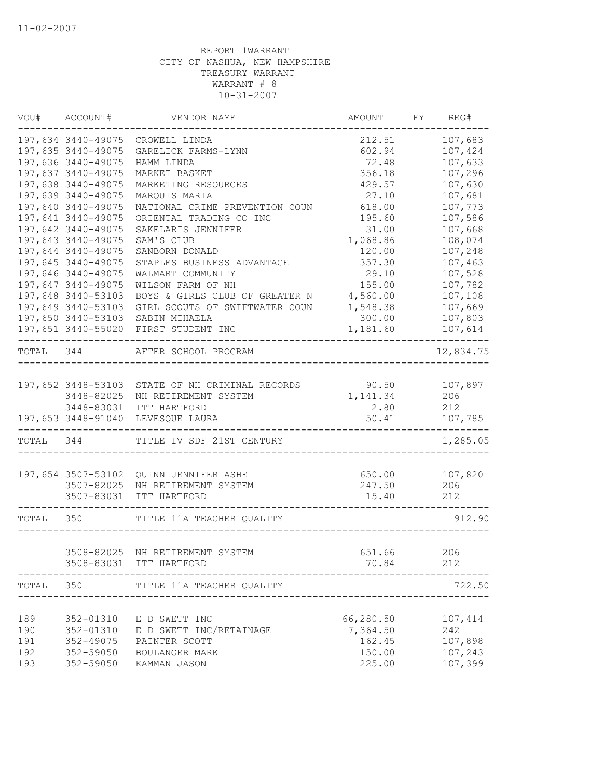| VOU#      | ACCOUNT#                     | VENDOR NAME                                     | AMOUNT    | FY | REG#      |
|-----------|------------------------------|-------------------------------------------------|-----------|----|-----------|
|           | 197,634 3440-49075           | CROWELL LINDA                                   | 212.51    |    | 107,683   |
|           | 197,635 3440-49075           | GARELICK FARMS-LYNN                             | 602.94    |    | 107,424   |
|           | 197,636 3440-49075           | HAMM LINDA                                      | 72.48     |    | 107,633   |
|           | 197,637 3440-49075           | MARKET BASKET                                   | 356.18    |    | 107,296   |
|           | 197,638 3440-49075           | MARKETING RESOURCES                             | 429.57    |    | 107,630   |
|           | 197,639 3440-49075           | MARQUIS MARIA                                   | 27.10     |    | 107,681   |
|           | 197,640 3440-49075           | NATIONAL CRIME PREVENTION COUN                  | 618.00    |    | 107,773   |
|           | 197,641 3440-49075           | ORIENTAL TRADING CO INC                         | 195.60    |    | 107,586   |
|           | 197,642 3440-49075           | SAKELARIS JENNIFER                              | 31.00     |    | 107,668   |
|           | 197,643 3440-49075           | SAM'S CLUB                                      | 1,068.86  |    | 108,074   |
|           | 197,644 3440-49075           | SANBORN DONALD                                  | 120.00    |    | 107,248   |
|           | 197,645 3440-49075           | STAPLES BUSINESS ADVANTAGE                      | 357.30    |    | 107,463   |
|           | 197,646 3440-49075           | WALMART COMMUNITY                               | 29.10     |    | 107,528   |
|           | 197,647 3440-49075           | WILSON FARM OF NH                               | 155.00    |    | 107,782   |
|           | 197,648 3440-53103           | BOYS & GIRLS CLUB OF GREATER N                  | 4,560.00  |    | 107,108   |
|           | 197,649 3440-53103           | GIRL SCOUTS OF SWIFTWATER COUN                  | 1,548.38  |    | 107,669   |
|           | 197,650 3440-53103           | SABIN MIHAELA                                   | 300.00    |    | 107,803   |
|           | ____________________________ | 197,651 3440-55020 FIRST STUDENT INC            | 1,181.60  |    | 107,614   |
| TOTAL 344 |                              | AFTER SCHOOL PROGRAM                            |           |    | 12,834.75 |
|           |                              | 197,652 3448-53103 STATE OF NH CRIMINAL RECORDS | 90.50     |    | 107,897   |
|           | 3448-82025                   | NH RETIREMENT SYSTEM                            | 1,141.34  |    | 206       |
|           | 3448-83031                   | ITT HARTFORD                                    | 2.80      |    | 212       |
|           |                              | 197,653 3448-91040 LEVESQUE LAURA               | 50.41     |    | 107,785   |
| TOTAL 344 |                              | TITLE IV SDF 21ST CENTURY                       |           |    | 1,285.05  |
|           | 197,654 3507-53102           | QUINN JENNIFER ASHE                             | 650.00    |    | 107,820   |
|           | 3507-82025                   | NH RETIREMENT SYSTEM                            | 247.50    |    | 206       |
|           |                              | 3507-83031 ITT HARTFORD                         | 15.40     |    | 212       |
| TOTAL 350 |                              | TITLE 11A TEACHER QUALITY                       |           |    | 912.90    |
|           |                              | 3508-82025 NH RETIREMENT SYSTEM                 | 651.66    |    | 206       |
|           |                              | 3508-83031 ITT HARTFORD                         | 70.84     |    | 212       |
| TOTAL     | 350                          | TITLE 11A TEACHER QUALITY                       |           |    | 722.50    |
|           |                              |                                                 |           |    |           |
| 189       | 352-01310                    | E D SWETT INC                                   | 66,280.50 |    | 107,414   |
| 190       | 352-01310                    | E D SWETT INC/RETAINAGE                         | 7,364.50  |    | 242       |
| 191       | 352-49075                    | PAINTER SCOTT                                   | 162.45    |    | 107,898   |
| 192       | 352-59050                    | BOULANGER MARK                                  | 150.00    |    | 107,243   |
| 193       | 352-59050                    | KAMMAN JASON                                    | 225.00    |    | 107,399   |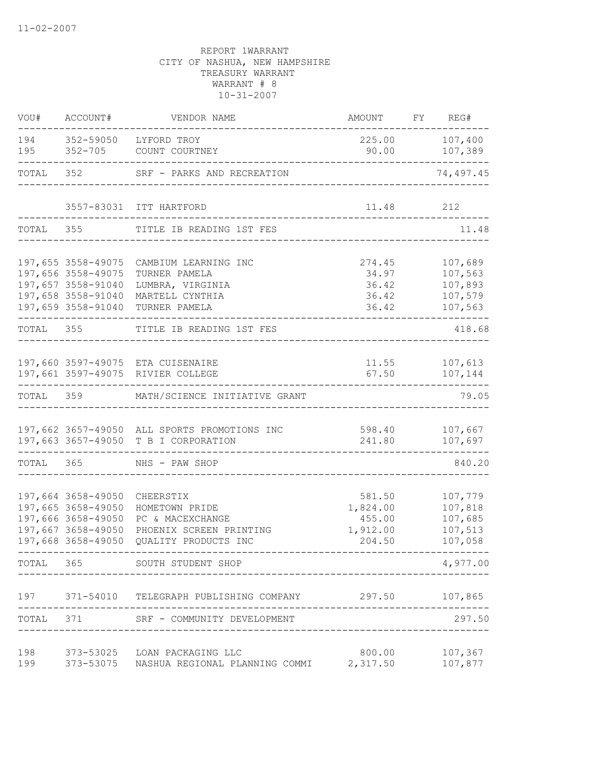| VOU#       | ACCOUNT#                                                                                                                            | VENDOR NAME                                                                                                     | AMOUNT                                             | FY REG#                                             |
|------------|-------------------------------------------------------------------------------------------------------------------------------------|-----------------------------------------------------------------------------------------------------------------|----------------------------------------------------|-----------------------------------------------------|
| 194<br>195 | 352-59050                                                                                                                           | LYFORD TROY<br>352-705 COUNT COURTNEY                                                                           | 225.00<br>90.00                                    | 107,400<br>107,389                                  |
| TOTAL      |                                                                                                                                     | 352 SRF - PARKS AND RECREATION                                                                                  |                                                    | 74,497.45                                           |
|            |                                                                                                                                     | 3557-83031 ITT HARTFORD                                                                                         | 11.48                                              | 212                                                 |
| TOTAL      | 355                                                                                                                                 | TITLE IB READING 1ST FES                                                                                        |                                                    | 11.48                                               |
|            | 197,655 3558-49075<br>197,656 3558-49075<br>197,657 3558-91040<br>197,658 3558-91040<br>197,659 3558-91040                          | CAMBIUM LEARNING INC<br>TURNER PAMELA<br>LUMBRA, VIRGINIA<br>MARTELL CYNTHIA<br>TURNER PAMELA                   | 274.45<br>34.97<br>36.42<br>36.42<br>36.42         | 107,689<br>107,563<br>107,893<br>107,579<br>107,563 |
| TOTAL 355  |                                                                                                                                     | TITLE IB READING 1ST FES                                                                                        |                                                    | 418.68                                              |
|            |                                                                                                                                     | 197,660 3597-49075 ETA CUISENAIRE<br>197,661 3597-49075 RIVIER COLLEGE<br>. _ _ _ _ _ _ _ _ _ _ _               | 67.50                                              | 11.55 107,613<br>107,144                            |
|            |                                                                                                                                     | TOTAL 359 MATH/SCIENCE INITIATIVE GRANT                                                                         |                                                    | 79.05                                               |
|            |                                                                                                                                     | 197,662 3657-49050 ALL SPORTS PROMOTIONS INC<br>197,663 3657-49050 T B I CORPORATION                            | 598.40<br>241.80                                   | 107,667<br>107,697                                  |
| TOTAL 365  |                                                                                                                                     | NHS - PAW SHOP                                                                                                  |                                                    | 840.20                                              |
|            | 197,664 3658-49050<br>197,665 3658-49050<br>197,666 3658-49050<br>197,667 3658-49050<br>197,668 3658-49050<br>- - - - - - - - - - - | CHEERSTIX<br>HOMETOWN PRIDE<br>PC & MACEXCHANGE<br>PHOENIX SCREEN PRINTING<br>QUALITY PRODUCTS INC<br>--------- | 581.50<br>1,824.00<br>455.00<br>1,912.00<br>204.50 | 107,779<br>107,818<br>107,685<br>107,513<br>107,058 |
| TOTAL      | 365                                                                                                                                 | SOUTH STUDENT SHOP                                                                                              |                                                    | 4,977.00                                            |
|            |                                                                                                                                     | 197 371-54010 TELEGRAPH PUBLISHING COMPANY                                                                      | 297.50                                             | 107,865                                             |
| TOTAL      |                                                                                                                                     | 371 SRF - COMMUNITY DEVELOPMENT                                                                                 |                                                    | 297.50                                              |
| 198<br>199 |                                                                                                                                     | 373-53025 LOAN PACKAGING LLC<br>373-53075 NASHUA REGIONAL PLANNING COMMI                                        | 800.00<br>2,317.50                                 | 107,367<br>107,877                                  |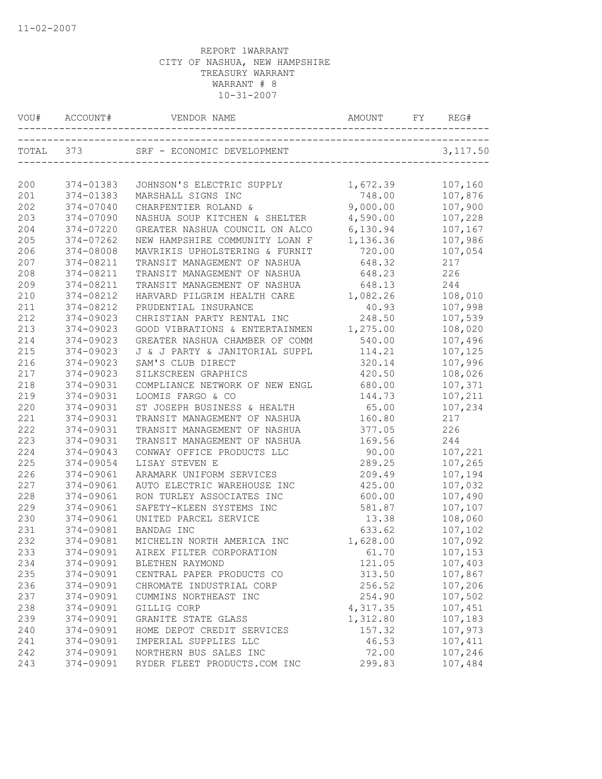|     | VOU# ACCOUNT# |                                      |                           | REG#     |
|-----|---------------|--------------------------------------|---------------------------|----------|
|     | TOTAL 373     | SRF - ECONOMIC DEVELOPMENT           | _________________________ | 3,117.50 |
| 200 | 374-01383     | JOHNSON'S ELECTRIC SUPPLY            | 1,672.39                  | 107,160  |
| 201 | 374-01383     | MARSHALL SIGNS INC                   | 748.00                    | 107,876  |
| 202 | 374-07040     | CHARPENTIER ROLAND &                 | 9,000.00                  | 107,900  |
| 203 | 374-07090     | NASHUA SOUP KITCHEN & SHELTER        | 4,590.00                  | 107,228  |
| 204 | 374-07220     | GREATER NASHUA COUNCIL ON ALCO       | 6,130.94                  | 107,167  |
| 205 | 374-07262     | NEW HAMPSHIRE COMMUNITY LOAN F       | 1,136.36                  | 107,986  |
| 206 | 374-08008     | MAVRIKIS UPHOLSTERING & FURNIT       | 720.00                    | 107,054  |
| 207 | 374-08211     | TRANSIT MANAGEMENT OF NASHUA         | 648.32                    | 217      |
| 208 | 374-08211     | TRANSIT MANAGEMENT OF NASHUA         | 648.23                    | 226      |
| 209 | 374-08211     | TRANSIT MANAGEMENT OF NASHUA         | 648.13                    | 244      |
| 210 | 374-08212     | HARVARD PILGRIM HEALTH CARE 1,082.26 |                           | 108,010  |
| 211 | 374-08212     | PRUDENTIAL INSURANCE                 | 40.93                     | 107,998  |
| 212 | 374-09023     | CHRISTIAN PARTY RENTAL INC           | 248.50                    | 107,539  |
| 213 | 374-09023     | GOOD VIBRATIONS & ENTERTAINMEN       | 1,275.00                  | 108,020  |
| 214 | $374 - 09023$ | GREATER NASHUA CHAMBER OF COMM       | 540.00                    | 107,496  |
| 215 | 374-09023     | J & J PARTY & JANITORIAL SUPPL       | 114.21                    | 107,125  |
| 216 | 374-09023     | SAM'S CLUB DIRECT                    | 320.14                    | 107,996  |
| 217 | 374-09023     | SILKSCREEN GRAPHICS                  | 420.50                    | 108,026  |
| 218 | 374-09031     | COMPLIANCE NETWORK OF NEW ENGL       | 680.00                    | 107,371  |
| 219 | 374-09031     | LOOMIS FARGO & CO                    | 144.73                    | 107,211  |
| 220 | 374-09031     | ST JOSEPH BUSINESS & HEALTH          | 65.00                     | 107,234  |
| 221 | 374-09031     | TRANSIT MANAGEMENT OF NASHUA         | 160.80                    | 217      |
| 222 | 374-09031     | TRANSIT MANAGEMENT OF NASHUA         | 377.05                    | 226      |
| 223 | 374-09031     | TRANSIT MANAGEMENT OF NASHUA         | 169.56                    | 244      |
| 224 | 374-09043     | CONWAY OFFICE PRODUCTS LLC           | 90.00                     | 107,221  |
| 225 | 374-09054     | LISAY STEVEN E                       | 289.25                    | 107,265  |
| 226 | 374-09061     | ARAMARK UNIFORM SERVICES             | 209.49                    | 107,194  |
| 227 | 374-09061     | AUTO ELECTRIC WAREHOUSE INC          | 425.00                    | 107,032  |
| 228 | 374-09061     | RON TURLEY ASSOCIATES INC            | 600.00                    | 107,490  |
| 229 | 374-09061     | SAFETY-KLEEN SYSTEMS INC             | 581.87                    | 107,107  |
| 230 | 374-09061     | UNITED PARCEL SERVICE                | 13.38                     | 108,060  |
| 231 | 374-09081     | BANDAG INC                           | 633.62                    | 107,102  |
| 232 | 374-09081     | MICHELIN NORTH AMERICA INC           | 1,628.00                  | 107,092  |
| 233 | 374-09091     | AIREX FILTER CORPORATION             | 61.70                     | 107,153  |
| 234 | 374-09091     | BLETHEN RAYMOND                      | 121.05                    | 107,403  |
| 235 | 374-09091     | CENTRAL PAPER PRODUCTS CO            | 313.50                    | 107,867  |
| 236 | 374-09091     | CHROMATE INDUSTRIAL CORP             | 256.52                    | 107,206  |
| 237 | 374-09091     | CUMMINS NORTHEAST INC                | 254.90                    | 107,502  |
| 238 | 374-09091     | GILLIG CORP                          | 4,317.35                  | 107,451  |
| 239 | 374-09091     | GRANITE STATE GLASS                  | 1,312.80                  | 107,183  |
| 240 | 374-09091     | HOME DEPOT CREDIT SERVICES           | 157.32                    | 107,973  |
| 241 | 374-09091     | IMPERIAL SUPPLIES LLC                | 46.53                     | 107,411  |
| 242 | 374-09091     | NORTHERN BUS SALES INC               | 72.00                     | 107,246  |
| 243 | 374-09091     | RYDER FLEET PRODUCTS.COM INC         | 299.83                    | 107,484  |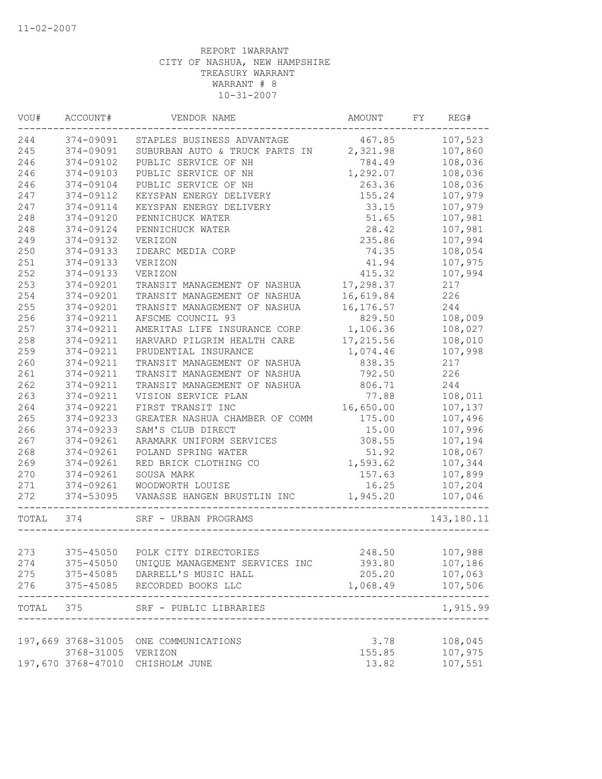| VOU#      | ACCOUNT#           | VENDOR NAME                                            | AMOUNT     | FY | REG#              |
|-----------|--------------------|--------------------------------------------------------|------------|----|-------------------|
| 244       |                    | 374-09091 STAPLES BUSINESS ADVANTAGE                   | 467.85     |    | 107,523           |
| 245       | 374-09091          | SUBURBAN AUTO & TRUCK PARTS IN 2,321.98                |            |    | 107,860           |
| 246       | 374-09102          | PUBLIC SERVICE OF NH                                   | 784.49     |    | 108,036           |
| 246       | 374-09103          | PUBLIC SERVICE OF NH                                   | 1,292.07   |    | 108,036           |
| 246       | 374-09104          | PUBLIC SERVICE OF NH                                   | 263.36     |    | 108,036           |
| 247       | 374-09112          | KEYSPAN ENERGY DELIVERY                                | 155.24     |    | 107,979           |
| 247       | 374-09114          | KEYSPAN ENERGY DELIVERY                                | 33.15      |    | 107,979           |
| 248       | 374-09120          | PENNICHUCK WATER                                       | 51.65      |    | 107,981           |
| 248       | 374-09124          | PENNICHUCK WATER                                       | 28.42      |    | 107,981           |
| 249       | 374-09132          | VERIZON                                                | 235.86     |    | 107,994           |
| 250       | 374-09133          | IDEARC MEDIA CORP                                      | 74.35      |    | 108,054           |
| 251       | 374-09133          | VERIZON                                                | 41.94      |    | 107,975           |
| 252       | 374-09133          | VERIZON                                                | 415.32     |    | 107,994           |
| 253       | 374-09201          | TRANSIT MANAGEMENT OF NASHUA                           | 17,298.37  |    | 217               |
| 254       | 374-09201          | TRANSIT MANAGEMENT OF NASHUA                           | 16,619.84  |    | 226               |
| 255       | 374-09201          | TRANSIT MANAGEMENT OF NASHUA                           | 16, 176.57 |    | 244               |
| 256       | 374-09211          | AFSCME COUNCIL 93                                      | 829.50     |    | 108,009           |
| 257       | 374-09211          | AMERITAS LIFE INSURANCE CORP                           | 1,106.36   |    | 108,027           |
| 258       | 374-09211          | HARVARD PILGRIM HEALTH CARE                            | 17,215.56  |    | 108,010           |
| 259       | 374-09211          | PRUDENTIAL INSURANCE                                   | 1,074.46   |    | 107,998           |
| 260       | 374-09211          | TRANSIT MANAGEMENT OF NASHUA                           | 838.35     |    | 217               |
| 261       | 374-09211          | TRANSIT MANAGEMENT OF NASHUA                           | 792.50     |    | 226               |
| 262       | 374-09211          | TRANSIT MANAGEMENT OF NASHUA                           | 806.71     |    | 244               |
| 263       | 374-09211          | VISION SERVICE PLAN                                    | 77.88      |    | 108,011           |
| 264       | 374-09221          | FIRST TRANSIT INC                                      | 16,650.00  |    | 107,137           |
| 265       | 374-09233          | GREATER NASHUA CHAMBER OF COMM                         | 175.00     |    | 107,496           |
| 266       | 374-09233          | SAM'S CLUB DIRECT                                      | 15.00      |    | 107,996           |
| 267       | 374-09261          | ARAMARK UNIFORM SERVICES                               | 308.55     |    | 107,194           |
| 268       | 374-09261          | POLAND SPRING WATER                                    | 51.92      |    | 108,067           |
| 269       | 374-09261          | RED BRICK CLOTHING CO                                  | 1,593.62   |    | 107,344           |
| 270       | 374-09261          | SOUSA MARK                                             | 157.63     |    | 107,899           |
| 271       | $374 - 09261$      | WOODWORTH LOUISE                                       | 16.25      |    | 107,204           |
| 272       | 374-53095          | VANASSE HANGEN BRUSTLIN INC<br>_______________________ | 1,945.20   |    | 107,046           |
| TOTAL 374 |                    | SRF - URBAN PROGRAMS<br>_________________              |            |    | 143,180.11        |
|           |                    |                                                        |            |    |                   |
| 273       | 375-45050          | POLK CITY DIRECTORIES                                  | 248.50     |    | 107,988           |
| 274       | 375-45050          | UNIQUE MANAGEMENT SERVICES INC                         | 393.80     |    | 107,186           |
| 275       |                    | 375-45085 DARRELL'S MUSIC HALL                         | 205.20     |    | 107,063           |
| 276       |                    | 375-45085 RECORDED BOOKS LLC                           | 1,068.49   |    | 107,506<br>------ |
|           |                    | TOTAL 375 SRF - PUBLIC LIBRARIES                       |            |    | 1,915.99          |
|           | 197,669 3768-31005 | ONE COMMUNICATIONS                                     | 3.78       |    | 108,045           |
|           | 3768-31005         | VERIZON                                                | 155.85     |    | 107,975           |
|           |                    | 197,670 3768-47010 CHISHOLM JUNE                       | 13.82      |    | 107,551           |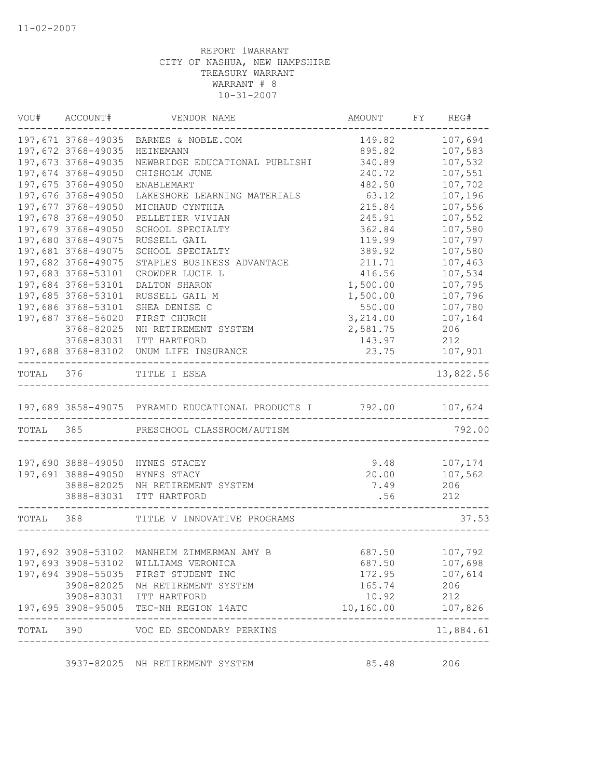|           | VOU# ACCOUNT#      | VENDOR NAME                                                                | AMOUNT FY REG# |               |
|-----------|--------------------|----------------------------------------------------------------------------|----------------|---------------|
|           | 197,671 3768-49035 | BARNES & NOBLE.COM                                                         | 149.82         | 107,694       |
|           | 197,672 3768-49035 | HEINEMANN                                                                  | 895.82         | 107,583       |
|           | 197,673 3768-49035 | NEWBRIDGE EDUCATIONAL PUBLISHI                                             | 340.89         | 107,532       |
|           | 197,674 3768-49050 | CHISHOLM JUNE                                                              | 240.72         | 107,551       |
|           | 197,675 3768-49050 | ENABLEMART                                                                 | 482.50         | 107,702       |
|           | 197,676 3768-49050 | LAKESHORE LEARNING MATERIALS                                               | 63.12          | 107,196       |
|           | 197,677 3768-49050 | MICHAUD CYNTHIA                                                            | 215.84         | 107,556       |
|           | 197,678 3768-49050 | PELLETIER VIVIAN                                                           | 245.91         | 107,552       |
|           | 197,679 3768-49050 | SCHOOL SPECIALTY                                                           | 362.84         | 107,580       |
|           | 197,680 3768-49075 | RUSSELL GAIL                                                               | 119.99         | 107,797       |
|           | 197,681 3768-49075 | SCHOOL SPECIALTY                                                           | 389.92         | 107,580       |
|           | 197,682 3768-49075 | STAPLES BUSINESS ADVANTAGE                                                 | 211.71         | 107,463       |
|           | 197,683 3768-53101 | CROWDER LUCIE L                                                            | 416.56         | 107,534       |
|           | 197,684 3768-53101 | DALTON SHARON                                                              | 1,500.00       | 107,795       |
|           | 197,685 3768-53101 | RUSSELL GAIL M                                                             | 1,500.00       | 107,796       |
|           | 197,686 3768-53101 | SHEA DENISE C                                                              | 550.00         | 107,780       |
|           | 197,687 3768-56020 | FIRST CHURCH                                                               | 3,214.00       | 107,164       |
|           | 3768-82025         | NH RETIREMENT SYSTEM                                                       | 2,581.75       | 206           |
|           | 3768-83031         | ITT HARTFORD                                                               | 143.97         | 212           |
|           |                    | 197,688 3768-83102 UNUM LIFE INSURANCE<br>-------------------------------- | 23.75          | 107,901       |
|           |                    | TOTAL 376 TITLE I ESEA                                                     |                | 13,822.56     |
|           |                    | 197,689 3858-49075 PYRAMID EDUCATIONAL PRODUCTS I 792.00 107,624           |                |               |
|           |                    | TOTAL 385 PRESCHOOL CLASSROOM/AUTISM                                       |                | 792.00        |
|           |                    |                                                                            |                |               |
|           |                    | 197,690 3888-49050 HYNES STACEY                                            |                | 9.48 107,174  |
|           | 197,691 3888-49050 | HYNES STACY                                                                |                | 20.00 107,562 |
|           | 3888-82025         | NH RETIREMENT SYSTEM                                                       | 7.49 206       |               |
|           |                    | 3888-83031 ITT HARTFORD                                                    | .56            | 212           |
| TOTAL 388 |                    | TITLE V INNOVATIVE PROGRAMS                                                |                | 37.53         |
|           |                    |                                                                            |                |               |
|           |                    | 197,692 3908-53102 MANHEIM ZIMMERMAN AMY B                                 | 687.50         | 107,792       |
|           |                    | 197,693 3908-53102 WILLIAMS VERONICA                                       | 687.50         | 107,698       |
|           | 197,694 3908-55035 | FIRST STUDENT INC                                                          | 172.95         | 107,614       |
|           |                    | 3908-82025 NH RETIREMENT SYSTEM                                            | 165.74         | 206           |
|           |                    | 3908-83031 ITT HARTFORD                                                    | 10.92          | 212           |
|           |                    | 197,695 3908-95005 TEC-NH REGION 14ATC<br>--------------------             | 10,160.00      | 107,826       |
|           |                    | TOTAL 390 VOC ED SECONDARY PERKINS                                         |                | 11,884.61     |
|           |                    | 3937-82025 NH RETIREMENT SYSTEM                                            | 85.48          | 206           |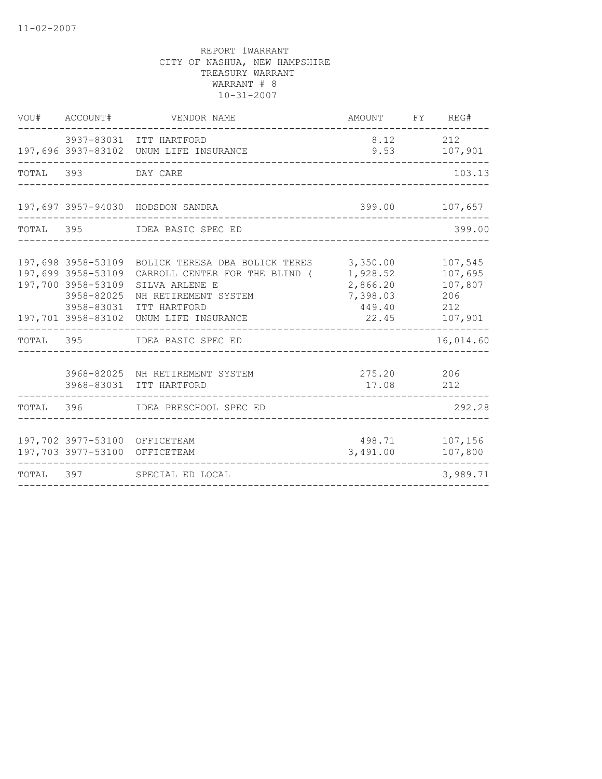|           | VOU# ACCOUNT#                                                                              | VENDOR NAME                                                                                                                                                          | AMOUNT FY REG#                                                  |                                                        |
|-----------|--------------------------------------------------------------------------------------------|----------------------------------------------------------------------------------------------------------------------------------------------------------------------|-----------------------------------------------------------------|--------------------------------------------------------|
|           |                                                                                            | 3937-83031 ITT HARTFORD<br>197,696 3937-83102 UNUM LIFE INSURANCE                                                                                                    | 8.12<br>9.53                                                    | 212<br>107,901                                         |
| TOTAL 393 |                                                                                            | DAY CARE                                                                                                                                                             |                                                                 | 103.13                                                 |
|           |                                                                                            | 197,697 3957-94030 HODSDON SANDRA                                                                                                                                    | 399.00                                                          | 107,657                                                |
| TOTAL 395 |                                                                                            | IDEA BASIC SPEC ED                                                                                                                                                   |                                                                 | 399.00                                                 |
|           | 197,699 3958-53109<br>197,700 3958-53109<br>3958-82025<br>3958-83031<br>197,701 3958-83102 | 197,698 3958-53109 BOLICK TERESA DBA BOLICK TERES<br>CARROLL CENTER FOR THE BLIND (<br>SILVA ARLENE E<br>NH RETIREMENT SYSTEM<br>ITT HARTFORD<br>UNUM LIFE INSURANCE | 3,350.00<br>1,928.52<br>2,866.20<br>7,398.03<br>449.40<br>22.45 | 107,545<br>107,695<br>107,807<br>206<br>212<br>107,901 |
|           | TOTAL 395                                                                                  | IDEA BASIC SPEC ED                                                                                                                                                   |                                                                 | 16,014.60                                              |
|           |                                                                                            | 3968-82025 NH RETIREMENT SYSTEM<br>3968-83031 ITT HARTFORD                                                                                                           | 275.20 206<br>17.08                                             | 212                                                    |
|           |                                                                                            | TOTAL 396 IDEA PRESCHOOL SPEC ED                                                                                                                                     |                                                                 | 292.28                                                 |
|           | 197,702 3977-53100 OFFICETEAM<br>197,703 3977-53100 OFFICETEAM                             |                                                                                                                                                                      | 498.71<br>3,491.00                                              | 107,156<br>107,800                                     |
| TOTAL 397 |                                                                                            | SPECIAL ED LOCAL                                                                                                                                                     |                                                                 | 3,989.71                                               |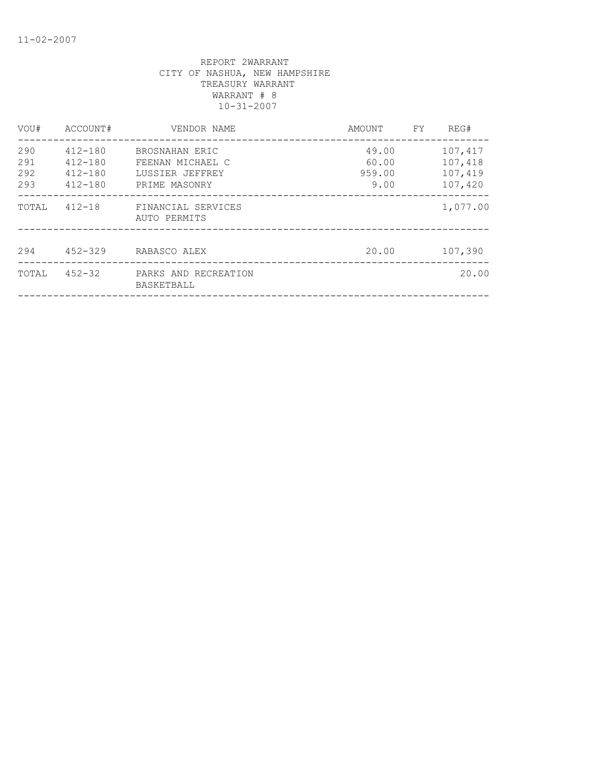| VOU#                     | ACCOUNT#                                                 | VENDOR NAME                                                            | AMOUNT                           | FY. | REG#                                     |
|--------------------------|----------------------------------------------------------|------------------------------------------------------------------------|----------------------------------|-----|------------------------------------------|
| 290<br>291<br>292<br>293 | $412 - 180$<br>$412 - 180$<br>$412 - 180$<br>$412 - 180$ | BROSNAHAN ERIC<br>FEENAN MICHAEL C<br>LUSSIER JEFFREY<br>PRIME MASONRY | 49.00<br>60.00<br>959.00<br>9.00 |     | 107,417<br>107,418<br>107,419<br>107,420 |
| TOTAL                    | $412 - 18$                                               | FINANCIAL SERVICES<br>AUTO PERMITS                                     |                                  |     | 1,077.00                                 |
| 294                      | $452 - 329$                                              | RABASCO ALEX                                                           | 20.00                            |     | 107,390                                  |
| TOTAL                    | $452 - 32$                                               | PARKS AND RECREATION<br>BASKETBALL                                     |                                  |     | 20.00                                    |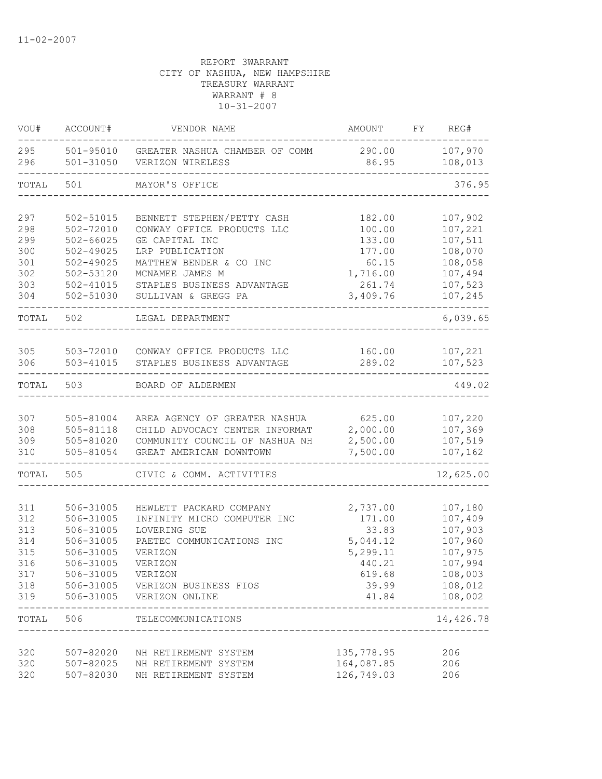| VOU#                                                 | ACCOUNT#                                                                                                         | VENDOR NAME                                                                                                                                                                                             | AMOUNT                                                                                    | FY | REG#                                                                                            |
|------------------------------------------------------|------------------------------------------------------------------------------------------------------------------|---------------------------------------------------------------------------------------------------------------------------------------------------------------------------------------------------------|-------------------------------------------------------------------------------------------|----|-------------------------------------------------------------------------------------------------|
| 295<br>296                                           | 501-95010<br>501-31050                                                                                           | GREATER NASHUA CHAMBER OF COMM<br>VERIZON WIRELESS                                                                                                                                                      | 290.00<br>86.95                                                                           |    | 107,970<br>108,013                                                                              |
| TOTAL                                                | 501                                                                                                              | MAYOR'S OFFICE                                                                                                                                                                                          |                                                                                           |    | 376.95                                                                                          |
| 297<br>298<br>299<br>300<br>301<br>302<br>303<br>304 | 502-51015<br>502-72010<br>$502 - 66025$<br>$502 - 49025$<br>$502 - 49025$<br>502-53120<br>502-41015<br>502-51030 | BENNETT STEPHEN/PETTY CASH<br>CONWAY OFFICE PRODUCTS LLC<br>GE CAPITAL INC<br>LRP PUBLICATION<br>MATTHEW BENDER & CO INC<br>MCNAMEE JAMES M<br>STAPLES BUSINESS ADVANTAGE<br>SULLIVAN & GREGG PA        | 182.00<br>100.00<br>133.00<br>177.00<br>60.15<br>1,716.00<br>261.74<br>3,409.76           |    | 107,902<br>107,221<br>107,511<br>108,070<br>108,058<br>107,494<br>107,523<br>107,245            |
| TOTAL                                                | 502                                                                                                              | LEGAL DEPARTMENT                                                                                                                                                                                        |                                                                                           |    | 6,039.65                                                                                        |
| 305<br>306                                           | 503-72010<br>503-41015                                                                                           | CONWAY OFFICE PRODUCTS LLC<br>STAPLES BUSINESS ADVANTAGE                                                                                                                                                | 160.00<br>289.02                                                                          |    | 107,221<br>107,523                                                                              |
| TOTAL                                                | 503                                                                                                              | BOARD OF ALDERMEN                                                                                                                                                                                       |                                                                                           |    | 449.02                                                                                          |
| 307<br>308<br>309<br>310                             | 505-81004<br>505-81118<br>505-81020<br>505-81054                                                                 | AREA AGENCY OF GREATER NASHUA<br>CHILD ADVOCACY CENTER INFORMAT<br>COMMUNITY COUNCIL OF NASHUA NH<br>GREAT AMERICAN DOWNTOWN                                                                            | 625.00<br>2,000.00<br>2,500.00<br>7,500.00                                                |    | 107,220<br>107,369<br>107,519<br>107,162                                                        |
| TOTAL                                                | 505                                                                                                              | CIVIC & COMM. ACTIVITIES                                                                                                                                                                                |                                                                                           |    | 12,625.00                                                                                       |
| 311<br>312<br>313<br>314<br>315<br>316<br>317<br>319 | 506-31005<br>506-31005<br>506-31005<br>506-31005<br>506-31005<br>506-31005<br>506-31005                          | HEWLETT PACKARD COMPANY<br>INFINITY MICRO COMPUTER INC<br>LOVERING SUE<br>PAETEC COMMUNICATIONS INC<br>VERIZON<br>VERIZON<br>VERIZON<br>318 506-31005 VERIZON BUSINESS FIOS<br>506-31005 VERIZON ONLINE | 2,737.00<br>171.00<br>33.83<br>5,044.12<br>5,299.11<br>440.21<br>619.68<br>39.99<br>41.84 |    | 107,180<br>107,409<br>107,903<br>107,960<br>107,975<br>107,994<br>108,003<br>108,012<br>108,002 |
| TOTAL 506                                            |                                                                                                                  | ------------<br>TELECOMMUNICATIONS<br>--------------------------                                                                                                                                        |                                                                                           |    | ------<br>14,426.78                                                                             |
| 320<br>320<br>320                                    | 507-82020<br>507-82025<br>507-82030                                                                              | NH RETIREMENT SYSTEM<br>NH RETIREMENT SYSTEM<br>NH RETIREMENT SYSTEM                                                                                                                                    | 135,778.95<br>164,087.85<br>126,749.03                                                    |    | 206<br>206<br>206                                                                               |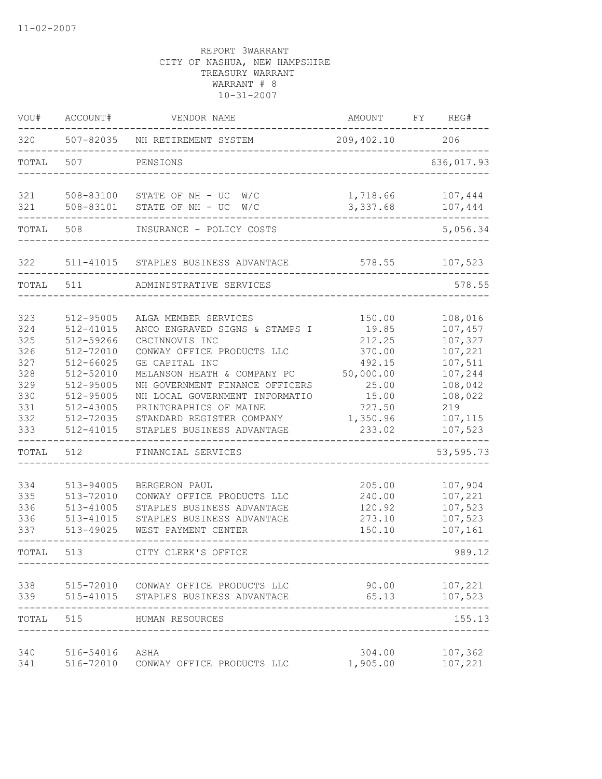| VOU#                                                                               | ACCOUNT#                                                                                                                                           | VENDOR NAME                                                                                                                                                                                                                                                                                                                            | AMOUNT                                                                                                       | FY<br>REG#                                                                                                                      |
|------------------------------------------------------------------------------------|----------------------------------------------------------------------------------------------------------------------------------------------------|----------------------------------------------------------------------------------------------------------------------------------------------------------------------------------------------------------------------------------------------------------------------------------------------------------------------------------------|--------------------------------------------------------------------------------------------------------------|---------------------------------------------------------------------------------------------------------------------------------|
| 320                                                                                | 507-82035                                                                                                                                          | NH RETIREMENT SYSTEM                                                                                                                                                                                                                                                                                                                   | 209, 402.10                                                                                                  | 206                                                                                                                             |
| TOTAL                                                                              | 507                                                                                                                                                | PENSIONS                                                                                                                                                                                                                                                                                                                               |                                                                                                              | 636,017.93                                                                                                                      |
| 321<br>321                                                                         | 508-83100<br>508-83101                                                                                                                             | STATE OF NH $-$ UC $W/C$<br>STATE OF NH - UC<br>W/C                                                                                                                                                                                                                                                                                    | 1,718.66<br>3,337.68                                                                                         | 107,444<br>107,444                                                                                                              |
| TOTAL                                                                              | 508                                                                                                                                                | INSURANCE - POLICY COSTS                                                                                                                                                                                                                                                                                                               |                                                                                                              | 5,056.34                                                                                                                        |
| 322                                                                                | 511-41015                                                                                                                                          | STAPLES BUSINESS ADVANTAGE                                                                                                                                                                                                                                                                                                             | 578.55                                                                                                       | 107,523                                                                                                                         |
| TOTAL                                                                              | 511                                                                                                                                                | ADMINISTRATIVE SERVICES                                                                                                                                                                                                                                                                                                                |                                                                                                              | 578.55                                                                                                                          |
| 323<br>324<br>325<br>326<br>327<br>328<br>329<br>330<br>331<br>332<br>333<br>TOTAL | 512-95005<br>512-41015<br>512-59266<br>512-72010<br>512-66025<br>512-52010<br>512-95005<br>512-95005<br>512-43005<br>512-72035<br>512-41015<br>512 | ALGA MEMBER SERVICES<br>ANCO ENGRAVED SIGNS & STAMPS I<br>CBCINNOVIS INC<br>CONWAY OFFICE PRODUCTS LLC<br>GE CAPITAL INC<br>MELANSON HEATH & COMPANY PC<br>NH GOVERNMENT FINANCE OFFICERS<br>NH LOCAL GOVERNMENT INFORMATIO<br>PRINTGRAPHICS OF MAINE<br>STANDARD REGISTER COMPANY<br>STAPLES BUSINESS ADVANTAGE<br>FINANCIAL SERVICES | 150.00<br>19.85<br>212.25<br>370.00<br>492.15<br>50,000.00<br>25.00<br>15.00<br>727.50<br>1,350.96<br>233.02 | 108,016<br>107,457<br>107,327<br>107,221<br>107,511<br>107,244<br>108,042<br>108,022<br>219<br>107,115<br>107,523<br>53, 595.73 |
| 334<br>335<br>336<br>336<br>337                                                    | 513-94005<br>513-72010<br>513-41005<br>513-41015<br>513-49025                                                                                      | BERGERON PAUL<br>CONWAY OFFICE PRODUCTS LLC<br>STAPLES BUSINESS ADVANTAGE<br>STAPLES BUSINESS ADVANTAGE<br>WEST PAYMENT CENTER                                                                                                                                                                                                         | 205.00<br>240.00<br>120.92<br>273.10<br>150.10                                                               | 107,904<br>107,221<br>107,523<br>107,523<br>107,161                                                                             |
| TOTAL                                                                              | 513                                                                                                                                                | CITY CLERK'S OFFICE                                                                                                                                                                                                                                                                                                                    |                                                                                                              | 989.12                                                                                                                          |
| 338<br>339                                                                         | 515-41015                                                                                                                                          | 515-72010 CONWAY OFFICE PRODUCTS LLC<br>STAPLES BUSINESS ADVANTAGE                                                                                                                                                                                                                                                                     | 90.00<br>65.13                                                                                               | 107,221<br>107,523                                                                                                              |
| TOTAL                                                                              | 515                                                                                                                                                | HUMAN RESOURCES                                                                                                                                                                                                                                                                                                                        |                                                                                                              | 155.13                                                                                                                          |
| 340<br>341                                                                         | 516-54016<br>516-72010                                                                                                                             | ASHA<br>CONWAY OFFICE PRODUCTS LLC                                                                                                                                                                                                                                                                                                     | 304.00<br>1,905.00                                                                                           | 107,362<br>107,221                                                                                                              |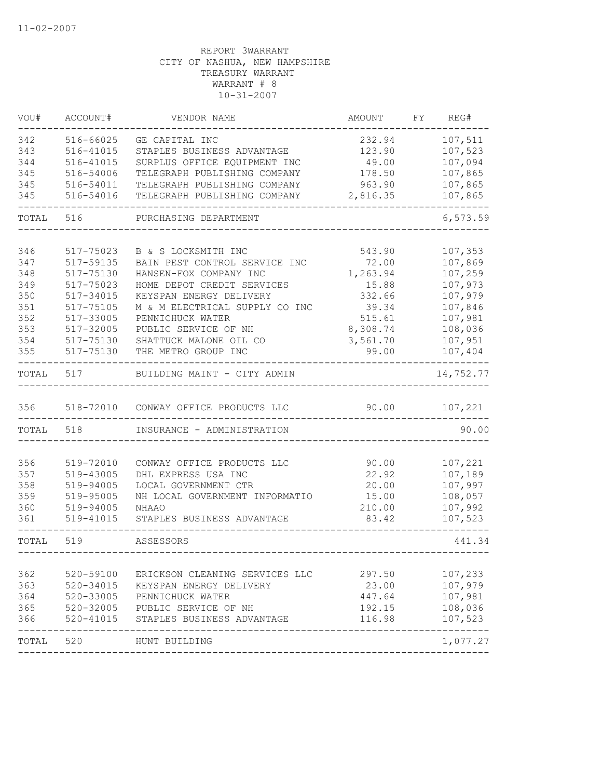| VOU#       | ACCOUNT#               | VENDOR NAME                                             | AMOUNT            | FY | REG#               |
|------------|------------------------|---------------------------------------------------------|-------------------|----|--------------------|
| 342        | 516-66025              | GE CAPITAL INC                                          | 232.94            |    | 107,511            |
| 343        | 516-41015              | STAPLES BUSINESS ADVANTAGE                              | 123.90            |    | 107,523            |
| 344        | 516-41015              | SURPLUS OFFICE EQUIPMENT INC                            | 49.00             |    | 107,094            |
| 345        | 516-54006              | TELEGRAPH PUBLISHING COMPANY                            | 178.50            |    | 107,865            |
| 345        | 516-54011              | TELEGRAPH PUBLISHING COMPANY                            | 963.90            |    | 107,865            |
| 345        | 516-54016              | TELEGRAPH PUBLISHING COMPANY                            | 2,816.35          |    | 107,865            |
| TOTAL      | 516                    | PURCHASING DEPARTMENT                                   |                   |    | 6,573.59           |
| 346        | 517-75023              |                                                         |                   |    |                    |
| 347        | 517-59135              | B & S LOCKSMITH INC                                     | 543.90            |    | 107,353<br>107,869 |
| 348        | 517-75130              | BAIN PEST CONTROL SERVICE INC<br>HANSEN-FOX COMPANY INC | 72.00<br>1,263.94 |    | 107,259            |
| 349        | 517-75023              | HOME DEPOT CREDIT SERVICES                              | 15.88             |    | 107,973            |
| 350        | 517-34015              | KEYSPAN ENERGY DELIVERY                                 | 332.66            |    | 107,979            |
| 351        | 517-75105              | M & M ELECTRICAL SUPPLY CO INC                          | 39.34             |    | 107,846            |
| 352        | 517-33005              | PENNICHUCK WATER                                        | 515.61            |    | 107,981            |
| 353        | 517-32005              | PUBLIC SERVICE OF NH                                    | 8,308.74          |    | 108,036            |
| 354        | 517-75130              | SHATTUCK MALONE OIL CO                                  | 3,561.70          |    | 107,951            |
| 355        | 517-75130              | THE METRO GROUP INC                                     | 99.00             |    | 107,404            |
| TOTAL      | 517                    | BUILDING MAINT - CITY ADMIN                             |                   |    | 14,752.77          |
| 356        |                        | 518-72010 CONWAY OFFICE PRODUCTS LLC                    | 90.00             |    | 107,221            |
| TOTAL      | 518                    | INSURANCE - ADMINISTRATION                              |                   |    | 90.00              |
|            |                        |                                                         |                   |    |                    |
| 356        | 519-72010              | CONWAY OFFICE PRODUCTS LLC                              | 90.00             |    | 107,221            |
| 357        | 519-43005              | DHL EXPRESS USA INC                                     | 22.92             |    | 107,189            |
| 358        | 519-94005              | LOCAL GOVERNMENT CTR                                    | 20.00             |    | 107,997            |
| 359        | 519-95005              | NH LOCAL GOVERNMENT INFORMATIO                          | 15.00             |    | 108,057            |
| 360        | 519-94005              | <b>NHAAO</b>                                            | 210.00            |    | 107,992            |
| 361        | 519-41015              | STAPLES BUSINESS ADVANTAGE                              | 83.42             |    | 107,523            |
| TOTAL      | 519                    | ASSESSORS                                               |                   |    | 441.34             |
| 362        |                        |                                                         |                   |    |                    |
|            | 520-59100              | ERICKSON CLEANING SERVICES LLC                          | 297.50<br>23.00   |    | 107,233            |
| 363<br>364 | 520-34015<br>520-33005 | KEYSPAN ENERGY DELIVERY<br>PENNICHUCK WATER             | 447.64            |    | 107,979            |
| 365        | 520-32005              | PUBLIC SERVICE OF NH                                    | 192.15            |    | 107,981            |
| 366        | 520-41015              | STAPLES BUSINESS ADVANTAGE                              | 116.98            |    | 108,036<br>107,523 |
| TOTAL 520  |                        |                                                         |                   |    |                    |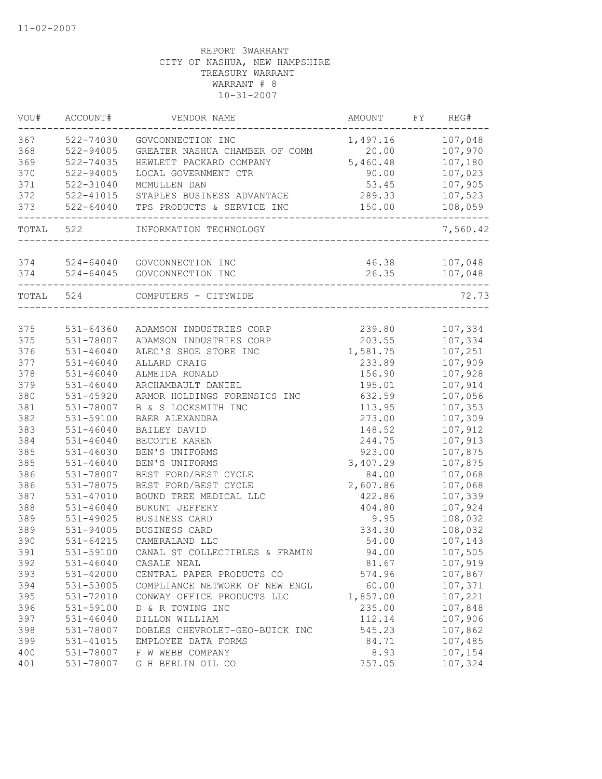| 367<br>107,048<br>522-74030<br>GOVCONNECTION INC<br>1,497.16<br>368<br>522-94005<br>20.00<br>107,970<br>GREATER NASHUA CHAMBER OF COMM<br>369<br>5,460.48<br>522-74035<br>107,180<br>HEWLETT PACKARD COMPANY<br>370<br>522-94005<br>LOCAL GOVERNMENT CTR<br>90.00<br>107,023<br>371<br>53.45<br>107,905<br>522-31040<br>MCMULLEN DAN<br>289.33<br>522-41015<br>STAPLES BUSINESS ADVANTAGE<br>107,523<br>373<br>522-64040<br>108,059<br>TPS PRODUCTS & SERVICE INC<br>150.00<br>TOTAL 522<br>INFORMATION TECHNOLOGY<br>374<br>$524 - 64040$<br>46.38<br>107,048<br>GOVCONNECTION INC<br>374<br>$524 - 64045$<br>26.35<br>GOVCONNECTION INC<br>107,048<br>TOTAL 524<br>COMPUTERS - CITYWIDE<br>375<br>107,334<br>531-64360<br>ADAMSON INDUSTRIES CORP<br>239.80<br>375<br>203.55<br>107,334<br>531-78007<br>ADAMSON INDUSTRIES CORP<br>376<br>$531 - 46040$<br>ALEC'S SHOE STORE INC<br>107,251<br>1,581.75<br>377<br>$531 - 46040$<br>ALLARD CRAIG<br>107,909<br>233.89<br>378<br>531-46040<br>ALMEIDA RONALD<br>156.90<br>107,928<br>379<br>$531 - 46040$<br>ARCHAMBAULT DANIEL<br>195.01<br>107,914<br>380<br>107,056<br>531-45920<br>ARMOR HOLDINGS FORENSICS INC<br>632.59<br>381<br>107,353<br>531-78007<br>B & S LOCKSMITH INC<br>113.95<br>382<br>107,309<br>531-59100<br>BAER ALEXANDRA<br>273.00<br>383<br>107,912<br>531-46040<br>BAILEY DAVID<br>148.52<br>384<br>107,913<br>$531 - 46040$<br>BECOTTE KAREN<br>244.75<br>385<br>$531 - 46030$<br>BEN'S UNIFORMS<br>107,875<br>923.00<br>385<br>$531 - 46040$<br>BEN'S UNIFORMS<br>3,407.29<br>107,875<br>386<br>BEST FORD/BEST CYCLE<br>531-78007<br>84.00<br>107,068<br>386<br>531-78075<br>BEST FORD/BEST CYCLE<br>2,607.86<br>107,068<br>387<br>531-47010<br>BOUND TREE MEDICAL LLC<br>422.86<br>107,339<br>388<br>107,924<br>531-46040<br>BUKUNT JEFFERY<br>404.80<br>389<br>9.95<br>108,032<br>531-49025<br>BUSINESS CARD<br>389<br>334.30<br>108,032<br>531-94005<br>BUSINESS CARD<br>390<br>107,143<br>531-64215<br>CAMERALAND LLC<br>54.00<br>391<br>531-59100<br>94.00<br>107,505<br>CANAL ST COLLECTIBLES & FRAMIN<br>392<br>107,919<br>$531 - 46040$<br>81.67<br>CASALE NEAL<br>393<br>531-42000<br>574.96<br>CENTRAL PAPER PRODUCTS CO<br>107,867<br>531-53005<br>60.00<br>COMPLIANCE NETWORK OF NEW ENGL<br>107,371<br>395<br>531-72010<br>CONWAY OFFICE PRODUCTS LLC<br>1,857.00<br>107,221<br>396<br>531-59100<br>235.00<br>107,848<br>D & R TOWING INC<br>397<br>107,906<br>$531 - 46040$<br>DILLON WILLIAM<br>112.14<br>398<br>531-78007<br>DOBLES CHEVROLET-GEO-BUICK INC<br>545.23<br>107,862<br>399<br>107,485<br>531-41015<br>84.71<br>EMPLOYEE DATA FORMS<br>400<br>531-78007<br>8.93<br>107,154<br>F W WEBB COMPANY | VOU# | ACCOUNT#  | VENDOR NAME       | AMOUNT | FY | REG#     |
|------------------------------------------------------------------------------------------------------------------------------------------------------------------------------------------------------------------------------------------------------------------------------------------------------------------------------------------------------------------------------------------------------------------------------------------------------------------------------------------------------------------------------------------------------------------------------------------------------------------------------------------------------------------------------------------------------------------------------------------------------------------------------------------------------------------------------------------------------------------------------------------------------------------------------------------------------------------------------------------------------------------------------------------------------------------------------------------------------------------------------------------------------------------------------------------------------------------------------------------------------------------------------------------------------------------------------------------------------------------------------------------------------------------------------------------------------------------------------------------------------------------------------------------------------------------------------------------------------------------------------------------------------------------------------------------------------------------------------------------------------------------------------------------------------------------------------------------------------------------------------------------------------------------------------------------------------------------------------------------------------------------------------------------------------------------------------------------------------------------------------------------------------------------------------------------------------------------------------------------------------------------------------------------------------------------------------------------------------------------------------------------------------------------------------------------------------------------------------------------------------------------------------------------------------------------------------------------------------------------------------------------------------------------------------------------------------|------|-----------|-------------------|--------|----|----------|
|                                                                                                                                                                                                                                                                                                                                                                                                                                                                                                                                                                                                                                                                                                                                                                                                                                                                                                                                                                                                                                                                                                                                                                                                                                                                                                                                                                                                                                                                                                                                                                                                                                                                                                                                                                                                                                                                                                                                                                                                                                                                                                                                                                                                                                                                                                                                                                                                                                                                                                                                                                                                                                                                                                      |      |           |                   |        |    |          |
|                                                                                                                                                                                                                                                                                                                                                                                                                                                                                                                                                                                                                                                                                                                                                                                                                                                                                                                                                                                                                                                                                                                                                                                                                                                                                                                                                                                                                                                                                                                                                                                                                                                                                                                                                                                                                                                                                                                                                                                                                                                                                                                                                                                                                                                                                                                                                                                                                                                                                                                                                                                                                                                                                                      |      |           |                   |        |    |          |
|                                                                                                                                                                                                                                                                                                                                                                                                                                                                                                                                                                                                                                                                                                                                                                                                                                                                                                                                                                                                                                                                                                                                                                                                                                                                                                                                                                                                                                                                                                                                                                                                                                                                                                                                                                                                                                                                                                                                                                                                                                                                                                                                                                                                                                                                                                                                                                                                                                                                                                                                                                                                                                                                                                      |      |           |                   |        |    |          |
|                                                                                                                                                                                                                                                                                                                                                                                                                                                                                                                                                                                                                                                                                                                                                                                                                                                                                                                                                                                                                                                                                                                                                                                                                                                                                                                                                                                                                                                                                                                                                                                                                                                                                                                                                                                                                                                                                                                                                                                                                                                                                                                                                                                                                                                                                                                                                                                                                                                                                                                                                                                                                                                                                                      |      |           |                   |        |    |          |
|                                                                                                                                                                                                                                                                                                                                                                                                                                                                                                                                                                                                                                                                                                                                                                                                                                                                                                                                                                                                                                                                                                                                                                                                                                                                                                                                                                                                                                                                                                                                                                                                                                                                                                                                                                                                                                                                                                                                                                                                                                                                                                                                                                                                                                                                                                                                                                                                                                                                                                                                                                                                                                                                                                      |      |           |                   |        |    |          |
|                                                                                                                                                                                                                                                                                                                                                                                                                                                                                                                                                                                                                                                                                                                                                                                                                                                                                                                                                                                                                                                                                                                                                                                                                                                                                                                                                                                                                                                                                                                                                                                                                                                                                                                                                                                                                                                                                                                                                                                                                                                                                                                                                                                                                                                                                                                                                                                                                                                                                                                                                                                                                                                                                                      | 372  |           |                   |        |    |          |
|                                                                                                                                                                                                                                                                                                                                                                                                                                                                                                                                                                                                                                                                                                                                                                                                                                                                                                                                                                                                                                                                                                                                                                                                                                                                                                                                                                                                                                                                                                                                                                                                                                                                                                                                                                                                                                                                                                                                                                                                                                                                                                                                                                                                                                                                                                                                                                                                                                                                                                                                                                                                                                                                                                      |      |           |                   |        |    |          |
|                                                                                                                                                                                                                                                                                                                                                                                                                                                                                                                                                                                                                                                                                                                                                                                                                                                                                                                                                                                                                                                                                                                                                                                                                                                                                                                                                                                                                                                                                                                                                                                                                                                                                                                                                                                                                                                                                                                                                                                                                                                                                                                                                                                                                                                                                                                                                                                                                                                                                                                                                                                                                                                                                                      |      |           |                   |        |    | 7,560.42 |
|                                                                                                                                                                                                                                                                                                                                                                                                                                                                                                                                                                                                                                                                                                                                                                                                                                                                                                                                                                                                                                                                                                                                                                                                                                                                                                                                                                                                                                                                                                                                                                                                                                                                                                                                                                                                                                                                                                                                                                                                                                                                                                                                                                                                                                                                                                                                                                                                                                                                                                                                                                                                                                                                                                      |      |           |                   |        |    |          |
|                                                                                                                                                                                                                                                                                                                                                                                                                                                                                                                                                                                                                                                                                                                                                                                                                                                                                                                                                                                                                                                                                                                                                                                                                                                                                                                                                                                                                                                                                                                                                                                                                                                                                                                                                                                                                                                                                                                                                                                                                                                                                                                                                                                                                                                                                                                                                                                                                                                                                                                                                                                                                                                                                                      |      |           |                   |        |    |          |
|                                                                                                                                                                                                                                                                                                                                                                                                                                                                                                                                                                                                                                                                                                                                                                                                                                                                                                                                                                                                                                                                                                                                                                                                                                                                                                                                                                                                                                                                                                                                                                                                                                                                                                                                                                                                                                                                                                                                                                                                                                                                                                                                                                                                                                                                                                                                                                                                                                                                                                                                                                                                                                                                                                      |      |           |                   |        |    |          |
|                                                                                                                                                                                                                                                                                                                                                                                                                                                                                                                                                                                                                                                                                                                                                                                                                                                                                                                                                                                                                                                                                                                                                                                                                                                                                                                                                                                                                                                                                                                                                                                                                                                                                                                                                                                                                                                                                                                                                                                                                                                                                                                                                                                                                                                                                                                                                                                                                                                                                                                                                                                                                                                                                                      |      |           |                   |        |    | 72.73    |
|                                                                                                                                                                                                                                                                                                                                                                                                                                                                                                                                                                                                                                                                                                                                                                                                                                                                                                                                                                                                                                                                                                                                                                                                                                                                                                                                                                                                                                                                                                                                                                                                                                                                                                                                                                                                                                                                                                                                                                                                                                                                                                                                                                                                                                                                                                                                                                                                                                                                                                                                                                                                                                                                                                      |      |           |                   |        |    |          |
|                                                                                                                                                                                                                                                                                                                                                                                                                                                                                                                                                                                                                                                                                                                                                                                                                                                                                                                                                                                                                                                                                                                                                                                                                                                                                                                                                                                                                                                                                                                                                                                                                                                                                                                                                                                                                                                                                                                                                                                                                                                                                                                                                                                                                                                                                                                                                                                                                                                                                                                                                                                                                                                                                                      |      |           |                   |        |    |          |
|                                                                                                                                                                                                                                                                                                                                                                                                                                                                                                                                                                                                                                                                                                                                                                                                                                                                                                                                                                                                                                                                                                                                                                                                                                                                                                                                                                                                                                                                                                                                                                                                                                                                                                                                                                                                                                                                                                                                                                                                                                                                                                                                                                                                                                                                                                                                                                                                                                                                                                                                                                                                                                                                                                      |      |           |                   |        |    |          |
|                                                                                                                                                                                                                                                                                                                                                                                                                                                                                                                                                                                                                                                                                                                                                                                                                                                                                                                                                                                                                                                                                                                                                                                                                                                                                                                                                                                                                                                                                                                                                                                                                                                                                                                                                                                                                                                                                                                                                                                                                                                                                                                                                                                                                                                                                                                                                                                                                                                                                                                                                                                                                                                                                                      |      |           |                   |        |    |          |
|                                                                                                                                                                                                                                                                                                                                                                                                                                                                                                                                                                                                                                                                                                                                                                                                                                                                                                                                                                                                                                                                                                                                                                                                                                                                                                                                                                                                                                                                                                                                                                                                                                                                                                                                                                                                                                                                                                                                                                                                                                                                                                                                                                                                                                                                                                                                                                                                                                                                                                                                                                                                                                                                                                      |      |           |                   |        |    |          |
|                                                                                                                                                                                                                                                                                                                                                                                                                                                                                                                                                                                                                                                                                                                                                                                                                                                                                                                                                                                                                                                                                                                                                                                                                                                                                                                                                                                                                                                                                                                                                                                                                                                                                                                                                                                                                                                                                                                                                                                                                                                                                                                                                                                                                                                                                                                                                                                                                                                                                                                                                                                                                                                                                                      |      |           |                   |        |    |          |
|                                                                                                                                                                                                                                                                                                                                                                                                                                                                                                                                                                                                                                                                                                                                                                                                                                                                                                                                                                                                                                                                                                                                                                                                                                                                                                                                                                                                                                                                                                                                                                                                                                                                                                                                                                                                                                                                                                                                                                                                                                                                                                                                                                                                                                                                                                                                                                                                                                                                                                                                                                                                                                                                                                      |      |           |                   |        |    |          |
|                                                                                                                                                                                                                                                                                                                                                                                                                                                                                                                                                                                                                                                                                                                                                                                                                                                                                                                                                                                                                                                                                                                                                                                                                                                                                                                                                                                                                                                                                                                                                                                                                                                                                                                                                                                                                                                                                                                                                                                                                                                                                                                                                                                                                                                                                                                                                                                                                                                                                                                                                                                                                                                                                                      |      |           |                   |        |    |          |
|                                                                                                                                                                                                                                                                                                                                                                                                                                                                                                                                                                                                                                                                                                                                                                                                                                                                                                                                                                                                                                                                                                                                                                                                                                                                                                                                                                                                                                                                                                                                                                                                                                                                                                                                                                                                                                                                                                                                                                                                                                                                                                                                                                                                                                                                                                                                                                                                                                                                                                                                                                                                                                                                                                      |      |           |                   |        |    |          |
|                                                                                                                                                                                                                                                                                                                                                                                                                                                                                                                                                                                                                                                                                                                                                                                                                                                                                                                                                                                                                                                                                                                                                                                                                                                                                                                                                                                                                                                                                                                                                                                                                                                                                                                                                                                                                                                                                                                                                                                                                                                                                                                                                                                                                                                                                                                                                                                                                                                                                                                                                                                                                                                                                                      |      |           |                   |        |    |          |
|                                                                                                                                                                                                                                                                                                                                                                                                                                                                                                                                                                                                                                                                                                                                                                                                                                                                                                                                                                                                                                                                                                                                                                                                                                                                                                                                                                                                                                                                                                                                                                                                                                                                                                                                                                                                                                                                                                                                                                                                                                                                                                                                                                                                                                                                                                                                                                                                                                                                                                                                                                                                                                                                                                      |      |           |                   |        |    |          |
|                                                                                                                                                                                                                                                                                                                                                                                                                                                                                                                                                                                                                                                                                                                                                                                                                                                                                                                                                                                                                                                                                                                                                                                                                                                                                                                                                                                                                                                                                                                                                                                                                                                                                                                                                                                                                                                                                                                                                                                                                                                                                                                                                                                                                                                                                                                                                                                                                                                                                                                                                                                                                                                                                                      |      |           |                   |        |    |          |
|                                                                                                                                                                                                                                                                                                                                                                                                                                                                                                                                                                                                                                                                                                                                                                                                                                                                                                                                                                                                                                                                                                                                                                                                                                                                                                                                                                                                                                                                                                                                                                                                                                                                                                                                                                                                                                                                                                                                                                                                                                                                                                                                                                                                                                                                                                                                                                                                                                                                                                                                                                                                                                                                                                      |      |           |                   |        |    |          |
|                                                                                                                                                                                                                                                                                                                                                                                                                                                                                                                                                                                                                                                                                                                                                                                                                                                                                                                                                                                                                                                                                                                                                                                                                                                                                                                                                                                                                                                                                                                                                                                                                                                                                                                                                                                                                                                                                                                                                                                                                                                                                                                                                                                                                                                                                                                                                                                                                                                                                                                                                                                                                                                                                                      |      |           |                   |        |    |          |
|                                                                                                                                                                                                                                                                                                                                                                                                                                                                                                                                                                                                                                                                                                                                                                                                                                                                                                                                                                                                                                                                                                                                                                                                                                                                                                                                                                                                                                                                                                                                                                                                                                                                                                                                                                                                                                                                                                                                                                                                                                                                                                                                                                                                                                                                                                                                                                                                                                                                                                                                                                                                                                                                                                      |      |           |                   |        |    |          |
|                                                                                                                                                                                                                                                                                                                                                                                                                                                                                                                                                                                                                                                                                                                                                                                                                                                                                                                                                                                                                                                                                                                                                                                                                                                                                                                                                                                                                                                                                                                                                                                                                                                                                                                                                                                                                                                                                                                                                                                                                                                                                                                                                                                                                                                                                                                                                                                                                                                                                                                                                                                                                                                                                                      |      |           |                   |        |    |          |
|                                                                                                                                                                                                                                                                                                                                                                                                                                                                                                                                                                                                                                                                                                                                                                                                                                                                                                                                                                                                                                                                                                                                                                                                                                                                                                                                                                                                                                                                                                                                                                                                                                                                                                                                                                                                                                                                                                                                                                                                                                                                                                                                                                                                                                                                                                                                                                                                                                                                                                                                                                                                                                                                                                      |      |           |                   |        |    |          |
|                                                                                                                                                                                                                                                                                                                                                                                                                                                                                                                                                                                                                                                                                                                                                                                                                                                                                                                                                                                                                                                                                                                                                                                                                                                                                                                                                                                                                                                                                                                                                                                                                                                                                                                                                                                                                                                                                                                                                                                                                                                                                                                                                                                                                                                                                                                                                                                                                                                                                                                                                                                                                                                                                                      |      |           |                   |        |    |          |
|                                                                                                                                                                                                                                                                                                                                                                                                                                                                                                                                                                                                                                                                                                                                                                                                                                                                                                                                                                                                                                                                                                                                                                                                                                                                                                                                                                                                                                                                                                                                                                                                                                                                                                                                                                                                                                                                                                                                                                                                                                                                                                                                                                                                                                                                                                                                                                                                                                                                                                                                                                                                                                                                                                      |      |           |                   |        |    |          |
|                                                                                                                                                                                                                                                                                                                                                                                                                                                                                                                                                                                                                                                                                                                                                                                                                                                                                                                                                                                                                                                                                                                                                                                                                                                                                                                                                                                                                                                                                                                                                                                                                                                                                                                                                                                                                                                                                                                                                                                                                                                                                                                                                                                                                                                                                                                                                                                                                                                                                                                                                                                                                                                                                                      |      |           |                   |        |    |          |
|                                                                                                                                                                                                                                                                                                                                                                                                                                                                                                                                                                                                                                                                                                                                                                                                                                                                                                                                                                                                                                                                                                                                                                                                                                                                                                                                                                                                                                                                                                                                                                                                                                                                                                                                                                                                                                                                                                                                                                                                                                                                                                                                                                                                                                                                                                                                                                                                                                                                                                                                                                                                                                                                                                      |      |           |                   |        |    |          |
|                                                                                                                                                                                                                                                                                                                                                                                                                                                                                                                                                                                                                                                                                                                                                                                                                                                                                                                                                                                                                                                                                                                                                                                                                                                                                                                                                                                                                                                                                                                                                                                                                                                                                                                                                                                                                                                                                                                                                                                                                                                                                                                                                                                                                                                                                                                                                                                                                                                                                                                                                                                                                                                                                                      |      |           |                   |        |    |          |
|                                                                                                                                                                                                                                                                                                                                                                                                                                                                                                                                                                                                                                                                                                                                                                                                                                                                                                                                                                                                                                                                                                                                                                                                                                                                                                                                                                                                                                                                                                                                                                                                                                                                                                                                                                                                                                                                                                                                                                                                                                                                                                                                                                                                                                                                                                                                                                                                                                                                                                                                                                                                                                                                                                      |      |           |                   |        |    |          |
|                                                                                                                                                                                                                                                                                                                                                                                                                                                                                                                                                                                                                                                                                                                                                                                                                                                                                                                                                                                                                                                                                                                                                                                                                                                                                                                                                                                                                                                                                                                                                                                                                                                                                                                                                                                                                                                                                                                                                                                                                                                                                                                                                                                                                                                                                                                                                                                                                                                                                                                                                                                                                                                                                                      |      |           |                   |        |    |          |
|                                                                                                                                                                                                                                                                                                                                                                                                                                                                                                                                                                                                                                                                                                                                                                                                                                                                                                                                                                                                                                                                                                                                                                                                                                                                                                                                                                                                                                                                                                                                                                                                                                                                                                                                                                                                                                                                                                                                                                                                                                                                                                                                                                                                                                                                                                                                                                                                                                                                                                                                                                                                                                                                                                      | 394  |           |                   |        |    |          |
|                                                                                                                                                                                                                                                                                                                                                                                                                                                                                                                                                                                                                                                                                                                                                                                                                                                                                                                                                                                                                                                                                                                                                                                                                                                                                                                                                                                                                                                                                                                                                                                                                                                                                                                                                                                                                                                                                                                                                                                                                                                                                                                                                                                                                                                                                                                                                                                                                                                                                                                                                                                                                                                                                                      |      |           |                   |        |    |          |
|                                                                                                                                                                                                                                                                                                                                                                                                                                                                                                                                                                                                                                                                                                                                                                                                                                                                                                                                                                                                                                                                                                                                                                                                                                                                                                                                                                                                                                                                                                                                                                                                                                                                                                                                                                                                                                                                                                                                                                                                                                                                                                                                                                                                                                                                                                                                                                                                                                                                                                                                                                                                                                                                                                      |      |           |                   |        |    |          |
|                                                                                                                                                                                                                                                                                                                                                                                                                                                                                                                                                                                                                                                                                                                                                                                                                                                                                                                                                                                                                                                                                                                                                                                                                                                                                                                                                                                                                                                                                                                                                                                                                                                                                                                                                                                                                                                                                                                                                                                                                                                                                                                                                                                                                                                                                                                                                                                                                                                                                                                                                                                                                                                                                                      |      |           |                   |        |    |          |
|                                                                                                                                                                                                                                                                                                                                                                                                                                                                                                                                                                                                                                                                                                                                                                                                                                                                                                                                                                                                                                                                                                                                                                                                                                                                                                                                                                                                                                                                                                                                                                                                                                                                                                                                                                                                                                                                                                                                                                                                                                                                                                                                                                                                                                                                                                                                                                                                                                                                                                                                                                                                                                                                                                      |      |           |                   |        |    |          |
|                                                                                                                                                                                                                                                                                                                                                                                                                                                                                                                                                                                                                                                                                                                                                                                                                                                                                                                                                                                                                                                                                                                                                                                                                                                                                                                                                                                                                                                                                                                                                                                                                                                                                                                                                                                                                                                                                                                                                                                                                                                                                                                                                                                                                                                                                                                                                                                                                                                                                                                                                                                                                                                                                                      |      |           |                   |        |    |          |
|                                                                                                                                                                                                                                                                                                                                                                                                                                                                                                                                                                                                                                                                                                                                                                                                                                                                                                                                                                                                                                                                                                                                                                                                                                                                                                                                                                                                                                                                                                                                                                                                                                                                                                                                                                                                                                                                                                                                                                                                                                                                                                                                                                                                                                                                                                                                                                                                                                                                                                                                                                                                                                                                                                      |      |           |                   |        |    |          |
|                                                                                                                                                                                                                                                                                                                                                                                                                                                                                                                                                                                                                                                                                                                                                                                                                                                                                                                                                                                                                                                                                                                                                                                                                                                                                                                                                                                                                                                                                                                                                                                                                                                                                                                                                                                                                                                                                                                                                                                                                                                                                                                                                                                                                                                                                                                                                                                                                                                                                                                                                                                                                                                                                                      | 401  | 531-78007 | G H BERLIN OIL CO | 757.05 |    | 107,324  |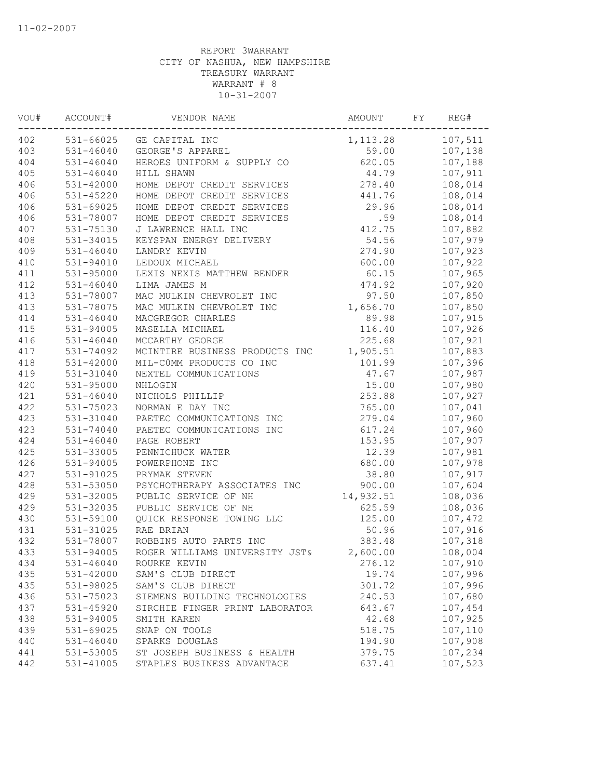| WOU# | ACCOUNT#      | VENDOR NAME                    | AMOUNT    | FY | REG#    |
|------|---------------|--------------------------------|-----------|----|---------|
| 402  |               | 531-66025 GE CAPITAL INC       | 1,113.28  |    | 107,511 |
| 403  | $531 - 46040$ | GEORGE'S APPAREL               | 59.00     |    | 107,138 |
| 404  | $531 - 46040$ | HEROES UNIFORM & SUPPLY CO     | 620.05    |    | 107,188 |
| 405  | $531 - 46040$ | HILL SHAWN                     | 44.79     |    | 107,911 |
| 406  | 531-42000     | HOME DEPOT CREDIT SERVICES     | 278.40    |    | 108,014 |
| 406  | $531 - 45220$ | HOME DEPOT CREDIT SERVICES     | 441.76    |    | 108,014 |
| 406  | 531-69025     | HOME DEPOT CREDIT SERVICES     | 29.96     |    | 108,014 |
| 406  | 531-78007     | HOME DEPOT CREDIT SERVICES     | .59       |    | 108,014 |
| 407  | 531-75130     | J LAWRENCE HALL INC            | 412.75    |    | 107,882 |
| 408  | 531-34015     | KEYSPAN ENERGY DELIVERY        | 54.56     |    | 107,979 |
| 409  | 531-46040     | LANDRY KEVIN                   | 274.90    |    | 107,923 |
| 410  | 531-94010     | LEDOUX MICHAEL                 | 600.00    |    | 107,922 |
| 411  | 531-95000     | LEXIS NEXIS MATTHEW BENDER     | 60.15     |    | 107,965 |
| 412  | $531 - 46040$ | LIMA JAMES M                   | 474.92    |    | 107,920 |
| 413  | 531-78007     | MAC MULKIN CHEVROLET INC       | 97.50     |    | 107,850 |
| 413  | 531-78075     | MAC MULKIN CHEVROLET INC       | 1,656.70  |    | 107,850 |
| 414  | 531-46040     | MACGREGOR CHARLES              | 89.98     |    | 107,915 |
| 415  | 531-94005     | MASELLA MICHAEL                | 116.40    |    | 107,926 |
| 416  | 531-46040     | MCCARTHY GEORGE                | 225.68    |    | 107,921 |
| 417  | 531-74092     | MCINTIRE BUSINESS PRODUCTS INC | 1,905.51  |    | 107,883 |
| 418  | 531-42000     | MIL-COMM PRODUCTS CO INC       | 101.99    |    | 107,396 |
| 419  | 531-31040     | NEXTEL COMMUNICATIONS          | 47.67     |    | 107,987 |
| 420  | 531-95000     | NHLOGIN                        | 15.00     |    | 107,980 |
| 421  | $531 - 46040$ | NICHOLS PHILLIP                | 253.88    |    | 107,927 |
| 422  | 531-75023     | NORMAN E DAY INC               | 765.00    |    | 107,041 |
| 423  | 531-31040     | PAETEC COMMUNICATIONS INC      | 279.04    |    | 107,960 |
| 423  | 531-74040     | PAETEC COMMUNICATIONS INC      | 617.24    |    | 107,960 |
| 424  | $531 - 46040$ | PAGE ROBERT                    | 153.95    |    | 107,907 |
| 425  | 531-33005     | PENNICHUCK WATER               | 12.39     |    | 107,981 |
| 426  | $531 - 94005$ | POWERPHONE INC                 | 680.00    |    | 107,978 |
| 427  | 531-91025     | PRYMAK STEVEN                  | 38.80     |    | 107,917 |
| 428  | 531-53050     | PSYCHOTHERAPY ASSOCIATES INC   | 900.00    |    | 107,604 |
| 429  | 531-32005     | PUBLIC SERVICE OF NH           | 14,932.51 |    | 108,036 |
| 429  | 531-32035     | PUBLIC SERVICE OF NH           | 625.59    |    | 108,036 |
| 430  | 531-59100     | QUICK RESPONSE TOWING LLC      | 125.00    |    | 107,472 |
| 431  | 531-31025     | RAE BRIAN                      | 50.96     |    | 107,916 |
| 432  | 531-78007     | ROBBINS AUTO PARTS INC         | 383.48    |    | 107,318 |
| 433  | 531-94005     | ROGER WILLIAMS UNIVERSITY JST& | 2,600.00  |    | 108,004 |
| 434  | 531-46040     | ROURKE KEVIN                   | 276.12    |    | 107,910 |
| 435  | 531-42000     | SAM'S CLUB DIRECT              | 19.74     |    | 107,996 |
| 435  | 531-98025     | SAM'S CLUB DIRECT              | 301.72    |    | 107,996 |
| 436  | 531-75023     | SIEMENS BUILDING TECHNOLOGIES  | 240.53    |    | 107,680 |
| 437  | 531-45920     | SIRCHIE FINGER PRINT LABORATOR | 643.67    |    | 107,454 |
| 438  | 531-94005     | SMITH KAREN                    | 42.68     |    | 107,925 |
| 439  | 531-69025     | SNAP ON TOOLS                  | 518.75    |    | 107,110 |
| 440  | $531 - 46040$ | SPARKS DOUGLAS                 | 194.90    |    | 107,908 |
| 441  | 531-53005     | ST JOSEPH BUSINESS & HEALTH    | 379.75    |    | 107,234 |
| 442  | 531-41005     | STAPLES BUSINESS ADVANTAGE     | 637.41    |    | 107,523 |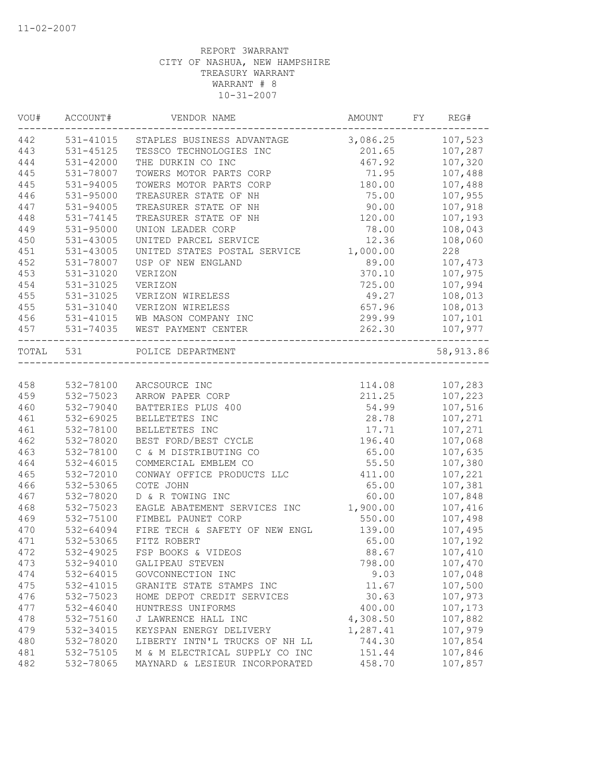| VOU#      | ACCOUNT#      | VENDOR NAME                    | AMOUNT           | FY | REG#              |
|-----------|---------------|--------------------------------|------------------|----|-------------------|
| 442       | 531-41015     | STAPLES BUSINESS ADVANTAGE     | 3,086.25 107,523 |    |                   |
| 443       | 531-45125     | TESSCO TECHNOLOGIES INC        | 201.65           |    | 107,287           |
| 444       | 531-42000     | THE DURKIN CO INC              | 467.92           |    | 107,320           |
| 445       | 531-78007     | TOWERS MOTOR PARTS CORP        | 71.95            |    | 107,488           |
| 445       | 531-94005     | TOWERS MOTOR PARTS CORP        | 180.00           |    | 107,488           |
| 446       | 531-95000     | TREASURER STATE OF NH          | 75.00            |    | 107,955           |
| 447       | 531-94005     | TREASURER STATE OF NH          | 90.00            |    | 107,918           |
| 448       | 531-74145     | TREASURER STATE OF NH          | 120.00           |    | 107,193           |
| 449       | 531-95000     | UNION LEADER CORP              | 78.00            |    | 108,043           |
| 450       | $531 - 43005$ | UNITED PARCEL SERVICE          | 12.36            |    | 108,060           |
| 451       | 531-43005     | UNITED STATES POSTAL SERVICE   | 1,000.00         |    | 228               |
| 452       | 531-78007     | USP OF NEW ENGLAND             | 89.00            |    | 107,473           |
| 453       | 531-31020     | VERIZON                        | 370.10           |    | 107,975           |
| 454       | 531-31025     | VERIZON                        | 725.00           |    | 107,994           |
| 455       | 531-31025     | VERIZON WIRELESS               | 49.27            |    | 108,013           |
| 455       | $531 - 31040$ | VERIZON WIRELESS               | 657.96           |    | 108,013           |
| 456       | 531-41015     | WB MASON COMPANY INC           | 299.99           |    | 107,101           |
| 457       | 531-74035     | WEST PAYMENT CENTER            | 262.30           |    | 107,977<br>------ |
| TOTAL 531 |               | POLICE DEPARTMENT              |                  |    | 58,913.86         |
|           |               |                                |                  |    |                   |
| 458       | 532-78100     | ARCSOURCE INC                  | 114.08           |    | 107,283           |
| 459       | 532-75023     | ARROW PAPER CORP               | 211.25           |    | 107,223           |
| 460       | 532-79040     | BATTERIES PLUS 400             | 54.99            |    | 107,516           |
| 461       | 532-69025     | BELLETETES INC                 | 28.78            |    | 107,271           |
| 461       | 532-78100     | BELLETETES INC                 | 17.71            |    | 107,271           |
| 462       | 532-78020     | BEST FORD/BEST CYCLE           | 196.40           |    | 107,068           |
| 463       | 532-78100     | C & M DISTRIBUTING CO          | 65.00            |    | 107,635           |
| 464       | 532-46015     | COMMERCIAL EMBLEM CO           | 55.50            |    | 107,380           |
| 465       | 532-72010     | CONWAY OFFICE PRODUCTS LLC     | 411.00           |    | 107,221           |
| 466       | 532-53065     | COTE JOHN                      | 65.00            |    | 107,381           |
| 467       | 532-78020     | D & R TOWING INC               | 60.00            |    | 107,848           |
| 468       | 532-75023     | EAGLE ABATEMENT SERVICES INC   | 1,900.00         |    | 107,416           |
| 469       | 532-75100     | FIMBEL PAUNET CORP             | 550.00           |    | 107,498           |
| 470       | 532-64094     | FIRE TECH & SAFETY OF NEW ENGL | 139.00           |    | 107,495           |
| 471       | 532-53065     | FITZ ROBERT                    | 65.00            |    | 107,192           |
| 472       | 532-49025     | FSP BOOKS & VIDEOS             | 88.67            |    | 107,410           |
| 473       | 532-94010     | GALIPEAU STEVEN                | 798.00           |    | 107,470           |
| 474       | 532-64015     | GOVCONNECTION INC              | 9.03             |    | 107,048           |
| 475       | 532-41015     | GRANITE STATE STAMPS INC       | 11.67            |    | 107,500           |
| 476       | 532-75023     | HOME DEPOT CREDIT SERVICES     | 30.63            |    | 107,973           |
| 477       | $532 - 46040$ | HUNTRESS UNIFORMS              | 400.00           |    | 107,173           |
| 478       | 532-75160     | J LAWRENCE HALL INC            | 4,308.50         |    | 107,882           |
| 479       | 532-34015     | KEYSPAN ENERGY DELIVERY        | 1,287.41         |    | 107,979           |
| 480       | 532-78020     | LIBERTY INTN'L TRUCKS OF NH LL | 744.30           |    | 107,854           |
| 481       | 532-75105     | M & M ELECTRICAL SUPPLY CO INC | 151.44           |    | 107,846           |
| 482       | 532-78065     | MAYNARD & LESIEUR INCORPORATED | 458.70           |    | 107,857           |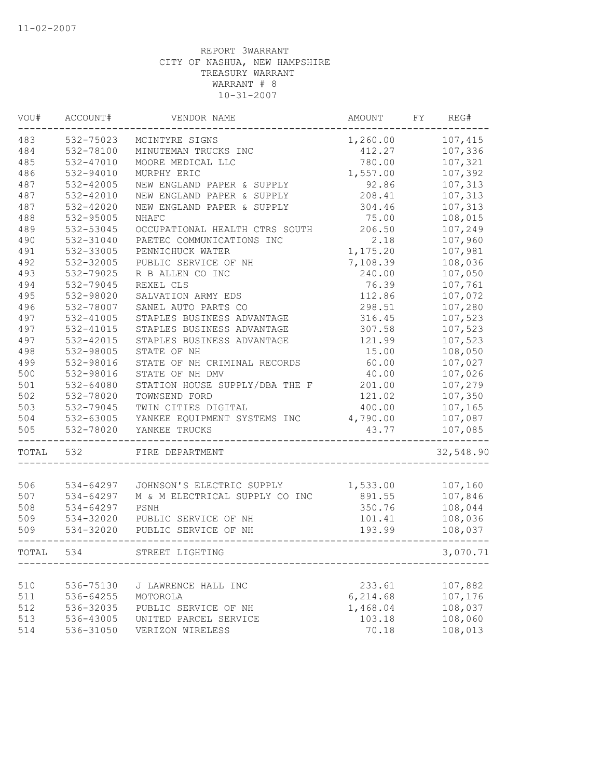| VOU#  | ACCOUNT#  | VENDOR NAME                    | AMOUNT   | FY | REG#      |
|-------|-----------|--------------------------------|----------|----|-----------|
| 483   | 532-75023 | MCINTYRE SIGNS                 | 1,260.00 |    | 107,415   |
| 484   | 532-78100 | MINUTEMAN TRUCKS INC           | 412.27   |    | 107,336   |
| 485   | 532-47010 | MOORE MEDICAL LLC              | 780.00   |    | 107,321   |
| 486   | 532-94010 | MURPHY ERIC                    | 1,557.00 |    | 107,392   |
| 487   | 532-42005 | NEW ENGLAND PAPER & SUPPLY     | 92.86    |    | 107,313   |
| 487   | 532-42010 | NEW ENGLAND PAPER & SUPPLY     | 208.41   |    | 107,313   |
| 487   | 532-42020 | NEW ENGLAND PAPER & SUPPLY     | 304.46   |    | 107,313   |
| 488   | 532-95005 | NHAFC                          | 75.00    |    | 108,015   |
| 489   | 532-53045 | OCCUPATIONAL HEALTH CTRS SOUTH | 206.50   |    | 107,249   |
| 490   | 532-31040 | PAETEC COMMUNICATIONS INC      | 2.18     |    | 107,960   |
| 491   | 532-33005 | PENNICHUCK WATER               | 1,175.20 |    | 107,981   |
| 492   | 532-32005 | PUBLIC SERVICE OF NH           | 7,108.39 |    | 108,036   |
| 493   | 532-79025 | R B ALLEN CO INC               | 240.00   |    | 107,050   |
| 494   | 532-79045 | REXEL CLS                      | 76.39    |    | 107,761   |
| 495   | 532-98020 | SALVATION ARMY EDS             | 112.86   |    | 107,072   |
| 496   | 532-78007 | SANEL AUTO PARTS CO            | 298.51   |    | 107,280   |
| 497   | 532-41005 | STAPLES BUSINESS ADVANTAGE     | 316.45   |    | 107,523   |
| 497   | 532-41015 | STAPLES BUSINESS ADVANTAGE     | 307.58   |    | 107,523   |
| 497   | 532-42015 | STAPLES BUSINESS ADVANTAGE     | 121.99   |    | 107,523   |
| 498   | 532-98005 | STATE OF NH                    | 15.00    |    | 108,050   |
| 499   | 532-98016 | STATE OF NH CRIMINAL RECORDS   | 60.00    |    | 107,027   |
| 500   | 532-98016 | STATE OF NH DMV                | 40.00    |    | 107,026   |
| 501   | 532-64080 | STATION HOUSE SUPPLY/DBA THE F | 201.00   |    | 107,279   |
| 502   | 532-78020 | TOWNSEND FORD                  | 121.02   |    | 107,350   |
| 503   | 532-79045 | TWIN CITIES DIGITAL            | 400.00   |    | 107,165   |
| 504   | 532-63005 | YANKEE EQUIPMENT SYSTEMS INC   | 4,790.00 |    | 107,087   |
| 505   | 532-78020 | YANKEE TRUCKS                  | 43.77    |    | 107,085   |
| TOTAL | 532       | FIRE DEPARTMENT                |          |    | 32,548.90 |
|       |           |                                |          |    |           |
| 506   | 534-64297 | JOHNSON'S ELECTRIC SUPPLY      | 1,533.00 |    | 107,160   |
| 507   | 534-64297 | M & M ELECTRICAL SUPPLY CO INC | 891.55   |    | 107,846   |
| 508   | 534-64297 | PSNH                           | 350.76   |    | 108,044   |
| 509   | 534-32020 | PUBLIC SERVICE OF NH           | 101.41   |    | 108,036   |
| 509   | 534-32020 | PUBLIC SERVICE OF NH           | 193.99   |    | 108,037   |
| TOTAL | 534       | STREET LIGHTING                |          |    | 3,070.71  |
|       |           |                                |          |    |           |
| 510   | 536-75130 | J LAWRENCE HALL INC            | 233.61   |    | 107,882   |
| 511   | 536-64255 | MOTOROLA                       | 6,214.68 |    | 107,176   |
| 512   | 536-32035 | PUBLIC SERVICE OF NH           | 1,468.04 |    | 108,037   |
| 513   | 536-43005 | UNITED PARCEL SERVICE          | 103.18   |    | 108,060   |
| 514   | 536-31050 | VERIZON WIRELESS               | 70.18    |    | 108,013   |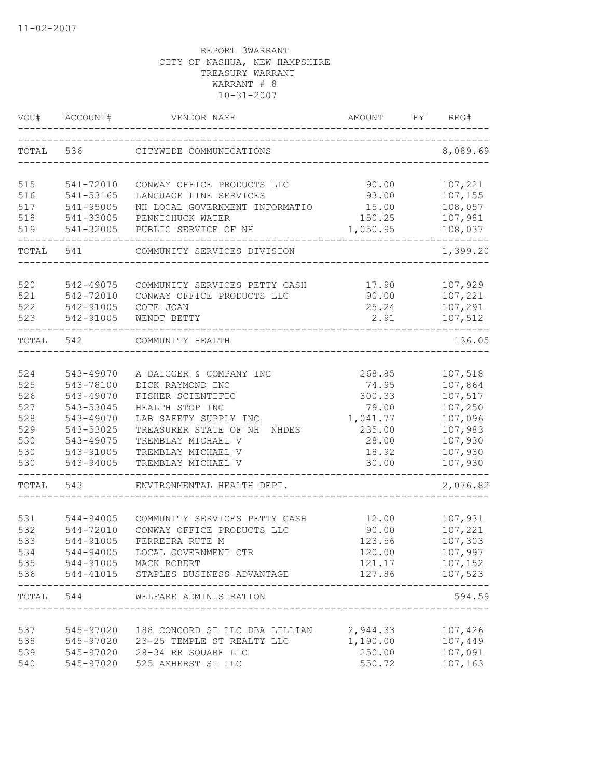| VOU#  | ACCOUNT#  | VENDOR NAME                              | AMOUNT                         | REG#<br>FY     |
|-------|-----------|------------------------------------------|--------------------------------|----------------|
| TOTAL | 536       | CITYWIDE COMMUNICATIONS                  |                                | 8,089.69       |
| 515   | 541-72010 | CONWAY OFFICE PRODUCTS LLC               | 90.00                          | 107,221        |
| 516   | 541-53165 | LANGUAGE LINE SERVICES                   | 93.00                          | 107,155        |
| 517   | 541-95005 | NH LOCAL GOVERNMENT INFORMATIO           | 15.00                          | 108,057        |
| 518   | 541-33005 | PENNICHUCK WATER                         | 150.25                         | 107,981        |
| 519   | 541-32005 | PUBLIC SERVICE OF NH                     | 1,050.95                       | 108,037        |
| TOTAL | 541       | COMMUNITY SERVICES DIVISION              |                                | 1,399.20       |
| 520   | 542-49075 | COMMUNITY SERVICES PETTY CASH            | 17.90                          | 107,929        |
| 521   | 542-72010 | CONWAY OFFICE PRODUCTS LLC               | 90.00                          | 107,221        |
| 522   | 542-91005 | COTE JOAN                                | 25.24                          | 107,291        |
| 523   | 542-91005 | WENDT BETTY                              | 2.91                           | 107,512        |
| TOTAL | 542       | COMMUNITY HEALTH                         |                                | 136.05         |
| 524   | 543-49070 | A DAIGGER & COMPANY INC                  | 268.85                         | 107,518        |
| 525   | 543-78100 | DICK RAYMOND INC                         | 74.95                          | 107,864        |
| 526   | 543-49070 | FISHER SCIENTIFIC                        | 300.33                         | 107,517        |
| 527   | 543-53045 | HEALTH STOP INC                          | 79.00                          | 107,250        |
| 528   | 543-49070 | LAB SAFETY SUPPLY INC                    | 1,041.77                       | 107,096        |
| 529   | 543-53025 | TREASURER STATE OF NH<br>NHDES           | 235.00                         | 107,983        |
| 530   | 543-49075 | TREMBLAY MICHAEL V                       | 28.00                          | 107,930        |
| 530   | 543-91005 | TREMBLAY MICHAEL V                       | 18.92                          | 107,930        |
| 530   | 543-94005 | TREMBLAY MICHAEL V                       | 30.00                          | 107,930        |
| TOTAL | 543       | ENVIRONMENTAL HEALTH DEPT.               |                                | 2,076.82       |
| 531   | 544-94005 | COMMUNITY SERVICES PETTY CASH            | 12.00                          | 107,931        |
| 532   | 544-72010 | CONWAY OFFICE PRODUCTS LLC               | 90.00                          | 107,221        |
| 533   | 544-91005 | FERREIRA RUTE M                          | 123.56                         | 107,303        |
| 534   | 544-94005 | LOCAL GOVERNMENT CTR                     | 120.00                         | 107,997        |
| 535   |           | 544-91005 MACK ROBERT                    | 121.17                         | 107,152        |
|       |           | 536 544-41015 STAPLES BUSINESS ADVANTAGE |                                | 127.86 107,523 |
|       | TOTAL 544 | WELFARE ADMINISTRATION                   | ______________________________ | 594.59         |
| 537   |           | 545-97020 188 CONCORD ST LLC DBA LILLIAN | 2,944.33                       | 107,426        |
| 538   |           | 545-97020 23-25 TEMPLE ST REALTY LLC     | 1,190.00                       | 107,449        |
| 539   |           | 545-97020 28-34 RR SQUARE LLC            | 250.00                         | 107,091        |
| 540   |           | 545-97020 525 AMHERST ST LLC             | 550.72                         | 107,163        |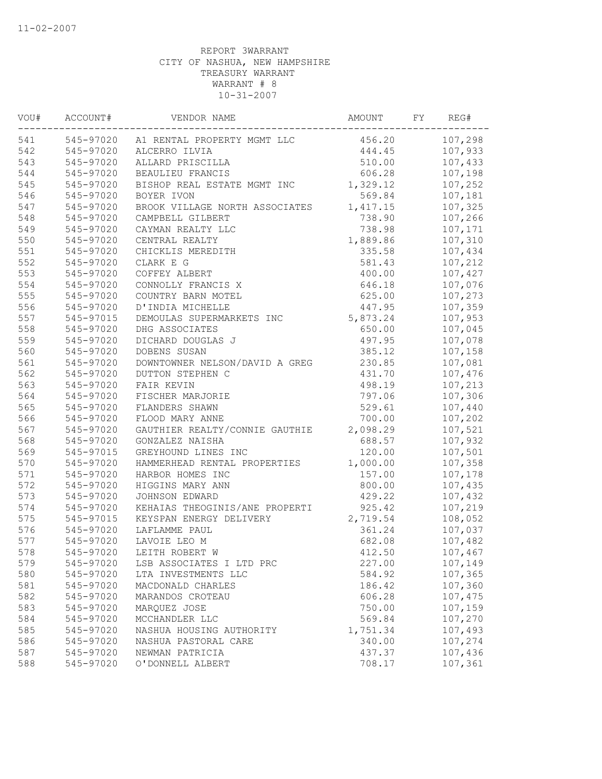| VOU# | ACCOUNT#  | VENDOR NAME                           | AMOUNT   | FY | REG#    |
|------|-----------|---------------------------------------|----------|----|---------|
| 541  |           | 545-97020 A1 RENTAL PROPERTY MGMT LLC | 456.20   |    | 107,298 |
| 542  | 545-97020 | ALCERRO ILVIA                         | 444.45   |    | 107,933 |
| 543  | 545-97020 | ALLARD PRISCILLA                      | 510.00   |    | 107,433 |
| 544  | 545-97020 | BEAULIEU FRANCIS                      | 606.28   |    | 107,198 |
| 545  | 545-97020 | BISHOP REAL ESTATE MGMT INC           | 1,329.12 |    | 107,252 |
| 546  | 545-97020 | BOYER IVON                            | 569.84   |    | 107,181 |
| 547  | 545-97020 | BROOK VILLAGE NORTH ASSOCIATES        | 1,417.15 |    | 107,325 |
| 548  | 545-97020 | CAMPBELL GILBERT                      | 738.90   |    | 107,266 |
| 549  | 545-97020 | CAYMAN REALTY LLC                     | 738.98   |    | 107,171 |
| 550  | 545-97020 | CENTRAL REALTY                        | 1,889.86 |    | 107,310 |
| 551  | 545-97020 | CHICKLIS MEREDITH                     | 335.58   |    | 107,434 |
| 552  | 545-97020 | CLARK E G                             | 581.43   |    | 107,212 |
| 553  | 545-97020 | COFFEY ALBERT                         | 400.00   |    | 107,427 |
| 554  | 545-97020 | CONNOLLY FRANCIS X                    | 646.18   |    | 107,076 |
| 555  | 545-97020 | COUNTRY BARN MOTEL                    | 625.00   |    | 107,273 |
| 556  | 545-97020 | D'INDIA MICHELLE                      | 447.95   |    | 107,359 |
| 557  | 545-97015 | DEMOULAS SUPERMARKETS INC             | 5,873.24 |    | 107,953 |
| 558  | 545-97020 | DHG ASSOCIATES                        | 650.00   |    | 107,045 |
| 559  | 545-97020 | DICHARD DOUGLAS J                     | 497.95   |    | 107,078 |
| 560  | 545-97020 | DOBENS SUSAN                          | 385.12   |    | 107,158 |
| 561  | 545-97020 | DOWNTOWNER NELSON/DAVID A GREG        | 230.85   |    | 107,081 |
| 562  | 545-97020 | DUTTON STEPHEN C                      | 431.70   |    | 107,476 |
| 563  | 545-97020 | FAIR KEVIN                            | 498.19   |    | 107,213 |
| 564  | 545-97020 | FISCHER MARJORIE                      | 797.06   |    | 107,306 |
| 565  | 545-97020 | FLANDERS SHAWN                        | 529.61   |    | 107,440 |
| 566  | 545-97020 | FLOOD MARY ANNE                       | 700.00   |    | 107,202 |
| 567  | 545-97020 | GAUTHIER REALTY/CONNIE GAUTHIE        | 2,098.29 |    | 107,521 |
| 568  | 545-97020 | GONZALEZ NAISHA                       | 688.57   |    | 107,932 |
| 569  | 545-97015 | GREYHOUND LINES INC                   | 120.00   |    | 107,501 |
| 570  | 545-97020 | HAMMERHEAD RENTAL PROPERTIES          | 1,000.00 |    | 107,358 |
| 571  | 545-97020 | HARBOR HOMES INC                      | 157.00   |    | 107,178 |
| 572  | 545-97020 | HIGGINS MARY ANN                      | 800.00   |    | 107,435 |
| 573  | 545-97020 | JOHNSON EDWARD                        | 429.22   |    | 107,432 |
| 574  | 545-97020 | KEHAIAS THEOGINIS/ANE PROPERTI        | 925.42   |    | 107,219 |
| 575  | 545-97015 | KEYSPAN ENERGY DELIVERY               | 2,719.54 |    | 108,052 |
| 576  | 545-97020 | LAFLAMME PAUL                         | 361.24   |    | 107,037 |
| 577  | 545-97020 | LAVOIE LEO M                          | 682.08   |    | 107,482 |
| 578  | 545-97020 | LEITH ROBERT W                        | 412.50   |    | 107,467 |
| 579  | 545-97020 | LSB ASSOCIATES I LTD PRC              | 227.00   |    | 107,149 |
| 580  | 545-97020 | LTA INVESTMENTS LLC                   | 584.92   |    | 107,365 |
| 581  | 545-97020 | MACDONALD CHARLES                     | 186.42   |    | 107,360 |
| 582  | 545-97020 | MARANDOS CROTEAU                      | 606.28   |    | 107,475 |
| 583  | 545-97020 | MARQUEZ JOSE                          | 750.00   |    | 107,159 |
| 584  | 545-97020 | MCCHANDLER LLC                        | 569.84   |    | 107,270 |
| 585  | 545-97020 | NASHUA HOUSING AUTHORITY              | 1,751.34 |    | 107,493 |
| 586  | 545-97020 | NASHUA PASTORAL CARE                  | 340.00   |    | 107,274 |
| 587  | 545-97020 | NEWMAN PATRICIA                       | 437.37   |    | 107,436 |
| 588  | 545-97020 | O'DONNELL ALBERT                      | 708.17   |    | 107,361 |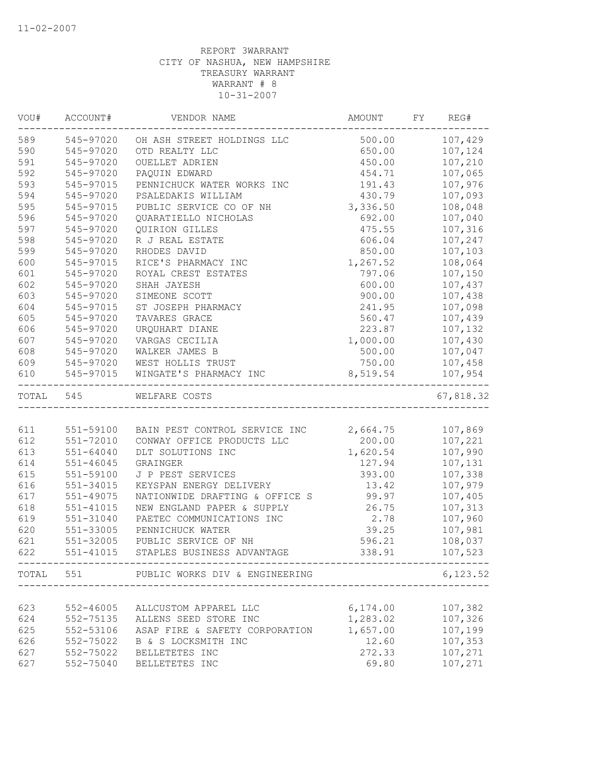| VOU# | ACCOUNT#      | VENDOR NAME                              | AMOUNT           | FY REG#        |
|------|---------------|------------------------------------------|------------------|----------------|
| 589  | 545-97020     | OH ASH STREET HOLDINGS LLC               |                  | 500.00 107,429 |
| 590  | 545-97020     | OTD REALTY LLC                           | 650.00           | 107,124        |
| 591  | 545-97020     | OUELLET ADRIEN                           | 450.00           | 107,210        |
| 592  | 545-97020     | PAQUIN EDWARD                            | 454.71           | 107,065        |
| 593  | 545-97015     | PENNICHUCK WATER WORKS INC               | 191.43           | 107,976        |
| 594  | 545-97020     | PSALEDAKIS WILLIAM                       | 430.79           | 107,093        |
| 595  | 545-97015     | PUBLIC SERVICE CO OF NH                  | 3,336.50         | 108,048        |
| 596  | 545-97020     | QUARATIELLO NICHOLAS                     | 692.00           | 107,040        |
| 597  | 545-97020     | QUIRION GILLES                           | 475.55           | 107,316        |
| 598  | 545-97020     | R J REAL ESTATE                          | 606.04           | 107,247        |
| 599  | 545-97020     | RHODES DAVID                             | 850.00           | 107,103        |
| 600  | 545-97015     | RICE'S PHARMACY INC                      | 1,267.52         | 108,064        |
| 601  | 545-97020     | ROYAL CREST ESTATES                      | 797.06           | 107,150        |
| 602  | 545-97020     | SHAH JAYESH                              | 600.00           | 107,437        |
| 603  | 545-97020     | SIMEONE SCOTT                            | 900.00           | 107,438        |
| 604  | 545-97015     | ST JOSEPH PHARMACY                       | 241.95           | 107,098        |
| 605  | 545-97020     | TAVARES GRACE                            | 560.47           | 107,439        |
| 606  | 545-97020     | URQUHART DIANE                           | 223.87           | 107,132        |
| 607  | 545-97020     | VARGAS CECILIA                           | 1,000.00         | 107,430        |
| 608  | 545-97020     | WALKER JAMES B                           | 500.00           | 107,047        |
| 609  | 545-97020     | WEST HOLLIS TRUST                        | 750.00           | 107,458        |
| 610  | 545-97015     | WINGATE'S PHARMACY INC                   | 8,519.54         | 107,954        |
|      | TOTAL 545     | WELFARE COSTS                            |                  | 67,818.32      |
|      |               |                                          |                  |                |
| 611  |               | 551-59100 BAIN PEST CONTROL SERVICE INC  | 2,664.75 107,869 |                |
| 612  | 551-72010     | CONWAY OFFICE PRODUCTS LLC               |                  | 200.00 107,221 |
| 613  | 551-64040     | DLT SOLUTIONS INC                        | 1,620.54         | 107,990        |
| 614  | $551 - 46045$ | GRAINGER                                 | 127.94           | 107,131        |
| 615  | 551-59100     | J P PEST SERVICES                        | 393.00           | 107,338        |
| 616  | 551-34015     | KEYSPAN ENERGY DELIVERY                  | 13.42            | 107,979        |
| 617  | 551-49075     | NATIONWIDE DRAFTING & OFFICE S           | 99.97            | 107,405        |
| 618  | 551-41015     | NEW ENGLAND PAPER & SUPPLY               | 26.75            | 107,313        |
| 619  | 551-31040     | PAETEC COMMUNICATIONS INC                | 2.78             | 107,960        |
| 620  | 551-33005     | PENNICHUCK WATER                         | 39.25            | 107,981        |
| 621  | 551-32005     | PUBLIC SERVICE OF NH                     | 596.21           | 108,037        |
| 622  |               | 551-41015 STAPLES BUSINESS ADVANTAGE     | 338.91           | 107,523        |
|      |               | TOTAL 551 PUBLIC WORKS DIV & ENGINEERING |                  | 6,123.52       |
|      |               |                                          |                  |                |
| 623  | $552 - 46005$ | ALLCUSTOM APPAREL LLC                    | 6,174.00         | 107,382        |
| 624  | 552-75135     | ALLENS SEED STORE INC                    | 1,283.02         | 107,326        |
| 625  | 552-53106     | ASAP FIRE & SAFETY CORPORATION           | 1,657.00         | 107,199        |
| 626  | 552-75022     | B & S LOCKSMITH INC                      | 12.60            | 107,353        |
| 627  | 552-75022     | BELLETETES INC                           | 272.33           | 107,271        |
| 627  | 552-75040     | BELLETETES INC                           | 69.80            | 107,271        |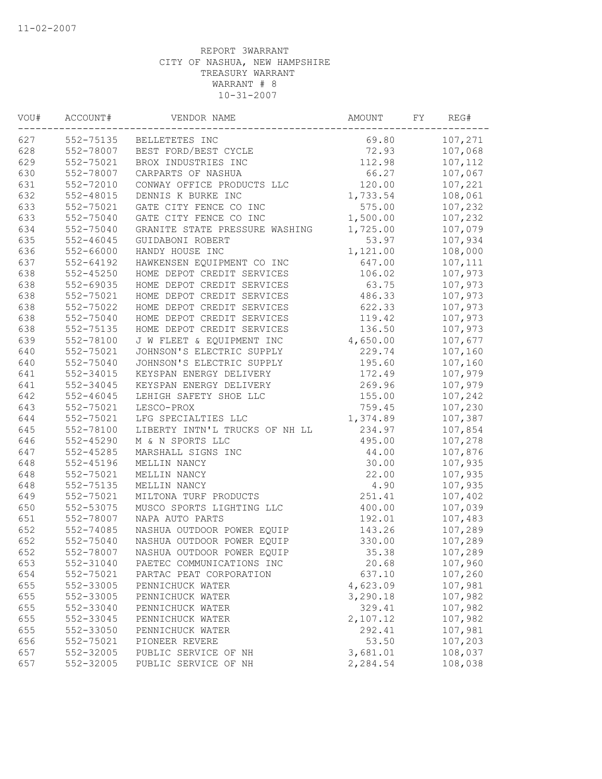| 107,271<br>552-75135 BELLETETES INC<br>69.80<br>552-78007<br>72.93<br>BEST FORD/BEST CYCLE<br>107,068<br>552-75021<br>112.98<br>BROX INDUSTRIES INC<br>107,112<br>552-78007<br>66.27<br>107,067<br>CARPARTS OF NASHUA<br>552-72010<br>120.00<br>107,221<br>CONWAY OFFICE PRODUCTS LLC<br>552-48015<br>DENNIS K BURKE INC<br>1,733.54<br>108,061<br>107,232<br>552-75021<br>GATE CITY FENCE CO INC<br>575.00<br>1,500.00<br>107,232<br>552-75040<br>GATE CITY FENCE CO INC<br>1,725.00<br>107,079<br>552-75040<br>GRANITE STATE PRESSURE WASHING<br>552-46045<br>GUIDABONI ROBERT<br>53.97<br>107,934<br>552-66000<br>HANDY HOUSE INC<br>1,121.00<br>108,000<br>$552 - 64192$<br>HAWKENSEN EQUIPMENT CO INC<br>647.00<br>107,111<br>552-45250<br>HOME DEPOT CREDIT SERVICES<br>106.02<br>107,973<br>107,973<br>552-69035<br>HOME DEPOT CREDIT SERVICES<br>63.75<br>486.33<br>107,973<br>552-75021<br>HOME DEPOT CREDIT SERVICES<br>552-75022<br>HOME DEPOT CREDIT SERVICES<br>622.33<br>107,973<br>552-75040<br>119.42<br>107,973<br>HOME DEPOT CREDIT SERVICES<br>552-75135<br>HOME DEPOT CREDIT SERVICES<br>136.50<br>107,973<br>552-78100<br>J W FLEET & EQUIPMENT INC<br>4,650.00<br>107,677<br>552-75021<br>JOHNSON'S ELECTRIC SUPPLY<br>229.74<br>107,160<br>552-75040<br>195.60<br>JOHNSON'S ELECTRIC SUPPLY<br>107,160<br>552-34015<br>KEYSPAN ENERGY DELIVERY<br>172.49<br>107,979<br>107,979<br>552-34045<br>KEYSPAN ENERGY DELIVERY<br>269.96<br>107,242<br>552-46045<br>LEHIGH SAFETY SHOE LLC<br>155.00<br>552-75021<br>759.45<br>107,230<br>LESCO-PROX<br>552-75021<br>1,374.89<br>107,387<br>LFG SPECIALTIES LLC<br>234.97<br>552-78100<br>LIBERTY INTN'L TRUCKS OF NH LL<br>107,854<br>552-45290<br>M & N SPORTS LLC<br>495.00<br>107,278<br>552-45285<br>MARSHALL SIGNS INC<br>44.00<br>107,876<br>552-45196<br>MELLIN NANCY<br>30.00<br>107,935<br>22.00<br>552-75021<br>MELLIN NANCY<br>107,935<br>552-75135<br>MELLIN NANCY<br>4.90<br>107,935<br>552-75021<br>251.41<br>MILTONA TURF PRODUCTS<br>107,402<br>552-53075<br>400.00<br>107,039<br>MUSCO SPORTS LIGHTING LLC<br>552-78007<br>NAPA AUTO PARTS<br>107,483<br>192.01<br>NASHUA OUTDOOR POWER EQUIP<br>107,289<br>552-74085<br>143.26<br>552-75040<br>NASHUA OUTDOOR POWER EQUIP<br>330.00<br>107,289<br>552-78007<br>NASHUA OUTDOOR POWER EQUIP<br>35.38<br>107,289<br>552-31040<br>20.68<br>107,960<br>PAETEC COMMUNICATIONS INC<br>552-75021<br>637.10<br>107,260<br>PARTAC PEAT CORPORATION<br>552-33005<br>4,623.09<br>107,981<br>PENNICHUCK WATER<br>107,982<br>552-33005<br>3,290.18<br>PENNICHUCK WATER<br>552-33040<br>329.41<br>107,982<br>PENNICHUCK WATER<br>107,982<br>552-33045<br>2,107.12<br>PENNICHUCK WATER<br>552-33050<br>292.41<br>107,981<br>PENNICHUCK WATER<br>552-75021<br>53.50<br>107,203<br>PIONEER REVERE<br>552-32005<br>PUBLIC SERVICE OF NH<br>3,681.01<br>108,037<br>552-32005<br>2,284.54<br>108,038<br>PUBLIC SERVICE OF NH | WOU# | ACCOUNT# | VENDOR NAME | AMOUNT | FY | REG# |
|-------------------------------------------------------------------------------------------------------------------------------------------------------------------------------------------------------------------------------------------------------------------------------------------------------------------------------------------------------------------------------------------------------------------------------------------------------------------------------------------------------------------------------------------------------------------------------------------------------------------------------------------------------------------------------------------------------------------------------------------------------------------------------------------------------------------------------------------------------------------------------------------------------------------------------------------------------------------------------------------------------------------------------------------------------------------------------------------------------------------------------------------------------------------------------------------------------------------------------------------------------------------------------------------------------------------------------------------------------------------------------------------------------------------------------------------------------------------------------------------------------------------------------------------------------------------------------------------------------------------------------------------------------------------------------------------------------------------------------------------------------------------------------------------------------------------------------------------------------------------------------------------------------------------------------------------------------------------------------------------------------------------------------------------------------------------------------------------------------------------------------------------------------------------------------------------------------------------------------------------------------------------------------------------------------------------------------------------------------------------------------------------------------------------------------------------------------------------------------------------------------------------------------------------------------------------------------------------------------------------------------------------------------------------------------------------------------------------------------------------------------------------------------------------------------------------------------------------------------------------------------------------------------------------------------------------|------|----------|-------------|--------|----|------|
|                                                                                                                                                                                                                                                                                                                                                                                                                                                                                                                                                                                                                                                                                                                                                                                                                                                                                                                                                                                                                                                                                                                                                                                                                                                                                                                                                                                                                                                                                                                                                                                                                                                                                                                                                                                                                                                                                                                                                                                                                                                                                                                                                                                                                                                                                                                                                                                                                                                                                                                                                                                                                                                                                                                                                                                                                                                                                                                                           | 627  |          |             |        |    |      |
|                                                                                                                                                                                                                                                                                                                                                                                                                                                                                                                                                                                                                                                                                                                                                                                                                                                                                                                                                                                                                                                                                                                                                                                                                                                                                                                                                                                                                                                                                                                                                                                                                                                                                                                                                                                                                                                                                                                                                                                                                                                                                                                                                                                                                                                                                                                                                                                                                                                                                                                                                                                                                                                                                                                                                                                                                                                                                                                                           | 628  |          |             |        |    |      |
|                                                                                                                                                                                                                                                                                                                                                                                                                                                                                                                                                                                                                                                                                                                                                                                                                                                                                                                                                                                                                                                                                                                                                                                                                                                                                                                                                                                                                                                                                                                                                                                                                                                                                                                                                                                                                                                                                                                                                                                                                                                                                                                                                                                                                                                                                                                                                                                                                                                                                                                                                                                                                                                                                                                                                                                                                                                                                                                                           | 629  |          |             |        |    |      |
|                                                                                                                                                                                                                                                                                                                                                                                                                                                                                                                                                                                                                                                                                                                                                                                                                                                                                                                                                                                                                                                                                                                                                                                                                                                                                                                                                                                                                                                                                                                                                                                                                                                                                                                                                                                                                                                                                                                                                                                                                                                                                                                                                                                                                                                                                                                                                                                                                                                                                                                                                                                                                                                                                                                                                                                                                                                                                                                                           | 630  |          |             |        |    |      |
|                                                                                                                                                                                                                                                                                                                                                                                                                                                                                                                                                                                                                                                                                                                                                                                                                                                                                                                                                                                                                                                                                                                                                                                                                                                                                                                                                                                                                                                                                                                                                                                                                                                                                                                                                                                                                                                                                                                                                                                                                                                                                                                                                                                                                                                                                                                                                                                                                                                                                                                                                                                                                                                                                                                                                                                                                                                                                                                                           | 631  |          |             |        |    |      |
|                                                                                                                                                                                                                                                                                                                                                                                                                                                                                                                                                                                                                                                                                                                                                                                                                                                                                                                                                                                                                                                                                                                                                                                                                                                                                                                                                                                                                                                                                                                                                                                                                                                                                                                                                                                                                                                                                                                                                                                                                                                                                                                                                                                                                                                                                                                                                                                                                                                                                                                                                                                                                                                                                                                                                                                                                                                                                                                                           | 632  |          |             |        |    |      |
|                                                                                                                                                                                                                                                                                                                                                                                                                                                                                                                                                                                                                                                                                                                                                                                                                                                                                                                                                                                                                                                                                                                                                                                                                                                                                                                                                                                                                                                                                                                                                                                                                                                                                                                                                                                                                                                                                                                                                                                                                                                                                                                                                                                                                                                                                                                                                                                                                                                                                                                                                                                                                                                                                                                                                                                                                                                                                                                                           | 633  |          |             |        |    |      |
|                                                                                                                                                                                                                                                                                                                                                                                                                                                                                                                                                                                                                                                                                                                                                                                                                                                                                                                                                                                                                                                                                                                                                                                                                                                                                                                                                                                                                                                                                                                                                                                                                                                                                                                                                                                                                                                                                                                                                                                                                                                                                                                                                                                                                                                                                                                                                                                                                                                                                                                                                                                                                                                                                                                                                                                                                                                                                                                                           | 633  |          |             |        |    |      |
|                                                                                                                                                                                                                                                                                                                                                                                                                                                                                                                                                                                                                                                                                                                                                                                                                                                                                                                                                                                                                                                                                                                                                                                                                                                                                                                                                                                                                                                                                                                                                                                                                                                                                                                                                                                                                                                                                                                                                                                                                                                                                                                                                                                                                                                                                                                                                                                                                                                                                                                                                                                                                                                                                                                                                                                                                                                                                                                                           | 634  |          |             |        |    |      |
|                                                                                                                                                                                                                                                                                                                                                                                                                                                                                                                                                                                                                                                                                                                                                                                                                                                                                                                                                                                                                                                                                                                                                                                                                                                                                                                                                                                                                                                                                                                                                                                                                                                                                                                                                                                                                                                                                                                                                                                                                                                                                                                                                                                                                                                                                                                                                                                                                                                                                                                                                                                                                                                                                                                                                                                                                                                                                                                                           | 635  |          |             |        |    |      |
|                                                                                                                                                                                                                                                                                                                                                                                                                                                                                                                                                                                                                                                                                                                                                                                                                                                                                                                                                                                                                                                                                                                                                                                                                                                                                                                                                                                                                                                                                                                                                                                                                                                                                                                                                                                                                                                                                                                                                                                                                                                                                                                                                                                                                                                                                                                                                                                                                                                                                                                                                                                                                                                                                                                                                                                                                                                                                                                                           | 636  |          |             |        |    |      |
|                                                                                                                                                                                                                                                                                                                                                                                                                                                                                                                                                                                                                                                                                                                                                                                                                                                                                                                                                                                                                                                                                                                                                                                                                                                                                                                                                                                                                                                                                                                                                                                                                                                                                                                                                                                                                                                                                                                                                                                                                                                                                                                                                                                                                                                                                                                                                                                                                                                                                                                                                                                                                                                                                                                                                                                                                                                                                                                                           | 637  |          |             |        |    |      |
|                                                                                                                                                                                                                                                                                                                                                                                                                                                                                                                                                                                                                                                                                                                                                                                                                                                                                                                                                                                                                                                                                                                                                                                                                                                                                                                                                                                                                                                                                                                                                                                                                                                                                                                                                                                                                                                                                                                                                                                                                                                                                                                                                                                                                                                                                                                                                                                                                                                                                                                                                                                                                                                                                                                                                                                                                                                                                                                                           | 638  |          |             |        |    |      |
|                                                                                                                                                                                                                                                                                                                                                                                                                                                                                                                                                                                                                                                                                                                                                                                                                                                                                                                                                                                                                                                                                                                                                                                                                                                                                                                                                                                                                                                                                                                                                                                                                                                                                                                                                                                                                                                                                                                                                                                                                                                                                                                                                                                                                                                                                                                                                                                                                                                                                                                                                                                                                                                                                                                                                                                                                                                                                                                                           | 638  |          |             |        |    |      |
|                                                                                                                                                                                                                                                                                                                                                                                                                                                                                                                                                                                                                                                                                                                                                                                                                                                                                                                                                                                                                                                                                                                                                                                                                                                                                                                                                                                                                                                                                                                                                                                                                                                                                                                                                                                                                                                                                                                                                                                                                                                                                                                                                                                                                                                                                                                                                                                                                                                                                                                                                                                                                                                                                                                                                                                                                                                                                                                                           | 638  |          |             |        |    |      |
|                                                                                                                                                                                                                                                                                                                                                                                                                                                                                                                                                                                                                                                                                                                                                                                                                                                                                                                                                                                                                                                                                                                                                                                                                                                                                                                                                                                                                                                                                                                                                                                                                                                                                                                                                                                                                                                                                                                                                                                                                                                                                                                                                                                                                                                                                                                                                                                                                                                                                                                                                                                                                                                                                                                                                                                                                                                                                                                                           | 638  |          |             |        |    |      |
|                                                                                                                                                                                                                                                                                                                                                                                                                                                                                                                                                                                                                                                                                                                                                                                                                                                                                                                                                                                                                                                                                                                                                                                                                                                                                                                                                                                                                                                                                                                                                                                                                                                                                                                                                                                                                                                                                                                                                                                                                                                                                                                                                                                                                                                                                                                                                                                                                                                                                                                                                                                                                                                                                                                                                                                                                                                                                                                                           | 638  |          |             |        |    |      |
|                                                                                                                                                                                                                                                                                                                                                                                                                                                                                                                                                                                                                                                                                                                                                                                                                                                                                                                                                                                                                                                                                                                                                                                                                                                                                                                                                                                                                                                                                                                                                                                                                                                                                                                                                                                                                                                                                                                                                                                                                                                                                                                                                                                                                                                                                                                                                                                                                                                                                                                                                                                                                                                                                                                                                                                                                                                                                                                                           | 638  |          |             |        |    |      |
|                                                                                                                                                                                                                                                                                                                                                                                                                                                                                                                                                                                                                                                                                                                                                                                                                                                                                                                                                                                                                                                                                                                                                                                                                                                                                                                                                                                                                                                                                                                                                                                                                                                                                                                                                                                                                                                                                                                                                                                                                                                                                                                                                                                                                                                                                                                                                                                                                                                                                                                                                                                                                                                                                                                                                                                                                                                                                                                                           | 639  |          |             |        |    |      |
|                                                                                                                                                                                                                                                                                                                                                                                                                                                                                                                                                                                                                                                                                                                                                                                                                                                                                                                                                                                                                                                                                                                                                                                                                                                                                                                                                                                                                                                                                                                                                                                                                                                                                                                                                                                                                                                                                                                                                                                                                                                                                                                                                                                                                                                                                                                                                                                                                                                                                                                                                                                                                                                                                                                                                                                                                                                                                                                                           | 640  |          |             |        |    |      |
|                                                                                                                                                                                                                                                                                                                                                                                                                                                                                                                                                                                                                                                                                                                                                                                                                                                                                                                                                                                                                                                                                                                                                                                                                                                                                                                                                                                                                                                                                                                                                                                                                                                                                                                                                                                                                                                                                                                                                                                                                                                                                                                                                                                                                                                                                                                                                                                                                                                                                                                                                                                                                                                                                                                                                                                                                                                                                                                                           | 640  |          |             |        |    |      |
|                                                                                                                                                                                                                                                                                                                                                                                                                                                                                                                                                                                                                                                                                                                                                                                                                                                                                                                                                                                                                                                                                                                                                                                                                                                                                                                                                                                                                                                                                                                                                                                                                                                                                                                                                                                                                                                                                                                                                                                                                                                                                                                                                                                                                                                                                                                                                                                                                                                                                                                                                                                                                                                                                                                                                                                                                                                                                                                                           | 641  |          |             |        |    |      |
|                                                                                                                                                                                                                                                                                                                                                                                                                                                                                                                                                                                                                                                                                                                                                                                                                                                                                                                                                                                                                                                                                                                                                                                                                                                                                                                                                                                                                                                                                                                                                                                                                                                                                                                                                                                                                                                                                                                                                                                                                                                                                                                                                                                                                                                                                                                                                                                                                                                                                                                                                                                                                                                                                                                                                                                                                                                                                                                                           | 641  |          |             |        |    |      |
|                                                                                                                                                                                                                                                                                                                                                                                                                                                                                                                                                                                                                                                                                                                                                                                                                                                                                                                                                                                                                                                                                                                                                                                                                                                                                                                                                                                                                                                                                                                                                                                                                                                                                                                                                                                                                                                                                                                                                                                                                                                                                                                                                                                                                                                                                                                                                                                                                                                                                                                                                                                                                                                                                                                                                                                                                                                                                                                                           | 642  |          |             |        |    |      |
|                                                                                                                                                                                                                                                                                                                                                                                                                                                                                                                                                                                                                                                                                                                                                                                                                                                                                                                                                                                                                                                                                                                                                                                                                                                                                                                                                                                                                                                                                                                                                                                                                                                                                                                                                                                                                                                                                                                                                                                                                                                                                                                                                                                                                                                                                                                                                                                                                                                                                                                                                                                                                                                                                                                                                                                                                                                                                                                                           | 643  |          |             |        |    |      |
|                                                                                                                                                                                                                                                                                                                                                                                                                                                                                                                                                                                                                                                                                                                                                                                                                                                                                                                                                                                                                                                                                                                                                                                                                                                                                                                                                                                                                                                                                                                                                                                                                                                                                                                                                                                                                                                                                                                                                                                                                                                                                                                                                                                                                                                                                                                                                                                                                                                                                                                                                                                                                                                                                                                                                                                                                                                                                                                                           | 644  |          |             |        |    |      |
|                                                                                                                                                                                                                                                                                                                                                                                                                                                                                                                                                                                                                                                                                                                                                                                                                                                                                                                                                                                                                                                                                                                                                                                                                                                                                                                                                                                                                                                                                                                                                                                                                                                                                                                                                                                                                                                                                                                                                                                                                                                                                                                                                                                                                                                                                                                                                                                                                                                                                                                                                                                                                                                                                                                                                                                                                                                                                                                                           | 645  |          |             |        |    |      |
|                                                                                                                                                                                                                                                                                                                                                                                                                                                                                                                                                                                                                                                                                                                                                                                                                                                                                                                                                                                                                                                                                                                                                                                                                                                                                                                                                                                                                                                                                                                                                                                                                                                                                                                                                                                                                                                                                                                                                                                                                                                                                                                                                                                                                                                                                                                                                                                                                                                                                                                                                                                                                                                                                                                                                                                                                                                                                                                                           | 646  |          |             |        |    |      |
|                                                                                                                                                                                                                                                                                                                                                                                                                                                                                                                                                                                                                                                                                                                                                                                                                                                                                                                                                                                                                                                                                                                                                                                                                                                                                                                                                                                                                                                                                                                                                                                                                                                                                                                                                                                                                                                                                                                                                                                                                                                                                                                                                                                                                                                                                                                                                                                                                                                                                                                                                                                                                                                                                                                                                                                                                                                                                                                                           | 647  |          |             |        |    |      |
|                                                                                                                                                                                                                                                                                                                                                                                                                                                                                                                                                                                                                                                                                                                                                                                                                                                                                                                                                                                                                                                                                                                                                                                                                                                                                                                                                                                                                                                                                                                                                                                                                                                                                                                                                                                                                                                                                                                                                                                                                                                                                                                                                                                                                                                                                                                                                                                                                                                                                                                                                                                                                                                                                                                                                                                                                                                                                                                                           | 648  |          |             |        |    |      |
|                                                                                                                                                                                                                                                                                                                                                                                                                                                                                                                                                                                                                                                                                                                                                                                                                                                                                                                                                                                                                                                                                                                                                                                                                                                                                                                                                                                                                                                                                                                                                                                                                                                                                                                                                                                                                                                                                                                                                                                                                                                                                                                                                                                                                                                                                                                                                                                                                                                                                                                                                                                                                                                                                                                                                                                                                                                                                                                                           | 648  |          |             |        |    |      |
|                                                                                                                                                                                                                                                                                                                                                                                                                                                                                                                                                                                                                                                                                                                                                                                                                                                                                                                                                                                                                                                                                                                                                                                                                                                                                                                                                                                                                                                                                                                                                                                                                                                                                                                                                                                                                                                                                                                                                                                                                                                                                                                                                                                                                                                                                                                                                                                                                                                                                                                                                                                                                                                                                                                                                                                                                                                                                                                                           | 648  |          |             |        |    |      |
|                                                                                                                                                                                                                                                                                                                                                                                                                                                                                                                                                                                                                                                                                                                                                                                                                                                                                                                                                                                                                                                                                                                                                                                                                                                                                                                                                                                                                                                                                                                                                                                                                                                                                                                                                                                                                                                                                                                                                                                                                                                                                                                                                                                                                                                                                                                                                                                                                                                                                                                                                                                                                                                                                                                                                                                                                                                                                                                                           | 649  |          |             |        |    |      |
|                                                                                                                                                                                                                                                                                                                                                                                                                                                                                                                                                                                                                                                                                                                                                                                                                                                                                                                                                                                                                                                                                                                                                                                                                                                                                                                                                                                                                                                                                                                                                                                                                                                                                                                                                                                                                                                                                                                                                                                                                                                                                                                                                                                                                                                                                                                                                                                                                                                                                                                                                                                                                                                                                                                                                                                                                                                                                                                                           | 650  |          |             |        |    |      |
|                                                                                                                                                                                                                                                                                                                                                                                                                                                                                                                                                                                                                                                                                                                                                                                                                                                                                                                                                                                                                                                                                                                                                                                                                                                                                                                                                                                                                                                                                                                                                                                                                                                                                                                                                                                                                                                                                                                                                                                                                                                                                                                                                                                                                                                                                                                                                                                                                                                                                                                                                                                                                                                                                                                                                                                                                                                                                                                                           | 651  |          |             |        |    |      |
|                                                                                                                                                                                                                                                                                                                                                                                                                                                                                                                                                                                                                                                                                                                                                                                                                                                                                                                                                                                                                                                                                                                                                                                                                                                                                                                                                                                                                                                                                                                                                                                                                                                                                                                                                                                                                                                                                                                                                                                                                                                                                                                                                                                                                                                                                                                                                                                                                                                                                                                                                                                                                                                                                                                                                                                                                                                                                                                                           | 652  |          |             |        |    |      |
|                                                                                                                                                                                                                                                                                                                                                                                                                                                                                                                                                                                                                                                                                                                                                                                                                                                                                                                                                                                                                                                                                                                                                                                                                                                                                                                                                                                                                                                                                                                                                                                                                                                                                                                                                                                                                                                                                                                                                                                                                                                                                                                                                                                                                                                                                                                                                                                                                                                                                                                                                                                                                                                                                                                                                                                                                                                                                                                                           | 652  |          |             |        |    |      |
|                                                                                                                                                                                                                                                                                                                                                                                                                                                                                                                                                                                                                                                                                                                                                                                                                                                                                                                                                                                                                                                                                                                                                                                                                                                                                                                                                                                                                                                                                                                                                                                                                                                                                                                                                                                                                                                                                                                                                                                                                                                                                                                                                                                                                                                                                                                                                                                                                                                                                                                                                                                                                                                                                                                                                                                                                                                                                                                                           | 652  |          |             |        |    |      |
|                                                                                                                                                                                                                                                                                                                                                                                                                                                                                                                                                                                                                                                                                                                                                                                                                                                                                                                                                                                                                                                                                                                                                                                                                                                                                                                                                                                                                                                                                                                                                                                                                                                                                                                                                                                                                                                                                                                                                                                                                                                                                                                                                                                                                                                                                                                                                                                                                                                                                                                                                                                                                                                                                                                                                                                                                                                                                                                                           | 653  |          |             |        |    |      |
|                                                                                                                                                                                                                                                                                                                                                                                                                                                                                                                                                                                                                                                                                                                                                                                                                                                                                                                                                                                                                                                                                                                                                                                                                                                                                                                                                                                                                                                                                                                                                                                                                                                                                                                                                                                                                                                                                                                                                                                                                                                                                                                                                                                                                                                                                                                                                                                                                                                                                                                                                                                                                                                                                                                                                                                                                                                                                                                                           | 654  |          |             |        |    |      |
|                                                                                                                                                                                                                                                                                                                                                                                                                                                                                                                                                                                                                                                                                                                                                                                                                                                                                                                                                                                                                                                                                                                                                                                                                                                                                                                                                                                                                                                                                                                                                                                                                                                                                                                                                                                                                                                                                                                                                                                                                                                                                                                                                                                                                                                                                                                                                                                                                                                                                                                                                                                                                                                                                                                                                                                                                                                                                                                                           | 655  |          |             |        |    |      |
|                                                                                                                                                                                                                                                                                                                                                                                                                                                                                                                                                                                                                                                                                                                                                                                                                                                                                                                                                                                                                                                                                                                                                                                                                                                                                                                                                                                                                                                                                                                                                                                                                                                                                                                                                                                                                                                                                                                                                                                                                                                                                                                                                                                                                                                                                                                                                                                                                                                                                                                                                                                                                                                                                                                                                                                                                                                                                                                                           | 655  |          |             |        |    |      |
|                                                                                                                                                                                                                                                                                                                                                                                                                                                                                                                                                                                                                                                                                                                                                                                                                                                                                                                                                                                                                                                                                                                                                                                                                                                                                                                                                                                                                                                                                                                                                                                                                                                                                                                                                                                                                                                                                                                                                                                                                                                                                                                                                                                                                                                                                                                                                                                                                                                                                                                                                                                                                                                                                                                                                                                                                                                                                                                                           | 655  |          |             |        |    |      |
|                                                                                                                                                                                                                                                                                                                                                                                                                                                                                                                                                                                                                                                                                                                                                                                                                                                                                                                                                                                                                                                                                                                                                                                                                                                                                                                                                                                                                                                                                                                                                                                                                                                                                                                                                                                                                                                                                                                                                                                                                                                                                                                                                                                                                                                                                                                                                                                                                                                                                                                                                                                                                                                                                                                                                                                                                                                                                                                                           | 655  |          |             |        |    |      |
|                                                                                                                                                                                                                                                                                                                                                                                                                                                                                                                                                                                                                                                                                                                                                                                                                                                                                                                                                                                                                                                                                                                                                                                                                                                                                                                                                                                                                                                                                                                                                                                                                                                                                                                                                                                                                                                                                                                                                                                                                                                                                                                                                                                                                                                                                                                                                                                                                                                                                                                                                                                                                                                                                                                                                                                                                                                                                                                                           | 655  |          |             |        |    |      |
|                                                                                                                                                                                                                                                                                                                                                                                                                                                                                                                                                                                                                                                                                                                                                                                                                                                                                                                                                                                                                                                                                                                                                                                                                                                                                                                                                                                                                                                                                                                                                                                                                                                                                                                                                                                                                                                                                                                                                                                                                                                                                                                                                                                                                                                                                                                                                                                                                                                                                                                                                                                                                                                                                                                                                                                                                                                                                                                                           | 656  |          |             |        |    |      |
|                                                                                                                                                                                                                                                                                                                                                                                                                                                                                                                                                                                                                                                                                                                                                                                                                                                                                                                                                                                                                                                                                                                                                                                                                                                                                                                                                                                                                                                                                                                                                                                                                                                                                                                                                                                                                                                                                                                                                                                                                                                                                                                                                                                                                                                                                                                                                                                                                                                                                                                                                                                                                                                                                                                                                                                                                                                                                                                                           | 657  |          |             |        |    |      |
|                                                                                                                                                                                                                                                                                                                                                                                                                                                                                                                                                                                                                                                                                                                                                                                                                                                                                                                                                                                                                                                                                                                                                                                                                                                                                                                                                                                                                                                                                                                                                                                                                                                                                                                                                                                                                                                                                                                                                                                                                                                                                                                                                                                                                                                                                                                                                                                                                                                                                                                                                                                                                                                                                                                                                                                                                                                                                                                                           | 657  |          |             |        |    |      |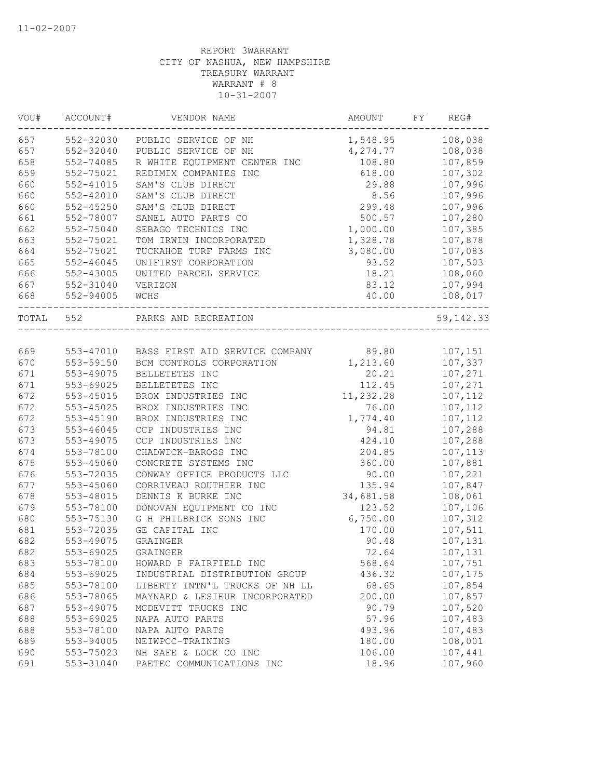| VOU#      | ACCOUNT#  | VENDOR NAME                                    | AMOUNT    | FY | REG#       |
|-----------|-----------|------------------------------------------------|-----------|----|------------|
| 657       | 552-32030 | PUBLIC SERVICE OF NH                           | 1,548.95  |    | 108,038    |
| 657       | 552-32040 | PUBLIC SERVICE OF NH                           | 4,274.77  |    | 108,038    |
| 658       | 552-74085 | R WHITE EQUIPMENT CENTER INC                   | 108.80    |    | 107,859    |
| 659       | 552-75021 | REDIMIX COMPANIES INC                          | 618.00    |    | 107,302    |
| 660       | 552-41015 | SAM'S CLUB DIRECT                              | 29.88     |    | 107,996    |
| 660       | 552-42010 | SAM'S CLUB DIRECT                              | 8.56      |    | 107,996    |
| 660       | 552-45250 | SAM'S CLUB DIRECT                              | 299.48    |    | 107,996    |
| 661       | 552-78007 | SANEL AUTO PARTS CO                            | 500.57    |    | 107,280    |
| 662       | 552-75040 | SEBAGO TECHNICS INC                            | 1,000.00  |    | 107,385    |
| 663       | 552-75021 | TOM IRWIN INCORPORATED                         | 1,328.78  |    | 107,878    |
| 664       | 552-75021 | TUCKAHOE TURF FARMS INC                        | 3,080.00  |    | 107,083    |
| 665       | 552-46045 | UNIFIRST CORPORATION                           | 93.52     |    | 107,503    |
| 666       | 552-43005 | UNITED PARCEL SERVICE                          | 18.21     |    | 108,060    |
| 667       | 552-31040 | VERIZON                                        | 83.12     |    | 107,994    |
| 668       | 552-94005 | WCHS                                           | 40.00     |    | 108,017    |
| TOTAL 552 |           | PARKS AND RECREATION                           |           |    | 59, 142.33 |
|           |           |                                                |           |    |            |
| 669       |           | 553-47010 BASS FIRST AID SERVICE COMPANY 89.80 |           |    | 107,151    |
| 670       | 553-59150 | BCM CONTROLS CORPORATION                       | 1,213.60  |    | 107,337    |
| 671       | 553-49075 | BELLETETES INC                                 | 20.21     |    | 107,271    |
| 671       | 553-69025 | BELLETETES INC                                 | 112.45    |    | 107,271    |
| 672       | 553-45015 | BROX INDUSTRIES INC                            | 11,232.28 |    | 107,112    |
| 672       | 553-45025 | BROX INDUSTRIES INC                            | 76.00     |    | 107,112    |
| 672       | 553-45190 | BROX INDUSTRIES INC                            | 1,774.40  |    | 107,112    |
| 673       | 553-46045 | CCP INDUSTRIES INC                             | 94.81     |    | 107,288    |
| 673       | 553-49075 | CCP INDUSTRIES INC                             | 424.10    |    | 107,288    |
| 674       | 553-78100 | CHADWICK-BAROSS INC                            | 204.85    |    | 107,113    |
| 675       | 553-45060 | CONCRETE SYSTEMS INC                           | 360.00    |    | 107,881    |
| 676       | 553-72035 | CONWAY OFFICE PRODUCTS LLC                     | 90.00     |    | 107,221    |
| 677       | 553-45060 | CORRIVEAU ROUTHIER INC                         | 135.94    |    | 107,847    |
| 678       | 553-48015 | DENNIS K BURKE INC                             | 34,681.58 |    | 108,061    |
| 679       | 553-78100 | DONOVAN EQUIPMENT CO INC                       | 123.52    |    | 107,106    |
| 680       | 553-75130 | G H PHILBRICK SONS INC                         | 6,750.00  |    | 107,312    |
| 681       | 553-72035 | GE CAPITAL INC                                 | 170.00    |    | 107,511    |
| 682       | 553-49075 | GRAINGER                                       | 90.48     |    | 107,131    |
| 682       | 553-69025 | GRAINGER                                       | 72.64     |    | 107,131    |
| 683       | 553-78100 | HOWARD P FAIRFIELD INC                         | 568.64    |    | 107,751    |
| 684       | 553-69025 | INDUSTRIAL DISTRIBUTION GROUP                  | 436.32    |    | 107,175    |
| 685       | 553-78100 | LIBERTY INTN'L TRUCKS OF NH LL                 | 68.65     |    | 107,854    |
| 686       | 553-78065 | MAYNARD & LESIEUR INCORPORATED                 | 200.00    |    | 107,857    |
| 687       | 553-49075 | MCDEVITT TRUCKS INC                            | 90.79     |    | 107,520    |
| 688       | 553-69025 | NAPA AUTO PARTS                                | 57.96     |    | 107,483    |
| 688       | 553-78100 | NAPA AUTO PARTS                                | 493.96    |    | 107,483    |
| 689       | 553-94005 | NEIWPCC-TRAINING                               | 180.00    |    | 108,001    |
| 690       | 553-75023 | NH SAFE & LOCK CO INC                          | 106.00    |    | 107,441    |
| 691       | 553-31040 | PAETEC COMMUNICATIONS INC                      | 18.96     |    | 107,960    |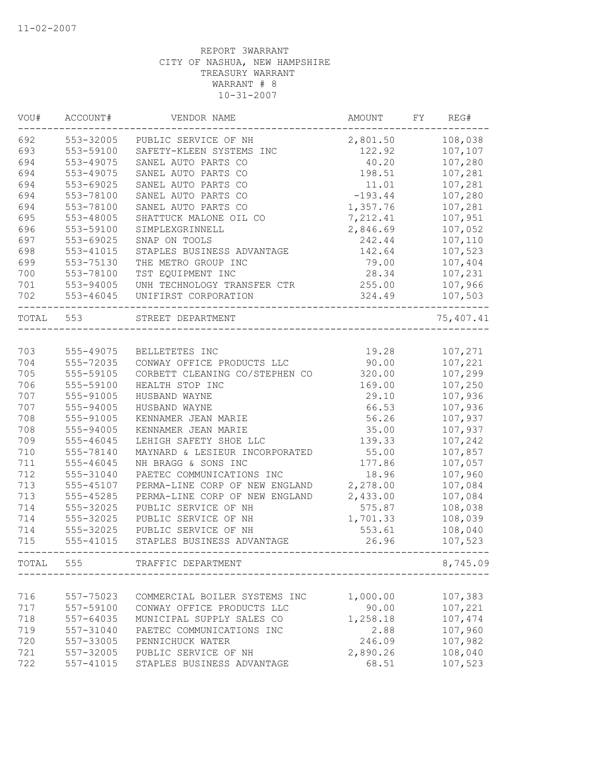| VOU#      | ACCOUNT#      | VENDOR NAME                    | AMOUNT    | FY | REG#      |
|-----------|---------------|--------------------------------|-----------|----|-----------|
| 692       | 553-32005     | PUBLIC SERVICE OF NH           | 2,801.50  |    | 108,038   |
| 693       | 553-59100     | SAFETY-KLEEN SYSTEMS INC       | 122.92    |    | 107,107   |
| 694       | 553-49075     | SANEL AUTO PARTS CO            | 40.20     |    | 107,280   |
| 694       | 553-49075     | SANEL AUTO PARTS CO            | 198.51    |    | 107,281   |
| 694       | 553-69025     | SANEL AUTO PARTS CO            | 11.01     |    | 107,281   |
| 694       | 553-78100     | SANEL AUTO PARTS CO            | $-193.44$ |    | 107,280   |
| 694       | 553-78100     | SANEL AUTO PARTS CO            | 1,357.76  |    | 107,281   |
| 695       | 553-48005     | SHATTUCK MALONE OIL CO         | 7,212.41  |    | 107,951   |
| 696       | 553-59100     | SIMPLEXGRINNELL                | 2,846.69  |    | 107,052   |
| 697       | 553-69025     | SNAP ON TOOLS                  | 242.44    |    | 107,110   |
| 698       | 553-41015     | STAPLES BUSINESS ADVANTAGE     | 142.64    |    | 107,523   |
| 699       | 553-75130     | THE METRO GROUP INC            | 79.00     |    | 107,404   |
| 700       | 553-78100     | TST EQUIPMENT INC              | 28.34     |    | 107,231   |
| 701       | 553-94005     | UNH TECHNOLOGY TRANSFER CTR    | 255.00    |    | 107,966   |
| 702       | 553-46045     | UNIFIRST CORPORATION           | 324.49    |    | 107,503   |
| TOTAL 553 |               | STREET DEPARTMENT              |           |    | 75,407.41 |
|           |               |                                |           |    |           |
| 703       | 555-49075     | BELLETETES INC                 | 19.28     |    | 107,271   |
| 704       | 555-72035     | CONWAY OFFICE PRODUCTS LLC     | 90.00     |    | 107,221   |
| 705       | 555-59105     | CORBETT CLEANING CO/STEPHEN CO | 320.00    |    | 107,299   |
| 706       | 555-59100     | HEALTH STOP INC                | 169.00    |    | 107,250   |
| 707       | 555-91005     | HUSBAND WAYNE                  | 29.10     |    | 107,936   |
| 707       | 555-94005     | HUSBAND WAYNE                  | 66.53     |    | 107,936   |
| 708       | 555-91005     | KENNAMER JEAN MARIE            | 56.26     |    | 107,937   |
| 708       | 555-94005     | KENNAMER JEAN MARIE            | 35.00     |    | 107,937   |
| 709       | 555-46045     | LEHIGH SAFETY SHOE LLC         | 139.33    |    | 107,242   |
| 710       | 555-78140     | MAYNARD & LESIEUR INCORPORATED | 55.00     |    | 107,857   |
| 711       | 555-46045     | NH BRAGG & SONS INC            | 177.86    |    | 107,057   |
| 712       | 555-31040     | PAETEC COMMUNICATIONS INC      | 18.96     |    | 107,960   |
| 713       | 555-45107     | PERMA-LINE CORP OF NEW ENGLAND | 2,278.00  |    | 107,084   |
| 713       | 555-45285     | PERMA-LINE CORP OF NEW ENGLAND | 2,433.00  |    | 107,084   |
| 714       | 555-32025     | PUBLIC SERVICE OF NH           | 575.87    |    | 108,038   |
| 714       | 555-32025     | PUBLIC SERVICE OF NH           | 1,701.33  |    | 108,039   |
| 714       | 555-32025     | PUBLIC SERVICE OF NH           | 553.61    |    | 108,040   |
| 715       | 555-41015     | STAPLES BUSINESS ADVANTAGE     | 26.96     |    | 107,523   |
| TOTAL     | 555           | TRAFFIC DEPARTMENT             |           |    | 8,745.09  |
|           |               |                                |           |    |           |
| 716       | 557-75023     | COMMERCIAL BOILER SYSTEMS INC  | 1,000.00  |    | 107,383   |
| 717       | 557-59100     | CONWAY OFFICE PRODUCTS LLC     | 90.00     |    | 107,221   |
| 718       | 557-64035     | MUNICIPAL SUPPLY SALES CO      | 1,258.18  |    | 107,474   |
| 719       | 557-31040     | PAETEC COMMUNICATIONS INC      | 2.88      |    | 107,960   |
| 720       | 557-33005     | PENNICHUCK WATER               | 246.09    |    | 107,982   |
| 721       | 557-32005     | PUBLIC SERVICE OF NH           | 2,890.26  |    | 108,040   |
| 722       | $557 - 41015$ | STAPLES BUSINESS ADVANTAGE     | 68.51     |    | 107,523   |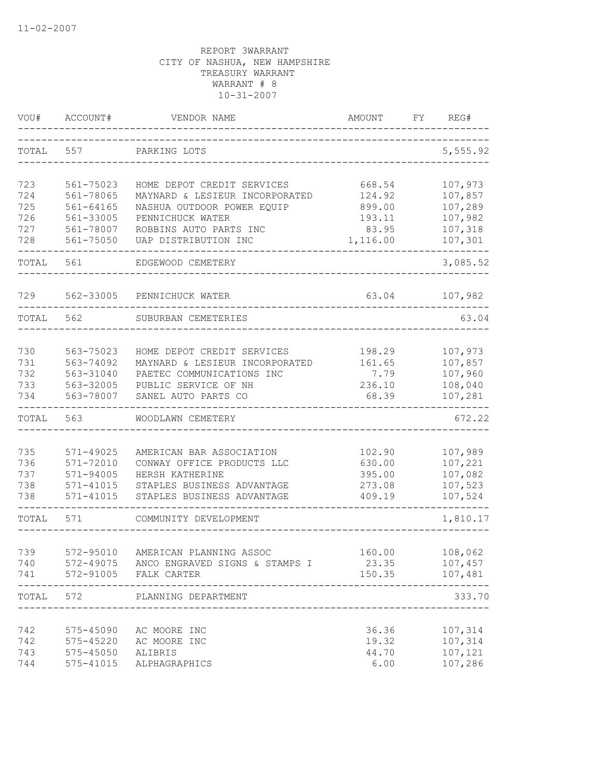| VOU#       | ACCOUNT#                   | VENDOR NAME                                              | <b>AMOUNT</b>    | FY | REG#                           |
|------------|----------------------------|----------------------------------------------------------|------------------|----|--------------------------------|
| TOTAL      | 557                        | PARKING LOTS                                             |                  |    | 5,555.92                       |
| 723        | 561-75023                  | HOME DEPOT CREDIT SERVICES                               | 668.54           |    | 107,973                        |
| 724        | 561-78065                  | MAYNARD & LESIEUR INCORPORATED                           | 124.92           |    | 107,857                        |
| 725        | $561 - 64165$              | NASHUA OUTDOOR POWER EQUIP                               | 899.00           |    | 107,289                        |
| 726        | 561-33005                  | PENNICHUCK WATER                                         | 193.11           |    | 107,982                        |
| 727        | 561-78007                  | ROBBINS AUTO PARTS INC                                   | 83.95            |    | 107,318                        |
| 728        | 561-75050                  | UAP DISTRIBUTION INC                                     | 1,116.00         |    | 107,301                        |
| TOTAL      | 561                        | EDGEWOOD CEMETERY                                        |                  |    | 3,085.52                       |
| 729        | 562-33005                  | PENNICHUCK WATER                                         | 63.04            |    | 107,982                        |
| TOTAL      | 562                        | SUBURBAN CEMETERIES                                      |                  |    | 63.04                          |
|            |                            |                                                          |                  |    |                                |
| 730        | 563-75023                  | HOME DEPOT CREDIT SERVICES                               | 198.29           |    | 107,973                        |
| 731        | 563-74092                  | MAYNARD & LESIEUR INCORPORATED                           | 161.65           |    | 107,857                        |
| 732<br>733 | 563-31040                  | PAETEC COMMUNICATIONS INC                                | 7.79<br>236.10   |    | 107,960<br>108,040             |
| 734        | 563-32005<br>563-78007     | PUBLIC SERVICE OF NH<br>SANEL AUTO PARTS CO              | 68.39            |    | 107,281                        |
| TOTAL      | 563                        | WOODLAWN CEMETERY                                        |                  |    | 672.22                         |
|            |                            |                                                          |                  |    |                                |
| 735        | 571-49025                  | AMERICAN BAR ASSOCIATION                                 | 102.90           |    | 107,989                        |
| 736        | 571-72010                  | CONWAY OFFICE PRODUCTS LLC                               | 630.00           |    | 107,221                        |
| 737        | $571 - 94005$              | HERSH KATHERINE                                          | 395.00           |    | 107,082                        |
| 738<br>738 | $571 - 41015$<br>571-41015 | STAPLES BUSINESS ADVANTAGE<br>STAPLES BUSINESS ADVANTAGE | 273.08<br>409.19 |    | 107,523<br>107,524             |
| TOTAL      | 571                        | COMMUNITY DEVELOPMENT                                    |                  |    | 1,810.17                       |
|            |                            |                                                          |                  |    |                                |
| 739        | 572-95010                  | AMERICAN PLANNING ASSOC                                  | 160.00           |    | 108,062                        |
| 740        |                            | 572-49075 ANCO ENGRAVED SIGNS & STAMPS I                 | 23.35            |    | 107,457                        |
| 741        |                            | 572-91005 FALK CARTER                                    | 150.35           |    | 107,481<br>. _ _ _ _ _ _ _ _ _ |
| TOTAL      | 572                        | PLANNING DEPARTMENT                                      |                  |    | 333.70                         |
| 742        | 575-45090                  | AC MOORE INC                                             | 36.36            |    | 107,314                        |
| 742        | 575-45220                  | AC MOORE INC                                             | 19.32            |    | 107,314                        |
| 743        | $575 - 45050$              | ALIBRIS                                                  | 44.70            |    | 107,121                        |
| 744        | $575 - 41015$              | ALPHAGRAPHICS                                            | 6.00             |    | 107,286                        |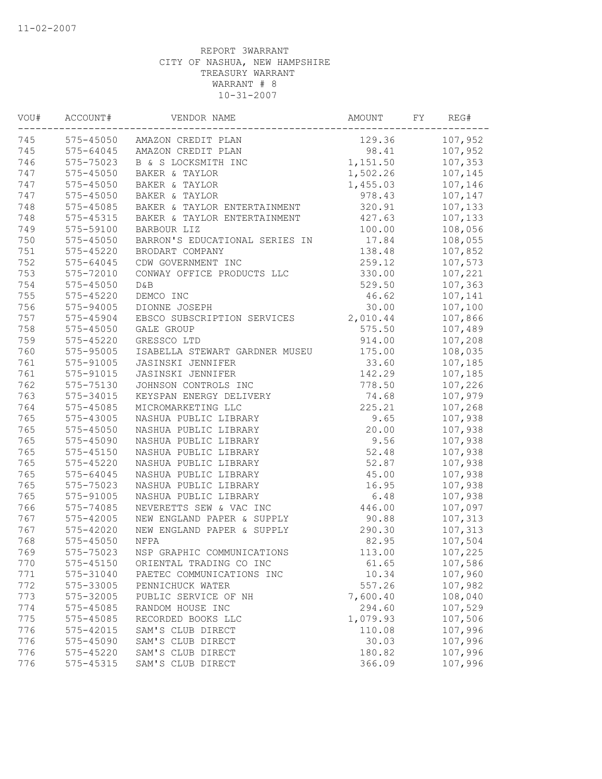| VOU# | ACCOUNT#      | VENDOR NAME                    | AMOUNT   | FY | REG#    |
|------|---------------|--------------------------------|----------|----|---------|
| 745  |               | 575-45050 AMAZON CREDIT PLAN   | 129.36   |    | 107,952 |
| 745  | 575-64045     | AMAZON CREDIT PLAN             | 98.41    |    | 107,952 |
| 746  | 575-75023     | B & S LOCKSMITH INC            | 1,151.50 |    | 107,353 |
| 747  | $575 - 45050$ | BAKER & TAYLOR                 | 1,502.26 |    | 107,145 |
| 747  | 575-45050     | BAKER & TAYLOR                 | 1,455.03 |    | 107,146 |
| 747  | 575-45050     | BAKER & TAYLOR                 | 978.43   |    | 107,147 |
| 748  | 575-45085     | BAKER & TAYLOR ENTERTAINMENT   | 320.91   |    | 107,133 |
| 748  | $575 - 45315$ | BAKER & TAYLOR ENTERTAINMENT   | 427.63   |    | 107,133 |
| 749  | 575-59100     | BARBOUR LIZ                    | 100.00   |    | 108,056 |
| 750  | 575-45050     | BARRON'S EDUCATIONAL SERIES IN | 17.84    |    | 108,055 |
| 751  | 575-45220     | BRODART COMPANY                | 138.48   |    | 107,852 |
| 752  | 575-64045     | CDW GOVERNMENT INC             | 259.12   |    | 107,573 |
| 753  | 575-72010     | CONWAY OFFICE PRODUCTS LLC     | 330.00   |    | 107,221 |
| 754  | 575-45050     | D&B                            | 529.50   |    | 107,363 |
| 755  | 575-45220     | DEMCO INC                      | 46.62    |    | 107,141 |
| 756  | 575-94005     | DIONNE JOSEPH                  | 30.00    |    | 107,100 |
| 757  | 575-45904     | EBSCO SUBSCRIPTION SERVICES    | 2,010.44 |    | 107,866 |
| 758  | 575-45050     | <b>GALE GROUP</b>              | 575.50   |    | 107,489 |
| 759  | $575 - 45220$ | GRESSCO LTD                    | 914.00   |    | 107,208 |
| 760  | 575-95005     | ISABELLA STEWART GARDNER MUSEU | 175.00   |    | 108,035 |
| 761  | 575-91005     | JASINSKI JENNIFER              | 33.60    |    | 107,185 |
| 761  | 575-91015     | JASINSKI JENNIFER              | 142.29   |    | 107,185 |
| 762  | 575-75130     | JOHNSON CONTROLS INC           | 778.50   |    | 107,226 |
| 763  | 575-34015     | KEYSPAN ENERGY DELIVERY        | 74.68    |    | 107,979 |
| 764  | 575-45085     | MICROMARKETING LLC             | 225.21   |    | 107,268 |
| 765  | 575-43005     | NASHUA PUBLIC LIBRARY          | 9.65     |    | 107,938 |
| 765  | 575-45050     | NASHUA PUBLIC LIBRARY          | 20.00    |    | 107,938 |
| 765  | 575-45090     | NASHUA PUBLIC LIBRARY          | 9.56     |    | 107,938 |
| 765  | $575 - 45150$ | NASHUA PUBLIC LIBRARY          | 52.48    |    | 107,938 |
| 765  | 575-45220     | NASHUA PUBLIC LIBRARY          | 52.87    |    | 107,938 |
| 765  | 575-64045     | NASHUA PUBLIC LIBRARY          | 45.00    |    | 107,938 |
| 765  | 575-75023     | NASHUA PUBLIC LIBRARY          | 16.95    |    | 107,938 |
| 765  | 575-91005     | NASHUA PUBLIC LIBRARY          | 6.48     |    | 107,938 |
| 766  | 575-74085     | NEVERETTS SEW & VAC INC        | 446.00   |    | 107,097 |
| 767  | 575-42005     | NEW ENGLAND PAPER & SUPPLY     | 90.88    |    | 107,313 |
| 767  | 575-42020     | NEW ENGLAND PAPER & SUPPLY     | 290.30   |    | 107,313 |
| 768  | 575-45050     | NFPA                           | 82.95    |    | 107,504 |
| 769  | 575-75023     | NSP GRAPHIC COMMUNICATIONS     | 113.00   |    | 107,225 |
| 770  | 575-45150     | ORIENTAL TRADING CO INC        | 61.65    |    | 107,586 |
| 771  | 575-31040     | PAETEC COMMUNICATIONS INC      | 10.34    |    | 107,960 |
| 772  | 575-33005     | PENNICHUCK WATER               | 557.26   |    | 107,982 |
| 773  | 575-32005     | PUBLIC SERVICE OF NH           | 7,600.40 |    | 108,040 |
| 774  | 575-45085     | RANDOM HOUSE INC               | 294.60   |    | 107,529 |
| 775  | 575-45085     | RECORDED BOOKS LLC             | 1,079.93 |    | 107,506 |
| 776  | 575-42015     | SAM'S CLUB DIRECT              | 110.08   |    | 107,996 |
| 776  | 575-45090     | SAM'S CLUB DIRECT              | 30.03    |    | 107,996 |
| 776  | 575-45220     | SAM'S CLUB DIRECT              | 180.82   |    | 107,996 |
| 776  | 575-45315     | SAM'S CLUB DIRECT              | 366.09   |    | 107,996 |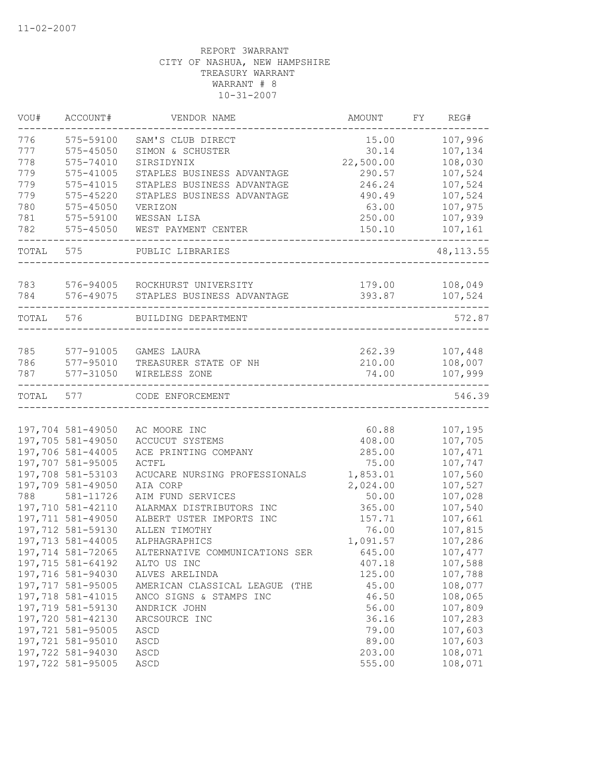| VOU#      | ACCOUNT#          | VENDOR NAME                    | AMOUNT    | FY | REG#       |
|-----------|-------------------|--------------------------------|-----------|----|------------|
| 776       | 575-59100         | SAM'S CLUB DIRECT              | 15.00     |    | 107,996    |
| 777       | $575 - 45050$     | SIMON & SCHUSTER               | 30.14     |    | 107,134    |
| 778       | 575-74010         | SIRSIDYNIX                     | 22,500.00 |    | 108,030    |
| 779       | 575-41005         | STAPLES BUSINESS ADVANTAGE     | 290.57    |    | 107,524    |
| 779       | 575-41015         | STAPLES BUSINESS ADVANTAGE     | 246.24    |    | 107,524    |
| 779       | $575 - 45220$     | STAPLES BUSINESS ADVANTAGE     | 490.49    |    | 107,524    |
| 780       | 575-45050         | VERIZON                        | 63.00     |    | 107,975    |
| 781       | 575-59100         | WESSAN LISA                    | 250.00    |    | 107,939    |
| 782       | 575-45050         | WEST PAYMENT CENTER            | 150.10    |    | 107,161    |
| TOTAL     | 575               | PUBLIC LIBRARIES               |           |    | 48, 113.55 |
|           |                   |                                |           |    |            |
| 783       | 576-94005         | ROCKHURST UNIVERSITY           | 179.00    |    | 108,049    |
| 784       | 576-49075         | STAPLES BUSINESS ADVANTAGE     | 393.87    |    | 107,524    |
| TOTAL 576 |                   | BUILDING DEPARTMENT            |           |    | 572.87     |
|           |                   |                                |           |    |            |
| 785       | 577-91005         | GAMES LAURA                    | 262.39    |    | 107,448    |
| 786       | 577-95010         | TREASURER STATE OF NH          | 210.00    |    | 108,007    |
| 787       | 577-31050         | WIRELESS ZONE                  | 74.00     |    | 107,999    |
| TOTAL     | 577               | CODE ENFORCEMENT               |           |    | 546.39     |
|           |                   |                                |           |    |            |
|           | 197,704 581-49050 | AC MOORE INC                   | 60.88     |    | 107,195    |
|           | 197,705 581-49050 | ACCUCUT SYSTEMS                | 408.00    |    | 107,705    |
|           | 197,706 581-44005 | ACE PRINTING COMPANY           | 285.00    |    | 107,471    |
|           | 197,707 581-95005 | ACTFL                          | 75.00     |    | 107,747    |
|           | 197,708 581-53103 | ACUCARE NURSING PROFESSIONALS  | 1,853.01  |    | 107,560    |
|           | 197,709 581-49050 | AIA CORP                       | 2,024.00  |    | 107,527    |
| 788       | 581-11726         | AIM FUND SERVICES              | 50.00     |    | 107,028    |
|           | 197,710 581-42110 | ALARMAX DISTRIBUTORS INC       | 365.00    |    | 107,540    |
|           | 197,711 581-49050 | ALBERT USTER IMPORTS INC       | 157.71    |    | 107,661    |
|           | 197,712 581-59130 | ALLEN TIMOTHY                  | 76.00     |    | 107,815    |
|           | 197,713 581-44005 | ALPHAGRAPHICS                  | 1,091.57  |    | 107,286    |
|           | 197,714 581-72065 | ALTERNATIVE COMMUNICATIONS SER | 645.00    |    | 107,477    |
|           | 197,715 581-64192 | ALTO US INC                    | 407.18    |    | 107,588    |
|           | 197,716 581-94030 | ALVES ARELINDA                 | 125.00    |    | 107,788    |
|           | 197,717 581-95005 | AMERICAN CLASSICAL LEAGUE (THE | 45.00     |    | 108,077    |
|           | 197,718 581-41015 | ANCO SIGNS & STAMPS INC        | 46.50     |    | 108,065    |
|           | 197,719 581-59130 | ANDRICK JOHN                   | 56.00     |    | 107,809    |
|           | 197,720 581-42130 | ARCSOURCE INC                  | 36.16     |    | 107,283    |
|           | 197,721 581-95005 | ASCD                           | 79.00     |    | 107,603    |
|           | 197,721 581-95010 | ASCD                           | 89.00     |    | 107,603    |
|           | 197,722 581-94030 | ASCD                           | 203.00    |    | 108,071    |
|           | 197,722 581-95005 | ASCD                           | 555.00    |    | 108,071    |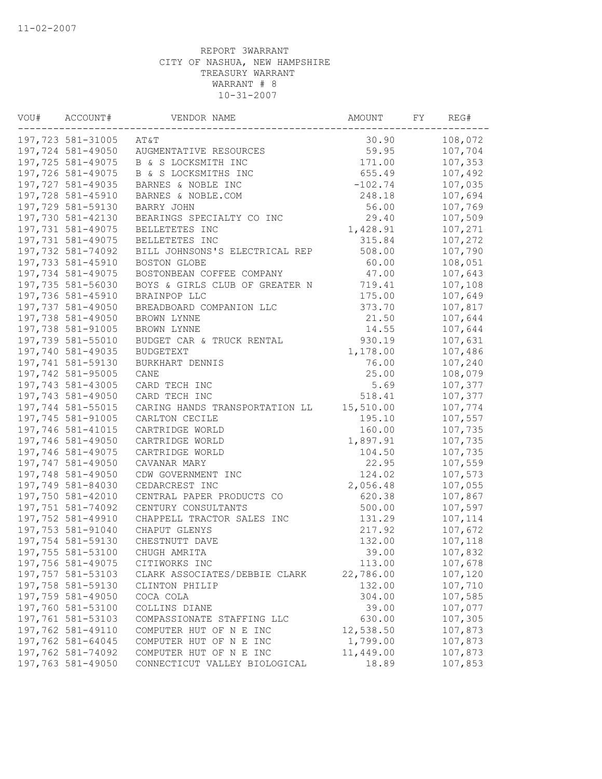| VOU# | ACCOUNT#          | VENDOR NAME                    | AMOUNT    | FY | REG#    |
|------|-------------------|--------------------------------|-----------|----|---------|
|      | 197,723 581-31005 | AT&T                           | 30.90     |    | 108,072 |
|      | 197,724 581-49050 | AUGMENTATIVE RESOURCES         | 59.95     |    | 107,704 |
|      | 197,725 581-49075 | B & S LOCKSMITH INC            | 171.00    |    | 107,353 |
|      | 197,726 581-49075 | B & S LOCKSMITHS INC           | 655.49    |    | 107,492 |
|      | 197,727 581-49035 | BARNES & NOBLE INC             | $-102.74$ |    | 107,035 |
|      | 197,728 581-45910 | BARNES & NOBLE.COM             | 248.18    |    | 107,694 |
|      | 197,729 581-59130 | BARRY JOHN                     | 56.00     |    | 107,769 |
|      | 197,730 581-42130 | BEARINGS SPECIALTY CO INC      | 29.40     |    | 107,509 |
|      | 197,731 581-49075 | BELLETETES INC                 | 1,428.91  |    | 107,271 |
|      | 197,731 581-49075 | BELLETETES INC                 | 315.84    |    | 107,272 |
|      | 197,732 581-74092 | BILL JOHNSONS'S ELECTRICAL REP | 508.00    |    | 107,790 |
|      | 197,733 581-45910 | BOSTON GLOBE                   | 60.00     |    | 108,051 |
|      | 197,734 581-49075 | BOSTONBEAN COFFEE COMPANY      | 47.00     |    | 107,643 |
|      | 197,735 581-56030 | BOYS & GIRLS CLUB OF GREATER N | 719.41    |    | 107,108 |
|      | 197,736 581-45910 | BRAINPOP LLC                   | 175.00    |    | 107,649 |
|      | 197,737 581-49050 | BREADBOARD COMPANION LLC       | 373.70    |    | 107,817 |
|      | 197,738 581-49050 | BROWN LYNNE                    | 21.50     |    | 107,644 |
|      | 197,738 581-91005 | BROWN LYNNE                    | 14.55     |    | 107,644 |
|      | 197,739 581-55010 | BUDGET CAR & TRUCK RENTAL      | 930.19    |    | 107,631 |
|      | 197,740 581-49035 | <b>BUDGETEXT</b>               | 1,178.00  |    | 107,486 |
|      | 197,741 581-59130 | BURKHART DENNIS                | 76.00     |    | 107,240 |
|      | 197,742 581-95005 | CANE                           | 25.00     |    | 108,079 |
|      | 197,743 581-43005 | CARD TECH INC                  | 5.69      |    | 107,377 |
|      | 197,743 581-49050 | CARD TECH INC                  | 518.41    |    | 107,377 |
|      | 197,744 581-55015 | CARING HANDS TRANSPORTATION LL | 15,510.00 |    | 107,774 |
|      | 197,745 581-91005 | CARLTON CECILE                 | 195.10    |    | 107,557 |
|      | 197,746 581-41015 | CARTRIDGE WORLD                | 160.00    |    | 107,735 |
|      | 197,746 581-49050 | CARTRIDGE WORLD                | 1,897.91  |    | 107,735 |
|      | 197,746 581-49075 | CARTRIDGE WORLD                | 104.50    |    | 107,735 |
|      | 197,747 581-49050 | CAVANAR MARY                   | 22.95     |    | 107,559 |
|      | 197,748 581-49050 | CDW GOVERNMENT INC             | 124.02    |    | 107,573 |
|      | 197,749 581-84030 | CEDARCREST INC                 | 2,056.48  |    | 107,055 |
|      | 197,750 581-42010 | CENTRAL PAPER PRODUCTS CO      | 620.38    |    | 107,867 |
|      | 197,751 581-74092 | CENTURY CONSULTANTS            | 500.00    |    | 107,597 |
|      | 197,752 581-49910 | CHAPPELL TRACTOR SALES INC     | 131.29    |    | 107,114 |
|      | 197,753 581-91040 | CHAPUT GLENYS                  | 217.92    |    | 107,672 |
|      | 197,754 581-59130 | CHESTNUTT DAVE                 | 132.00    |    | 107,118 |
|      | 197,755 581-53100 | CHUGH AMRITA                   | 39.00     |    | 107,832 |
|      | 197,756 581-49075 | CITIWORKS INC                  | 113.00    |    | 107,678 |
|      | 197,757 581-53103 | CLARK ASSOCIATES/DEBBIE CLARK  | 22,786.00 |    | 107,120 |
|      | 197,758 581-59130 | CLINTON PHILIP                 | 132.00    |    | 107,710 |
|      | 197,759 581-49050 | COCA COLA                      | 304.00    |    | 107,585 |
|      | 197,760 581-53100 | COLLINS DIANE                  | 39.00     |    | 107,077 |
|      | 197,761 581-53103 | COMPASSIONATE STAFFING LLC     | 630.00    |    | 107,305 |
|      | 197,762 581-49110 | COMPUTER HUT OF N E INC        | 12,538.50 |    | 107,873 |
|      | 197,762 581-64045 | COMPUTER HUT OF N E INC        | 1,799.00  |    | 107,873 |
|      | 197,762 581-74092 | COMPUTER HUT OF N E INC        | 11,449.00 |    | 107,873 |
|      | 197,763 581-49050 | CONNECTICUT VALLEY BIOLOGICAL  | 18.89     |    | 107,853 |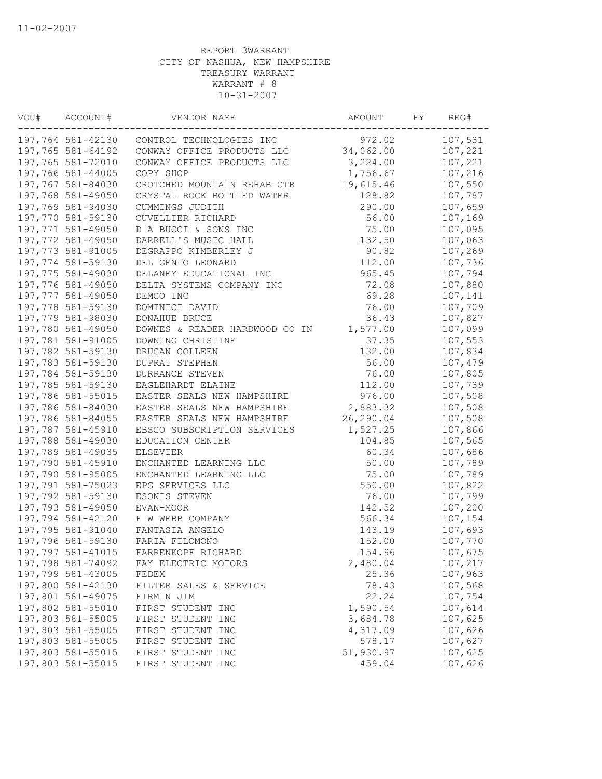| VOU# | ACCOUNT#          | VENDOR NAME                    | AMOUNT    | FY | REG#    |
|------|-------------------|--------------------------------|-----------|----|---------|
|      | 197,764 581-42130 | CONTROL TECHNOLOGIES INC       | 972.02    |    | 107,531 |
|      | 197,765 581-64192 | CONWAY OFFICE PRODUCTS LLC     | 34,062.00 |    | 107,221 |
|      | 197,765 581-72010 | CONWAY OFFICE PRODUCTS LLC     | 3,224.00  |    | 107,221 |
|      | 197,766 581-44005 | COPY SHOP                      | 1,756.67  |    | 107,216 |
|      | 197,767 581-84030 | CROTCHED MOUNTAIN REHAB CTR    | 19,615.46 |    | 107,550 |
|      | 197,768 581-49050 | CRYSTAL ROCK BOTTLED WATER     | 128.82    |    | 107,787 |
|      | 197,769 581-94030 | CUMMINGS JUDITH                | 290.00    |    | 107,659 |
|      | 197,770 581-59130 | CUVELLIER RICHARD              | 56.00     |    | 107,169 |
|      | 197,771 581-49050 | D A BUCCI & SONS INC           | 75.00     |    | 107,095 |
|      | 197,772 581-49050 | DARRELL'S MUSIC HALL           | 132.50    |    | 107,063 |
|      | 197,773 581-91005 | DEGRAPPO KIMBERLEY J           | 90.82     |    | 107,269 |
|      | 197,774 581-59130 | DEL GENIO LEONARD              | 112.00    |    | 107,736 |
|      | 197,775 581-49030 | DELANEY EDUCATIONAL INC        | 965.45    |    | 107,794 |
|      | 197,776 581-49050 | DELTA SYSTEMS COMPANY INC      | 72.08     |    | 107,880 |
|      | 197,777 581-49050 | DEMCO INC                      | 69.28     |    | 107,141 |
|      | 197,778 581-59130 | DOMINICI DAVID                 | 76.00     |    | 107,709 |
|      | 197,779 581-98030 | DONAHUE BRUCE                  | 36.43     |    | 107,827 |
|      | 197,780 581-49050 | DOWNES & READER HARDWOOD CO IN | 1,577.00  |    | 107,099 |
|      | 197,781 581-91005 | DOWNING CHRISTINE              | 37.35     |    | 107,553 |
|      | 197,782 581-59130 | DRUGAN COLLEEN                 | 132.00    |    | 107,834 |
|      | 197,783 581-59130 | DUPRAT STEPHEN                 | 56.00     |    | 107,479 |
|      | 197,784 581-59130 | DURRANCE STEVEN                | 76.00     |    | 107,805 |
|      | 197,785 581-59130 | EAGLEHARDT ELAINE              | 112.00    |    | 107,739 |
|      | 197,786 581-55015 | EASTER SEALS NEW HAMPSHIRE     | 976.00    |    | 107,508 |
|      | 197,786 581-84030 | EASTER SEALS NEW HAMPSHIRE     | 2,883.32  |    | 107,508 |
|      | 197,786 581-84055 | EASTER SEALS NEW HAMPSHIRE     | 26,290.04 |    | 107,508 |
|      | 197,787 581-45910 | EBSCO SUBSCRIPTION SERVICES    | 1,527.25  |    | 107,866 |
|      | 197,788 581-49030 | EDUCATION CENTER               | 104.85    |    | 107,565 |
|      | 197,789 581-49035 | ELSEVIER                       | 60.34     |    | 107,686 |
|      | 197,790 581-45910 | ENCHANTED LEARNING LLC         | 50.00     |    | 107,789 |
|      | 197,790 581-95005 | ENCHANTED LEARNING LLC         | 75.00     |    | 107,789 |
|      | 197,791 581-75023 | EPG SERVICES LLC               | 550.00    |    | 107,822 |
|      | 197,792 581-59130 | ESONIS STEVEN                  | 76.00     |    | 107,799 |
|      | 197,793 581-49050 | EVAN-MOOR                      | 142.52    |    | 107,200 |
|      | 197,794 581-42120 | F W WEBB COMPANY               | 566.34    |    | 107,154 |
|      | 197,795 581-91040 | FANTASIA ANGELO                | 143.19    |    | 107,693 |
|      | 197,796 581-59130 | FARIA FILOMONO                 | 152.00    |    | 107,770 |
|      | 197,797 581-41015 | FARRENKOPF RICHARD             | 154.96    |    | 107,675 |
|      | 197,798 581-74092 | FAY ELECTRIC MOTORS            | 2,480.04  |    | 107,217 |
|      | 197,799 581-43005 | FEDEX                          | 25.36     |    | 107,963 |
|      | 197,800 581-42130 | FILTER SALES & SERVICE         | 78.43     |    | 107,568 |
|      | 197,801 581-49075 | FIRMIN JIM                     | 22.24     |    | 107,754 |
|      | 197,802 581-55010 | FIRST STUDENT INC              | 1,590.54  |    | 107,614 |
|      | 197,803 581-55005 | FIRST STUDENT INC              | 3,684.78  |    | 107,625 |
|      | 197,803 581-55005 | FIRST STUDENT INC              | 4,317.09  |    | 107,626 |
|      | 197,803 581-55005 | FIRST STUDENT INC              | 578.17    |    | 107,627 |
|      | 197,803 581-55015 | FIRST STUDENT INC              | 51,930.97 |    | 107,625 |
|      | 197,803 581-55015 | FIRST STUDENT INC              | 459.04    |    | 107,626 |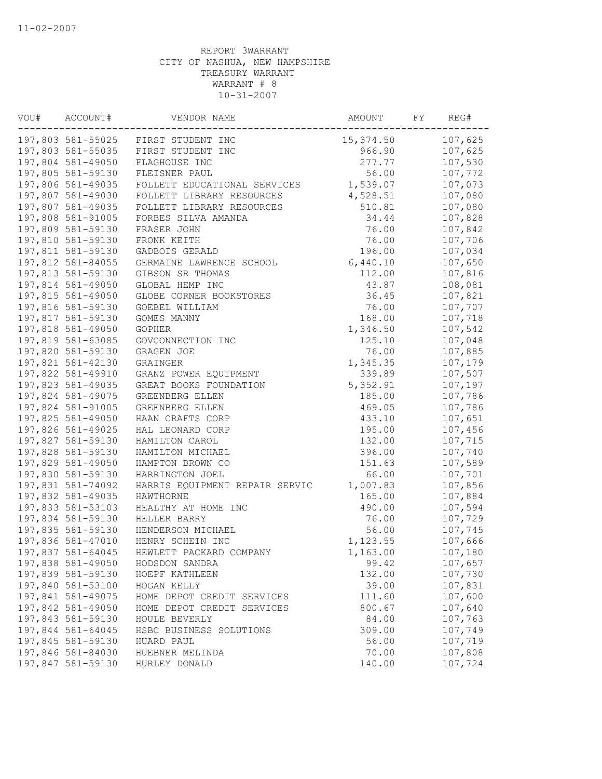| VOU# | ACCOUNT#          | VENDOR NAME                         | AMOUNT          | FY | REG#    |
|------|-------------------|-------------------------------------|-----------------|----|---------|
|      |                   | 197,803 581-55025 FIRST STUDENT INC | 15,374.50       |    | 107,625 |
|      | 197,803 581-55035 | FIRST STUDENT INC                   | 966.90          |    | 107,625 |
|      | 197,804 581-49050 | FLAGHOUSE INC                       | 277.77          |    | 107,530 |
|      | 197,805 581-59130 | FLEISNER PAUL                       | 56.00           |    | 107,772 |
|      | 197,806 581-49035 | FOLLETT EDUCATIONAL SERVICES        | 1,539.07        |    | 107,073 |
|      | 197,807 581-49030 | FOLLETT LIBRARY RESOURCES           | 4,528.51        |    | 107,080 |
|      | 197,807 581-49035 | FOLLETT LIBRARY RESOURCES           | 510.81          |    | 107,080 |
|      | 197,808 581-91005 | FORBES SILVA AMANDA                 | 34.44           |    | 107,828 |
|      | 197,809 581-59130 | FRASER JOHN                         | 76.00           |    | 107,842 |
|      | 197,810 581-59130 | FRONK KEITH                         | 76.00           |    | 107,706 |
|      | 197,811 581-59130 | GADBOIS GERALD                      | 196.00          |    | 107,034 |
|      | 197,812 581-84055 | GERMAINE LAWRENCE SCHOOL            | 6,440.10        |    | 107,650 |
|      | 197,813 581-59130 | GIBSON SR THOMAS                    | 112.00          |    | 107,816 |
|      | 197,814 581-49050 | GLOBAL HEMP INC                     | 43.87           |    | 108,081 |
|      | 197,815 581-49050 | GLOBE CORNER BOOKSTORES             | 36.45           |    | 107,821 |
|      | 197,816 581-59130 | GOEBEL WILLIAM                      | 76.00           |    | 107,707 |
|      | 197,817 581-59130 | GOMES MANNY                         | 168.00          |    | 107,718 |
|      | 197,818 581-49050 | GOPHER                              | 1,346.50        |    | 107,542 |
|      | 197,819 581-63085 | GOVCONNECTION INC                   | 125.10          |    | 107,048 |
|      | 197,820 581-59130 | GRAGEN JOE                          | 76.00           |    | 107,885 |
|      | 197,821 581-42130 | GRAINGER                            | 1,345.35        |    | 107,179 |
|      | 197,822 581-49910 | GRANZ POWER EQUIPMENT               | 339.89          |    | 107,507 |
|      | 197,823 581-49035 | GREAT BOOKS FOUNDATION              | 5,352.91        |    | 107,197 |
|      | 197,824 581-49075 | GREENBERG ELLEN                     | 185.00          |    | 107,786 |
|      | 197,824 581-91005 | GREENBERG ELLEN                     | 469.05          |    | 107,786 |
|      | 197,825 581-49050 | HAAN CRAFTS CORP                    | 433.10          |    | 107,651 |
|      | 197,826 581-49025 | HAL LEONARD CORP                    | 195.00          |    | 107,456 |
|      | 197,827 581-59130 | HAMILTON CAROL                      | 132.00          |    | 107,715 |
|      | 197,828 581-59130 | HAMILTON MICHAEL                    | 396.00          |    | 107,740 |
|      | 197,829 581-49050 | HAMPTON BROWN CO                    | 151.63          |    | 107,589 |
|      | 197,830 581-59130 | HARRINGTON JOEL                     | 66.00           |    | 107,701 |
|      | 197,831 581-74092 | HARRIS EQUIPMENT REPAIR SERVIC      | 1,007.83        |    | 107,856 |
|      | 197,832 581-49035 | HAWTHORNE                           | 165.00          |    | 107,884 |
|      | 197,833 581-53103 | HEALTHY AT HOME INC                 | 490.00          |    | 107,594 |
|      | 197,834 581-59130 | HELLER BARRY                        | 76.00           |    | 107,729 |
|      | 197,835 581-59130 | HENDERSON MICHAEL                   | 56.00           |    | 107,745 |
|      | 197,836 581-47010 | HENRY SCHEIN INC                    | 1,123.55        |    | 107,666 |
|      | 197,837 581-64045 | HEWLETT PACKARD COMPANY             | 1,163.00        |    | 107,180 |
|      | 197,838 581-49050 | HODSDON SANDRA                      | 99.42           |    | 107,657 |
|      | 197,839 581-59130 | HOEPF KATHLEEN                      | 132.00          |    | 107,730 |
|      | 197,840 581-53100 | HOGAN KELLY                         | 39.00           |    | 107,831 |
|      | 197,841 581-49075 | HOME DEPOT CREDIT SERVICES          | 111.60          |    | 107,600 |
|      | 197,842 581-49050 | HOME DEPOT CREDIT SERVICES          | 800.67          |    | 107,640 |
|      | 197,843 581-59130 | HOULE BEVERLY                       | 84.00           |    | 107,763 |
|      | 197,844 581-64045 | HSBC BUSINESS SOLUTIONS             | 309.00          |    | 107,749 |
|      | 197,845 581-59130 | HUARD PAUL                          | 56.00           |    | 107,719 |
|      | 197,846 581-84030 | HUEBNER MELINDA<br>HURLEY DONALD    | 70.00<br>140.00 |    | 107,808 |
|      | 197,847 581-59130 |                                     |                 |    | 107,724 |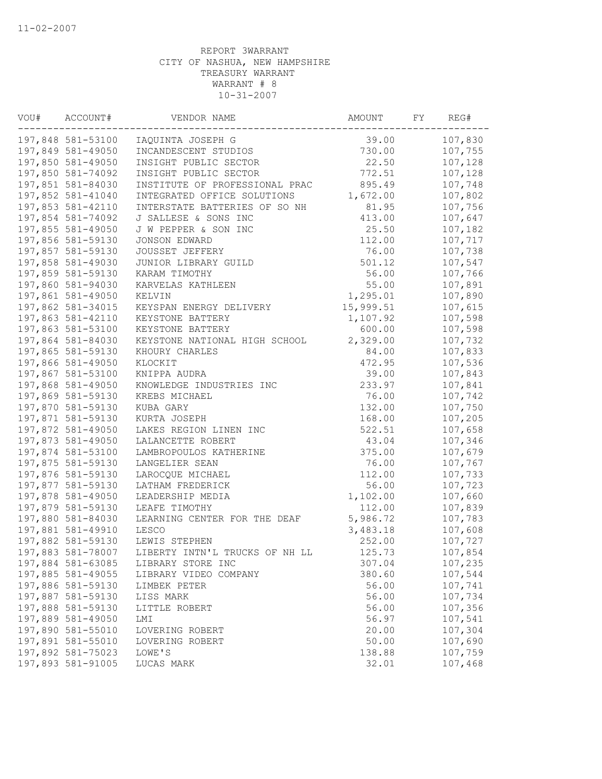| VOU# | ACCOUNT#          | VENDOR NAME                    | AMOUNT    | FY | REG#    |
|------|-------------------|--------------------------------|-----------|----|---------|
|      | 197,848 581-53100 | IAQUINTA JOSEPH G              | 39.00     |    | 107,830 |
|      | 197,849 581-49050 | INCANDESCENT STUDIOS           | 730.00    |    | 107,755 |
|      | 197,850 581-49050 | INSIGHT PUBLIC SECTOR          | 22.50     |    | 107,128 |
|      | 197,850 581-74092 | INSIGHT PUBLIC SECTOR          | 772.51    |    | 107,128 |
|      | 197,851 581-84030 | INSTITUTE OF PROFESSIONAL PRAC | 895.49    |    | 107,748 |
|      | 197,852 581-41040 | INTEGRATED OFFICE SOLUTIONS    | 1,672.00  |    | 107,802 |
|      | 197,853 581-42110 | INTERSTATE BATTERIES OF SO NH  | 81.95     |    | 107,756 |
|      | 197,854 581-74092 | J SALLESE & SONS INC           | 413.00    |    | 107,647 |
|      | 197,855 581-49050 | J W PEPPER & SON INC           | 25.50     |    | 107,182 |
|      | 197,856 581-59130 | <b>JONSON EDWARD</b>           | 112.00    |    | 107,717 |
|      | 197,857 581-59130 | JOUSSET JEFFERY                | 76.00     |    | 107,738 |
|      | 197,858 581-49030 | JUNIOR LIBRARY GUILD           | 501.12    |    | 107,547 |
|      | 197,859 581-59130 | KARAM TIMOTHY                  | 56.00     |    | 107,766 |
|      | 197,860 581-94030 | KARVELAS KATHLEEN              | 55.00     |    | 107,891 |
|      | 197,861 581-49050 | KELVIN                         | 1,295.01  |    | 107,890 |
|      | 197,862 581-34015 | KEYSPAN ENERGY DELIVERY        | 15,999.51 |    | 107,615 |
|      | 197,863 581-42110 | KEYSTONE BATTERY               | 1,107.92  |    | 107,598 |
|      | 197,863 581-53100 | KEYSTONE BATTERY               | 600.00    |    | 107,598 |
|      | 197,864 581-84030 | KEYSTONE NATIONAL HIGH SCHOOL  | 2,329.00  |    | 107,732 |
|      | 197,865 581-59130 | KHOURY CHARLES                 | 84.00     |    | 107,833 |
|      | 197,866 581-49050 | KLOCKIT                        | 472.95    |    | 107,536 |
|      | 197,867 581-53100 | KNIPPA AUDRA                   | 39.00     |    | 107,843 |
|      | 197,868 581-49050 | KNOWLEDGE INDUSTRIES INC       | 233.97    |    | 107,841 |
|      | 197,869 581-59130 | KREBS MICHAEL                  | 76.00     |    | 107,742 |
|      | 197,870 581-59130 | KUBA GARY                      | 132.00    |    | 107,750 |
|      | 197,871 581-59130 | KURTA JOSEPH                   | 168.00    |    | 107,205 |
|      | 197,872 581-49050 | LAKES REGION LINEN INC         | 522.51    |    | 107,658 |
|      | 197,873 581-49050 | LALANCETTE ROBERT              | 43.04     |    | 107,346 |
|      | 197,874 581-53100 | LAMBROPOULOS KATHERINE         | 375.00    |    | 107,679 |
|      | 197,875 581-59130 | LANGELIER SEAN                 | 76.00     |    | 107,767 |
|      | 197,876 581-59130 | LAROCQUE MICHAEL               | 112.00    |    | 107,733 |
|      | 197,877 581-59130 | LATHAM FREDERICK               | 56.00     |    | 107,723 |
|      | 197,878 581-49050 | LEADERSHIP MEDIA               | 1,102.00  |    | 107,660 |
|      | 197,879 581-59130 | LEAFE TIMOTHY                  | 112.00    |    | 107,839 |
|      | 197,880 581-84030 | LEARNING CENTER FOR THE DEAF   | 5,986.72  |    | 107,783 |
|      | 197,881 581-49910 | LESCO                          | 3,483.18  |    | 107,608 |
|      | 197,882 581-59130 | LEWIS STEPHEN                  | 252.00    |    | 107,727 |
|      | 197,883 581-78007 | LIBERTY INTN'L TRUCKS OF NH LL | 125.73    |    | 107,854 |
|      | 197,884 581-63085 | LIBRARY STORE INC              | 307.04    |    | 107,235 |
|      | 197,885 581-49055 | LIBRARY VIDEO COMPANY          | 380.60    |    | 107,544 |
|      | 197,886 581-59130 | LIMBEK PETER                   | 56.00     |    | 107,741 |
|      | 197,887 581-59130 | LISS MARK                      | 56.00     |    | 107,734 |
|      | 197,888 581-59130 | LITTLE ROBERT                  | 56.00     |    | 107,356 |
|      | 197,889 581-49050 | LMI                            | 56.97     |    | 107,541 |
|      | 197,890 581-55010 | LOVERING ROBERT                | 20.00     |    | 107,304 |
|      | 197,891 581-55010 | LOVERING ROBERT                | 50.00     |    | 107,690 |
|      | 197,892 581-75023 | LOWE'S                         | 138.88    |    | 107,759 |
|      | 197,893 581-91005 | LUCAS MARK                     | 32.01     |    | 107,468 |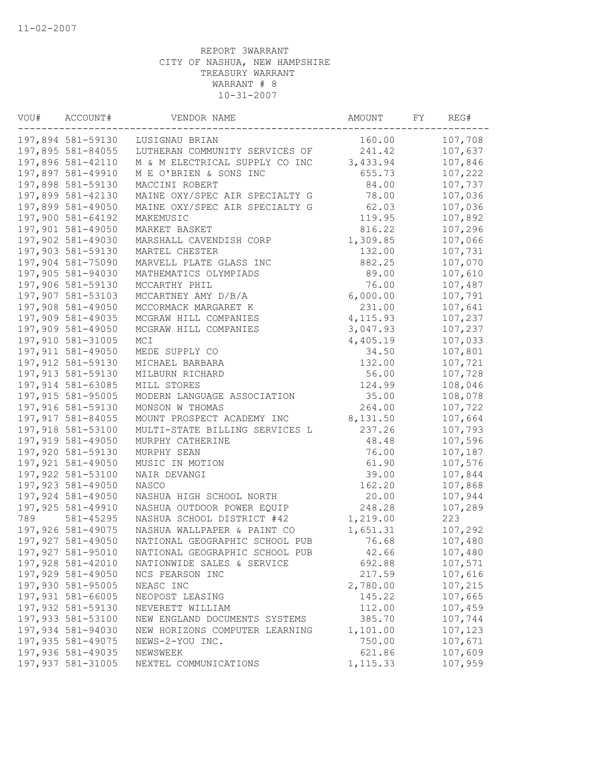| VOU# | ACCOUNT#          | VENDOR NAME                    | AMOUNT    | FY | REG#    |
|------|-------------------|--------------------------------|-----------|----|---------|
|      | 197,894 581-59130 | LUSIGNAU BRIAN                 | 160.00    |    | 107,708 |
|      | 197,895 581-84055 | LUTHERAN COMMUNITY SERVICES OF | 241.42    |    | 107,637 |
|      | 197,896 581-42110 | M & M ELECTRICAL SUPPLY CO INC | 3,433.94  |    | 107,846 |
|      | 197,897 581-49910 | M E O'BRIEN & SONS INC         | 655.73    |    | 107,222 |
|      | 197,898 581-59130 | MACCINI ROBERT                 | 84.00     |    | 107,737 |
|      | 197,899 581-42130 | MAINE OXY/SPEC AIR SPECIALTY G | 78.00     |    | 107,036 |
|      | 197,899 581-49050 | MAINE OXY/SPEC AIR SPECIALTY G | 62.03     |    | 107,036 |
|      | 197,900 581-64192 | MAKEMUSIC                      | 119.95    |    | 107,892 |
|      | 197,901 581-49050 | MARKET BASKET                  | 816.22    |    | 107,296 |
|      | 197,902 581-49030 | MARSHALL CAVENDISH CORP        | 1,309.85  |    | 107,066 |
|      | 197,903 581-59130 | MARTEL CHESTER                 | 132.00    |    | 107,731 |
|      | 197,904 581-75090 | MARVELL PLATE GLASS INC        | 882.25    |    | 107,070 |
|      | 197,905 581-94030 | MATHEMATICS OLYMPIADS          | 89.00     |    | 107,610 |
|      | 197,906 581-59130 | MCCARTHY PHIL                  | 76.00     |    | 107,487 |
|      | 197,907 581-53103 | MCCARTNEY AMY D/B/A            | 6,000.00  |    | 107,791 |
|      | 197,908 581-49050 | MCCORMACK MARGARET K           | 231.00    |    | 107,641 |
|      | 197,909 581-49035 | MCGRAW HILL COMPANIES          | 4, 115.93 |    | 107,237 |
|      | 197,909 581-49050 | MCGRAW HILL COMPANIES          | 3,047.93  |    | 107,237 |
|      | 197,910 581-31005 | MCI                            | 4,405.19  |    | 107,033 |
|      | 197,911 581-49050 | MEDE SUPPLY CO                 | 34.50     |    | 107,801 |
|      | 197,912 581-59130 | MICHAEL BARBARA                | 132.00    |    | 107,721 |
|      | 197,913 581-59130 | MILBURN RICHARD                | 56.00     |    | 107,728 |
|      | 197,914 581-63085 | MILL STORES                    | 124.99    |    | 108,046 |
|      | 197,915 581-95005 | MODERN LANGUAGE ASSOCIATION    | 35.00     |    | 108,078 |
|      | 197,916 581-59130 | MONSON W THOMAS                | 264.00    |    | 107,722 |
|      | 197,917 581-84055 | MOUNT PROSPECT ACADEMY INC     | 8,131.50  |    | 107,664 |
|      | 197,918 581-53100 | MULTI-STATE BILLING SERVICES L | 237.26    |    | 107,793 |
|      | 197,919 581-49050 | MURPHY CATHERINE               | 48.48     |    | 107,596 |
|      | 197,920 581-59130 | MURPHY SEAN                    | 76.00     |    | 107,187 |
|      | 197,921 581-49050 | MUSIC IN MOTION                | 61.90     |    | 107,576 |
|      | 197,922 581-53100 | NAIR DEVANGI                   | 39.00     |    | 107,844 |
|      | 197,923 581-49050 | NASCO                          | 162.20    |    | 107,868 |
|      | 197,924 581-49050 | NASHUA HIGH SCHOOL NORTH       | 20.00     |    | 107,944 |
|      | 197,925 581-49910 | NASHUA OUTDOOR POWER EQUIP     | 248.28    |    | 107,289 |
| 789  | 581-45295         | NASHUA SCHOOL DISTRICT #42     | 1,219.00  |    | 223     |
|      | 197,926 581-49075 | NASHUA WALLPAPER & PAINT CO    | 1,651.31  |    | 107,292 |
|      | 197,927 581-49050 | NATIONAL GEOGRAPHIC SCHOOL PUB | 76.68     |    | 107,480 |
|      | 197,927 581-95010 | NATIONAL GEOGRAPHIC SCHOOL PUB | 42.66     |    | 107,480 |
|      | 197,928 581-42010 | NATIONWIDE SALES & SERVICE     | 692.88    |    | 107,571 |
|      | 197,929 581-49050 | NCS PEARSON INC                | 217.59    |    | 107,616 |
|      | 197,930 581-95005 | NEASC INC                      | 2,780.00  |    | 107,215 |
|      | 197,931 581-66005 | NEOPOST LEASING                | 145.22    |    | 107,665 |
|      | 197,932 581-59130 | NEVERETT WILLIAM               | 112.00    |    | 107,459 |
|      | 197,933 581-53100 | NEW ENGLAND DOCUMENTS SYSTEMS  | 385.70    |    | 107,744 |
|      | 197,934 581-94030 | NEW HORIZONS COMPUTER LEARNING | 1,101.00  |    | 107,123 |
|      | 197,935 581-49075 | NEWS-2-YOU INC.                | 750.00    |    | 107,671 |
|      | 197,936 581-49035 | NEWSWEEK                       | 621.86    |    | 107,609 |
|      | 197,937 581-31005 | NEXTEL COMMUNICATIONS          | 1, 115.33 |    | 107,959 |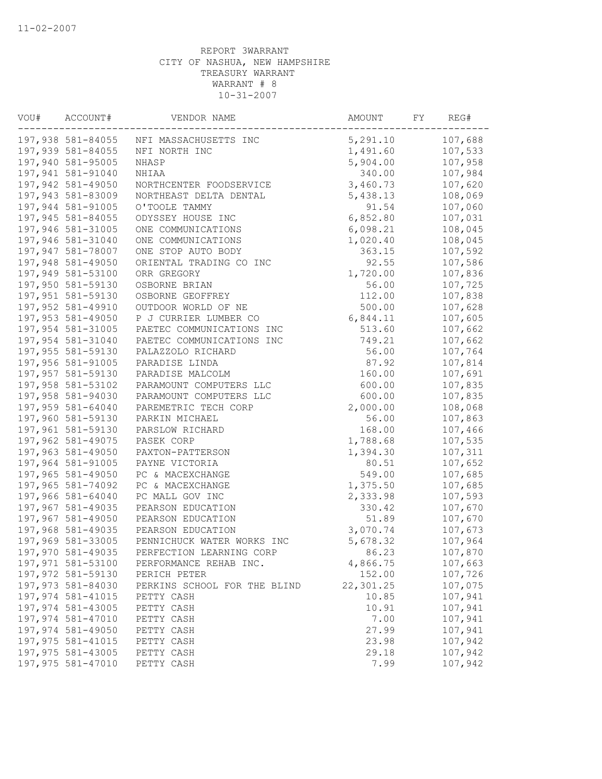| VOU# | ACCOUNT#          | VENDOR NAME                  | AMOUNT    | FY | REG#    |
|------|-------------------|------------------------------|-----------|----|---------|
|      | 197,938 581-84055 | NFI MASSACHUSETTS INC        | 5,291.10  |    | 107,688 |
|      | 197,939 581-84055 | NFI NORTH INC                | 1,491.60  |    | 107,533 |
|      | 197,940 581-95005 | NHASP                        | 5,904.00  |    | 107,958 |
|      | 197,941 581-91040 | NHIAA                        | 340.00    |    | 107,984 |
|      | 197,942 581-49050 | NORTHCENTER FOODSERVICE      | 3,460.73  |    | 107,620 |
|      | 197,943 581-83009 | NORTHEAST DELTA DENTAL       | 5,438.13  |    | 108,069 |
|      | 197,944 581-91005 | O'TOOLE TAMMY                | 91.54     |    | 107,060 |
|      | 197,945 581-84055 | ODYSSEY HOUSE INC            | 6,852.80  |    | 107,031 |
|      | 197,946 581-31005 | ONE COMMUNICATIONS           | 6,098.21  |    | 108,045 |
|      | 197,946 581-31040 | ONE COMMUNICATIONS           | 1,020.40  |    | 108,045 |
|      | 197,947 581-78007 | ONE STOP AUTO BODY           | 363.15    |    | 107,592 |
|      | 197,948 581-49050 | ORIENTAL TRADING CO INC      | 92.55     |    | 107,586 |
|      | 197,949 581-53100 | ORR GREGORY                  | 1,720.00  |    | 107,836 |
|      | 197,950 581-59130 | OSBORNE BRIAN                | 56.00     |    | 107,725 |
|      | 197,951 581-59130 | OSBORNE GEOFFREY             | 112.00    |    | 107,838 |
|      | 197,952 581-49910 | OUTDOOR WORLD OF NE          | 500.00    |    | 107,628 |
|      | 197,953 581-49050 | P J CURRIER LUMBER CO        | 6,844.11  |    | 107,605 |
|      | 197,954 581-31005 | PAETEC COMMUNICATIONS INC    | 513.60    |    | 107,662 |
|      | 197,954 581-31040 | PAETEC COMMUNICATIONS INC    | 749.21    |    | 107,662 |
|      | 197,955 581-59130 | PALAZZOLO RICHARD            | 56.00     |    | 107,764 |
|      | 197,956 581-91005 | PARADISE LINDA               | 87.92     |    | 107,814 |
|      | 197,957 581-59130 | PARADISE MALCOLM             | 160.00    |    | 107,691 |
|      | 197,958 581-53102 | PARAMOUNT COMPUTERS LLC      | 600.00    |    | 107,835 |
|      | 197,958 581-94030 | PARAMOUNT COMPUTERS LLC      | 600.00    |    | 107,835 |
|      | 197,959 581-64040 | PAREMETRIC TECH CORP         | 2,000.00  |    | 108,068 |
|      | 197,960 581-59130 | PARKIN MICHAEL               | 56.00     |    | 107,863 |
|      | 197,961 581-59130 | PARSLOW RICHARD              | 168.00    |    | 107,466 |
|      | 197,962 581-49075 | PASEK CORP                   | 1,788.68  |    | 107,535 |
|      | 197,963 581-49050 | PAXTON-PATTERSON             | 1,394.30  |    | 107,311 |
|      | 197,964 581-91005 | PAYNE VICTORIA               | 80.51     |    | 107,652 |
|      | 197,965 581-49050 | PC & MACEXCHANGE             | 549.00    |    | 107,685 |
|      | 197,965 581-74092 | PC & MACEXCHANGE             | 1,375.50  |    | 107,685 |
|      | 197,966 581-64040 | PC MALL GOV INC              | 2,333.98  |    | 107,593 |
|      | 197,967 581-49035 | PEARSON EDUCATION            | 330.42    |    | 107,670 |
|      | 197,967 581-49050 | PEARSON EDUCATION            | 51.89     |    | 107,670 |
|      | 197,968 581-49035 | PEARSON EDUCATION            | 3,070.74  |    | 107,673 |
|      | 197,969 581-33005 | PENNICHUCK WATER WORKS INC   | 5,678.32  |    | 107,964 |
|      | 197,970 581-49035 | PERFECTION LEARNING CORP     | 86.23     |    | 107,870 |
|      | 197,971 581-53100 | PERFORMANCE REHAB INC.       | 4,866.75  |    | 107,663 |
|      | 197,972 581-59130 | PERICH PETER                 | 152.00    |    | 107,726 |
|      | 197,973 581-84030 | PERKINS SCHOOL FOR THE BLIND | 22,301.25 |    | 107,075 |
|      | 197,974 581-41015 | PETTY CASH                   | 10.85     |    | 107,941 |
|      | 197,974 581-43005 | PETTY CASH                   | 10.91     |    | 107,941 |
|      | 197,974 581-47010 | PETTY CASH                   | 7.00      |    | 107,941 |
|      | 197,974 581-49050 | PETTY CASH                   | 27.99     |    | 107,941 |
|      | 197,975 581-41015 | PETTY CASH                   | 23.98     |    | 107,942 |
|      | 197,975 581-43005 | PETTY CASH                   | 29.18     |    | 107,942 |
|      | 197,975 581-47010 | PETTY CASH                   | 7.99      |    | 107,942 |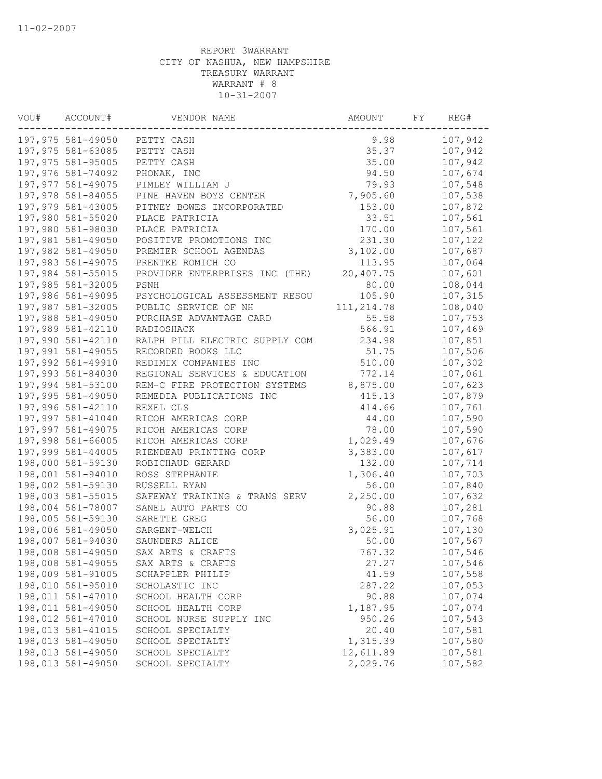| VOU# | ACCOUNT#          | VENDOR NAME                    | AMOUNT      | FY | REG#    |
|------|-------------------|--------------------------------|-------------|----|---------|
|      | 197,975 581-49050 | PETTY CASH                     | 9.98        |    | 107,942 |
|      | 197,975 581-63085 | PETTY CASH                     | 35.37       |    | 107,942 |
|      | 197,975 581-95005 | PETTY CASH                     | 35.00       |    | 107,942 |
|      | 197,976 581-74092 | PHONAK, INC                    | 94.50       |    | 107,674 |
|      | 197,977 581-49075 | PIMLEY WILLIAM J               | 79.93       |    | 107,548 |
|      | 197,978 581-84055 | PINE HAVEN BOYS CENTER         | 7,905.60    |    | 107,538 |
|      | 197,979 581-43005 | PITNEY BOWES INCORPORATED      | 153.00      |    | 107,872 |
|      | 197,980 581-55020 | PLACE PATRICIA                 | 33.51       |    | 107,561 |
|      | 197,980 581-98030 | PLACE PATRICIA                 | 170.00      |    | 107,561 |
|      | 197,981 581-49050 | POSITIVE PROMOTIONS INC        | 231.30      |    | 107,122 |
|      | 197,982 581-49050 | PREMIER SCHOOL AGENDAS         | 3,102.00    |    | 107,687 |
|      | 197,983 581-49075 | PRENTKE ROMICH CO              | 113.95      |    | 107,064 |
|      | 197,984 581-55015 | PROVIDER ENTERPRISES INC (THE) | 20,407.75   |    | 107,601 |
|      | 197,985 581-32005 | PSNH                           | 80.00       |    | 108,044 |
|      | 197,986 581-49095 | PSYCHOLOGICAL ASSESSMENT RESOU | 105.90      |    | 107,315 |
|      | 197,987 581-32005 | PUBLIC SERVICE OF NH           | 111, 214.78 |    | 108,040 |
|      | 197,988 581-49050 | PURCHASE ADVANTAGE CARD        | 55.58       |    | 107,753 |
|      | 197,989 581-42110 | RADIOSHACK                     | 566.91      |    | 107,469 |
|      | 197,990 581-42110 | RALPH PILL ELECTRIC SUPPLY COM | 234.98      |    | 107,851 |
|      | 197,991 581-49055 | RECORDED BOOKS LLC             | 51.75       |    | 107,506 |
|      | 197,992 581-49910 | REDIMIX COMPANIES INC          | 510.00      |    | 107,302 |
|      | 197,993 581-84030 | REGIONAL SERVICES & EDUCATION  | 772.14      |    | 107,061 |
|      | 197,994 581-53100 | REM-C FIRE PROTECTION SYSTEMS  | 8,875.00    |    | 107,623 |
|      | 197,995 581-49050 | REMEDIA PUBLICATIONS INC       | 415.13      |    | 107,879 |
|      | 197,996 581-42110 | REXEL CLS                      | 414.66      |    | 107,761 |
|      | 197,997 581-41040 | RICOH AMERICAS CORP            | 44.00       |    | 107,590 |
|      | 197,997 581-49075 | RICOH AMERICAS CORP            | 78.00       |    | 107,590 |
|      | 197,998 581-66005 | RICOH AMERICAS CORP            | 1,029.49    |    | 107,676 |
|      | 197,999 581-44005 | RIENDEAU PRINTING CORP         | 3,383.00    |    | 107,617 |
|      | 198,000 581-59130 | ROBICHAUD GERARD               | 132.00      |    | 107,714 |
|      | 198,001 581-94010 | ROSS STEPHANIE                 | 1,306.40    |    | 107,703 |
|      | 198,002 581-59130 | RUSSELL RYAN                   | 56.00       |    | 107,840 |
|      | 198,003 581-55015 | SAFEWAY TRAINING & TRANS SERV  | 2,250.00    |    | 107,632 |
|      | 198,004 581-78007 | SANEL AUTO PARTS CO            | 90.88       |    | 107,281 |
|      | 198,005 581-59130 | SARETTE GREG                   | 56.00       |    | 107,768 |
|      | 198,006 581-49050 | SARGENT-WELCH                  | 3,025.91    |    | 107,130 |
|      | 198,007 581-94030 | SAUNDERS ALICE                 | 50.00       |    | 107,567 |
|      | 198,008 581-49050 | SAX ARTS & CRAFTS              | 767.32      |    | 107,546 |
|      | 198,008 581-49055 | SAX ARTS & CRAFTS              | 27.27       |    | 107,546 |
|      | 198,009 581-91005 | SCHAPPLER PHILIP               | 41.59       |    | 107,558 |
|      | 198,010 581-95010 | SCHOLASTIC INC                 | 287.22      |    | 107,053 |
|      | 198,011 581-47010 | SCHOOL HEALTH CORP             | 90.88       |    | 107,074 |
|      | 198,011 581-49050 | SCHOOL HEALTH CORP             | 1,187.95    |    | 107,074 |
|      | 198,012 581-47010 | SCHOOL NURSE SUPPLY INC        | 950.26      |    | 107,543 |
|      | 198,013 581-41015 | SCHOOL SPECIALTY               | 20.40       |    | 107,581 |
|      | 198,013 581-49050 | SCHOOL SPECIALTY               | 1,315.39    |    | 107,580 |
|      | 198,013 581-49050 | SCHOOL SPECIALTY               | 12,611.89   |    | 107,581 |
|      | 198,013 581-49050 | SCHOOL SPECIALTY               | 2,029.76    |    | 107,582 |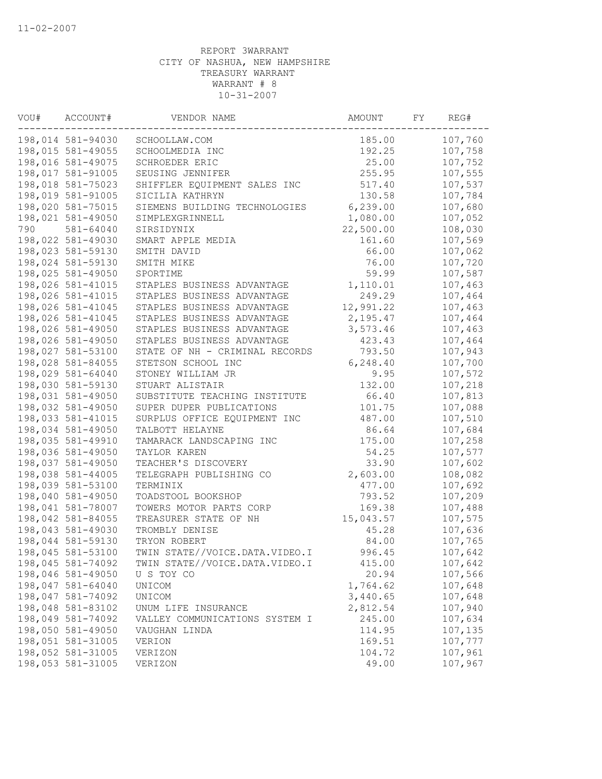| VOU# | ACCOUNT#          | VENDOR NAME                    | AMOUNT    | FY | REG#    |
|------|-------------------|--------------------------------|-----------|----|---------|
|      | 198,014 581-94030 | SCHOOLLAW.COM                  | 185.00    |    | 107,760 |
|      | 198,015 581-49055 | SCHOOLMEDIA INC                | 192.25    |    | 107,758 |
|      | 198,016 581-49075 | SCHROEDER ERIC                 | 25.00     |    | 107,752 |
|      | 198,017 581-91005 | SEUSING JENNIFER               | 255.95    |    | 107,555 |
|      | 198,018 581-75023 | SHIFFLER EQUIPMENT SALES INC   | 517.40    |    | 107,537 |
|      | 198,019 581-91005 | SICILIA KATHRYN                | 130.58    |    | 107,784 |
|      | 198,020 581-75015 | SIEMENS BUILDING TECHNOLOGIES  | 6,239.00  |    | 107,680 |
|      | 198,021 581-49050 | SIMPLEXGRINNELL                | 1,080.00  |    | 107,052 |
| 790  | 581-64040         | SIRSIDYNIX                     | 22,500.00 |    | 108,030 |
|      | 198,022 581-49030 | SMART APPLE MEDIA              | 161.60    |    | 107,569 |
|      | 198,023 581-59130 | SMITH DAVID                    | 66.00     |    | 107,062 |
|      | 198,024 581-59130 | SMITH MIKE                     | 76.00     |    | 107,720 |
|      | 198,025 581-49050 | SPORTIME                       | 59.99     |    | 107,587 |
|      | 198,026 581-41015 | STAPLES BUSINESS ADVANTAGE     | 1,110.01  |    | 107,463 |
|      | 198,026 581-41015 | STAPLES BUSINESS ADVANTAGE     | 249.29    |    | 107,464 |
|      | 198,026 581-41045 | STAPLES BUSINESS ADVANTAGE     | 12,991.22 |    | 107,463 |
|      | 198,026 581-41045 | STAPLES BUSINESS ADVANTAGE     | 2,195.47  |    | 107,464 |
|      | 198,026 581-49050 | STAPLES BUSINESS ADVANTAGE     | 3,573.46  |    | 107,463 |
|      | 198,026 581-49050 | STAPLES BUSINESS ADVANTAGE     | 423.43    |    | 107,464 |
|      | 198,027 581-53100 | STATE OF NH - CRIMINAL RECORDS | 793.50    |    | 107,943 |
|      | 198,028 581-84055 | STETSON SCHOOL INC             | 6,248.40  |    | 107,700 |
|      | 198,029 581-64040 | STONEY WILLIAM JR              | 9.95      |    | 107,572 |
|      | 198,030 581-59130 | STUART ALISTAIR                | 132.00    |    | 107,218 |
|      | 198,031 581-49050 | SUBSTITUTE TEACHING INSTITUTE  | 66.40     |    | 107,813 |
|      | 198,032 581-49050 | SUPER DUPER PUBLICATIONS       | 101.75    |    | 107,088 |
|      | 198,033 581-41015 | SURPLUS OFFICE EQUIPMENT INC   | 487.00    |    | 107,510 |
|      | 198,034 581-49050 | TALBOTT HELAYNE                | 86.64     |    | 107,684 |
|      | 198,035 581-49910 | TAMARACK LANDSCAPING INC       | 175.00    |    | 107,258 |
|      | 198,036 581-49050 | TAYLOR KAREN                   | 54.25     |    | 107,577 |
|      | 198,037 581-49050 | TEACHER'S DISCOVERY            | 33.90     |    | 107,602 |
|      | 198,038 581-44005 | TELEGRAPH PUBLISHING CO        | 2,603.00  |    | 108,082 |
|      | 198,039 581-53100 | TERMINIX                       | 477.00    |    | 107,692 |
|      | 198,040 581-49050 | TOADSTOOL BOOKSHOP             | 793.52    |    | 107,209 |
|      | 198,041 581-78007 | TOWERS MOTOR PARTS CORP        | 169.38    |    | 107,488 |
|      | 198,042 581-84055 | TREASURER STATE OF NH          | 15,043.57 |    | 107,575 |
|      | 198,043 581-49030 | TROMBLY DENISE                 | 45.28     |    | 107,636 |
|      | 198,044 581-59130 | TRYON ROBERT                   | 84.00     |    | 107,765 |
|      | 198,045 581-53100 | TWIN STATE//VOICE.DATA.VIDEO.I | 996.45    |    | 107,642 |
|      | 198,045 581-74092 | TWIN STATE//VOICE.DATA.VIDEO.I | 415.00    |    | 107,642 |
|      | 198,046 581-49050 | U S TOY CO                     | 20.94     |    | 107,566 |
|      | 198,047 581-64040 | UNICOM                         | 1,764.62  |    | 107,648 |
|      | 198,047 581-74092 | UNICOM                         | 3,440.65  |    | 107,648 |
|      | 198,048 581-83102 | UNUM LIFE INSURANCE            | 2,812.54  |    | 107,940 |
|      | 198,049 581-74092 | VALLEY COMMUNICATIONS SYSTEM I | 245.00    |    | 107,634 |
|      | 198,050 581-49050 | VAUGHAN LINDA                  | 114.95    |    | 107,135 |
|      | 198,051 581-31005 | VERION                         | 169.51    |    | 107,777 |
|      | 198,052 581-31005 | VERIZON                        | 104.72    |    | 107,961 |
|      | 198,053 581-31005 | VERIZON                        | 49.00     |    | 107,967 |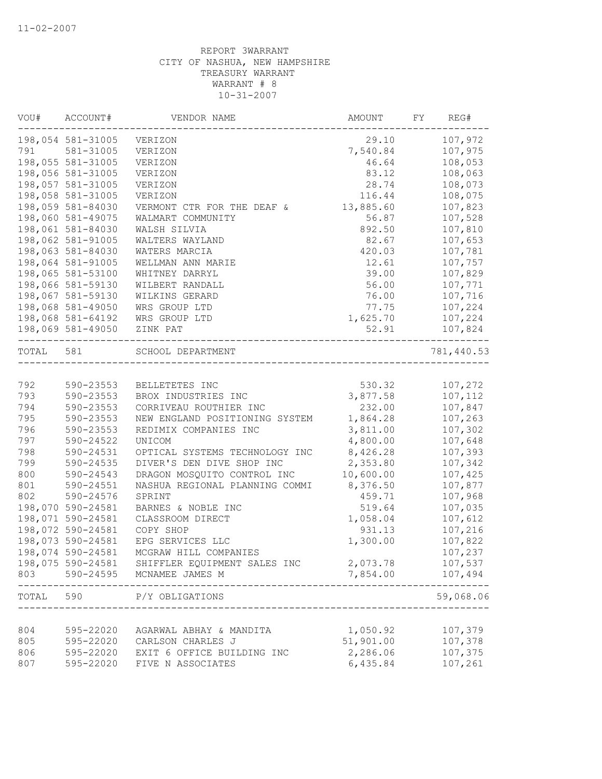| VOU#      | ACCOUNT#          | VENDOR NAME                                   | AMOUNT    | FY | REG#             |
|-----------|-------------------|-----------------------------------------------|-----------|----|------------------|
|           | 198,054 581-31005 | VERIZON                                       | 29.10     |    | 107,972          |
| 791       | 581-31005         | VERIZON                                       | 7,540.84  |    | 107,975          |
|           | 198,055 581-31005 | VERIZON                                       | 46.64     |    | 108,053          |
|           | 198,056 581-31005 | VERIZON                                       | 83.12     |    | 108,063          |
|           | 198,057 581-31005 | VERIZON                                       | 28.74     |    | 108,073          |
|           | 198,058 581-31005 | VERIZON                                       | 116.44    |    | 108,075          |
|           | 198,059 581-84030 | VERMONT CTR FOR THE DEAF &                    | 13,885.60 |    | 107,823          |
|           | 198,060 581-49075 | WALMART COMMUNITY                             | 56.87     |    | 107,528          |
|           | 198,061 581-84030 | WALSH SILVIA                                  | 892.50    |    | 107,810          |
|           | 198,062 581-91005 | WALTERS WAYLAND                               | 82.67     |    | 107,653          |
|           | 198,063 581-84030 | WATERS MARCIA                                 | 420.03    |    | 107,781          |
|           | 198,064 581-91005 | WELLMAN ANN MARIE                             | 12.61     |    | 107,757          |
|           | 198,065 581-53100 | WHITNEY DARRYL                                | 39.00     |    | 107,829          |
|           | 198,066 581-59130 | WILBERT RANDALL                               | 56.00     |    | 107,771          |
|           | 198,067 581-59130 | WILKINS GERARD                                | 76.00     |    | 107,716          |
|           | 198,068 581-49050 | WRS GROUP LTD                                 | 77.75     |    | 107,224          |
|           | 198,068 581-64192 | WRS GROUP LTD                                 | 1,625.70  |    | 107,224          |
|           | 198,069 581-49050 | ZINK PAT<br>--------------------------------- | 52.91     |    | 107,824          |
| TOTAL 581 |                   | SCHOOL DEPARTMENT                             |           |    | 781,440.53       |
|           |                   |                                               |           |    |                  |
| 792       | 590-23553         | BELLETETES INC                                | 530.32    |    | 107,272          |
| 793       | 590-23553         | BROX INDUSTRIES INC                           | 3,877.58  |    | 107,112          |
| 794       | 590-23553         | CORRIVEAU ROUTHIER INC                        | 232.00    |    | 107,847          |
| 795       | 590-23553         | NEW ENGLAND POSITIONING SYSTEM                | 1,864.28  |    | 107,263          |
| 796       | 590-23553         | REDIMIX COMPANIES INC                         | 3,811.00  |    | 107,302          |
| 797       | 590-24522         | UNICOM                                        | 4,800.00  |    | 107,648          |
| 798       | 590-24531         | OPTICAL SYSTEMS TECHNOLOGY INC                | 8,426.28  |    | 107,393          |
| 799       | 590-24535         | DIVER'S DEN DIVE SHOP INC                     | 2,353.80  |    | 107,342          |
| 800       | 590-24543         | DRAGON MOSQUITO CONTROL INC                   | 10,600.00 |    | 107,425          |
| 801       | 590-24551         | NASHUA REGIONAL PLANNING COMMI                | 8,376.50  |    | 107,877          |
| 802       | 590-24576         | SPRINT                                        | 459.71    |    | 107,968          |
|           | 198,070 590-24581 | BARNES & NOBLE INC                            | 519.64    |    | 107,035          |
|           | 198,071 590-24581 | CLASSROOM DIRECT                              | 1,058.04  |    | 107,612          |
|           | 198,072 590-24581 | COPY SHOP                                     | 931.13    |    | 107,216          |
|           | 198,073 590-24581 | EPG SERVICES LLC                              | 1,300.00  |    | 107,822          |
|           | 198,074 590-24581 | MCGRAW HILL COMPANIES                         |           |    | 107,237          |
|           | 198,075 590-24581 | SHIFFLER EQUIPMENT SALES INC                  | 2,073.78  |    | 107,537          |
| 803       | 590-24595         | MCNAMEE JAMES M                               | 7,854.00  |    | 107,494<br>----- |
| TOTAL     | 590               | P/Y OBLIGATIONS<br>______________________     |           |    | 59,068.06        |
| 804       | 595-22020         | AGARWAL ABHAY & MANDITA                       | 1,050.92  |    | 107,379          |
| 805       | 595-22020         | CARLSON CHARLES J                             | 51,901.00 |    | 107,378          |
| 806       | 595-22020         | EXIT 6 OFFICE BUILDING INC                    | 2,286.06  |    | 107,375          |
| 807       |                   | FIVE N ASSOCIATES                             | 6,435.84  |    |                  |
|           | 595-22020         |                                               |           |    | 107,261          |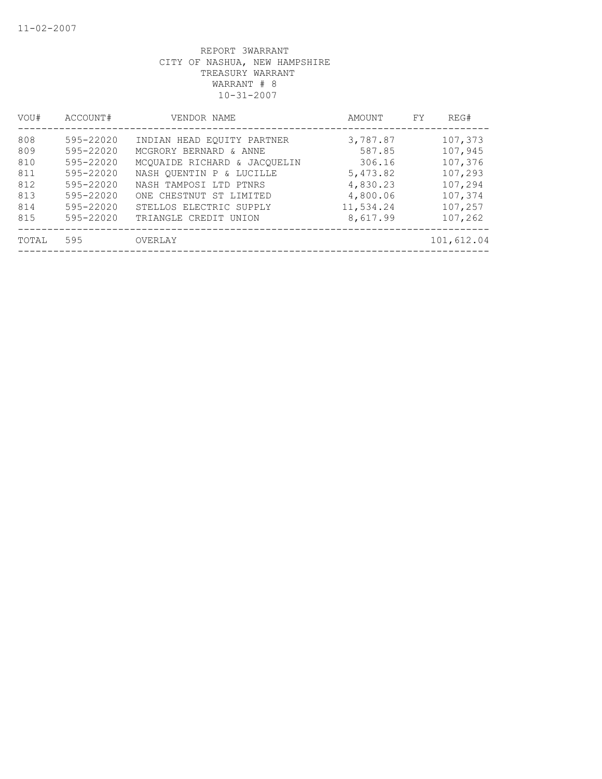| VOU#  | ACCOUNT#  | VENDOR NAME                  | AMOUNT    | REG#<br>FY |
|-------|-----------|------------------------------|-----------|------------|
| 808   | 595-22020 | INDIAN HEAD EOUITY PARTNER   | 3,787.87  | 107,373    |
| 809   | 595-22020 | MCGRORY BERNARD & ANNE       | 587.85    | 107,945    |
| 810   | 595-22020 | MCQUAIDE RICHARD & JACQUELIN | 306.16    | 107,376    |
| 811   | 595-22020 | NASH OUENTIN P & LUCILLE     | 5,473.82  | 107,293    |
| 812   | 595-22020 | NASH TAMPOSI LTD PTNRS       | 4,830.23  | 107,294    |
| 813   | 595-22020 | ONE CHESTNUT ST LIMITED      | 4,800.06  | 107,374    |
| 814   | 595-22020 | STELLOS ELECTRIC SUPPLY      | 11,534.24 | 107,257    |
| 815   | 595-22020 | TRIANGLE CREDIT UNION        | 8,617.99  | 107,262    |
| TOTAL | 595       | OVERLAY                      |           | 101,612.04 |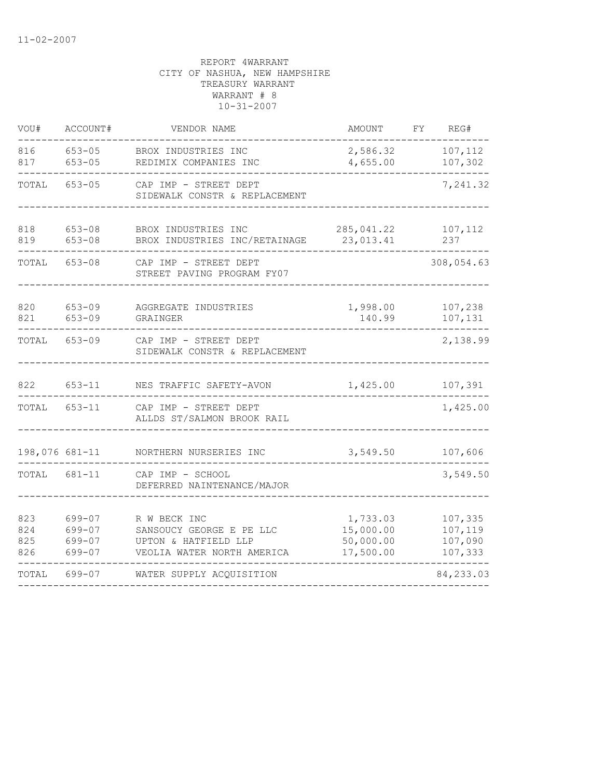| VOU#                     | ACCOUNT#                             | VENDOR NAME                                                                                    | <b>AMOUNT</b>                                   | FΥ | REG#                                     |
|--------------------------|--------------------------------------|------------------------------------------------------------------------------------------------|-------------------------------------------------|----|------------------------------------------|
| 816<br>817               | $653 - 05$<br>$653 - 05$             | BROX INDUSTRIES INC<br>REDIMIX COMPANIES INC                                                   | 2,586.32<br>4,655.00                            |    | 107,112<br>107,302                       |
| TOTAL                    | $653 - 05$                           | CAP IMP - STREET DEPT<br>SIDEWALK CONSTR & REPLACEMENT                                         |                                                 |    | 7,241.32                                 |
| 818<br>819               | $653 - 08$<br>$653 - 08$             | BROX INDUSTRIES INC<br>BROX INDUSTRIES INC/RETAINAGE                                           | 285,041.22<br>23,013.41                         |    | 107,112<br>237                           |
| TOTAL                    | $653 - 08$                           | CAP IMP - STREET DEPT<br>STREET PAVING PROGRAM FY07                                            |                                                 |    | 308,054.63                               |
| 820<br>821               | $653 - 09$<br>$653 - 09$             | AGGREGATE INDUSTRIES<br>GRAINGER                                                               | 1,998.00<br>140.99                              |    | 107,238<br>107,131                       |
| TOTAL                    | $653 - 09$                           | CAP IMP - STREET DEPT<br>SIDEWALK CONSTR & REPLACEMENT                                         |                                                 |    | 2,138.99                                 |
| 822                      | $653 - 11$                           | NES TRAFFIC SAFETY-AVON                                                                        | 1,425.00                                        |    | 107,391                                  |
| TOTAL                    | $653 - 11$                           | CAP IMP - STREET DEPT<br>ALLDS ST/SALMON BROOK RAIL                                            |                                                 |    | 1,425.00                                 |
| 198,076 681-11           |                                      | NORTHERN NURSERIES INC                                                                         | 3,549.50                                        |    | 107,606                                  |
| TOTAL                    | 681-11                               | CAP IMP - SCHOOL<br>DEFERRED NAINTENANCE/MAJOR                                                 |                                                 |    | 3,549.50                                 |
| 823<br>824<br>825<br>826 | 699-07<br>699-07<br>699-07<br>699-07 | R W BECK INC<br>SANSOUCY GEORGE E PE LLC<br>UPTON & HATFIELD LLP<br>VEOLIA WATER NORTH AMERICA | 1,733.03<br>15,000.00<br>50,000.00<br>17,500.00 |    | 107,335<br>107,119<br>107,090<br>107,333 |
| TOTAL                    | 699-07                               | WATER SUPPLY ACQUISITION                                                                       |                                                 |    | 84,233.03                                |
|                          |                                      |                                                                                                |                                                 |    |                                          |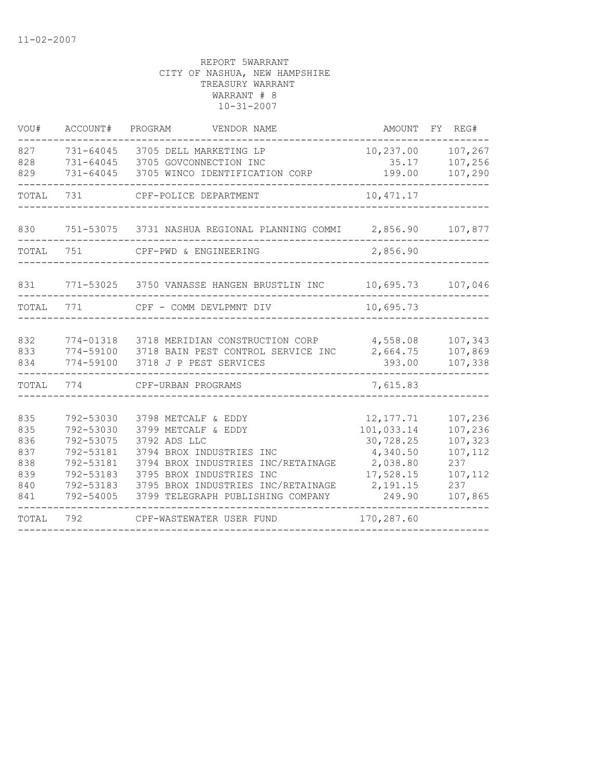| VOU#                                                 | ACCOUNT#                                                                                             | PROGRAM<br>VENDOR NAME                                                                                                                                                                                                              | AMOUNT                                                                                           | FΥ<br>REG#                                                                   |
|------------------------------------------------------|------------------------------------------------------------------------------------------------------|-------------------------------------------------------------------------------------------------------------------------------------------------------------------------------------------------------------------------------------|--------------------------------------------------------------------------------------------------|------------------------------------------------------------------------------|
| 827<br>828<br>829                                    | 731-64045<br>$731 - 64045$<br>731-64045                                                              | 3705 DELL MARKETING LP<br>3705 GOVCONNECTION INC<br>3705 WINCO IDENTIFICATION CORP                                                                                                                                                  | 10,237.00<br>35.17<br>199.00                                                                     | 107,267<br>107,256<br>107,290                                                |
| TOTAL                                                | 731                                                                                                  | CPF-POLICE DEPARTMENT                                                                                                                                                                                                               | 10, 471.17                                                                                       |                                                                              |
| 830                                                  | 751-53075                                                                                            | 3731 NASHUA REGIONAL PLANNING COMMI                                                                                                                                                                                                 | 2,856.90                                                                                         | 107,877                                                                      |
| TOTAL                                                | 751                                                                                                  | CPF-PWD & ENGINEERING                                                                                                                                                                                                               | 2,856.90                                                                                         |                                                                              |
| 831                                                  | 771-53025                                                                                            | 3750 VANASSE HANGEN BRUSTLIN INC                                                                                                                                                                                                    | 10,695.73                                                                                        | 107,046                                                                      |
| TOTAL                                                | 771                                                                                                  | CPF - COMM DEVLPMNT DIV                                                                                                                                                                                                             | 10,695.73                                                                                        |                                                                              |
| 832<br>833<br>834                                    | 774-01318<br>774-59100<br>774-59100                                                                  | 3718 MERIDIAN CONSTRUCTION CORP<br>3718 BAIN PEST CONTROL SERVICE INC<br>3718 J P PEST SERVICES                                                                                                                                     | 4,558.08<br>2,664.75<br>393.00                                                                   | 107,343<br>107,869<br>107,338                                                |
| TOTAL                                                | 774                                                                                                  | CPF-URBAN PROGRAMS                                                                                                                                                                                                                  | 7,615.83                                                                                         |                                                                              |
| 835<br>835<br>836<br>837<br>838<br>839<br>840<br>841 | 792-53030<br>792-53030<br>792-53075<br>792-53181<br>792-53181<br>792-53183<br>792-53183<br>792-54005 | 3798 METCALF & EDDY<br>3799 METCALF & EDDY<br>3792 ADS LLC<br>3794 BROX INDUSTRIES INC<br>3794 BROX INDUSTRIES INC/RETAINAGE<br>3795 BROX INDUSTRIES INC<br>3795 BROX INDUSTRIES INC/RETAINAGE<br>3799 TELEGRAPH PUBLISHING COMPANY | 12, 177.71<br>101,033.14<br>30,728.25<br>4,340.50<br>2,038.80<br>17,528.15<br>2,191.15<br>249.90 | 107,236<br>107,236<br>107,323<br>107,112<br>237<br>107,112<br>237<br>107,865 |
| TOTAL                                                | 792                                                                                                  | CPF-WASTEWATER USER FUND                                                                                                                                                                                                            | 170,287.60                                                                                       |                                                                              |
|                                                      |                                                                                                      |                                                                                                                                                                                                                                     |                                                                                                  |                                                                              |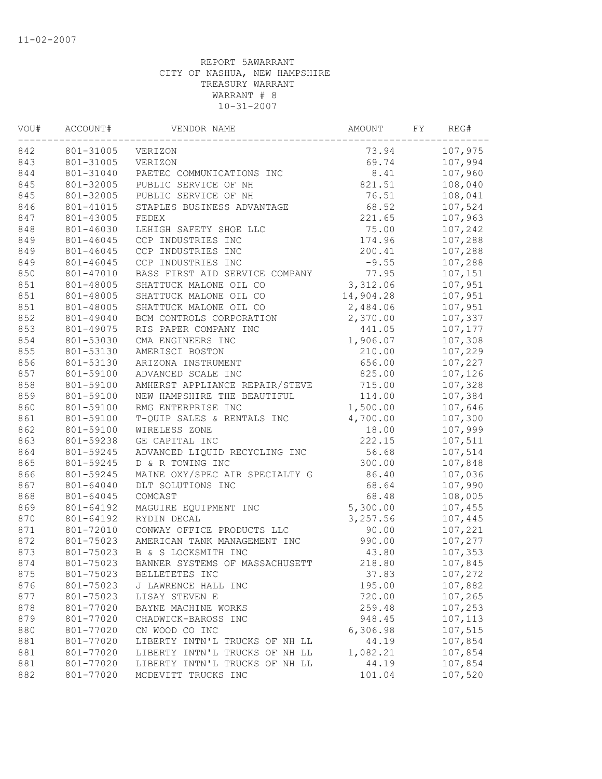| WOU# | ACCOUNT#  | VENDOR NAME                    | AMOUNT    | FY | REG#    |
|------|-----------|--------------------------------|-----------|----|---------|
| 842  | 801-31005 | VERIZON                        | 73.94     |    | 107,975 |
| 843  | 801-31005 | VERIZON                        | 69.74     |    | 107,994 |
| 844  | 801-31040 | PAETEC COMMUNICATIONS INC      | 8.41      |    | 107,960 |
| 845  | 801-32005 | PUBLIC SERVICE OF NH           | 821.51    |    | 108,040 |
| 845  | 801-32005 | PUBLIC SERVICE OF NH           | 76.51     |    | 108,041 |
| 846  | 801-41015 | STAPLES BUSINESS ADVANTAGE     | 68.52     |    | 107,524 |
| 847  | 801-43005 | FEDEX                          | 221.65    |    | 107,963 |
| 848  | 801-46030 | LEHIGH SAFETY SHOE LLC         | 75.00     |    | 107,242 |
| 849  | 801-46045 | CCP INDUSTRIES INC             | 174.96    |    | 107,288 |
| 849  | 801-46045 | CCP INDUSTRIES INC             | 200.41    |    | 107,288 |
| 849  | 801-46045 | CCP INDUSTRIES INC             | $-9.55$   |    | 107,288 |
| 850  | 801-47010 | BASS FIRST AID SERVICE COMPANY | 77.95     |    | 107,151 |
| 851  | 801-48005 | SHATTUCK MALONE OIL CO         | 3,312.06  |    | 107,951 |
| 851  | 801-48005 | SHATTUCK MALONE OIL CO         | 14,904.28 |    | 107,951 |
| 851  | 801-48005 | SHATTUCK MALONE OIL CO         | 2,484.06  |    | 107,951 |
| 852  | 801-49040 | BCM CONTROLS CORPORATION       | 2,370.00  |    | 107,337 |
| 853  | 801-49075 | RIS PAPER COMPANY INC          | 441.05    |    | 107,177 |
| 854  | 801-53030 | CMA ENGINEERS INC              | 1,906.07  |    | 107,308 |
| 855  | 801-53130 | AMERISCI BOSTON                | 210.00    |    | 107,229 |
| 856  | 801-53130 | ARIZONA INSTRUMENT             | 656.00    |    | 107,227 |
| 857  | 801-59100 | ADVANCED SCALE INC             | 825.00    |    | 107,126 |
| 858  | 801-59100 | AMHERST APPLIANCE REPAIR/STEVE | 715.00    |    | 107,328 |
| 859  | 801-59100 | NEW HAMPSHIRE THE BEAUTIFUL    | 114.00    |    | 107,384 |
| 860  | 801-59100 | RMG ENTERPRISE INC             | 1,500.00  |    | 107,646 |
| 861  | 801-59100 | T-QUIP SALES & RENTALS INC     | 4,700.00  |    | 107,300 |
| 862  | 801-59100 | WIRELESS ZONE                  | 18.00     |    | 107,999 |
| 863  | 801-59238 | GE CAPITAL INC                 | 222.15    |    | 107,511 |
| 864  | 801-59245 | ADVANCED LIQUID RECYCLING INC  | 56.68     |    | 107,514 |
| 865  | 801-59245 | D & R TOWING INC               | 300.00    |    | 107,848 |
| 866  | 801-59245 | MAINE OXY/SPEC AIR SPECIALTY G | 86.40     |    | 107,036 |
| 867  | 801-64040 | DLT SOLUTIONS INC              | 68.64     |    | 107,990 |
| 868  | 801-64045 | COMCAST                        | 68.48     |    | 108,005 |
| 869  | 801-64192 | MAGUIRE EQUIPMENT INC          | 5,300.00  |    | 107,455 |
| 870  | 801-64192 | RYDIN DECAL                    | 3,257.56  |    | 107,445 |
| 871  | 801-72010 | CONWAY OFFICE PRODUCTS LLC     | 90.00     |    | 107,221 |
| 872  | 801-75023 | AMERICAN TANK MANAGEMENT INC   | 990.00    |    | 107,277 |
| 873  | 801-75023 | B & S LOCKSMITH INC            | 43.80     |    | 107,353 |
| 874  | 801-75023 | BANNER SYSTEMS OF MASSACHUSETT | 218.80    |    | 107,845 |
| 875  | 801-75023 | BELLETETES INC                 | 37.83     |    | 107,272 |
| 876  | 801-75023 | J LAWRENCE HALL INC            | 195.00    |    | 107,882 |
| 877  | 801-75023 | LISAY STEVEN E                 | 720.00    |    | 107,265 |
| 878  | 801-77020 | BAYNE MACHINE WORKS            | 259.48    |    | 107,253 |
| 879  | 801-77020 | CHADWICK-BAROSS INC            | 948.45    |    | 107,113 |
| 880  | 801-77020 | CN WOOD CO INC                 | 6,306.98  |    | 107,515 |
| 881  | 801-77020 | LIBERTY INTN'L TRUCKS OF NH LL | 44.19     |    | 107,854 |
| 881  | 801-77020 | LIBERTY INTN'L TRUCKS OF NH LL | 1,082.21  |    | 107,854 |
| 881  | 801-77020 | LIBERTY INTN'L TRUCKS OF NH LL | 44.19     |    | 107,854 |
| 882  | 801-77020 | MCDEVITT TRUCKS INC            | 101.04    |    | 107,520 |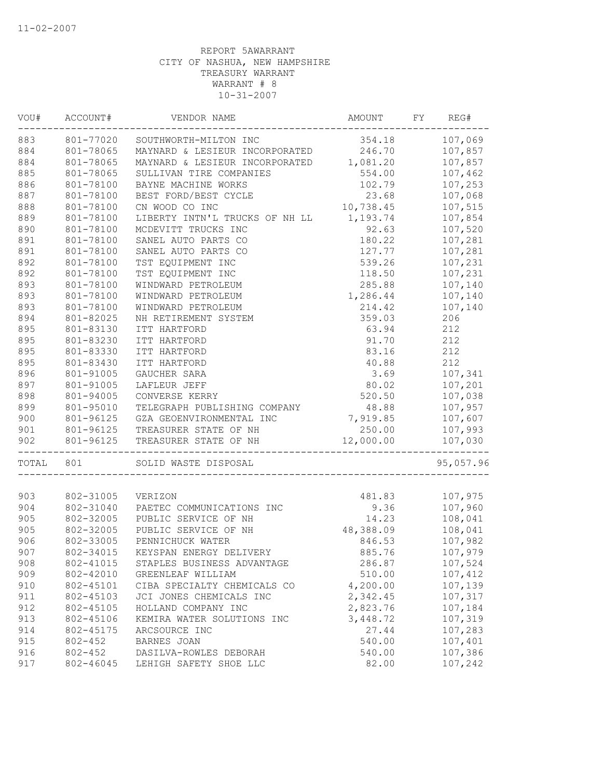| VOU#  | ACCOUNT#    | VENDOR NAME                             | AMOUNT    | FY | REG#      |
|-------|-------------|-----------------------------------------|-----------|----|-----------|
| 883   | 801-77020   | SOUTHWORTH-MILTON INC                   | 354.18    |    | 107,069   |
| 884   | 801-78065   | MAYNARD & LESIEUR INCORPORATED          | 246.70    |    | 107,857   |
| 884   | 801-78065   | MAYNARD & LESIEUR INCORPORATED 1,081.20 |           |    | 107,857   |
| 885   | 801-78065   | SULLIVAN TIRE COMPANIES                 | 554.00    |    | 107,462   |
| 886   | 801-78100   | BAYNE MACHINE WORKS                     | 102.79    |    | 107,253   |
| 887   | 801-78100   | BEST FORD/BEST CYCLE                    | 23.68     |    | 107,068   |
| 888   | 801-78100   | CN WOOD CO INC                          | 10,738.45 |    | 107,515   |
| 889   | 801-78100   | LIBERTY INTN'L TRUCKS OF NH LL          | 1,193.74  |    | 107,854   |
| 890   | 801-78100   | MCDEVITT TRUCKS INC                     | 92.63     |    | 107,520   |
| 891   | 801-78100   | SANEL AUTO PARTS CO                     | 180.22    |    | 107,281   |
| 891   | 801-78100   | SANEL AUTO PARTS CO                     | 127.77    |    | 107,281   |
| 892   | 801-78100   | TST EQUIPMENT INC                       | 539.26    |    | 107,231   |
| 892   | 801-78100   | TST EQUIPMENT INC                       | 118.50    |    | 107,231   |
| 893   | 801-78100   | WINDWARD PETROLEUM                      | 285.88    |    | 107,140   |
| 893   | 801-78100   | WINDWARD PETROLEUM                      | 1,286.44  |    | 107,140   |
| 893   | 801-78100   | WINDWARD PETROLEUM                      | 214.42    |    | 107,140   |
| 894   | 801-82025   | NH RETIREMENT SYSTEM                    | 359.03    |    | 206       |
| 895   | 801-83130   | ITT HARTFORD                            | 63.94     |    | 212       |
| 895   | 801-83230   | ITT HARTFORD                            | 91.70     |    | 212       |
| 895   | 801-83330   | ITT HARTFORD                            | 83.16     |    | 212       |
| 895   | 801-83430   | ITT HARTFORD                            | 40.88     |    | 212       |
| 896   | 801-91005   | GAUCHER SARA                            | 3.69      |    | 107,341   |
| 897   | 801-91005   | LAFLEUR JEFF                            | 80.02     |    | 107,201   |
| 898   | 801-94005   | CONVERSE KERRY                          | 520.50    |    | 107,038   |
| 899   | 801-95010   | TELEGRAPH PUBLISHING COMPANY            | 48.88     |    | 107,957   |
| 900   | 801-96125   | GZA GEOENVIRONMENTAL INC                | 7,919.85  |    | 107,607   |
| 901   |             | 801-96125 TREASURER STATE OF NH         | 250.00    |    | 107,993   |
| 902   | 801-96125   | TREASURER STATE OF NH                   | 12,000.00 |    | 107,030   |
| TOTAL | 801         | SOLID WASTE DISPOSAL                    |           |    | 95,057.96 |
|       |             |                                         |           |    |           |
| 903   | 802-31005   | VERIZON                                 | 481.83    |    | 107,975   |
| 904   | 802-31040   | PAETEC COMMUNICATIONS INC               | 9.36      |    | 107,960   |
| 905   | 802-32005   | PUBLIC SERVICE OF NH                    | 14.23     |    | 108,041   |
| 905   | 802-32005   | PUBLIC SERVICE OF NH                    | 48,388.09 |    | 108,041   |
| 906   | 802-33005   | PENNICHUCK WATER                        | 846.53    |    | 107,982   |
| 907   | 802-34015   | KEYSPAN ENERGY DELIVERY                 | 885.76    |    | 107,979   |
| 908   | 802-41015   | STAPLES BUSINESS ADVANTAGE              | 286.87    |    | 107,524   |
| 909   | 802-42010   | GREENLEAF WILLIAM                       | 510.00    |    | 107,412   |
| 910   | 802-45101   | CIBA SPECIALTY CHEMICALS CO             | 4,200.00  |    | 107,139   |
| 911   | 802-45103   | JCI JONES CHEMICALS INC                 | 2,342.45  |    | 107,317   |
| 912   | 802-45105   | HOLLAND COMPANY INC                     | 2,823.76  |    | 107,184   |
| 913   | 802-45106   | KEMIRA WATER SOLUTIONS INC              | 3,448.72  |    | 107,319   |
| 914   | 802-45175   | ARCSOURCE INC                           | 27.44     |    | 107,283   |
| 915   | $802 - 452$ | BARNES JOAN                             | 540.00    |    | 107,401   |
| 916   | $802 - 452$ | DASILVA-ROWLES DEBORAH                  | 540.00    |    | 107,386   |
| 917   | 802-46045   | LEHIGH SAFETY SHOE LLC                  | 82.00     |    | 107,242   |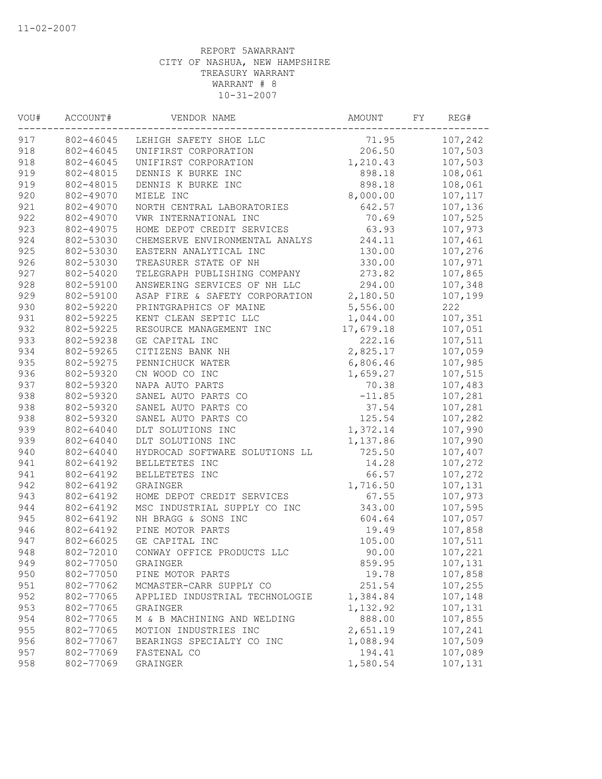| VOU# | ACCOUNT#  | VENDOR NAME                    | AMOUNT    | FY | REG#    |
|------|-----------|--------------------------------|-----------|----|---------|
| 917  | 802-46045 | LEHIGH SAFETY SHOE LLC         | 71.95     |    | 107,242 |
| 918  | 802-46045 | UNIFIRST CORPORATION           | 206.50    |    | 107,503 |
| 918  | 802-46045 | UNIFIRST CORPORATION           | 1,210.43  |    | 107,503 |
| 919  | 802-48015 | DENNIS K BURKE INC             | 898.18    |    | 108,061 |
| 919  | 802-48015 | DENNIS K BURKE INC             | 898.18    |    | 108,061 |
| 920  | 802-49070 | MIELE INC                      | 8,000.00  |    | 107,117 |
| 921  | 802-49070 | NORTH CENTRAL LABORATORIES     | 642.57    |    | 107,136 |
| 922  | 802-49070 | VWR INTERNATIONAL INC          | 70.69     |    | 107,525 |
| 923  | 802-49075 | HOME DEPOT CREDIT SERVICES     | 63.93     |    | 107,973 |
| 924  | 802-53030 | CHEMSERVE ENVIRONMENTAL ANALYS | 244.11    |    | 107,461 |
| 925  | 802-53030 | EASTERN ANALYTICAL INC         | 130.00    |    | 107,276 |
| 926  | 802-53030 | TREASURER STATE OF NH          | 330.00    |    | 107,971 |
| 927  | 802-54020 | TELEGRAPH PUBLISHING COMPANY   | 273.82    |    | 107,865 |
| 928  | 802-59100 | ANSWERING SERVICES OF NH LLC   | 294.00    |    | 107,348 |
| 929  | 802-59100 | ASAP FIRE & SAFETY CORPORATION | 2,180.50  |    | 107,199 |
| 930  | 802-59220 | PRINTGRAPHICS OF MAINE         | 5,556.00  |    | 222     |
| 931  | 802-59225 | KENT CLEAN SEPTIC LLC          | 1,044.00  |    | 107,351 |
| 932  | 802-59225 | RESOURCE MANAGEMENT INC        | 17,679.18 |    | 107,051 |
| 933  | 802-59238 | GE CAPITAL INC                 | 222.16    |    | 107,511 |
| 934  | 802-59265 | CITIZENS BANK NH               | 2,825.17  |    | 107,059 |
| 935  | 802-59275 | PENNICHUCK WATER               | 6,806.46  |    | 107,985 |
| 936  | 802-59320 | CN WOOD CO INC                 | 1,659.27  |    | 107,515 |
| 937  | 802-59320 | NAPA AUTO PARTS                | 70.38     |    | 107,483 |
| 938  | 802-59320 | SANEL AUTO PARTS CO            | $-11.85$  |    | 107,281 |
| 938  | 802-59320 | SANEL AUTO PARTS CO            | 37.54     |    | 107,281 |
| 938  | 802-59320 | SANEL AUTO PARTS CO            | 125.54    |    | 107,282 |
| 939  | 802-64040 | DLT SOLUTIONS INC              | 1,372.14  |    | 107,990 |
| 939  | 802-64040 | DLT SOLUTIONS INC              | 1,137.86  |    | 107,990 |
| 940  | 802-64040 | HYDROCAD SOFTWARE SOLUTIONS LL | 725.50    |    | 107,407 |
| 941  | 802-64192 | BELLETETES INC                 | 14.28     |    | 107,272 |
| 941  | 802-64192 | BELLETETES INC                 | 66.57     |    | 107,272 |
| 942  | 802-64192 | GRAINGER                       | 1,716.50  |    | 107,131 |
| 943  | 802-64192 | HOME DEPOT CREDIT SERVICES     | 67.55     |    | 107,973 |
| 944  | 802-64192 | MSC INDUSTRIAL SUPPLY CO INC   | 343.00    |    | 107,595 |
| 945  | 802-64192 | NH BRAGG & SONS INC            | 604.64    |    | 107,057 |
| 946  | 802-64192 | PINE MOTOR PARTS               | 19.49     |    | 107,858 |
| 947  | 802-66025 | GE CAPITAL INC                 | 105.00    |    | 107,511 |
| 948  | 802-72010 | CONWAY OFFICE PRODUCTS LLC     | 90.00     |    | 107,221 |
| 949  | 802-77050 | GRAINGER                       | 859.95    |    | 107,131 |
| 950  | 802-77050 | PINE MOTOR PARTS               | 19.78     |    | 107,858 |
| 951  | 802-77062 | MCMASTER-CARR SUPPLY CO        | 251.54    |    | 107,255 |
| 952  | 802-77065 | APPLIED INDUSTRIAL TECHNOLOGIE | 1,384.84  |    | 107,148 |
| 953  | 802-77065 | GRAINGER                       | 1,132.92  |    | 107,131 |
| 954  | 802-77065 | M & B MACHINING AND WELDING    | 888.00    |    | 107,855 |
| 955  | 802-77065 | MOTION INDUSTRIES INC          | 2,651.19  |    | 107,241 |
| 956  | 802-77067 | BEARINGS SPECIALTY CO INC      | 1,088.94  |    | 107,509 |
| 957  | 802-77069 | FASTENAL CO                    | 194.41    |    | 107,089 |
| 958  | 802-77069 | GRAINGER                       | 1,580.54  |    | 107,131 |
|      |           |                                |           |    |         |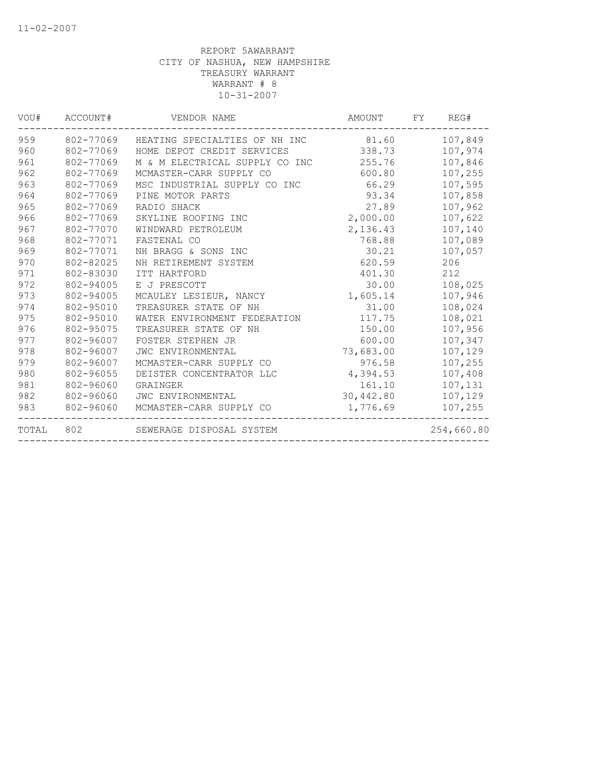| VOU#  | ACCOUNT#  | VENDOR NAME                    | AMOUNT    | FY | REG#       |
|-------|-----------|--------------------------------|-----------|----|------------|
| 959   | 802-77069 | HEATING SPECIALTIES OF NH INC  | 81.60     |    | 107,849    |
| 960   | 802-77069 | HOME DEPOT CREDIT SERVICES     | 338.73    |    | 107,974    |
| 961   | 802-77069 | M & M ELECTRICAL SUPPLY CO INC | 255.76    |    | 107,846    |
| 962   | 802-77069 | MCMASTER-CARR SUPPLY CO        | 600.80    |    | 107,255    |
| 963   | 802-77069 | MSC INDUSTRIAL SUPPLY CO INC   | 66.29     |    | 107,595    |
| 964   | 802-77069 | PINE MOTOR PARTS               | 93.34     |    | 107,858    |
| 965   | 802-77069 | RADIO SHACK                    | 27.89     |    | 107,962    |
| 966   | 802-77069 | SKYLINE ROOFING INC            | 2,000.00  |    | 107,622    |
| 967   | 802-77070 | WINDWARD PETROLEUM             | 2,136.43  |    | 107,140    |
| 968   | 802-77071 | FASTENAL CO                    | 768.88    |    | 107,089    |
| 969   | 802-77071 | NH BRAGG & SONS INC            | 30.21     |    | 107,057    |
| 970   | 802-82025 | NH RETIREMENT SYSTEM           | 620.59    |    | 206        |
| 971   | 802-83030 | ITT HARTFORD                   | 401.30    |    | 212        |
| 972   | 802-94005 | E J PRESCOTT                   | 30.00     |    | 108,025    |
| 973   | 802-94005 | MCAULEY LESIEUR, NANCY         | 1,605.14  |    | 107,946    |
| 974   | 802-95010 | TREASURER STATE OF NH          | 31.00     |    | 108,024    |
| 975   | 802-95010 | WATER ENVIRONMENT FEDERATION   | 117.75    |    | 108,021    |
| 976   | 802-95075 | TREASURER STATE OF NH          | 150.00    |    | 107,956    |
| 977   | 802-96007 | FOSTER STEPHEN JR              | 600.00    |    | 107,347    |
| 978   | 802-96007 | JWC ENVIRONMENTAL              | 73,683.00 |    | 107,129    |
| 979   | 802-96007 | MCMASTER-CARR SUPPLY CO        | 976.58    |    | 107,255    |
| 980   | 802-96055 | DEISTER CONCENTRATOR LLC       | 4,394.53  |    | 107,408    |
| 981   | 802-96060 | GRAINGER                       | 161.10    |    | 107,131    |
| 982   | 802-96060 | JWC ENVIRONMENTAL              | 30,442.80 |    | 107,129    |
| 983   | 802-96060 | MCMASTER-CARR SUPPLY CO        | 1,776.69  |    | 107,255    |
| TOTAL | 802       | SEWERAGE DISPOSAL SYSTEM       |           |    | 254,660.80 |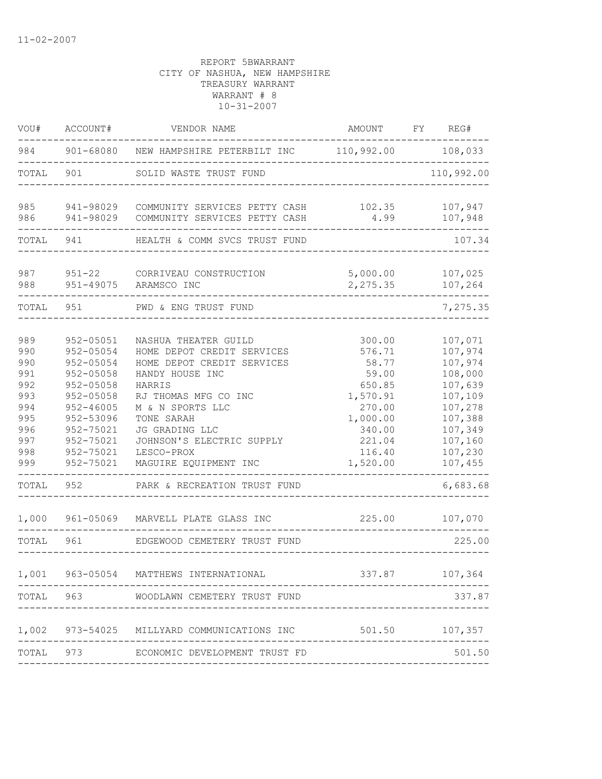| VOU#                                                                                      | ACCOUNT#                                                                                                                                                                | VENDOR NAME                                                                                                                                                                                                                                                                                   | AMOUNT                                                                                                                   | FY | REG#                                                                                                                                         |
|-------------------------------------------------------------------------------------------|-------------------------------------------------------------------------------------------------------------------------------------------------------------------------|-----------------------------------------------------------------------------------------------------------------------------------------------------------------------------------------------------------------------------------------------------------------------------------------------|--------------------------------------------------------------------------------------------------------------------------|----|----------------------------------------------------------------------------------------------------------------------------------------------|
| 984                                                                                       |                                                                                                                                                                         | 901-68080 NEW HAMPSHIRE PETERBILT INC                                                                                                                                                                                                                                                         | 110,992.00                                                                                                               |    | 108,033                                                                                                                                      |
| TOTAL                                                                                     | 901                                                                                                                                                                     | SOLID WASTE TRUST FUND                                                                                                                                                                                                                                                                        |                                                                                                                          |    | 110,992.00                                                                                                                                   |
| 985<br>986                                                                                | 941-98029<br>941-98029                                                                                                                                                  | COMMUNITY SERVICES PETTY CASH<br>COMMUNITY SERVICES PETTY CASH                                                                                                                                                                                                                                | 102.35<br>4.99                                                                                                           |    | 107,947<br>107,948                                                                                                                           |
| TOTAL                                                                                     | 941                                                                                                                                                                     | HEALTH & COMM SVCS TRUST FUND                                                                                                                                                                                                                                                                 |                                                                                                                          |    | 107.34                                                                                                                                       |
| 987<br>988                                                                                | $951 - 22$<br>951-49075                                                                                                                                                 | CORRIVEAU CONSTRUCTION<br>ARAMSCO INC                                                                                                                                                                                                                                                         | 5,000.00<br>2,275.35                                                                                                     |    | 107,025<br>107,264                                                                                                                           |
| TOTAL                                                                                     | 951                                                                                                                                                                     | PWD & ENG TRUST FUND                                                                                                                                                                                                                                                                          |                                                                                                                          |    | 7,275.35                                                                                                                                     |
| 989<br>990<br>990<br>991<br>992<br>993<br>994<br>995<br>996<br>997<br>998<br>999<br>TOTAL | 952-05051<br>952-05054<br>952-05054<br>$952 - 05058$<br>952-05058<br>952-05058<br>$952 - 46005$<br>952-53096<br>952-75021<br>952-75021<br>952-75021<br>952-75021<br>952 | NASHUA THEATER GUILD<br>HOME DEPOT CREDIT SERVICES<br>HOME DEPOT CREDIT SERVICES<br>HANDY HOUSE INC<br>HARRIS<br>RJ THOMAS MFG CO INC<br>M & N SPORTS LLC<br>TONE SARAH<br>JG GRADING LLC<br>JOHNSON'S ELECTRIC SUPPLY<br>LESCO-PROX<br>MAGUIRE EQUIPMENT INC<br>PARK & RECREATION TRUST FUND | 300.00<br>576.71<br>58.77<br>59.00<br>650.85<br>1,570.91<br>270.00<br>1,000.00<br>340.00<br>221.04<br>116.40<br>1,520.00 |    | 107,071<br>107,974<br>107,974<br>108,000<br>107,639<br>107,109<br>107,278<br>107,388<br>107,349<br>107,160<br>107,230<br>107,455<br>6,683.68 |
| 1,000                                                                                     | 961-05069                                                                                                                                                               | MARVELL PLATE GLASS INC                                                                                                                                                                                                                                                                       | 225.00                                                                                                                   |    | 107,070                                                                                                                                      |
| TOTAL                                                                                     | 961                                                                                                                                                                     | EDGEWOOD CEMETERY TRUST FUND                                                                                                                                                                                                                                                                  |                                                                                                                          |    | 225.00                                                                                                                                       |
| 1,001                                                                                     |                                                                                                                                                                         | 963-05054 MATTHEWS INTERNATIONAL                                                                                                                                                                                                                                                              | 337.87                                                                                                                   |    | 107,364                                                                                                                                      |
| TOTAL                                                                                     | 963                                                                                                                                                                     | WOODLAWN CEMETERY TRUST FUND                                                                                                                                                                                                                                                                  |                                                                                                                          |    | 337.87                                                                                                                                       |
| 1,002                                                                                     | 973-54025                                                                                                                                                               | MILLYARD COMMUNICATIONS INC                                                                                                                                                                                                                                                                   | 501.50                                                                                                                   |    | 107,357                                                                                                                                      |
| TOTAL                                                                                     | 973                                                                                                                                                                     | ECONOMIC DEVELOPMENT TRUST FD                                                                                                                                                                                                                                                                 |                                                                                                                          |    | 501.50                                                                                                                                       |
|                                                                                           |                                                                                                                                                                         |                                                                                                                                                                                                                                                                                               |                                                                                                                          |    |                                                                                                                                              |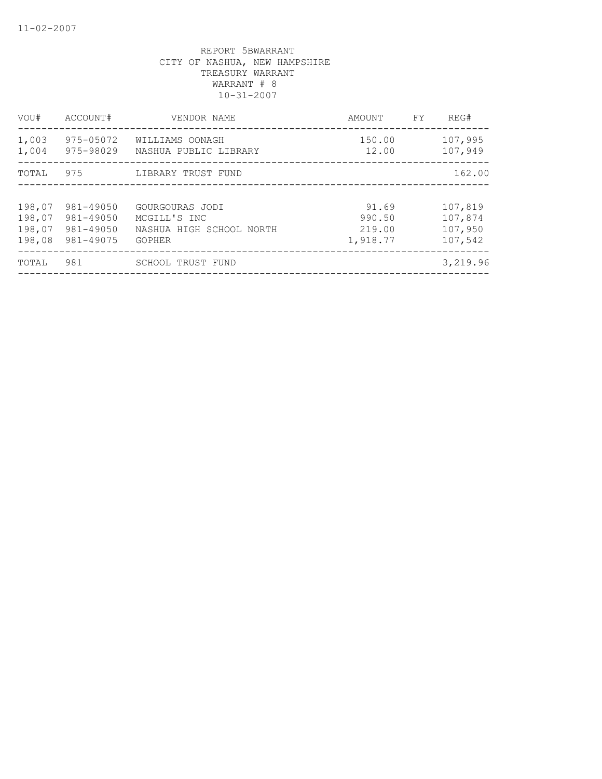| VOU#                                 | ACCOUNT#                                         | VENDOR NAME                                                                  | AMOUNT                                | FY | REG#                                     |
|--------------------------------------|--------------------------------------------------|------------------------------------------------------------------------------|---------------------------------------|----|------------------------------------------|
| 1,003<br>1,004                       | 975-05072<br>975-98029                           | WILLIAMS OONAGH<br>NASHUA PUBLIC LIBRARY                                     | 150.00<br>12.00                       |    | 107,995<br>107,949                       |
| TOTAL                                | 975                                              | LIBRARY TRUST FUND                                                           |                                       |    | 162.00                                   |
| 198,07<br>198,07<br>198,07<br>198,08 | 981-49050<br>981-49050<br>981-49050<br>981-49075 | GOURGOURAS JODI<br>MCGILL'S INC<br>NASHUA HIGH SCHOOL NORTH<br><b>GOPHER</b> | 91.69<br>990.50<br>219.00<br>1,918.77 |    | 107,819<br>107,874<br>107,950<br>107,542 |
| TOTAL                                | 981                                              | SCHOOL TRUST FUND                                                            |                                       |    | 3,219.96                                 |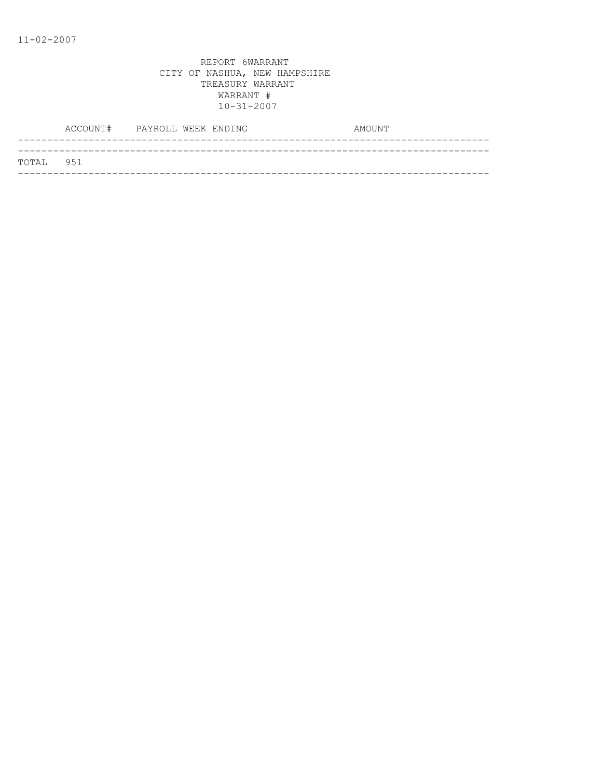| TOTAL 951 |  |
|-----------|--|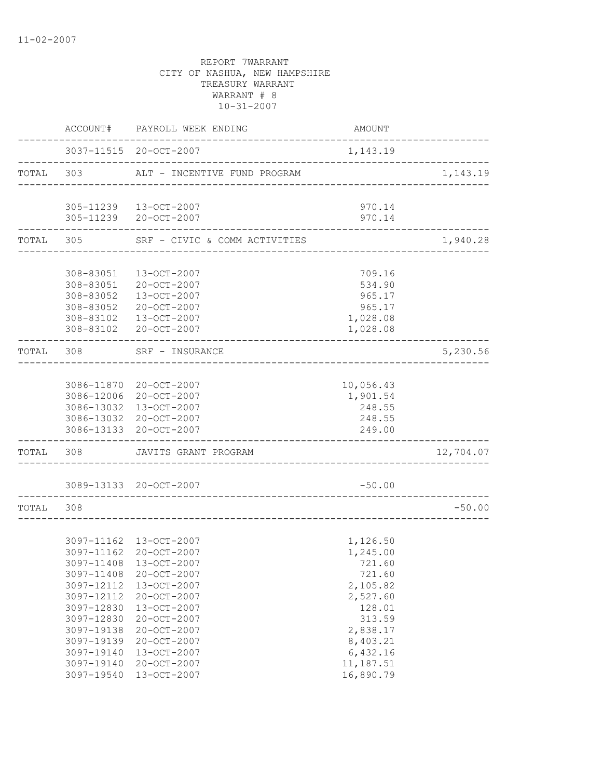|           |                                                                                                                                          | ACCOUNT# PAYROLL WEEK ENDING                                                                                                                                                                                                     | AMOUNT                                                                                                                                             |                        |
|-----------|------------------------------------------------------------------------------------------------------------------------------------------|----------------------------------------------------------------------------------------------------------------------------------------------------------------------------------------------------------------------------------|----------------------------------------------------------------------------------------------------------------------------------------------------|------------------------|
|           |                                                                                                                                          | 3037-11515 20-OCT-2007                                                                                                                                                                                                           | 1,143.19                                                                                                                                           |                        |
| TOTAL 303 |                                                                                                                                          | ALT - INCENTIVE FUND PROGRAM                                                                                                                                                                                                     |                                                                                                                                                    | 1,143.19               |
|           |                                                                                                                                          | 305-11239 13-OCT-2007<br>305-11239 20-OCT-2007                                                                                                                                                                                   | 970.14<br>970.14                                                                                                                                   |                        |
|           | . _ _ _ _ _ _ _ _ _ _ _ _ _ _                                                                                                            | TOTAL 305 SRF - CIVIC & COMM ACTIVITIES                                                                                                                                                                                          |                                                                                                                                                    | 1,940.28               |
|           |                                                                                                                                          |                                                                                                                                                                                                                                  |                                                                                                                                                    |                        |
|           | 308-83051                                                                                                                                | 308-83051 13-OCT-2007<br>20-OCT-2007<br>308-83052 13-OCT-2007<br>308-83052 20-OCT-2007<br>308-83102  13-OCT-2007<br>308-83102 20-OCT-2007                                                                                        | 709.16<br>534.90<br>965.17<br>965.17<br>1,028.08<br>1,028.08                                                                                       |                        |
| TOTAL 308 |                                                                                                                                          | SRF - INSURANCE                                                                                                                                                                                                                  |                                                                                                                                                    | 5,230.56               |
|           |                                                                                                                                          | 3086-11870 20-OCT-2007<br>3086-12006 20-OCT-2007<br>3086-13032 13-OCT-2007<br>3086-13032 20-OCT-2007<br>3086-13133 20-OCT-2007                                                                                                   | 10,056.43<br>1,901.54<br>248.55<br>248.55<br>249.00                                                                                                |                        |
| TOTAL 308 |                                                                                                                                          | JAVITS GRANT PROGRAM                                                                                                                                                                                                             |                                                                                                                                                    | 12,704.07              |
|           |                                                                                                                                          | 3089-13133 20-OCT-2007<br>_____________                                                                                                                                                                                          | $-50.00$                                                                                                                                           |                        |
| TOTAL 308 |                                                                                                                                          |                                                                                                                                                                                                                                  |                                                                                                                                                    | $-50.00$<br>__________ |
|           | 3097-11408<br>3097-12112<br>3097-12112<br>3097-12830<br>3097-12830<br>3097-19138<br>3097-19139<br>3097-19140<br>3097-19140<br>3097-19540 | 3097-11162 13-OCT-2007<br>3097-11162 20-OCT-2007<br>3097-11408 13-OCT-2007<br>20-OCT-2007<br>13-OCT-2007<br>20-OCT-2007<br>13-OCT-2007<br>20-OCT-2007<br>20-OCT-2007<br>20-OCT-2007<br>13-OCT-2007<br>20-OCT-2007<br>13-OCT-2007 | 1,126.50<br>1,245.00<br>721.60<br>721.60<br>2,105.82<br>2,527.60<br>128.01<br>313.59<br>2,838.17<br>8,403.21<br>6,432.16<br>11,187.51<br>16,890.79 |                        |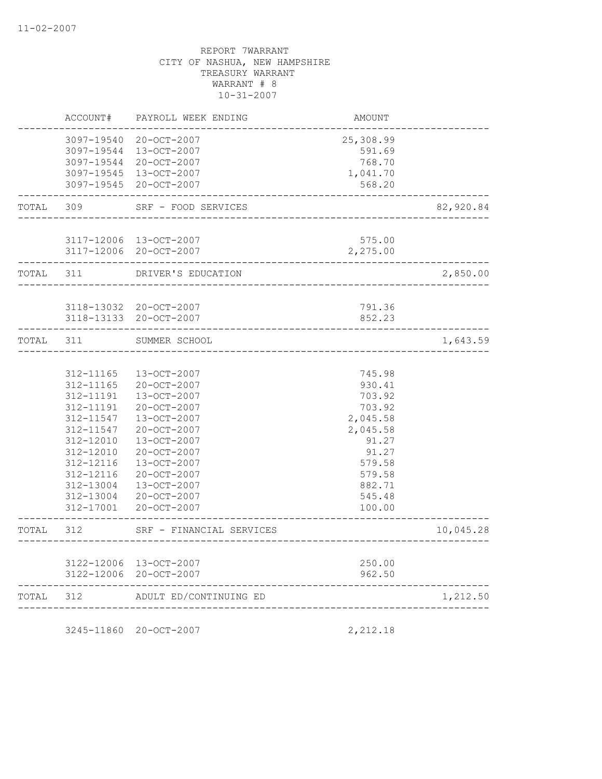|           | ACCOUNT#                                                                                                                                    | PAYROLL WEEK ENDING                                                                                                                                                                                                                   | AMOUNT                                                                                                                           |           |
|-----------|---------------------------------------------------------------------------------------------------------------------------------------------|---------------------------------------------------------------------------------------------------------------------------------------------------------------------------------------------------------------------------------------|----------------------------------------------------------------------------------------------------------------------------------|-----------|
|           |                                                                                                                                             | 3097-19540 20-OCT-2007<br>3097-19544 13-OCT-2007<br>3097-19544 20-OCT-2007<br>3097-19545 13-OCT-2007<br>3097-19545 20-OCT-2007                                                                                                        | 25,308.99<br>591.69<br>768.70<br>1,041.70<br>568.20                                                                              |           |
| TOTAL     | 309                                                                                                                                         | SRF - FOOD SERVICES                                                                                                                                                                                                                   |                                                                                                                                  | 82,920.84 |
|           |                                                                                                                                             | 3117-12006 13-OCT-2007<br>3117-12006 20-OCT-2007                                                                                                                                                                                      | 575.00<br>2,275.00                                                                                                               |           |
| TOTAL     | 311                                                                                                                                         | DRIVER'S EDUCATION                                                                                                                                                                                                                    |                                                                                                                                  | 2,850.00  |
|           |                                                                                                                                             | 3118-13032 20-OCT-2007<br>3118-13133 20-OCT-2007                                                                                                                                                                                      | 791.36<br>852.23                                                                                                                 |           |
| TOTAL     | 311                                                                                                                                         | SUMMER SCHOOL                                                                                                                                                                                                                         |                                                                                                                                  | 1,643.59  |
|           | 312-11165<br>312-11165<br>312-11191<br>312-11191<br>312-11547<br>312-11547<br>312-12010<br>312-12010<br>312-12116<br>312-12116<br>312-13004 | $13 - OCT - 2007$<br>20-OCT-2007<br>13-OCT-2007<br>20-OCT-2007<br>13-OCT-2007<br>20-OCT-2007<br>13-OCT-2007<br>20-OCT-2007<br>$13 - OCT - 2007$<br>20-OCT-2007<br>$13 - OCT - 2007$<br>312-13004 20-OCT-2007<br>312-17001 20-OCT-2007 | 745.98<br>930.41<br>703.92<br>703.92<br>2,045.58<br>2,045.58<br>91.27<br>91.27<br>579.58<br>579.58<br>882.71<br>545.48<br>100.00 |           |
| TOTAL     | 312                                                                                                                                         | SRF - FINANCIAL SERVICES                                                                                                                                                                                                              | ________________                                                                                                                 | 10,045.28 |
|           |                                                                                                                                             | 3122-12006 13-OCT-2007<br>3122-12006 20-OCT-2007                                                                                                                                                                                      | 250.00<br>962.50<br>--------------------                                                                                         |           |
| TOTAL 312 |                                                                                                                                             | ADULT ED/CONTINUING ED                                                                                                                                                                                                                | -------------------------------------                                                                                            | 1,212.50  |
|           |                                                                                                                                             |                                                                                                                                                                                                                                       |                                                                                                                                  |           |

3245-11860 20-OCT-2007 2,212.18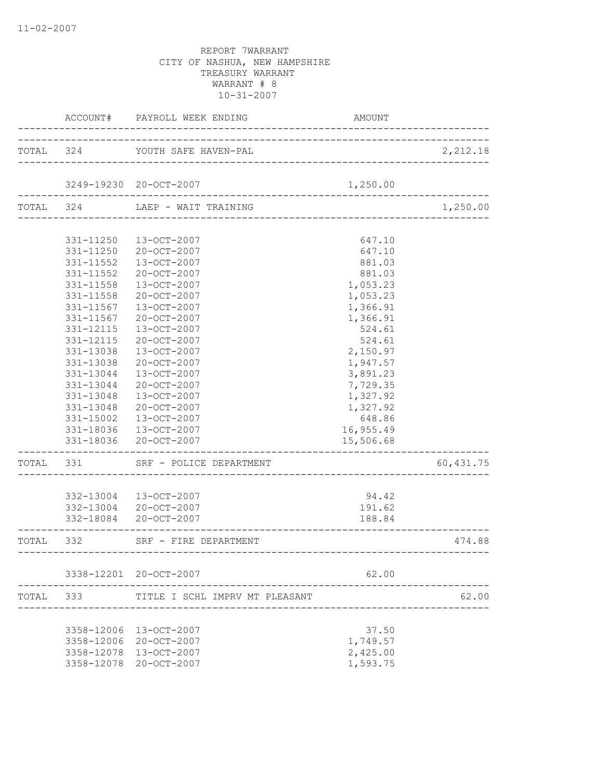|           | ACCOUNT#                      | PAYROLL WEEK ENDING             | AMOUNT    |           |
|-----------|-------------------------------|---------------------------------|-----------|-----------|
|           |                               | TOTAL 324 YOUTH SAFE HAVEN-PAL  |           | 2,212.18  |
|           |                               | 3249-19230 20-OCT-2007          | 1,250.00  |           |
| TOTAL 324 |                               | LAEP - WAIT TRAINING            |           | 1,250.00  |
|           |                               |                                 |           |           |
|           |                               | 331-11250  13-OCT-2007          | 647.10    |           |
|           |                               | 331-11250 20-OCT-2007           | 647.10    |           |
|           | 331-11552                     | 13-OCT-2007                     | 881.03    |           |
|           | 331-11552                     | 20-OCT-2007                     | 881.03    |           |
|           | 331-11558                     | 13-OCT-2007                     | 1,053.23  |           |
|           | 331-11558                     | 20-OCT-2007                     | 1,053.23  |           |
|           | 331-11567                     | 13-OCT-2007                     | 1,366.91  |           |
|           | 331-11567                     | 20-OCT-2007                     | 1,366.91  |           |
|           | 331-12115                     | $13 - OCT - 2007$               | 524.61    |           |
|           | 331-12115                     | $20 - OCT - 2007$               | 524.61    |           |
|           | 331-13038                     | 13-OCT-2007                     | 2,150.97  |           |
|           | 331-13038                     | 20-OCT-2007                     | 1,947.57  |           |
|           | 331-13044                     | 13-OCT-2007                     | 3,891.23  |           |
|           | 331-13044                     | 20-OCT-2007                     | 7,729.35  |           |
|           | 331-13048                     | 13-OCT-2007                     | 1,327.92  |           |
|           | 331-13048                     | 20-OCT-2007                     | 1,327.92  |           |
|           | 331-15002                     | 13-OCT-2007                     | 648.86    |           |
|           |                               | 331-18036 13-OCT-2007           | 16,955.49 |           |
|           |                               | 331-18036 20-OCT-2007           | 15,506.68 |           |
| TOTAL 331 |                               | SRF - POLICE DEPARTMENT         |           | 60,431.75 |
|           |                               |                                 |           |           |
|           |                               | 332-13004 13-OCT-2007           | 94.42     |           |
|           |                               | 332-13004 20-OCT-2007           | 191.62    |           |
|           | . _ _ _ _ _ _ _ _ _ _ _ _ _ _ | 332-18084 20-OCT-2007           | 188.84    |           |
|           |                               | TOTAL 332 SRF - FIRE DEPARTMENT |           | 474.88    |
|           |                               | 3338-12201 20-OCT-2007          | 62.00     |           |
| TOTAL     | 333                           | TITLE I SCHL IMPRV MT PLEASANT  |           | 62.00     |
|           |                               |                                 |           |           |
|           | 3358-12006                    | 13-OCT-2007                     | 37.50     |           |
|           | 3358-12006                    | 20-OCT-2007                     | 1,749.57  |           |
|           | 3358-12078                    | 13-OCT-2007                     | 2,425.00  |           |
|           | 3358-12078                    | 20-OCT-2007                     | 1,593.75  |           |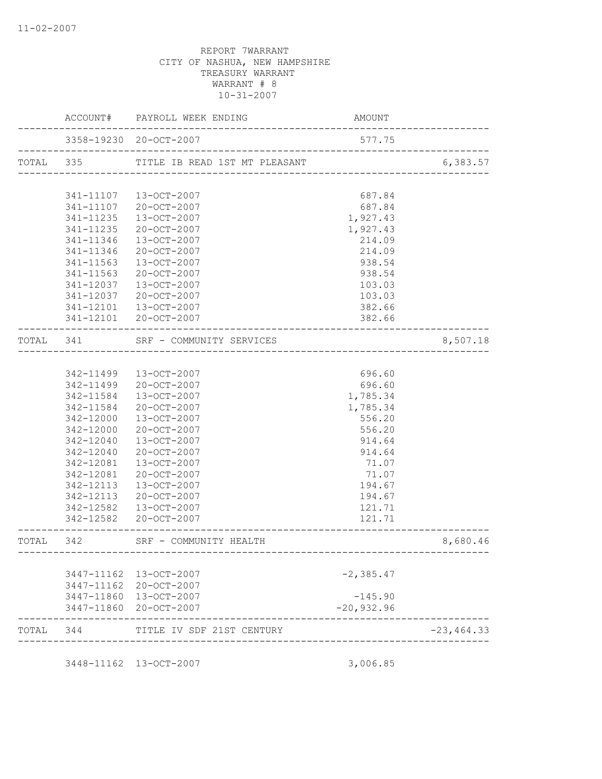|           |           | ACCOUNT# PAYROLL WEEK ENDING                       | AMOUNT                                |               |
|-----------|-----------|----------------------------------------------------|---------------------------------------|---------------|
|           |           | 3358-19230 20-OCT-2007                             | 577.75                                |               |
| TOTAL 335 |           | TITLE IB READ 1ST MT PLEASANT                      |                                       | 6,383.57      |
|           |           |                                                    |                                       |               |
|           | 341-11107 | 13-OCT-2007                                        | 687.84                                |               |
|           | 341-11107 | 20-OCT-2007                                        | 687.84                                |               |
|           | 341-11235 | 13-OCT-2007                                        | 1,927.43                              |               |
|           | 341-11235 | 20-OCT-2007                                        | 1,927.43                              |               |
|           | 341-11346 | 13-OCT-2007                                        | 214.09                                |               |
|           | 341-11346 | 20-OCT-2007                                        | 214.09                                |               |
|           | 341-11563 | 13-OCT-2007                                        | 938.54                                |               |
|           | 341-11563 | 20-OCT-2007                                        | 938.54                                |               |
|           | 341-12037 | 13-OCT-2007                                        | 103.03                                |               |
|           | 341-12037 | 20-OCT-2007                                        | 103.03                                |               |
|           | 341-12101 | 13-OCT-2007                                        | 382.66                                |               |
|           |           | 341-12101 20-OCT-2007                              | 382.66                                |               |
| TOTAL 341 |           | SRF - COMMUNITY SERVICES<br>---------------------- |                                       | 8,507.18      |
|           |           |                                                    |                                       |               |
|           | 342-11499 | 13-OCT-2007                                        | 696.60                                |               |
|           | 342-11499 | 20-OCT-2007                                        | 696.60                                |               |
|           | 342-11584 | 13-OCT-2007                                        | 1,785.34                              |               |
|           | 342-11584 | 20-OCT-2007                                        | 1,785.34                              |               |
|           | 342-12000 | 13-OCT-2007                                        | 556.20                                |               |
|           | 342-12000 | 20-OCT-2007                                        | 556.20                                |               |
|           | 342-12040 | 13-OCT-2007                                        | 914.64                                |               |
|           | 342-12040 | 20-OCT-2007                                        | 914.64                                |               |
|           | 342-12081 | 13-OCT-2007                                        | 71.07                                 |               |
|           | 342-12081 | 20-OCT-2007                                        | 71.07                                 |               |
|           | 342-12113 | 13-OCT-2007                                        | 194.67                                |               |
|           | 342-12113 | 20-OCT-2007                                        | 194.67                                |               |
|           | 342-12582 | 13-OCT-2007                                        | 121.71                                |               |
|           |           | 342-12582 20-OCT-2007                              | 121.71                                |               |
| TOTAL 342 |           | SRF - COMMUNITY HEALTH                             | . _ _ _ _ _ _ _ _ _ _ _ _ _ _ _ _ _ _ | 8,680.46      |
|           |           |                                                    |                                       |               |
|           |           | 3447-11162 13-OCT-2007                             | $-2, 385.47$                          |               |
|           |           | 3447-11162 20-OCT-2007                             |                                       |               |
|           |           | 3447-11860 13-OCT-2007                             | $-145.90$                             |               |
|           |           | 3447-11860 20-OCT-2007                             | $-20,932.96$                          |               |
| TOTAL     | 344       | TITLE IV SDF 21ST CENTURY                          |                                       | $-23, 464.33$ |
|           |           |                                                    |                                       |               |
|           |           | 3448-11162 13-OCT-2007                             | 3,006.85                              |               |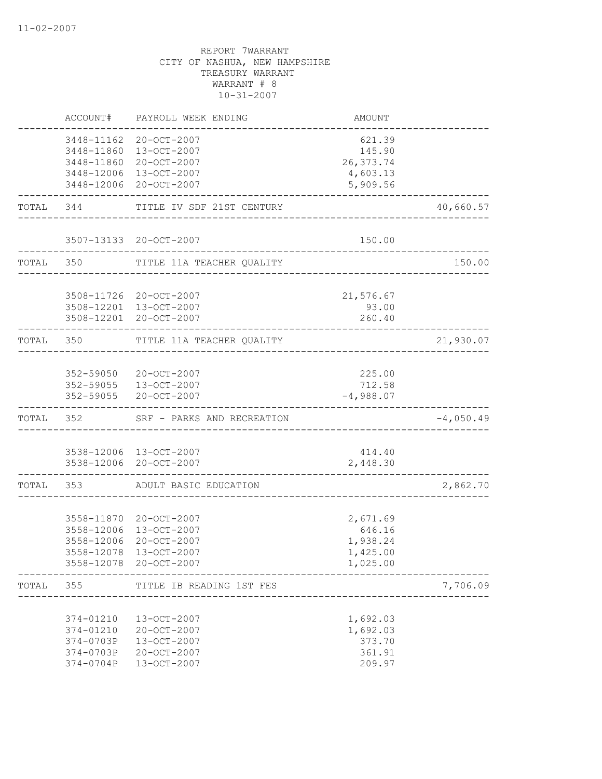|           | ACCOUNT#                                                      | PAYROLL WEEK ENDING                                                                                                            | AMOUNT                                                                  |                       |
|-----------|---------------------------------------------------------------|--------------------------------------------------------------------------------------------------------------------------------|-------------------------------------------------------------------------|-----------------------|
|           |                                                               | 3448-11162 20-OCT-2007<br>3448-11860 13-OCT-2007<br>3448-11860 20-OCT-2007<br>3448-12006 13-OCT-2007<br>3448-12006 20-OCT-2007 | 621.39<br>145.90<br>26, 373.74<br>4,603.13<br>5,909.56                  |                       |
|           |                                                               | TOTAL 344 TITLE IV SDF 21ST CENTURY                                                                                            | ___________________________________                                     | 40,660.57             |
|           |                                                               | 3507-13133 20-OCT-2007                                                                                                         | 150.00                                                                  |                       |
|           | TOTAL 350                                                     | TITLE 11A TEACHER QUALITY                                                                                                      |                                                                         | 150.00<br>___________ |
|           |                                                               | 3508-11726 20-OCT-2007<br>3508-12201 13-OCT-2007<br>3508-12201 20-OCT-2007                                                     | 21,576.67<br>93.00<br>260.40                                            |                       |
| TOTAL 350 |                                                               | TITLE 11A TEACHER QUALITY                                                                                                      |                                                                         | 21,930.07             |
|           |                                                               | 352-59050 20-OCT-2007<br>352-59055 13-OCT-2007<br>352-59055 20-OCT-2007                                                        | 225.00<br>712.58<br>$-4,988.07$                                         |                       |
|           | TOTAL 352                                                     | SRF - PARKS AND RECREATION                                                                                                     |                                                                         | $-4,050.49$           |
|           |                                                               | 3538-12006 13-OCT-2007<br>3538-12006 20-OCT-2007                                                                               | 414.40<br>2,448.30                                                      |                       |
|           |                                                               | TOTAL 353 ADULT BASIC EDUCATION                                                                                                |                                                                         | 2,862.70              |
|           | 3558-12006<br>3558-12006                                      | 3558-11870 20-OCT-2007<br>13-OCT-2007<br>20-OCT-2007<br>3558-12078 13-OCT-2007<br>3558-12078 20-OCT-2007                       | 2,671.69<br>646.16<br>1,938.24<br>1,425.00<br>1,025.00<br>____________. |                       |
| TOTAL     | 355                                                           | TITLE IB READING 1ST FES                                                                                                       |                                                                         | 7,706.09              |
|           | 374-01210<br>374-01210<br>374-0703P<br>374-0703P<br>374-0704P | 13-OCT-2007<br>20-OCT-2007<br>13-OCT-2007<br>20-OCT-2007<br>$13 - OCT - 2007$                                                  | 1,692.03<br>1,692.03<br>373.70<br>361.91<br>209.97                      |                       |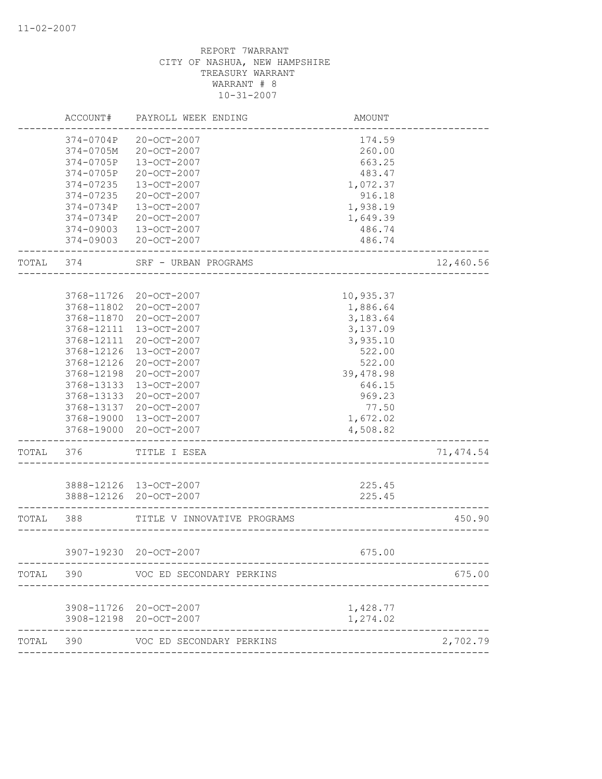|       | ACCOUNT#   | PAYROLL WEEK ENDING         | AMOUNT                |            |
|-------|------------|-----------------------------|-----------------------|------------|
|       | 374-0704P  | 20-OCT-2007                 | 174.59                |            |
|       | 374-0705M  | 20-OCT-2007                 | 260.00                |            |
|       | 374-0705P  | 13-OCT-2007                 | 663.25                |            |
|       | 374-0705P  | 20-OCT-2007                 | 483.47                |            |
|       | 374-07235  | 13-OCT-2007                 | 1,072.37              |            |
|       | 374-07235  | 20-OCT-2007                 | 916.18                |            |
|       | 374-0734P  | 13-OCT-2007                 | 1,938.19              |            |
|       | 374-0734P  | 20-OCT-2007                 | 1,649.39              |            |
|       | 374-09003  | $13 - OCT - 2007$           | 486.74                |            |
|       | 374-09003  | 20-OCT-2007                 | 486.74                |            |
| TOTAL | 374        | SRF - URBAN PROGRAMS        |                       | 12,460.56  |
|       |            |                             |                       |            |
|       | 3768-11726 | 20-OCT-2007                 | 10,935.37             |            |
|       | 3768-11802 | 20-OCT-2007                 | 1,886.64              |            |
|       | 3768-11870 | 20-OCT-2007                 | 3,183.64              |            |
|       | 3768-12111 | $13 - OCT - 2007$           | 3,137.09              |            |
|       | 3768-12111 | $20 - OCT - 2007$           | 3,935.10              |            |
|       | 3768-12126 | 13-OCT-2007                 | 522.00                |            |
|       | 3768-12126 | 20-OCT-2007                 | 522.00                |            |
|       | 3768-12198 | 20-OCT-2007                 | 39,478.98             |            |
|       | 3768-13133 | 13-OCT-2007                 | 646.15                |            |
|       | 3768-13133 | 20-OCT-2007                 | 969.23                |            |
|       | 3768-13137 | 20-OCT-2007                 | 77.50                 |            |
|       | 3768-19000 | 13-OCT-2007                 | 1,672.02              |            |
|       | 3768-19000 | 20-OCT-2007                 | 4,508.82              |            |
| TOTAL | 376        | TITLE I ESEA                |                       | 71, 474.54 |
|       |            | 3888-12126 13-OCT-2007      | 225.45                |            |
|       |            | 3888-12126 20-OCT-2007      | 225.45                |            |
|       |            |                             |                       |            |
| TOTAL | 388        | TITLE V INNOVATIVE PROGRAMS | _____________________ | 450.90     |
|       |            | 3907-19230 20-OCT-2007      | 675.00                |            |
| TOTAL | 390        | VOC ED SECONDARY PERKINS    |                       | 675.00     |
|       |            |                             |                       |            |
|       |            | 3908-11726 20-OCT-2007      | 1,428.77              |            |
|       | 3908-12198 | 20-OCT-2007                 | 1,274.02              |            |
| TOTAL | 390        | VOC ED SECONDARY PERKINS    |                       | 2,702.79   |
|       |            |                             |                       |            |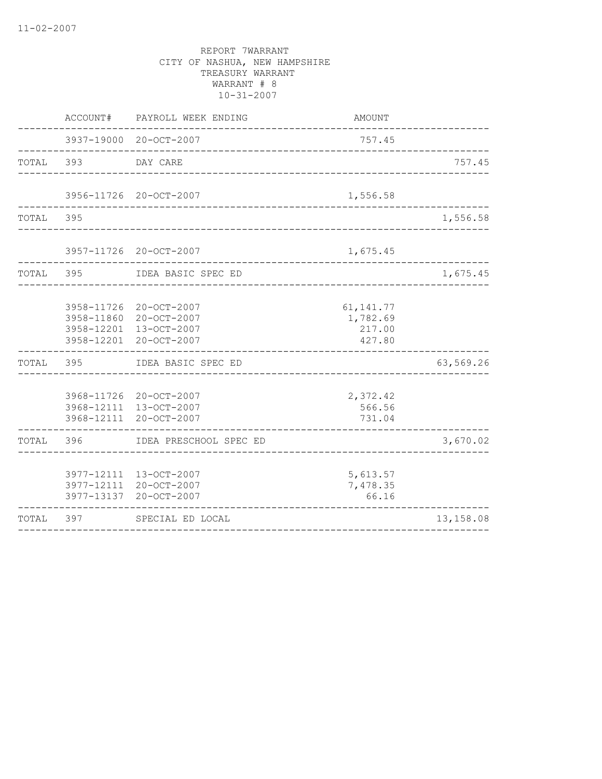|           | ACCOUNT#                                             | PAYROLL WEEK ENDING                                             | AMOUNT                                      |            |
|-----------|------------------------------------------------------|-----------------------------------------------------------------|---------------------------------------------|------------|
|           |                                                      | 3937-19000 20-OCT-2007                                          | 757.45<br>---------------------             |            |
| TOTAL     | 393                                                  | DAY CARE                                                        |                                             | 757.45     |
|           |                                                      | 3956-11726 20-OCT-2007                                          | 1,556.58<br>____________________________    |            |
| TOTAL 395 |                                                      |                                                                 | __________________________________          | 1,556.58   |
|           |                                                      | 3957-11726 20-OCT-2007                                          | 1,675.45                                    |            |
| TOTAL 395 |                                                      | IDEA BASIC SPEC ED                                              | ---------------------                       | 1,675.45   |
|           | 3958-11726<br>3958-11860<br>3958-12201<br>3958-12201 | 20-OCT-2007<br>20-OCT-2007<br>13-OCT-2007<br>20-OCT-2007        | 61, 141. 77<br>1,782.69<br>217.00<br>427.80 |            |
| TOTAL     | 395                                                  | IDEA BASIC SPEC ED                                              |                                             | 63,569.26  |
|           | 3968-12111                                           | 3968-11726 20-OCT-2007<br>3968-12111 13-OCT-2007<br>20-OCT-2007 | 2,372.42<br>566.56<br>731.04                |            |
| TOTAL     | 396                                                  | IDEA PRESCHOOL SPEC ED                                          |                                             | 3,670.02   |
|           | 3977-13137                                           | 3977-12111 13-OCT-2007<br>3977-12111 20-OCT-2007<br>20-OCT-2007 | 5,613.57<br>7,478.35<br>66.16               |            |
| TOTAL     | 397                                                  | SPECIAL ED LOCAL                                                |                                             | 13, 158.08 |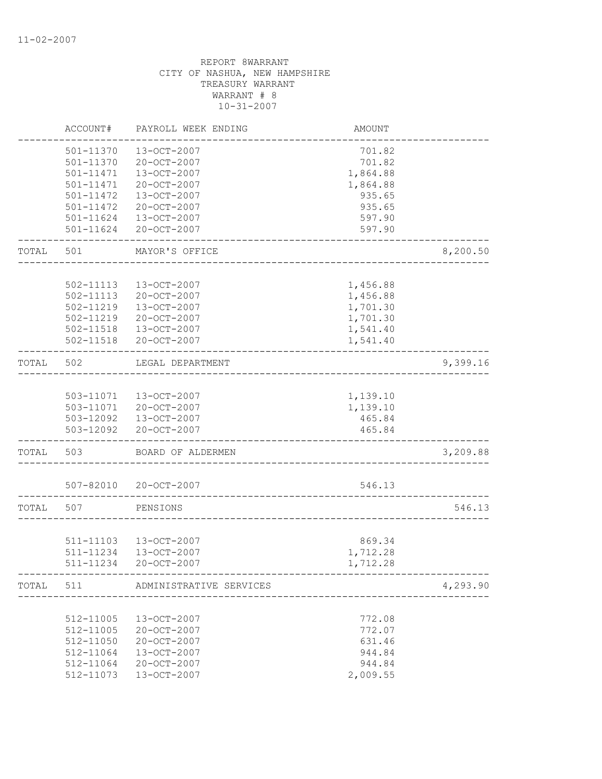|           | ACCOUNT#      | PAYROLL WEEK ENDING                    | AMOUNT              |          |
|-----------|---------------|----------------------------------------|---------------------|----------|
|           | 501-11370     | 13-OCT-2007                            | 701.82              |          |
|           | 501-11370     | 20-OCT-2007                            | 701.82              |          |
|           | 501-11471     | 13-OCT-2007                            | 1,864.88            |          |
|           | $501 - 11471$ | 20-OCT-2007                            | 1,864.88            |          |
|           | $501 - 11472$ | 13-OCT-2007                            | 935.65              |          |
|           | 501-11472     | 20-OCT-2007                            | 935.65              |          |
|           | 501-11624     | 13-OCT-2007                            | 597.90              |          |
|           | 501-11624     | 20-OCT-2007                            | 597.90              |          |
| TOTAL     | 501           | MAYOR'S OFFICE                         |                     | 8,200.50 |
|           |               |                                        |                     |          |
|           | 502-11113     | 13-OCT-2007                            | 1,456.88            |          |
|           | 502-11113     | 20-OCT-2007                            | 1,456.88            |          |
|           | 502-11219     | 13-OCT-2007                            | 1,701.30            |          |
|           | 502-11219     | 20-OCT-2007                            | 1,701.30            |          |
|           | 502-11518     | 13-OCT-2007                            | 1,541.40            |          |
|           | 502-11518     | 20-OCT-2007                            | 1,541.40            |          |
| TOTAL     | 502           | LEGAL DEPARTMENT                       |                     | 9,399.16 |
|           |               |                                        |                     |          |
|           |               | 503-11071  13-OCT-2007                 | 1,139.10            |          |
|           |               | 503-11071 20-OCT-2007                  | 1,139.10            |          |
|           |               | 503-12092  13-OCT-2007                 | 465.84              |          |
|           | 503-12092     | 20-OCT-2007                            | 465.84              |          |
| TOTAL     | 503           | BOARD OF ALDERMEN                      |                     | 3,209.88 |
|           |               | 507-82010 20-OCT-2007                  | 546.13              |          |
| TOTAL     | 507           | __________________________<br>PENSIONS |                     | 546.13   |
|           |               |                                        |                     |          |
|           |               | 511-11103 13-OCT-2007                  | 869.34              |          |
|           |               | 511-11234 13-OCT-2007                  | 1,712.28            |          |
|           | 511-11234     | 20-OCT-2007                            | 1,712.28            |          |
| TOTAL 511 |               | ADMINISTRATIVE SERVICES                | ------------------- | 4,293.90 |
|           |               |                                        |                     |          |
|           | 512-11005     | 13-OCT-2007                            | 772.08              |          |
|           | 512-11005     | 20-OCT-2007                            | 772.07              |          |
|           | 512-11050     | 20-OCT-2007                            | 631.46              |          |
|           | 512-11064     | 13-OCT-2007                            | 944.84              |          |
|           | 512-11064     | 20-OCT-2007                            | 944.84              |          |
|           | 512-11073     | 13-OCT-2007                            | 2,009.55            |          |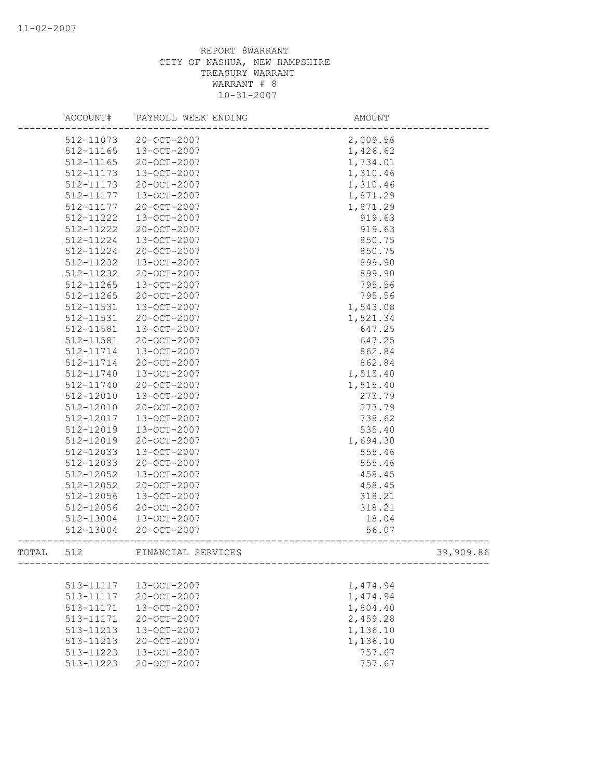|       | ACCOUNT#               | PAYROLL WEEK ENDING        | AMOUNT           |
|-------|------------------------|----------------------------|------------------|
|       | 512-11073              | 20-OCT-2007                | 2,009.56         |
|       | 512-11165              | 13-OCT-2007                | 1,426.62         |
|       | 512-11165              | 20-OCT-2007                | 1,734.01         |
|       | 512-11173              | 13-OCT-2007                | 1,310.46         |
|       | 512-11173              | 20-OCT-2007                | 1,310.46         |
|       | 512-11177              | 13-OCT-2007                | 1,871.29         |
|       | 512-11177              | 20-OCT-2007                | 1,871.29         |
|       | 512-11222              | 13-OCT-2007                | 919.63           |
|       | 512-11222              | 20-OCT-2007                | 919.63           |
|       | 512-11224              | 13-OCT-2007                | 850.75           |
|       | 512-11224              | 20-OCT-2007                | 850.75           |
|       | 512-11232              | 13-OCT-2007                | 899.90           |
|       | 512-11232              | 20-OCT-2007                | 899.90           |
|       | 512-11265              | 13-OCT-2007                | 795.56           |
|       | 512-11265              | 20-OCT-2007                | 795.56           |
|       | 512-11531              | 13-OCT-2007                | 1,543.08         |
|       | 512-11531              | 20-OCT-2007                | 1,521.34         |
|       | 512-11581              | 13-OCT-2007                | 647.25           |
|       | 512-11581              | $20 - OCT - 2007$          | 647.25           |
|       | 512-11714              | 13-OCT-2007                | 862.84           |
|       | 512-11714              | $20 - OCT - 2007$          | 862.84           |
|       | 512-11740              | 13-OCT-2007                | 1,515.40         |
|       | 512-11740              | 20-OCT-2007                | 1,515.40         |
|       | 512-12010              | 13-OCT-2007                | 273.79           |
|       | 512-12010              | 20-OCT-2007                | 273.79           |
|       | 512-12017<br>512-12019 | 13-OCT-2007<br>13-OCT-2007 | 738.62<br>535.40 |
|       | 512-12019              | 20-OCT-2007                | 1,694.30         |
|       | 512-12033              | 13-OCT-2007                | 555.46           |
|       | 512-12033              | 20-OCT-2007                | 555.46           |
|       | 512-12052              | 13-OCT-2007                | 458.45           |
|       | 512-12052              | 20-OCT-2007                | 458.45           |
|       | 512-12056              | 13-OCT-2007                | 318.21           |
|       | 512-12056              | 20-OCT-2007                | 318.21           |
|       | 512-13004              | 13-OCT-2007                | 18.04            |
|       | 512-13004              | 20-OCT-2007                | 56.07            |
|       |                        |                            |                  |
| TOTAL | 512                    | FINANCIAL SERVICES         | 39,909.86        |
|       |                        |                            |                  |
|       | 513-11117              | 13-OCT-2007                | 1,474.94         |
|       | 513-11117              | 20-OCT-2007                | 1,474.94         |
|       | 513-11171              | 13-OCT-2007                | 1,804.40         |
|       | 513-11171              | 20-OCT-2007                | 2,459.28         |
|       | 513-11213              | 13-OCT-2007                | 1,136.10         |
|       | 513-11213              | 20-OCT-2007                | 1,136.10         |
|       | 513-11223              | 13-OCT-2007                | 757.67           |
|       | 513-11223              | 20-OCT-2007                | 757.67           |
|       |                        |                            |                  |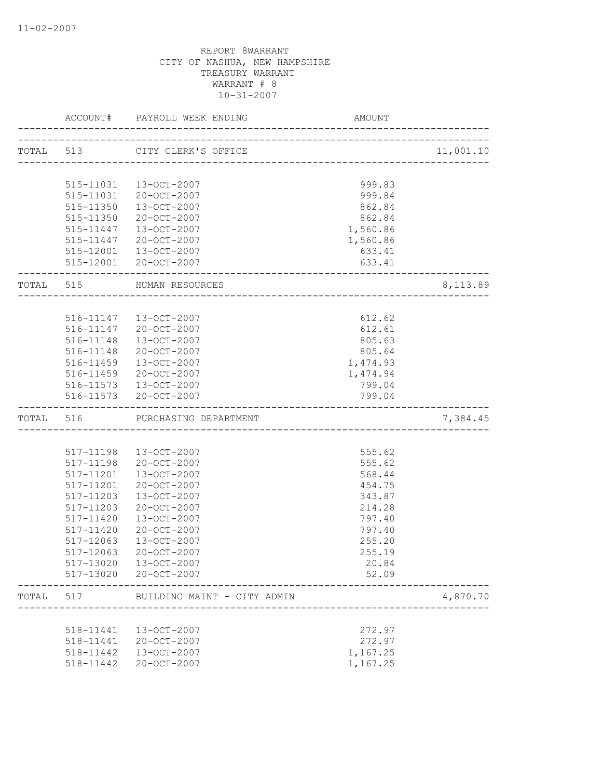|           | ACCOUNT#               | PAYROLL WEEK ENDING<br>--------------------                   | AMOUNT                             |           |
|-----------|------------------------|---------------------------------------------------------------|------------------------------------|-----------|
|           | TOTAL 513              | CITY CLERK'S OFFICE                                           |                                    | 11,001.10 |
|           |                        |                                                               | ---------------------------------- |           |
|           | 515-11031              | 13-OCT-2007                                                   | 999.83                             |           |
|           | 515-11031              | 20-OCT-2007                                                   | 999.84                             |           |
|           | 515-11350              | 13-OCT-2007                                                   | 862.84                             |           |
|           | 515-11350              | 20-OCT-2007                                                   | 862.84                             |           |
|           |                        | 515-11447  13-OCT-2007                                        | 1,560.86                           |           |
|           |                        | 515-11447 20-OCT-2007                                         | 1,560.86                           |           |
|           |                        | 515-12001  13-OCT-2007                                        | 633.41                             |           |
|           |                        | 515-12001 20-OCT-2007                                         | 633.41                             |           |
| TOTAL 515 |                        | HUMAN RESOURCES                                               |                                    | 8,113.89  |
|           |                        |                                                               |                                    |           |
|           |                        | 516-11147  13-OCT-2007                                        | 612.62                             |           |
|           |                        | 516-11147 20-OCT-2007                                         | 612.61                             |           |
|           | 516-11148              | 13-OCT-2007                                                   | 805.63                             |           |
|           | 516-11148              | 20-OCT-2007                                                   | 805.64                             |           |
|           | 516-11459              | 13-OCT-2007                                                   | 1,474.93                           |           |
|           | 516-11459              | 20-OCT-2007                                                   | 1,474.94                           |           |
|           |                        | 516-11573  13-OCT-2007                                        | 799.04                             |           |
|           |                        | 516-11573 20-OCT-2007<br>____________________________________ | 799.04                             |           |
|           | TOTAL 516              | PURCHASING DEPARTMENT                                         |                                    | 7,384.45  |
|           |                        |                                                               |                                    |           |
|           | 517-11198              | 13-OCT-2007                                                   | 555.62                             |           |
|           | 517-11198              | 20-OCT-2007                                                   | 555.62                             |           |
|           | 517-11201              | 13-OCT-2007                                                   | 568.44                             |           |
|           | 517-11201              | 20-OCT-2007                                                   | 454.75                             |           |
|           | 517-11203              | 13-OCT-2007                                                   | 343.87                             |           |
|           | 517-11203              | 20-OCT-2007                                                   | 214.28                             |           |
|           | 517-11420              | 13-OCT-2007                                                   | 797.40                             |           |
|           | 517-11420              | $20 - OCT - 2007$                                             | 797.40                             |           |
|           | 517-12063              | $13 - OCT - 2007$                                             | 255.20                             |           |
|           | 517-12063              | 20-OCT-2007                                                   | 255.19                             |           |
|           | 517-13020              | 13-OCT-2007                                                   | 20.84                              |           |
|           | 517-13020              | 20-OCT-2007                                                   | 52.09                              |           |
| TOTAL     | 517                    | BUILDING MAINT - CITY ADMIN                                   |                                    | 4,870.70  |
|           |                        |                                                               |                                    |           |
|           | 518-11441              | 13-OCT-2007                                                   | 272.97                             |           |
|           | 518-11441<br>518-11442 | 20-OCT-2007<br>13-OCT-2007                                    | 272.97<br>1,167.25                 |           |
|           | 518-11442              | 20-OCT-2007                                                   | 1,167.25                           |           |
|           |                        |                                                               |                                    |           |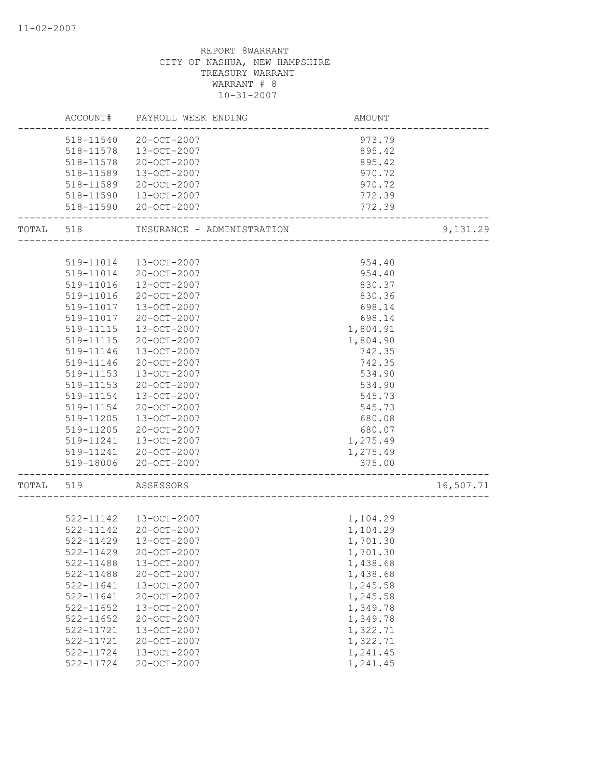| 20-OCT-2007<br>518-11540<br>973.79<br>13-OCT-2007<br>895.42<br>518-11578<br>518-11578<br>20-OCT-2007<br>895.42<br>518-11589<br>13-OCT-2007<br>970.72<br>518-11589<br>20-OCT-2007<br>970.72<br>13-OCT-2007<br>772.39<br>518-11590<br>20-OCT-2007<br>772.39<br>518-11590<br>9,131.29<br>TOTAL<br>518<br>INSURANCE - ADMINISTRATION<br>954.40<br>519-11014<br>13-OCT-2007<br>519-11014<br>20-OCT-2007<br>954.40<br>519-11016<br>13-OCT-2007<br>830.37<br>519-11016<br>830.36<br>20-OCT-2007<br>519-11017<br>13-OCT-2007<br>698.14<br>519-11017<br>20-OCT-2007<br>698.14<br>519-11115<br>1,804.91<br>13-OCT-2007<br>20-OCT-2007<br>1,804.90<br>519-11115<br>519-11146<br>13-OCT-2007<br>742.35<br>519-11146<br>20-OCT-2007<br>742.35<br>519-11153<br>13-OCT-2007<br>534.90<br>534.90<br>519-11153<br>20-OCT-2007<br>519-11154<br>13-OCT-2007<br>545.73<br>20-OCT-2007<br>519-11154<br>545.73<br>519-11205<br>13-OCT-2007<br>680.08<br>519-11205<br>20-OCT-2007<br>680.07<br>1,275.49<br>519-11241<br>13-OCT-2007<br>20-OCT-2007<br>1,275.49<br>519-11241<br>519-18006<br>20-OCT-2007<br>375.00<br>16,507.71<br>TOTAL<br>519<br>ASSESSORS<br>522-11142<br>13-OCT-2007<br>1,104.29<br>522-11142<br>1,104.29<br>20-OCT-2007<br>$522 - 11429$<br>13-OCT-2007<br>1,701.30<br>522-11429<br>20-OCT-2007<br>1,701.30<br>522-11488<br>13-OCT-2007<br>1,438.68<br>522-11488<br>20-OCT-2007<br>1,438.68<br>522-11641<br>13-OCT-2007<br>1,245.58<br>522-11641<br>20-OCT-2007<br>1,245.58<br>522-11652<br>13-OCT-2007<br>1,349.78<br>20-OCT-2007<br>1,349.78<br>522-11652<br>1,322.71<br>522-11721<br>13-OCT-2007<br>$20 - OCT - 2007$<br>1,322.71<br>522-11721<br>522-11724<br>13-OCT-2007<br>1,241.45<br>1,241.45<br>522-11724<br>$20 - OCT - 2007$ | ACCOUNT# | PAYROLL WEEK ENDING | AMOUNT |  |
|--------------------------------------------------------------------------------------------------------------------------------------------------------------------------------------------------------------------------------------------------------------------------------------------------------------------------------------------------------------------------------------------------------------------------------------------------------------------------------------------------------------------------------------------------------------------------------------------------------------------------------------------------------------------------------------------------------------------------------------------------------------------------------------------------------------------------------------------------------------------------------------------------------------------------------------------------------------------------------------------------------------------------------------------------------------------------------------------------------------------------------------------------------------------------------------------------------------------------------------------------------------------------------------------------------------------------------------------------------------------------------------------------------------------------------------------------------------------------------------------------------------------------------------------------------------------------------------------------------------------------------------------------------------------------------------------------------------------------------------|----------|---------------------|--------|--|
|                                                                                                                                                                                                                                                                                                                                                                                                                                                                                                                                                                                                                                                                                                                                                                                                                                                                                                                                                                                                                                                                                                                                                                                                                                                                                                                                                                                                                                                                                                                                                                                                                                                                                                                                      |          |                     |        |  |
|                                                                                                                                                                                                                                                                                                                                                                                                                                                                                                                                                                                                                                                                                                                                                                                                                                                                                                                                                                                                                                                                                                                                                                                                                                                                                                                                                                                                                                                                                                                                                                                                                                                                                                                                      |          |                     |        |  |
|                                                                                                                                                                                                                                                                                                                                                                                                                                                                                                                                                                                                                                                                                                                                                                                                                                                                                                                                                                                                                                                                                                                                                                                                                                                                                                                                                                                                                                                                                                                                                                                                                                                                                                                                      |          |                     |        |  |
|                                                                                                                                                                                                                                                                                                                                                                                                                                                                                                                                                                                                                                                                                                                                                                                                                                                                                                                                                                                                                                                                                                                                                                                                                                                                                                                                                                                                                                                                                                                                                                                                                                                                                                                                      |          |                     |        |  |
|                                                                                                                                                                                                                                                                                                                                                                                                                                                                                                                                                                                                                                                                                                                                                                                                                                                                                                                                                                                                                                                                                                                                                                                                                                                                                                                                                                                                                                                                                                                                                                                                                                                                                                                                      |          |                     |        |  |
|                                                                                                                                                                                                                                                                                                                                                                                                                                                                                                                                                                                                                                                                                                                                                                                                                                                                                                                                                                                                                                                                                                                                                                                                                                                                                                                                                                                                                                                                                                                                                                                                                                                                                                                                      |          |                     |        |  |
|                                                                                                                                                                                                                                                                                                                                                                                                                                                                                                                                                                                                                                                                                                                                                                                                                                                                                                                                                                                                                                                                                                                                                                                                                                                                                                                                                                                                                                                                                                                                                                                                                                                                                                                                      |          |                     |        |  |
|                                                                                                                                                                                                                                                                                                                                                                                                                                                                                                                                                                                                                                                                                                                                                                                                                                                                                                                                                                                                                                                                                                                                                                                                                                                                                                                                                                                                                                                                                                                                                                                                                                                                                                                                      |          |                     |        |  |
|                                                                                                                                                                                                                                                                                                                                                                                                                                                                                                                                                                                                                                                                                                                                                                                                                                                                                                                                                                                                                                                                                                                                                                                                                                                                                                                                                                                                                                                                                                                                                                                                                                                                                                                                      |          |                     |        |  |
|                                                                                                                                                                                                                                                                                                                                                                                                                                                                                                                                                                                                                                                                                                                                                                                                                                                                                                                                                                                                                                                                                                                                                                                                                                                                                                                                                                                                                                                                                                                                                                                                                                                                                                                                      |          |                     |        |  |
|                                                                                                                                                                                                                                                                                                                                                                                                                                                                                                                                                                                                                                                                                                                                                                                                                                                                                                                                                                                                                                                                                                                                                                                                                                                                                                                                                                                                                                                                                                                                                                                                                                                                                                                                      |          |                     |        |  |
|                                                                                                                                                                                                                                                                                                                                                                                                                                                                                                                                                                                                                                                                                                                                                                                                                                                                                                                                                                                                                                                                                                                                                                                                                                                                                                                                                                                                                                                                                                                                                                                                                                                                                                                                      |          |                     |        |  |
|                                                                                                                                                                                                                                                                                                                                                                                                                                                                                                                                                                                                                                                                                                                                                                                                                                                                                                                                                                                                                                                                                                                                                                                                                                                                                                                                                                                                                                                                                                                                                                                                                                                                                                                                      |          |                     |        |  |
|                                                                                                                                                                                                                                                                                                                                                                                                                                                                                                                                                                                                                                                                                                                                                                                                                                                                                                                                                                                                                                                                                                                                                                                                                                                                                                                                                                                                                                                                                                                                                                                                                                                                                                                                      |          |                     |        |  |
|                                                                                                                                                                                                                                                                                                                                                                                                                                                                                                                                                                                                                                                                                                                                                                                                                                                                                                                                                                                                                                                                                                                                                                                                                                                                                                                                                                                                                                                                                                                                                                                                                                                                                                                                      |          |                     |        |  |
|                                                                                                                                                                                                                                                                                                                                                                                                                                                                                                                                                                                                                                                                                                                                                                                                                                                                                                                                                                                                                                                                                                                                                                                                                                                                                                                                                                                                                                                                                                                                                                                                                                                                                                                                      |          |                     |        |  |
|                                                                                                                                                                                                                                                                                                                                                                                                                                                                                                                                                                                                                                                                                                                                                                                                                                                                                                                                                                                                                                                                                                                                                                                                                                                                                                                                                                                                                                                                                                                                                                                                                                                                                                                                      |          |                     |        |  |
|                                                                                                                                                                                                                                                                                                                                                                                                                                                                                                                                                                                                                                                                                                                                                                                                                                                                                                                                                                                                                                                                                                                                                                                                                                                                                                                                                                                                                                                                                                                                                                                                                                                                                                                                      |          |                     |        |  |
|                                                                                                                                                                                                                                                                                                                                                                                                                                                                                                                                                                                                                                                                                                                                                                                                                                                                                                                                                                                                                                                                                                                                                                                                                                                                                                                                                                                                                                                                                                                                                                                                                                                                                                                                      |          |                     |        |  |
|                                                                                                                                                                                                                                                                                                                                                                                                                                                                                                                                                                                                                                                                                                                                                                                                                                                                                                                                                                                                                                                                                                                                                                                                                                                                                                                                                                                                                                                                                                                                                                                                                                                                                                                                      |          |                     |        |  |
|                                                                                                                                                                                                                                                                                                                                                                                                                                                                                                                                                                                                                                                                                                                                                                                                                                                                                                                                                                                                                                                                                                                                                                                                                                                                                                                                                                                                                                                                                                                                                                                                                                                                                                                                      |          |                     |        |  |
|                                                                                                                                                                                                                                                                                                                                                                                                                                                                                                                                                                                                                                                                                                                                                                                                                                                                                                                                                                                                                                                                                                                                                                                                                                                                                                                                                                                                                                                                                                                                                                                                                                                                                                                                      |          |                     |        |  |
|                                                                                                                                                                                                                                                                                                                                                                                                                                                                                                                                                                                                                                                                                                                                                                                                                                                                                                                                                                                                                                                                                                                                                                                                                                                                                                                                                                                                                                                                                                                                                                                                                                                                                                                                      |          |                     |        |  |
|                                                                                                                                                                                                                                                                                                                                                                                                                                                                                                                                                                                                                                                                                                                                                                                                                                                                                                                                                                                                                                                                                                                                                                                                                                                                                                                                                                                                                                                                                                                                                                                                                                                                                                                                      |          |                     |        |  |
|                                                                                                                                                                                                                                                                                                                                                                                                                                                                                                                                                                                                                                                                                                                                                                                                                                                                                                                                                                                                                                                                                                                                                                                                                                                                                                                                                                                                                                                                                                                                                                                                                                                                                                                                      |          |                     |        |  |
|                                                                                                                                                                                                                                                                                                                                                                                                                                                                                                                                                                                                                                                                                                                                                                                                                                                                                                                                                                                                                                                                                                                                                                                                                                                                                                                                                                                                                                                                                                                                                                                                                                                                                                                                      |          |                     |        |  |
|                                                                                                                                                                                                                                                                                                                                                                                                                                                                                                                                                                                                                                                                                                                                                                                                                                                                                                                                                                                                                                                                                                                                                                                                                                                                                                                                                                                                                                                                                                                                                                                                                                                                                                                                      |          |                     |        |  |
|                                                                                                                                                                                                                                                                                                                                                                                                                                                                                                                                                                                                                                                                                                                                                                                                                                                                                                                                                                                                                                                                                                                                                                                                                                                                                                                                                                                                                                                                                                                                                                                                                                                                                                                                      |          |                     |        |  |
|                                                                                                                                                                                                                                                                                                                                                                                                                                                                                                                                                                                                                                                                                                                                                                                                                                                                                                                                                                                                                                                                                                                                                                                                                                                                                                                                                                                                                                                                                                                                                                                                                                                                                                                                      |          |                     |        |  |
|                                                                                                                                                                                                                                                                                                                                                                                                                                                                                                                                                                                                                                                                                                                                                                                                                                                                                                                                                                                                                                                                                                                                                                                                                                                                                                                                                                                                                                                                                                                                                                                                                                                                                                                                      |          |                     |        |  |
|                                                                                                                                                                                                                                                                                                                                                                                                                                                                                                                                                                                                                                                                                                                                                                                                                                                                                                                                                                                                                                                                                                                                                                                                                                                                                                                                                                                                                                                                                                                                                                                                                                                                                                                                      |          |                     |        |  |
|                                                                                                                                                                                                                                                                                                                                                                                                                                                                                                                                                                                                                                                                                                                                                                                                                                                                                                                                                                                                                                                                                                                                                                                                                                                                                                                                                                                                                                                                                                                                                                                                                                                                                                                                      |          |                     |        |  |
|                                                                                                                                                                                                                                                                                                                                                                                                                                                                                                                                                                                                                                                                                                                                                                                                                                                                                                                                                                                                                                                                                                                                                                                                                                                                                                                                                                                                                                                                                                                                                                                                                                                                                                                                      |          |                     |        |  |
|                                                                                                                                                                                                                                                                                                                                                                                                                                                                                                                                                                                                                                                                                                                                                                                                                                                                                                                                                                                                                                                                                                                                                                                                                                                                                                                                                                                                                                                                                                                                                                                                                                                                                                                                      |          |                     |        |  |
|                                                                                                                                                                                                                                                                                                                                                                                                                                                                                                                                                                                                                                                                                                                                                                                                                                                                                                                                                                                                                                                                                                                                                                                                                                                                                                                                                                                                                                                                                                                                                                                                                                                                                                                                      |          |                     |        |  |
|                                                                                                                                                                                                                                                                                                                                                                                                                                                                                                                                                                                                                                                                                                                                                                                                                                                                                                                                                                                                                                                                                                                                                                                                                                                                                                                                                                                                                                                                                                                                                                                                                                                                                                                                      |          |                     |        |  |
|                                                                                                                                                                                                                                                                                                                                                                                                                                                                                                                                                                                                                                                                                                                                                                                                                                                                                                                                                                                                                                                                                                                                                                                                                                                                                                                                                                                                                                                                                                                                                                                                                                                                                                                                      |          |                     |        |  |
|                                                                                                                                                                                                                                                                                                                                                                                                                                                                                                                                                                                                                                                                                                                                                                                                                                                                                                                                                                                                                                                                                                                                                                                                                                                                                                                                                                                                                                                                                                                                                                                                                                                                                                                                      |          |                     |        |  |
|                                                                                                                                                                                                                                                                                                                                                                                                                                                                                                                                                                                                                                                                                                                                                                                                                                                                                                                                                                                                                                                                                                                                                                                                                                                                                                                                                                                                                                                                                                                                                                                                                                                                                                                                      |          |                     |        |  |
|                                                                                                                                                                                                                                                                                                                                                                                                                                                                                                                                                                                                                                                                                                                                                                                                                                                                                                                                                                                                                                                                                                                                                                                                                                                                                                                                                                                                                                                                                                                                                                                                                                                                                                                                      |          |                     |        |  |
|                                                                                                                                                                                                                                                                                                                                                                                                                                                                                                                                                                                                                                                                                                                                                                                                                                                                                                                                                                                                                                                                                                                                                                                                                                                                                                                                                                                                                                                                                                                                                                                                                                                                                                                                      |          |                     |        |  |
|                                                                                                                                                                                                                                                                                                                                                                                                                                                                                                                                                                                                                                                                                                                                                                                                                                                                                                                                                                                                                                                                                                                                                                                                                                                                                                                                                                                                                                                                                                                                                                                                                                                                                                                                      |          |                     |        |  |
|                                                                                                                                                                                                                                                                                                                                                                                                                                                                                                                                                                                                                                                                                                                                                                                                                                                                                                                                                                                                                                                                                                                                                                                                                                                                                                                                                                                                                                                                                                                                                                                                                                                                                                                                      |          |                     |        |  |
|                                                                                                                                                                                                                                                                                                                                                                                                                                                                                                                                                                                                                                                                                                                                                                                                                                                                                                                                                                                                                                                                                                                                                                                                                                                                                                                                                                                                                                                                                                                                                                                                                                                                                                                                      |          |                     |        |  |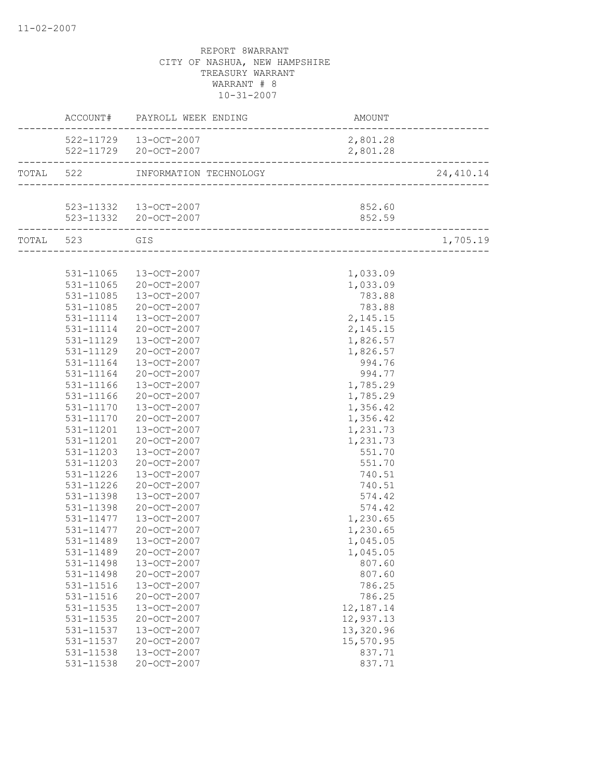|                        | ACCOUNT# PAYROLL WEEK ENDING     | <b>AMOUNT</b>                     |            |
|------------------------|----------------------------------|-----------------------------------|------------|
|                        | 522-11729  13-OCT-2007           | 2,801.28                          |            |
|                        | 522-11729 20-OCT-2007            | 2,801.28                          |            |
|                        | TOTAL 522 INFORMATION TECHNOLOGY | --------------------------------- | 24, 410.14 |
|                        |                                  |                                   |            |
|                        | 523-11332 13-OCT-2007            | 852.60                            |            |
| _________________      | 523-11332 20-OCT-2007            | 852.59                            |            |
| TOTAL 523 GIS          |                                  |                                   | 1,705.19   |
|                        |                                  |                                   |            |
| 531-11065              | 13-OCT-2007                      | 1,033.09                          |            |
| 531-11065              | 20-OCT-2007                      | 1,033.09                          |            |
| 531-11085              | 13-OCT-2007                      | 783.88                            |            |
| 531-11085              | 20-OCT-2007                      | 783.88                            |            |
| 531-11114              | 13-OCT-2007                      | 2,145.15                          |            |
| 531-11114              | 20-OCT-2007                      | 2,145.15                          |            |
| 531-11129              | 13-OCT-2007                      | 1,826.57                          |            |
| 531-11129              | 20-OCT-2007                      | 1,826.57                          |            |
| 531-11164              | 13-OCT-2007                      | 994.76                            |            |
| 531-11164              | 20-OCT-2007                      | 994.77                            |            |
| 531-11166              | 13-OCT-2007                      | 1,785.29                          |            |
| 531-11166              | 20-OCT-2007                      | 1,785.29                          |            |
| 531-11170              | 13-OCT-2007                      | 1,356.42                          |            |
| 531-11170              | 20-OCT-2007                      | 1,356.42                          |            |
| 531-11201              | 13-OCT-2007                      | 1,231.73                          |            |
| 531-11201              | 20-OCT-2007                      | 1,231.73                          |            |
| 531-11203              | 13-OCT-2007                      | 551.70                            |            |
| 531-11203              | 20-OCT-2007                      | 551.70                            |            |
| 531-11226              | 13-OCT-2007                      | 740.51                            |            |
| 531-11226              | 20-OCT-2007                      | 740.51                            |            |
| 531-11398              | 13-OCT-2007                      | 574.42<br>574.42                  |            |
| 531-11398<br>531-11477 | 20-OCT-2007                      | 1,230.65                          |            |
| 531-11477              | 13-OCT-2007<br>20-OCT-2007       | 1,230.65                          |            |
| 531-11489              | $13 - OCT - 2007$                | 1,045.05                          |            |
| 531-11489              | 20-OCT-2007                      | 1,045.05                          |            |
| 531-11498              | 13-OCT-2007                      | 807.60                            |            |
| 531-11498              | 20-OCT-2007                      | 807.60                            |            |
| 531-11516              | 13-OCT-2007                      | 786.25                            |            |
| 531-11516              | 20-OCT-2007                      | 786.25                            |            |
| 531-11535              | 13-OCT-2007                      | 12,187.14                         |            |
| $531 - 11535$          | 20-OCT-2007                      | 12,937.13                         |            |
| 531-11537              | 13-OCT-2007                      | 13,320.96                         |            |
| 531-11537              | 20-OCT-2007                      | 15,570.95                         |            |
| 531-11538              | 13-OCT-2007                      | 837.71                            |            |
| 531-11538              | 20-OCT-2007                      | 837.71                            |            |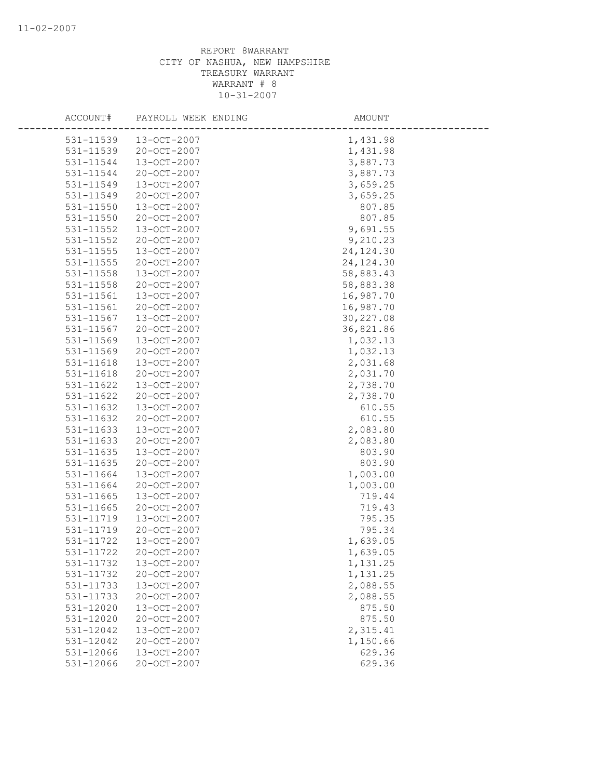| ACCOUNT#      | PAYROLL WEEK ENDING | AMOUNT     |
|---------------|---------------------|------------|
| 531-11539     | 13-OCT-2007         | 1,431.98   |
| 531-11539     | 20-OCT-2007         | 1,431.98   |
| 531-11544     | 13-OCT-2007         | 3,887.73   |
| 531-11544     | 20-OCT-2007         | 3,887.73   |
| 531-11549     | 13-OCT-2007         | 3,659.25   |
| 531-11549     | 20-OCT-2007         | 3,659.25   |
| 531-11550     | 13-OCT-2007         | 807.85     |
| $531 - 11550$ | 20-OCT-2007         | 807.85     |
| 531-11552     | 13-OCT-2007         | 9,691.55   |
| 531-11552     | 20-OCT-2007         | 9,210.23   |
| 531-11555     | 13-OCT-2007         | 24, 124.30 |
| 531-11555     | 20-OCT-2007         | 24, 124.30 |
| 531-11558     | 13-OCT-2007         | 58,883.43  |
| 531-11558     | 20-OCT-2007         | 58,883.38  |
| 531-11561     | 13-OCT-2007         | 16,987.70  |
| 531-11561     | 20-OCT-2007         | 16,987.70  |
| 531-11567     | 13-OCT-2007         | 30,227.08  |
| 531-11567     | $20 - OCT - 2007$   | 36,821.86  |
| 531-11569     | $13 - OCT - 2007$   | 1,032.13   |
| 531-11569     | 20-OCT-2007         | 1,032.13   |
| 531-11618     | 13-OCT-2007         | 2,031.68   |
| 531-11618     | 20-OCT-2007         | 2,031.70   |
| 531-11622     | 13-OCT-2007         | 2,738.70   |
| 531-11622     | 20-OCT-2007         | 2,738.70   |
| 531-11632     | 13-OCT-2007         | 610.55     |
| 531-11632     | 20-OCT-2007         | 610.55     |
| 531-11633     | 13-OCT-2007         | 2,083.80   |
| 531-11633     | 20-OCT-2007         | 2,083.80   |
| 531-11635     | 13-OCT-2007         | 803.90     |
| 531-11635     | $20 - OCT - 2007$   | 803.90     |
| 531-11664     | 13-OCT-2007         | 1,003.00   |
| 531-11664     | 20-OCT-2007         | 1,003.00   |
| 531-11665     | 13-OCT-2007         | 719.44     |
| 531-11665     | $20 - OCT - 2007$   | 719.43     |
| 531-11719     | 13-OCT-2007         | 795.35     |
| 531-11719     | 20-OCT-2007         | 795.34     |
| 531-11722     | 13-OCT-2007         | 1,639.05   |
| 531-11722     | 20-OCT-2007         | 1,639.05   |
| 531-11732     | 13-OCT-2007         | 1,131.25   |
| 531-11732     | 20-OCT-2007         | 1,131.25   |
| 531-11733     | 13-OCT-2007         | 2,088.55   |
| 531-11733     | $20 - OCT - 2007$   | 2,088.55   |
| 531-12020     | 13-OCT-2007         | 875.50     |
| 531-12020     | 20-OCT-2007         | 875.50     |
| 531-12042     | 13-OCT-2007         | 2,315.41   |
| 531-12042     | 20-OCT-2007         | 1,150.66   |
| 531-12066     | 13-OCT-2007         | 629.36     |
| 531-12066     | 20-OCT-2007         | 629.36     |
|               |                     |            |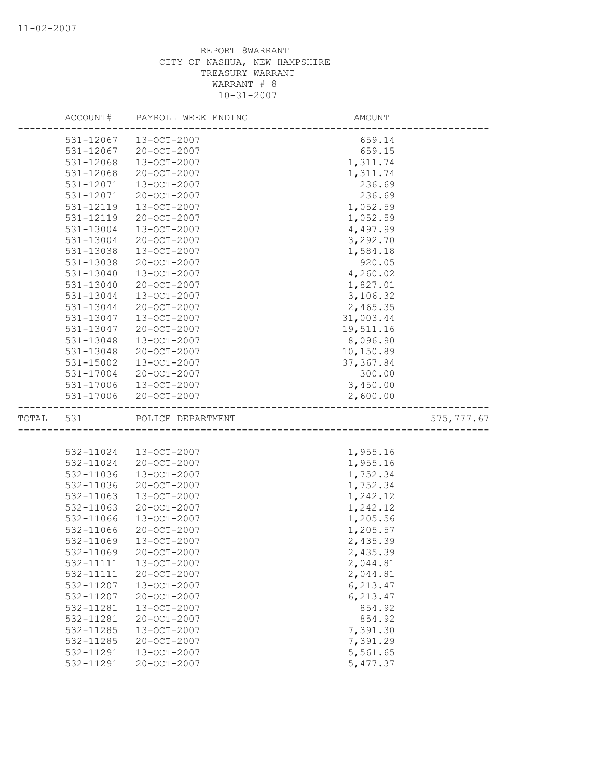|       | ACCOUNT#      | PAYROLL WEEK ENDING | AMOUNT     |             |
|-------|---------------|---------------------|------------|-------------|
|       | 531-12067     | 13-OCT-2007         | 659.14     |             |
|       | $531 - 12067$ | 20-OCT-2007         | 659.15     |             |
|       | 531-12068     | 13-OCT-2007         | 1,311.74   |             |
|       | 531-12068     | 20-OCT-2007         | 1,311.74   |             |
|       | 531-12071     | 13-OCT-2007         | 236.69     |             |
|       | 531-12071     | 20-OCT-2007         | 236.69     |             |
|       | 531-12119     | 13-OCT-2007         | 1,052.59   |             |
|       | 531-12119     | 20-OCT-2007         | 1,052.59   |             |
|       | 531-13004     | 13-OCT-2007         | 4,497.99   |             |
|       | 531-13004     | $20 - OCT - 2007$   | 3,292.70   |             |
|       | 531-13038     | 13-OCT-2007         | 1,584.18   |             |
|       | 531-13038     | 20-OCT-2007         | 920.05     |             |
|       | 531-13040     | 13-OCT-2007         | 4,260.02   |             |
|       | 531-13040     | 20-OCT-2007         | 1,827.01   |             |
|       | 531-13044     | 13-OCT-2007         | 3,106.32   |             |
|       | 531-13044     | 20-OCT-2007         | 2,465.35   |             |
|       | 531-13047     | 13-OCT-2007         | 31,003.44  |             |
|       | 531-13047     | $20 - OCT - 2007$   | 19,511.16  |             |
|       | 531-13048     | $13 - OCT - 2007$   | 8,096.90   |             |
|       | 531-13048     | 20-OCT-2007         | 10,150.89  |             |
|       | 531-15002     | 13-OCT-2007         | 37, 367.84 |             |
|       | 531-17004     | 20-OCT-2007         | 300.00     |             |
|       | 531-17006     | 13-OCT-2007         | 3,450.00   |             |
|       | 531-17006     | 20-OCT-2007         | 2,600.00   |             |
| TOTAL | 531           | POLICE DEPARTMENT   |            | 575, 777.67 |
|       |               |                     |            |             |
|       | 532-11024     | 13-OCT-2007         | 1,955.16   |             |
|       | 532-11024     | 20-OCT-2007         | 1,955.16   |             |
|       | 532-11036     | 13-OCT-2007         | 1,752.34   |             |
|       | 532-11036     | 20-OCT-2007         | 1,752.34   |             |
|       | 532-11063     | 13-OCT-2007         | 1,242.12   |             |
|       | 532-11063     | 20-OCT-2007         | 1,242.12   |             |
|       | 532-11066     | 13-OCT-2007         | 1,205.56   |             |
|       | 532-11066     | 20-OCT-2007         | 1,205.57   |             |
|       | 532-11069     | $13 - OCT - 2007$   | 2,435.39   |             |
|       | 532-11069     | 20-OCT-2007         | 2,435.39   |             |
|       | 532-11111     | 13-OCT-2007         | 2,044.81   |             |
|       | 532-11111     | 20-OCT-2007         | 2,044.81   |             |
|       | 532-11207     | 13-OCT-2007         | 6,213.47   |             |
|       | 532-11207     | 20-OCT-2007         | 6,213.47   |             |
|       | 532-11281     | 13-OCT-2007         | 854.92     |             |
|       | 532-11281     | 20-OCT-2007         | 854.92     |             |
|       | 532-11285     | 13-OCT-2007         | 7,391.30   |             |
|       | 532-11285     | $20 - OCT - 2007$   | 7,391.29   |             |
|       | 532-11291     | 13-OCT-2007         | 5,561.65   |             |
|       | 532-11291     | 20-OCT-2007         | 5,477.37   |             |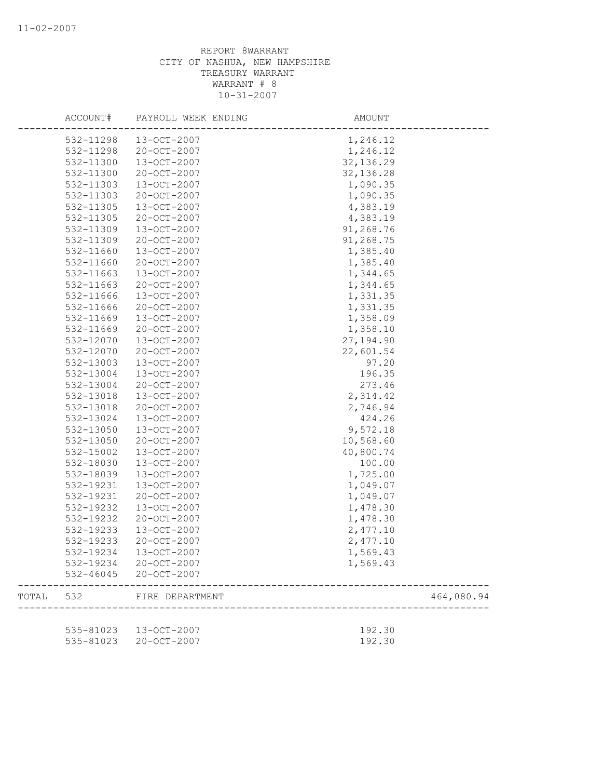|       | ACCOUNT#               | PAYROLL WEEK ENDING        | AMOUNT               |            |
|-------|------------------------|----------------------------|----------------------|------------|
|       | 532-11298              | 13-OCT-2007                | 1,246.12             |            |
|       | 532-11298              | 20-OCT-2007                | 1,246.12             |            |
|       | 532-11300              | 13-OCT-2007                | 32, 136.29           |            |
|       | 532-11300              | 20-OCT-2007                | 32, 136.28           |            |
|       | 532-11303              | 13-OCT-2007                | 1,090.35             |            |
|       | 532-11303              | 20-OCT-2007                | 1,090.35             |            |
|       | 532-11305              | 13-OCT-2007                | 4,383.19             |            |
|       | 532-11305              | 20-OCT-2007                | 4,383.19             |            |
|       | 532-11309              | 13-OCT-2007                | 91,268.76            |            |
|       | 532-11309              | 20-OCT-2007                | 91,268.75            |            |
|       | 532-11660              | 13-OCT-2007                | 1,385.40             |            |
|       | 532-11660              | 20-OCT-2007                | 1,385.40             |            |
|       | 532-11663              | 13-OCT-2007                | 1,344.65             |            |
|       | 532-11663              | 20-OCT-2007                | 1,344.65             |            |
|       | 532-11666              | 13-OCT-2007                | 1,331.35             |            |
|       | 532-11666              | $20 - OCT - 2007$          | 1,331.35             |            |
|       | 532-11669              | 13-OCT-2007                | 1,358.09             |            |
|       | 532-11669              | 20-OCT-2007                | 1,358.10             |            |
|       | 532-12070              | 13-OCT-2007                | 27,194.90            |            |
|       | 532-12070              | 20-OCT-2007                | 22,601.54            |            |
|       | 532-13003              | 13-OCT-2007                | 97.20                |            |
|       | 532-13004              | 13-OCT-2007                | 196.35               |            |
|       | 532-13004              | 20-OCT-2007                | 273.46               |            |
|       | 532-13018              | 13-OCT-2007                | 2,314.42             |            |
|       | 532-13018              | 20-OCT-2007                | 2,746.94             |            |
|       | 532-13024              | 13-OCT-2007                | 424.26               |            |
|       | 532-13050              | 13-OCT-2007                | 9,572.18             |            |
|       | 532-13050              | 20-OCT-2007                | 10,568.60            |            |
|       | 532-15002              | 13-OCT-2007                | 40,800.74            |            |
|       | 532-18030              | 13-OCT-2007                | 100.00               |            |
|       | 532-18039              | 13-OCT-2007                | 1,725.00             |            |
|       |                        |                            |                      |            |
|       | 532-19231<br>532-19231 | 13-OCT-2007<br>20-OCT-2007 | 1,049.07<br>1,049.07 |            |
|       | 532-19232              | 13-OCT-2007                |                      |            |
|       | 532-19232              | 20-OCT-2007                | 1,478.30             |            |
|       |                        |                            | 1,478.30             |            |
|       | 532-19233<br>532-19233 | 13-OCT-2007                | 2,477.10             |            |
|       |                        | 20-OCT-2007                | 2,477.10             |            |
|       | 532-19234              | 13-OCT-2007                | 1,569.43             |            |
|       | 532-19234<br>532-46045 | 20-OCT-2007<br>20-OCT-2007 | 1,569.43             |            |
| TOTAL | 532                    | FIRE DEPARTMENT            |                      | 464,080.94 |
|       |                        |                            |                      |            |
|       | 535-81023              | 13-OCT-2007                | 192.30               |            |
|       | 535-81023              | 20-OCT-2007                | 192.30               |            |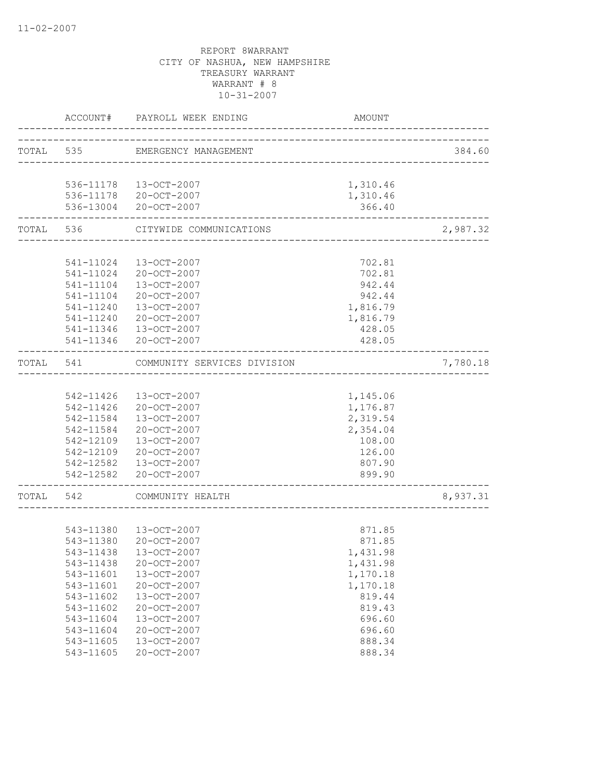|       | ACCOUNT#  | PAYROLL WEEK ENDING            | AMOUNT                               |          |
|-------|-----------|--------------------------------|--------------------------------------|----------|
|       |           | TOTAL 535 EMERGENCY MANAGEMENT |                                      | 384.60   |
|       |           |                                | ------------------------------------ |          |
|       |           | 536-11178 13-OCT-2007          | 1,310.46                             |          |
|       |           | 536-11178 20-OCT-2007          | 1,310.46                             |          |
|       |           | 536-13004 20-OCT-2007          | 366.40                               |          |
|       | TOTAL 536 | CITYWIDE COMMUNICATIONS        |                                      | 2,987.32 |
|       |           |                                |                                      |          |
|       |           | 541-11024 13-OCT-2007          | 702.81                               |          |
|       |           | 541-11024 20-OCT-2007          | 702.81                               |          |
|       |           | 541-11104 13-OCT-2007          | 942.44                               |          |
|       | 541-11104 | 20-OCT-2007                    | 942.44                               |          |
|       | 541-11240 | 13-OCT-2007                    | 1,816.79                             |          |
|       | 541-11240 | 20-OCT-2007                    | 1,816.79                             |          |
|       | 541-11346 | 13-OCT-2007                    | 428.05                               |          |
|       |           | 541-11346 20-OCT-2007          | 428.05                               |          |
| TOTAL | 541       | COMMUNITY SERVICES DIVISION    |                                      | 7,780.18 |
|       |           |                                |                                      |          |
|       |           | 542-11426 13-OCT-2007          | 1,145.06                             |          |
|       |           | 542-11426 20-OCT-2007          | 1,176.87                             |          |
|       | 542-11584 | 13-OCT-2007                    | 2,319.54                             |          |
|       | 542-11584 | 20-OCT-2007                    | 2,354.04                             |          |
|       | 542-12109 | 13-OCT-2007                    | 108.00                               |          |
|       | 542-12109 | 20-OCT-2007                    | 126.00                               |          |
|       |           | 542-12582  13-OCT-2007         | 807.90                               |          |
|       |           | 542-12582 20-OCT-2007          | 899.90                               |          |
| TOTAL | 542       | COMMUNITY HEALTH               |                                      | 8,937.31 |
|       |           |                                |                                      |          |
|       |           |                                |                                      |          |
|       |           | 543-11380  13-OCT-2007         | 871.85                               |          |
|       | 543-11380 | 20-OCT-2007                    | 871.85                               |          |
|       |           | 543-11438 13-OCT-2007          | 1,431.98                             |          |
|       | 543-11438 | 20-OCT-2007                    | 1,431.98                             |          |
|       | 543-11601 | 13-OCT-2007                    | 1,170.18                             |          |
|       | 543-11601 | $20 - OCT - 2007$              | 1,170.18                             |          |
|       | 543-11602 | 13-OCT-2007                    | 819.44                               |          |
|       | 543-11602 | 20-OCT-2007                    | 819.43                               |          |
|       | 543-11604 | 13-OCT-2007                    | 696.60                               |          |
|       | 543-11604 | 20-OCT-2007                    | 696.60                               |          |
|       | 543-11605 | 13-OCT-2007                    | 888.34                               |          |
|       | 543-11605 | 20-OCT-2007                    | 888.34                               |          |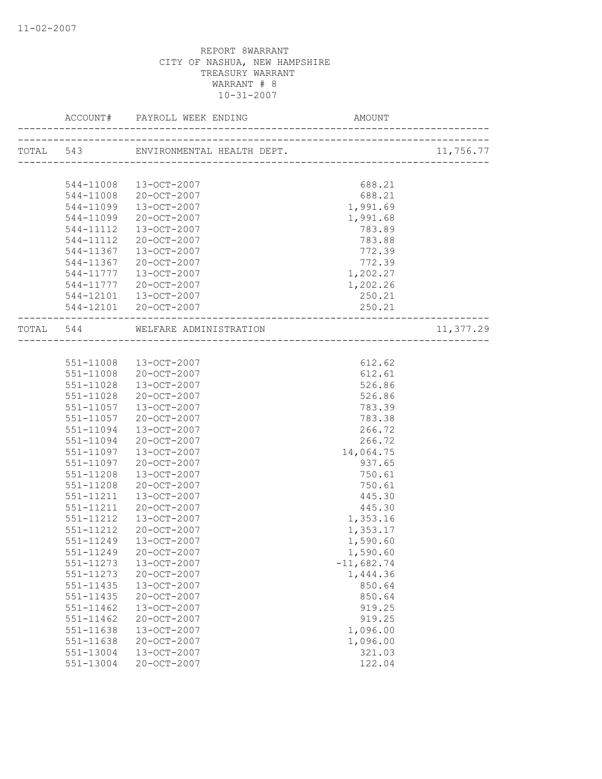|               |                                  | AMOUNT                           |           |
|---------------|----------------------------------|----------------------------------|-----------|
|               |                                  | ________________________________ | 11,756.77 |
|               |                                  |                                  |           |
|               | 544-11008 13-OCT-2007            | 688.21                           |           |
| 544-11008     | 20-OCT-2007                      | 688.21                           |           |
| 544-11099     | 13-OCT-2007                      | 1,991.69                         |           |
| 544-11099     | 20-OCT-2007                      | 1,991.68                         |           |
| 544-11112     | 13-OCT-2007                      | 783.89                           |           |
| 544-11112     | 20-OCT-2007                      | 783.88                           |           |
| 544-11367     | 13-OCT-2007                      | 772.39                           |           |
|               | 544-11367 20-OCT-2007            | 772.39                           |           |
|               | 544-11777  13-OCT-2007           | 1,202.27                         |           |
|               | 544-11777 20-OCT-2007            | 1,202.26                         |           |
|               | 544-12101 13-OCT-2007            | 250.21                           |           |
|               | 544-12101 20-OCT-2007            | 250.21                           |           |
|               | TOTAL 544 WELFARE ADMINISTRATION |                                  | 11,377.29 |
|               |                                  |                                  |           |
|               | 551-11008 13-OCT-2007            | 612.62                           |           |
|               | 551-11008 20-OCT-2007            | 612.61                           |           |
| 551-11028     | 13-OCT-2007                      | 526.86                           |           |
| 551-11028     | 20-OCT-2007                      | 526.86                           |           |
| 551-11057     | 13-OCT-2007                      | 783.39                           |           |
| 551-11057     | 20-OCT-2007                      | 783.38                           |           |
| 551-11094     | 13-OCT-2007                      | 266.72                           |           |
| 551-11094     | 20-OCT-2007                      | 266.72                           |           |
| 551-11097     | 13-OCT-2007                      | 14,064.75                        |           |
| 551-11097     | 20-OCT-2007                      | 937.65                           |           |
| $551 - 11208$ | 13-OCT-2007                      | 750.61                           |           |
| 551-11208     | 20-OCT-2007                      | 750.61                           |           |
| 551-11211     | 13-OCT-2007                      | 445.30                           |           |
| 551-11211     | 20-OCT-2007                      | 445.30                           |           |
| 551-11212     | 13-OCT-2007                      | 1,353.16                         |           |
| 551-11212     | 20-OCT-2007                      | 1,353.17                         |           |
| 551-11249     | 13-OCT-2007                      | 1,590.60                         |           |
| 551-11249     | 20-OCT-2007                      | 1,590.60                         |           |
| 551-11273     | 13-OCT-2007                      | $-11,682.74$                     |           |
| $551 - 11273$ | 20-OCT-2007                      | 1,444.36                         |           |
| 551-11435     | 13-OCT-2007                      | 850.64                           |           |
| 551-11435     | 20-OCT-2007                      | 850.64                           |           |
| $551 - 11462$ | 13-OCT-2007                      | 919.25                           |           |
| $551 - 11462$ | 20-OCT-2007                      | 919.25                           |           |
| 551-11638     | 13-OCT-2007                      | 1,096.00                         |           |
| 551-11638     | 20-OCT-2007                      | 1,096.00                         |           |
| 551-13004     | 13-OCT-2007                      | 321.03                           |           |
| 551-13004     | 20-OCT-2007                      | 122.04                           |           |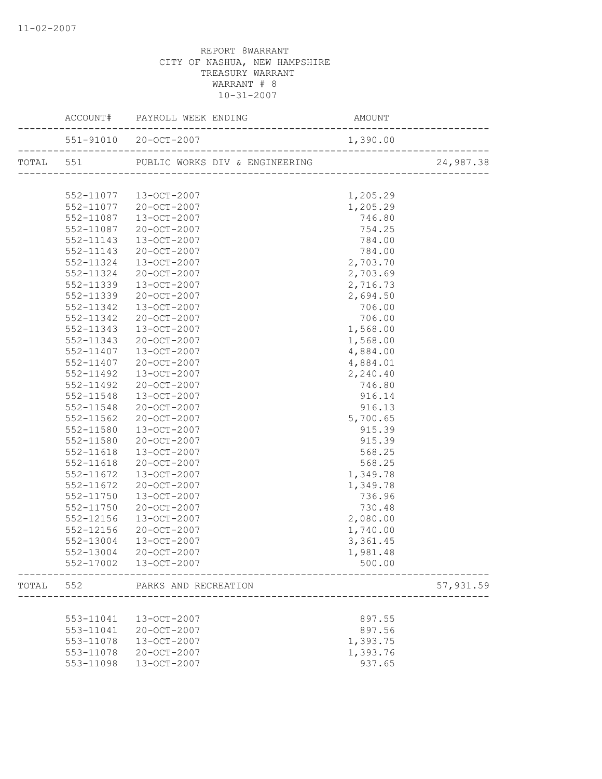|       |               |                                                   |          | 24,987.38 |
|-------|---------------|---------------------------------------------------|----------|-----------|
|       |               |                                                   |          |           |
|       |               | 552-11077  13-OCT-2007                            | 1,205.29 |           |
|       |               | 552-11077 20-OCT-2007                             | 1,205.29 |           |
|       | 552-11087     | 13-OCT-2007                                       | 746.80   |           |
|       | 552-11087     | 20-OCT-2007                                       | 754.25   |           |
|       | 552-11143     | 13-OCT-2007                                       | 784.00   |           |
|       | 552-11143     | 20-OCT-2007                                       | 784.00   |           |
|       | 552-11324     | 13-OCT-2007                                       | 2,703.70 |           |
|       | 552-11324     | 20-OCT-2007                                       | 2,703.69 |           |
|       | 552-11339     | 13-OCT-2007                                       | 2,716.73 |           |
|       | 552-11339     | 20-OCT-2007                                       | 2,694.50 |           |
|       | 552-11342     | 13-OCT-2007                                       | 706.00   |           |
|       | 552-11342     | 20-OCT-2007                                       | 706.00   |           |
|       | 552-11343     | 13-OCT-2007                                       | 1,568.00 |           |
|       | 552-11343     | 20-OCT-2007                                       | 1,568.00 |           |
|       | 552-11407     | 13-OCT-2007                                       | 4,884.00 |           |
|       | 552-11407     | 20-OCT-2007                                       | 4,884.01 |           |
|       | 552-11492     | 13-OCT-2007                                       | 2,240.40 |           |
|       | 552-11492     | 20-OCT-2007                                       | 746.80   |           |
|       | 552-11548     | 13-OCT-2007                                       | 916.14   |           |
|       | 552-11548     | 20-OCT-2007                                       | 916.13   |           |
|       | 552-11562     | 20-OCT-2007                                       | 5,700.65 |           |
|       | 552-11580     | 13-OCT-2007                                       | 915.39   |           |
|       | 552-11580     | 20-OCT-2007                                       | 915.39   |           |
|       | 552-11618     | 13-OCT-2007                                       | 568.25   |           |
|       | 552-11618     | 20-OCT-2007                                       | 568.25   |           |
|       | 552-11672     | 13-OCT-2007                                       | 1,349.78 |           |
|       | 552-11672     | 20-OCT-2007                                       | 1,349.78 |           |
|       | 552-11750     | 13-OCT-2007                                       | 736.96   |           |
|       | 552-11750     | 20-OCT-2007                                       | 730.48   |           |
|       | $552 - 12156$ | 13-OCT-2007                                       | 2,080.00 |           |
|       | 552-12156     | 20-OCT-2007                                       | 1,740.00 |           |
|       | 552-13004     | 13-OCT-2007                                       | 3,361.45 |           |
|       | 552-13004     | 20-OCT-2007                                       | 1,981.48 |           |
|       |               | 552-17002  13-OCT-2007<br>--------------------    | 500.00   |           |
| TOTAL |               | 552 PARKS AND RECREATION<br>--------------------- |          | 57,931.59 |
|       |               |                                                   |          |           |
|       | 553-11041     | 13-OCT-2007                                       | 897.55   |           |
|       | 553-11041     | 20-OCT-2007                                       | 897.56   |           |
|       | 553-11078     | 13-OCT-2007                                       | 1,393.75 |           |
|       | 553-11078     | 20-OCT-2007                                       | 1,393.76 |           |
|       | 553-11098     | 13-OCT-2007                                       | 937.65   |           |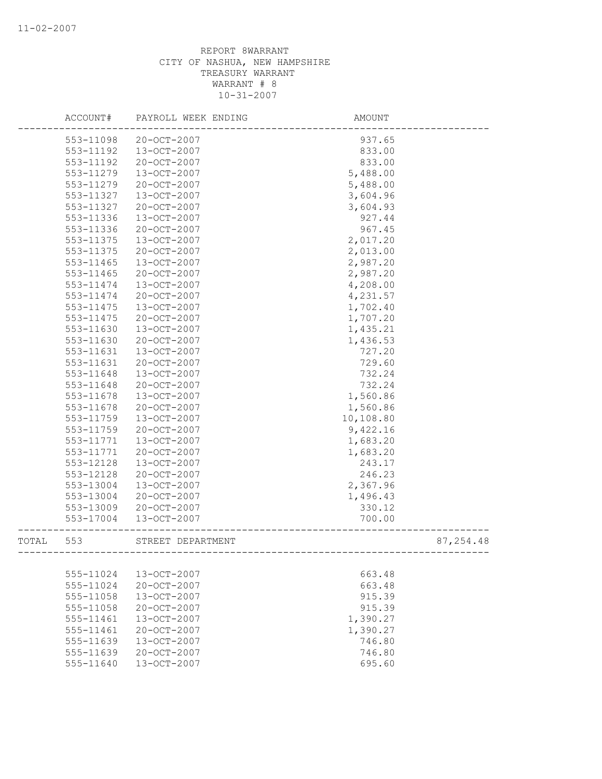|       | ACCOUNT#               | PAYROLL WEEK ENDING                    | AMOUNT                                |            |
|-------|------------------------|----------------------------------------|---------------------------------------|------------|
|       | 553-11098              | 20-OCT-2007                            | 937.65                                |            |
|       | 553-11192              | 13-OCT-2007                            | 833.00                                |            |
|       | 553-11192              | 20-OCT-2007                            | 833.00                                |            |
|       | 553-11279              | 13-OCT-2007                            | 5,488.00                              |            |
|       | 553-11279              | 20-OCT-2007                            | 5,488.00                              |            |
|       | 553-11327              | 13-OCT-2007                            | 3,604.96                              |            |
|       | 553-11327              | 20-OCT-2007                            | 3,604.93                              |            |
|       | 553-11336              | $13 - OCT - 2007$                      | 927.44                                |            |
|       | 553-11336              | 20-OCT-2007                            | 967.45                                |            |
|       | 553-11375              | 13-OCT-2007                            | 2,017.20                              |            |
|       | 553-11375              | 20-OCT-2007                            | 2,013.00                              |            |
|       | 553-11465              | 13-OCT-2007                            | 2,987.20                              |            |
|       | 553-11465              | 20-OCT-2007                            | 2,987.20                              |            |
|       | 553-11474              | 13-OCT-2007                            | 4,208.00                              |            |
|       | 553-11474              | 20-OCT-2007                            | 4,231.57                              |            |
|       | 553-11475              | 13-OCT-2007                            | 1,702.40                              |            |
|       | 553-11475              | 20-OCT-2007                            | 1,707.20                              |            |
|       | 553-11630              | 13-OCT-2007                            | 1,435.21                              |            |
|       | 553-11630              | 20-OCT-2007                            | 1,436.53                              |            |
|       | 553-11631              | 13-OCT-2007                            | 727.20                                |            |
|       | 553-11631              | 20-OCT-2007                            | 729.60                                |            |
|       | 553-11648              | 13-OCT-2007                            | 732.24                                |            |
|       | 553-11648              | 20-OCT-2007                            | 732.24                                |            |
|       | 553-11678              | 13-OCT-2007                            | 1,560.86                              |            |
|       | 553-11678              | 20-OCT-2007                            | 1,560.86                              |            |
|       | 553-11759              | 13-OCT-2007                            | 10,108.80                             |            |
|       | 553-11759              | 20-OCT-2007                            | 9,422.16                              |            |
|       | 553-11771              | 13-OCT-2007                            | 1,683.20                              |            |
|       | 553-11771              | 20-OCT-2007                            | 1,683.20                              |            |
|       | 553-12128              | 13-OCT-2007                            | 243.17                                |            |
|       | 553-12128              | 20-OCT-2007                            | 246.23                                |            |
|       | 553-13004              | 13-OCT-2007                            | 2,367.96                              |            |
|       | 553-13004<br>553-13009 | 20-OCT-2007<br>20-OCT-2007             | 1,496.43                              |            |
|       | 553-17004              | 13-OCT-2007                            | 330.12<br>700.00                      |            |
|       |                        |                                        |                                       |            |
| TOTAL | 553                    | STREET DEPARTMENT<br>----------------- | ------------------------------------- | 87, 254.48 |
|       |                        |                                        |                                       |            |
|       | 555-11024              | 13-OCT-2007                            | 663.48                                |            |
|       | 555-11024              | $20 - OCT - 2007$                      | 663.48                                |            |
|       | 555-11058              | 13-OCT-2007                            | 915.39                                |            |
|       | 555-11058              | 20-OCT-2007                            | 915.39                                |            |
|       | $555 - 11461$          | 13-OCT-2007                            | 1,390.27                              |            |
|       | 555-11461              | $20 - OCT - 2007$                      | 1,390.27                              |            |
|       | 555-11639              | $13 - OCT - 2007$                      | 746.80                                |            |
|       | 555-11639              | $20 - OCT - 2007$                      | 746.80                                |            |
|       | 555-11640              | 13-OCT-2007                            | 695.60                                |            |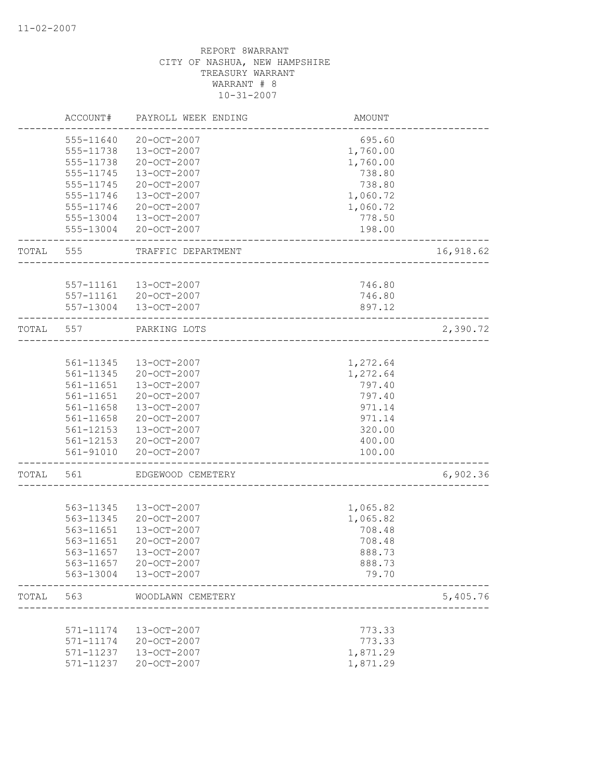|       | ACCOUNT#  | PAYROLL WEEK ENDING | AMOUNT                 |           |
|-------|-----------|---------------------|------------------------|-----------|
|       | 555-11640 | 20-OCT-2007         | 695.60                 |           |
|       | 555-11738 | 13-OCT-2007         | 1,760.00               |           |
|       | 555-11738 | 20-OCT-2007         | 1,760.00               |           |
|       | 555-11745 | 13-OCT-2007         | 738.80                 |           |
|       | 555-11745 | 20-OCT-2007         | 738.80                 |           |
|       | 555-11746 | 13-OCT-2007         | 1,060.72               |           |
|       | 555-11746 | 20-OCT-2007         | 1,060.72               |           |
|       | 555-13004 | 13-OCT-2007         | 778.50                 |           |
|       | 555-13004 | 20-OCT-2007         | 198.00                 |           |
| TOTAL | 555       | TRAFFIC DEPARTMENT  |                        | 16,918.62 |
|       |           |                     |                        |           |
|       | 557-11161 | 13-OCT-2007         | 746.80                 |           |
|       | 557-11161 | 20-OCT-2007         | 746.80                 |           |
|       | 557-13004 | 13-OCT-2007         | 897.12                 |           |
| TOTAL | 557       | PARKING LOTS        | ______________________ | 2,390.72  |
|       |           |                     |                        |           |
|       | 561-11345 | 13-OCT-2007         | 1,272.64               |           |
|       | 561-11345 | 20-OCT-2007         | 1,272.64               |           |
|       | 561-11651 | 13-OCT-2007         | 797.40                 |           |
|       | 561-11651 | 20-OCT-2007         | 797.40                 |           |
|       | 561-11658 | 13-OCT-2007         | 971.14                 |           |
|       | 561-11658 | 20-OCT-2007         | 971.14                 |           |
|       | 561-12153 | 13-OCT-2007         | 320.00                 |           |
|       | 561-12153 | 20-OCT-2007         | 400.00                 |           |
|       | 561-91010 | 20-OCT-2007         | 100.00                 |           |
| TOTAL | 561       | EDGEWOOD CEMETERY   |                        | 6,902.36  |
|       |           |                     |                        |           |
|       | 563-11345 | 13-OCT-2007         | 1,065.82               |           |
|       | 563-11345 | 20-OCT-2007         | 1,065.82               |           |
|       | 563-11651 | $13 - OCT - 2007$   | 708.48                 |           |
|       | 563-11651 | $20 - OCT - 2007$   | 708.48                 |           |
|       | 563-11657 | 13-OCT-2007         | 888.73                 |           |
|       | 563-11657 | 20-OCT-2007         | 888.73                 |           |
|       | 563-13004 | 13-OCT-2007         | 79.70                  |           |
| TOTAL | 563       | WOODLAWN CEMETERY   |                        | 5,405.76  |
|       |           |                     |                        |           |
|       | 571-11174 | 13-OCT-2007         | 773.33                 |           |
|       | 571-11174 | 20-OCT-2007         | 773.33                 |           |
|       | 571-11237 | 13-OCT-2007         | 1,871.29               |           |
|       | 571-11237 | 20-OCT-2007         | 1,871.29               |           |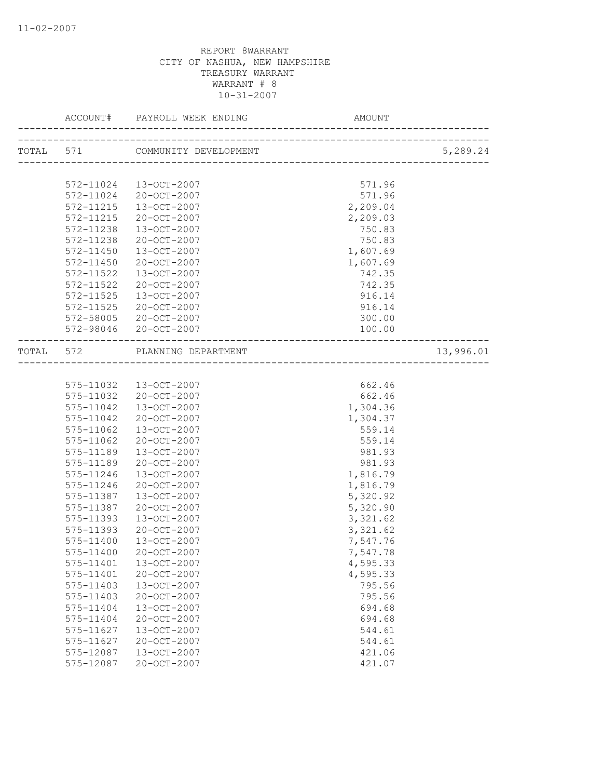| ACCOUNT#  |                                                                 |                              |           |
|-----------|-----------------------------------------------------------------|------------------------------|-----------|
|           | TOTAL 571 COMMUNITY DEVELOPMENT                                 |                              | 5,289.24  |
|           |                                                                 | ---------------------------- |           |
| 572-11024 | 13-OCT-2007                                                     | 571.96                       |           |
| 572-11024 | 20-OCT-2007                                                     | 571.96                       |           |
| 572-11215 | 13-OCT-2007                                                     | 2,209.04                     |           |
| 572-11215 | 20-OCT-2007                                                     | 2,209.03                     |           |
| 572-11238 | $13 - OCT - 2007$                                               | 750.83                       |           |
| 572-11238 | 20-OCT-2007                                                     | 750.83                       |           |
| 572-11450 | 13-OCT-2007                                                     | 1,607.69                     |           |
| 572-11450 | 20-OCT-2007                                                     | 1,607.69                     |           |
| 572-11522 | $13 - OCT - 2007$                                               | 742.35                       |           |
| 572-11522 | 20-OCT-2007                                                     | 742.35                       |           |
| 572-11525 | $13 - OCT - 2007$                                               | 916.14                       |           |
| 572-11525 | 20-OCT-2007                                                     | 916.14                       |           |
| 572-58005 | 20-OCT-2007                                                     | 300.00                       |           |
| 572-98046 | 20-OCT-2007                                                     | 100.00                       |           |
|           | TOTAL 572 PLANNING DEPARTMENT<br>------------------------------ |                              | 13,996.01 |
|           |                                                                 |                              |           |
| 575-11032 | 13-OCT-2007                                                     | 662.46                       |           |
| 575-11032 | 20-OCT-2007                                                     | 662.46                       |           |
| 575-11042 | 13-OCT-2007                                                     | 1,304.36                     |           |
| 575-11042 | 20-OCT-2007                                                     | 1,304.37                     |           |
| 575-11062 | $13 - OCT - 2007$                                               | 559.14                       |           |
| 575-11062 | 20-OCT-2007                                                     | 559.14                       |           |
| 575-11189 | 13-OCT-2007                                                     | 981.93                       |           |
| 575-11189 | 20-OCT-2007                                                     | 981.93                       |           |
| 575-11246 | 13-OCT-2007                                                     | 1,816.79                     |           |
| 575-11246 | 20-OCT-2007                                                     | 1,816.79                     |           |
| 575-11387 | 13-OCT-2007                                                     | 5,320.92                     |           |
| 575-11387 | 20-OCT-2007                                                     | 5,320.90                     |           |
| 575-11393 | $13 - OCT - 2007$                                               | 3,321.62                     |           |
| 575-11393 | 20-OCT-2007                                                     | 3,321.62                     |           |
| 575-11400 | 13-OCT-2007                                                     | 7,547.76                     |           |
| 575-11400 | 20-OCT-2007                                                     | 7,547.78                     |           |
| 575-11401 | 13-OCT-2007                                                     | 4,595.33                     |           |
| 575-11401 | 20-OCT-2007                                                     | 4,595.33                     |           |
| 575-11403 | 13-OCT-2007                                                     | 795.56                       |           |
| 575-11403 | 20-OCT-2007                                                     | 795.56                       |           |
| 575-11404 | 13-OCT-2007                                                     | 694.68                       |           |
| 575-11404 | 20-OCT-2007                                                     | 694.68                       |           |
| 575-11627 | 13-OCT-2007                                                     | 544.61                       |           |
| 575-11627 | 20-OCT-2007                                                     | 544.61                       |           |
| 575-12087 | 13-OCT-2007                                                     | 421.06                       |           |
| 575-12087 | 20-OCT-2007                                                     | 421.07                       |           |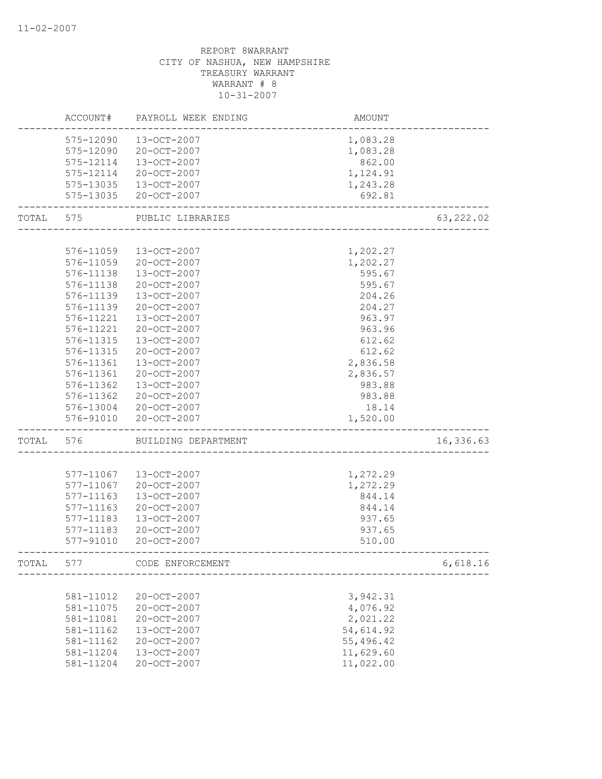|       | ACCOUNT#      | PAYROLL WEEK ENDING | AMOUNT    |            |
|-------|---------------|---------------------|-----------|------------|
|       | 575-12090     | 13-OCT-2007         | 1,083.28  |            |
|       | 575-12090     | 20-OCT-2007         | 1,083.28  |            |
|       | 575-12114     | 13-OCT-2007         | 862.00    |            |
|       | 575-12114     | 20-OCT-2007         | 1,124.91  |            |
|       | 575-13035     | 13-OCT-2007         | 1,243.28  |            |
|       | 575-13035     | 20-OCT-2007         | 692.81    |            |
| TOTAL | 575           | PUBLIC LIBRARIES    |           | 63, 222.02 |
|       |               |                     |           |            |
|       | 576-11059     | 13-OCT-2007         | 1,202.27  |            |
|       | 576-11059     | 20-OCT-2007         | 1,202.27  |            |
|       | 576-11138     | 13-OCT-2007         | 595.67    |            |
|       | 576-11138     | 20-OCT-2007         | 595.67    |            |
|       | 576-11139     | 13-OCT-2007         | 204.26    |            |
|       | 576-11139     | 20-OCT-2007         | 204.27    |            |
|       | 576-11221     | 13-OCT-2007         | 963.97    |            |
|       | 576-11221     | 20-OCT-2007         | 963.96    |            |
|       | 576-11315     | 13-OCT-2007         | 612.62    |            |
|       | 576-11315     | 20-OCT-2007         | 612.62    |            |
|       | 576-11361     | 13-OCT-2007         | 2,836.58  |            |
|       | 576-11361     | 20-OCT-2007         | 2,836.57  |            |
|       | 576-11362     | 13-OCT-2007         | 983.88    |            |
|       | 576-11362     | 20-OCT-2007         | 983.88    |            |
|       | 576-13004     | 20-OCT-2007         | 18.14     |            |
|       | 576-91010     | 20-OCT-2007         | 1,520.00  |            |
| TOTAL | 576           | BUILDING DEPARTMENT |           | 16,336.63  |
|       |               |                     |           |            |
|       | 577-11067     | 13-OCT-2007         | 1,272.29  |            |
|       | 577-11067     | 20-OCT-2007         | 1,272.29  |            |
|       | 577-11163     | 13-OCT-2007         | 844.14    |            |
|       | 577-11163     | 20-OCT-2007         | 844.14    |            |
|       | 577-11183     | 13-OCT-2007         | 937.65    |            |
|       | $577 - 11183$ | 20-OCT-2007         | 937.65    |            |
|       | 577-91010     | 20-OCT-2007         | 510.00    |            |
| TOTAL | 577           | CODE ENFORCEMENT    |           | 6,618.16   |
|       |               |                     |           |            |
|       | 581-11012     | 20-OCT-2007         | 3,942.31  |            |
|       | 581-11075     | 20-OCT-2007         | 4,076.92  |            |
|       | 581-11081     | 20-OCT-2007         | 2,021.22  |            |
|       | 581-11162     | 13-OCT-2007         | 54,614.92 |            |
|       | 581-11162     | 20-OCT-2007         | 55,496.42 |            |
|       | 581-11204     | 13-OCT-2007         | 11,629.60 |            |
|       | 581-11204     | 20-OCT-2007         | 11,022.00 |            |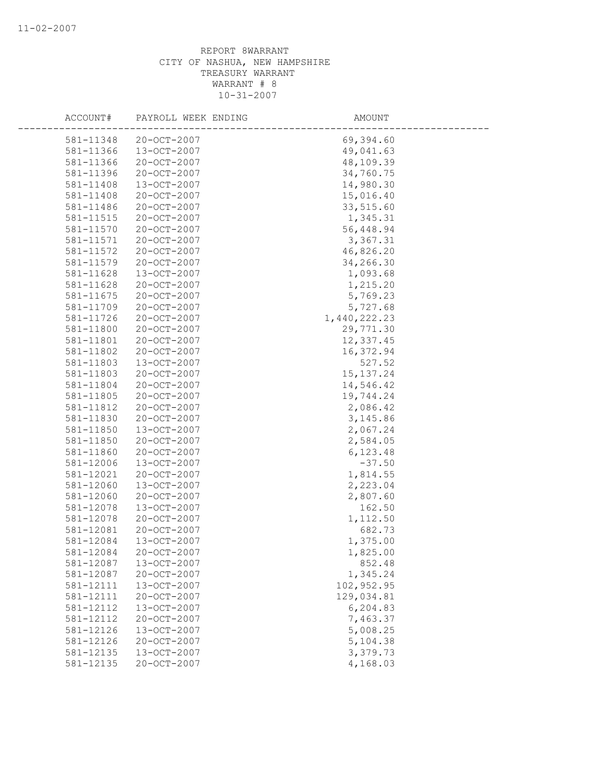| ACCOUNT#  | PAYROLL WEEK ENDING | AMOUNT       |
|-----------|---------------------|--------------|
| 581-11348 | 20-OCT-2007         | 69,394.60    |
| 581-11366 | 13-OCT-2007         | 49,041.63    |
| 581-11366 | 20-OCT-2007         | 48,109.39    |
| 581-11396 | 20-OCT-2007         | 34,760.75    |
| 581-11408 | 13-OCT-2007         | 14,980.30    |
| 581-11408 | 20-OCT-2007         | 15,016.40    |
| 581-11486 | 20-OCT-2007         | 33,515.60    |
| 581-11515 | 20-OCT-2007         | 1,345.31     |
| 581-11570 | 20-OCT-2007         | 56,448.94    |
| 581-11571 | 20-OCT-2007         | 3,367.31     |
| 581-11572 | 20-OCT-2007         | 46,826.20    |
| 581-11579 | 20-OCT-2007         | 34,266.30    |
| 581-11628 | 13-OCT-2007         | 1,093.68     |
| 581-11628 | 20-OCT-2007         | 1,215.20     |
| 581-11675 | 20-OCT-2007         | 5,769.23     |
| 581-11709 | 20-OCT-2007         | 5,727.68     |
| 581-11726 | 20-OCT-2007         | 1,440,222.23 |
| 581-11800 | 20-OCT-2007         | 29,771.30    |
| 581-11801 | 20-OCT-2007         | 12,337.45    |
| 581-11802 | 20-OCT-2007         | 16,372.94    |
| 581-11803 | 13-OCT-2007         | 527.52       |
| 581-11803 | 20-OCT-2007         | 15, 137.24   |
| 581-11804 | 20-OCT-2007         | 14,546.42    |
| 581-11805 | 20-OCT-2007         | 19,744.24    |
| 581-11812 | 20-OCT-2007         | 2,086.42     |
| 581-11830 | 20-OCT-2007         | 3,145.86     |
| 581-11850 | 13-OCT-2007         | 2,067.24     |
| 581-11850 | 20-OCT-2007         | 2,584.05     |
| 581-11860 | 20-OCT-2007         | 6,123.48     |
| 581-12006 | 13-OCT-2007         | $-37.50$     |
| 581-12021 | 20-OCT-2007         | 1,814.55     |
| 581-12060 | 13-OCT-2007         | 2,223.04     |
| 581-12060 | 20-OCT-2007         | 2,807.60     |
| 581-12078 | 13-OCT-2007         | 162.50       |
| 581-12078 | $20 - OCT - 2007$   | 1,112.50     |
| 581-12081 | 20-OCT-2007         | 682.73       |
| 581-12084 | 13-OCT-2007         | 1,375.00     |
| 581-12084 | 20-OCT-2007         | 1,825.00     |
| 581-12087 | 13-OCT-2007         | 852.48       |
| 581-12087 | 20-OCT-2007         | 1,345.24     |
| 581-12111 | 13-OCT-2007         | 102,952.95   |
| 581-12111 | 20-OCT-2007         | 129,034.81   |
| 581-12112 | 13-OCT-2007         | 6,204.83     |
| 581-12112 | 20-OCT-2007         | 7,463.37     |
| 581-12126 | 13-OCT-2007         | 5,008.25     |
| 581-12126 | 20-OCT-2007         | 5,104.38     |
| 581-12135 | 13-OCT-2007         | 3,379.73     |
| 581-12135 | 20-OCT-2007         | 4,168.03     |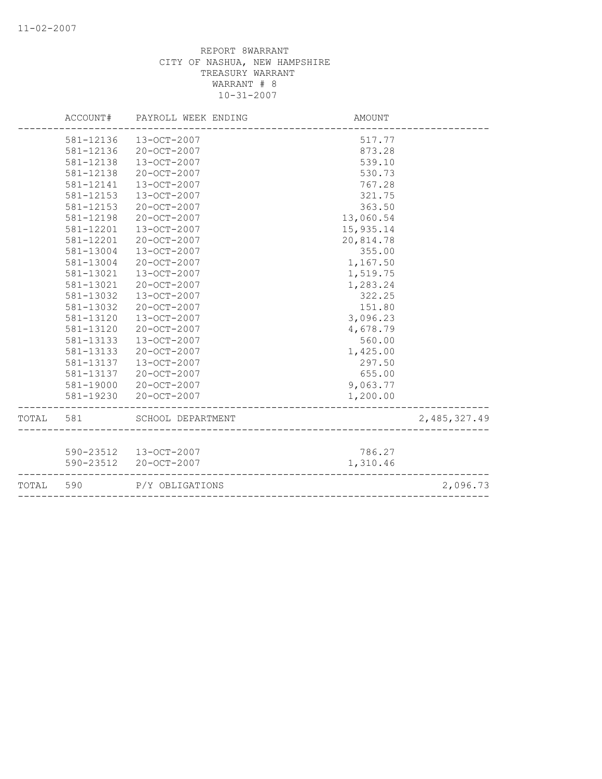|           | ACCOUNT#  | PAYROLL WEEK ENDING    | AMOUNT                                |              |
|-----------|-----------|------------------------|---------------------------------------|--------------|
|           | 581-12136 | 13-OCT-2007            | 517.77                                |              |
|           | 581-12136 | 20-OCT-2007            | 873.28                                |              |
|           | 581-12138 | 13-OCT-2007            | 539.10                                |              |
|           | 581-12138 | 20-OCT-2007            | 530.73                                |              |
|           | 581-12141 | 13-OCT-2007            | 767.28                                |              |
|           | 581-12153 | 13-OCT-2007            | 321.75                                |              |
|           | 581-12153 | $20 - OCT - 2007$      | 363.50                                |              |
|           | 581-12198 | 20-OCT-2007            | 13,060.54                             |              |
|           | 581-12201 | 13-OCT-2007            | 15,935.14                             |              |
|           | 581-12201 | 20-OCT-2007            | 20,814.78                             |              |
|           | 581-13004 | $13 - OCT - 2007$      | 355.00                                |              |
|           | 581-13004 | 20-OCT-2007            | 1,167.50                              |              |
|           | 581-13021 | 13-OCT-2007            | 1,519.75                              |              |
|           | 581-13021 | 20-OCT-2007            | 1,283.24                              |              |
|           | 581-13032 | 13-OCT-2007            | 322.25                                |              |
|           | 581-13032 | 20-OCT-2007            | 151.80                                |              |
|           | 581-13120 | $13 - OCT - 2007$      | 3,096.23                              |              |
|           | 581-13120 | 20-OCT-2007            | 4,678.79                              |              |
|           | 581-13133 | 13-OCT-2007            | 560.00                                |              |
|           | 581-13133 | $20 - OCT - 2007$      | 1,425.00                              |              |
|           | 581-13137 | $13 - OCT - 2007$      | 297.50                                |              |
|           | 581-13137 | 20-OCT-2007            | 655.00                                |              |
|           | 581-19000 | 20-OCT-2007            | 9,063.77                              |              |
|           | 581-19230 | 20-OCT-2007            | 1,200.00                              |              |
| TOTAL 581 |           | SCHOOL DEPARTMENT      |                                       | 2,485,327.49 |
|           |           |                        |                                       |              |
|           |           | 590-23512  13-OCT-2007 | 786.27                                |              |
|           | 590-23512 | 20-OCT-2007            | 1,310.46                              |              |
| TOTAL     | 590       | P/Y OBLIGATIONS        |                                       | 2,096.73     |
|           |           |                        | ------------------------------------- |              |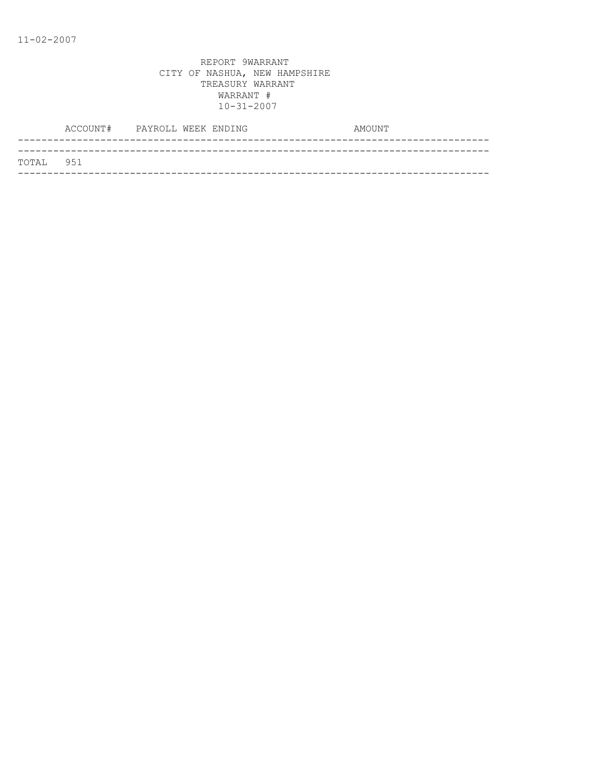| TOTAL 951 |  |
|-----------|--|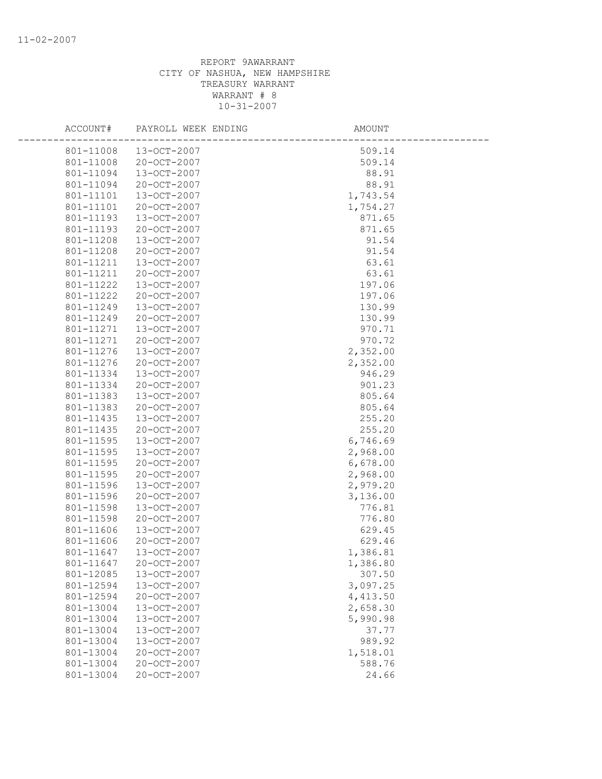| ACCOUNT#  | PAYROLL WEEK ENDING | AMOUNT   |  |
|-----------|---------------------|----------|--|
| 801-11008 | 13-OCT-2007         | 509.14   |  |
| 801-11008 | 20-OCT-2007         | 509.14   |  |
| 801-11094 | 13-OCT-2007         | 88.91    |  |
| 801-11094 | 20-OCT-2007         | 88.91    |  |
| 801-11101 | 13-OCT-2007         | 1,743.54 |  |
| 801-11101 | 20-OCT-2007         | 1,754.27 |  |
| 801-11193 | 13-OCT-2007         | 871.65   |  |
| 801-11193 | 20-OCT-2007         | 871.65   |  |
| 801-11208 | 13-OCT-2007         | 91.54    |  |
| 801-11208 | 20-OCT-2007         | 91.54    |  |
| 801-11211 | 13-OCT-2007         | 63.61    |  |
| 801-11211 | 20-OCT-2007         | 63.61    |  |
| 801-11222 | 13-OCT-2007         | 197.06   |  |
| 801-11222 | 20-OCT-2007         | 197.06   |  |
| 801-11249 | 13-OCT-2007         | 130.99   |  |
| 801-11249 | 20-OCT-2007         | 130.99   |  |
| 801-11271 | 13-OCT-2007         | 970.71   |  |
| 801-11271 | 20-OCT-2007         | 970.72   |  |
| 801-11276 | $13 - OCT - 2007$   | 2,352.00 |  |
| 801-11276 | 20-OCT-2007         | 2,352.00 |  |
| 801-11334 | 13-OCT-2007         | 946.29   |  |
| 801-11334 | 20-OCT-2007         | 901.23   |  |
| 801-11383 | 13-OCT-2007         | 805.64   |  |
| 801-11383 | 20-OCT-2007         | 805.64   |  |
| 801-11435 | 13-OCT-2007         | 255.20   |  |
| 801-11435 | 20-OCT-2007         | 255.20   |  |
| 801-11595 | 13-OCT-2007         | 6,746.69 |  |
| 801-11595 | $13 - OCT - 2007$   | 2,968.00 |  |
| 801-11595 | 20-OCT-2007         | 6,678.00 |  |
| 801-11595 | 20-OCT-2007         | 2,968.00 |  |
| 801-11596 | 13-OCT-2007         | 2,979.20 |  |
| 801-11596 | 20-OCT-2007         | 3,136.00 |  |
| 801-11598 | 13-OCT-2007         | 776.81   |  |
| 801-11598 | 20-OCT-2007         | 776.80   |  |
| 801-11606 | 13-OCT-2007         | 629.45   |  |
| 801-11606 | $20 - OCT - 2007$   | 629.46   |  |
| 801-11647 | 13-OCT-2007         | 1,386.81 |  |
| 801-11647 | 20-OCT-2007         | 1,386.80 |  |
| 801-12085 | 13-OCT-2007         | 307.50   |  |
| 801-12594 | 13-OCT-2007         | 3,097.25 |  |
| 801-12594 | 20-OCT-2007         | 4,413.50 |  |
| 801-13004 | 13-OCT-2007         | 2,658.30 |  |
| 801-13004 | 13-OCT-2007         | 5,990.98 |  |
| 801-13004 | 13-OCT-2007         | 37.77    |  |
| 801-13004 | 13-OCT-2007         | 989.92   |  |
| 801-13004 | 20-OCT-2007         | 1,518.01 |  |
| 801-13004 | 20-OCT-2007         | 588.76   |  |
| 801-13004 | 20-OCT-2007         | 24.66    |  |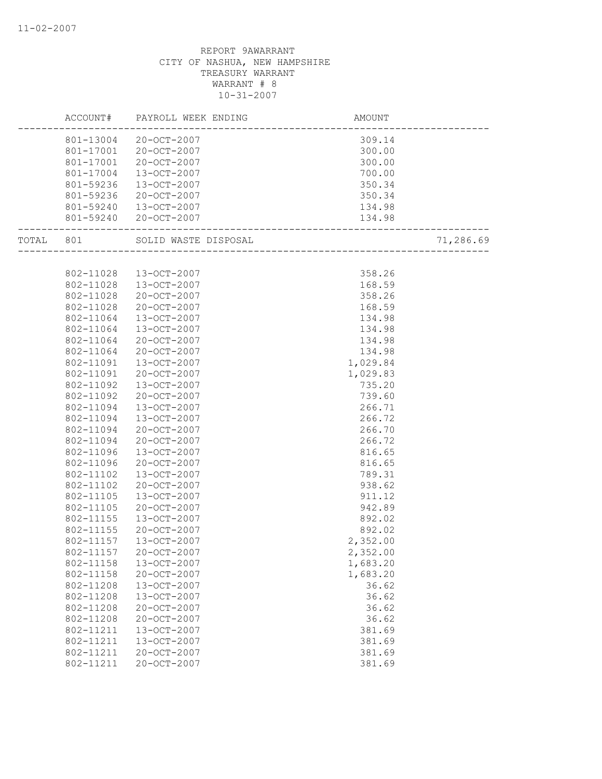|           |                       | AMOUNT   |           |
|-----------|-----------------------|----------|-----------|
|           | 801-13004 20-OCT-2007 | 309.14   |           |
|           | 801-17001 20-OCT-2007 | 300.00   |           |
| 801-17001 | 20-OCT-2007           | 300.00   |           |
| 801-17004 | 13-OCT-2007           | 700.00   |           |
| 801-59236 | 13-OCT-2007           | 350.34   |           |
| 801-59236 | 20-OCT-2007           | 350.34   |           |
| 801-59240 | 13-OCT-2007           | 134.98   |           |
|           | 801-59240 20-OCT-2007 |          |           |
|           |                       |          | 71,286.69 |
|           |                       |          |           |
| 802-11028 | 13-OCT-2007           | 358.26   |           |
| 802-11028 | 13-OCT-2007           | 168.59   |           |
| 802-11028 | 20-OCT-2007           | 358.26   |           |
| 802-11028 | 20-OCT-2007           | 168.59   |           |
| 802-11064 | 13-OCT-2007           | 134.98   |           |
| 802-11064 | 13-OCT-2007           | 134.98   |           |
| 802-11064 | 20-OCT-2007           | 134.98   |           |
| 802-11064 | 20-OCT-2007           | 134.98   |           |
| 802-11091 | 13-OCT-2007           | 1,029.84 |           |
| 802-11091 | 20-OCT-2007           | 1,029.83 |           |
| 802-11092 | 13-OCT-2007           | 735.20   |           |
| 802-11092 | 20-OCT-2007           | 739.60   |           |
| 802-11094 | 13-OCT-2007           | 266.71   |           |
| 802-11094 | 13-OCT-2007           | 266.72   |           |
| 802-11094 | 20-OCT-2007           | 266.70   |           |
| 802-11094 | 20-OCT-2007           | 266.72   |           |
| 802-11096 | $13 - OCT - 2007$     | 816.65   |           |
| 802-11096 | 20-OCT-2007           | 816.65   |           |
| 802-11102 | 13-OCT-2007           | 789.31   |           |
| 802-11102 | 20-OCT-2007           | 938.62   |           |
| 802-11105 | $13 - OCT - 2007$     | 911.12   |           |
| 802-11105 | 20-OCT-2007           | 942.89   |           |
| 802-11155 | 13-OCT-2007           | 892.02   |           |
| 802-11155 | $20 - OCT - 2007$     | 892.02   |           |
| 802-11157 | 13-OCT-2007           | 2,352.00 |           |
| 802-11157 | 20-OCT-2007           | 2,352.00 |           |
| 802-11158 | 13-OCT-2007           | 1,683.20 |           |
| 802-11158 | 20-OCT-2007           | 1,683.20 |           |
| 802-11208 | 13-OCT-2007           | 36.62    |           |
| 802-11208 | 13-OCT-2007           | 36.62    |           |
| 802-11208 | 20-OCT-2007           | 36.62    |           |
| 802-11208 | 20-OCT-2007           | 36.62    |           |
| 802-11211 | 13-OCT-2007           | 381.69   |           |
| 802-11211 | 13-OCT-2007           | 381.69   |           |
| 802-11211 | 20-OCT-2007           | 381.69   |           |
| 802-11211 | 20-OCT-2007           | 381.69   |           |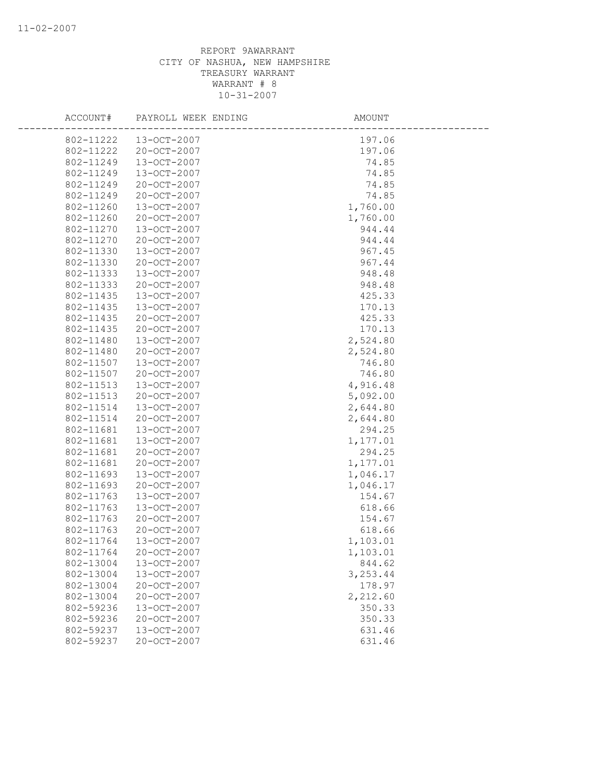| ACCOUNT#  | PAYROLL WEEK ENDING | AMOUNT   |
|-----------|---------------------|----------|
| 802-11222 | 13-OCT-2007         | 197.06   |
| 802-11222 | 20-OCT-2007         | 197.06   |
| 802-11249 | 13-OCT-2007         | 74.85    |
| 802-11249 | 13-OCT-2007         | 74.85    |
| 802-11249 | 20-OCT-2007         | 74.85    |
| 802-11249 | 20-OCT-2007         | 74.85    |
| 802-11260 | 13-OCT-2007         | 1,760.00 |
| 802-11260 | 20-OCT-2007         | 1,760.00 |
| 802-11270 | $13 - OCT - 2007$   | 944.44   |
| 802-11270 | 20-OCT-2007         | 944.44   |
| 802-11330 | 13-OCT-2007         | 967.45   |
| 802-11330 | 20-OCT-2007         | 967.44   |
| 802-11333 | 13-OCT-2007         | 948.48   |
| 802-11333 | 20-OCT-2007         | 948.48   |
| 802-11435 | 13-OCT-2007         | 425.33   |
| 802-11435 | 13-OCT-2007         | 170.13   |
| 802-11435 | 20-OCT-2007         | 425.33   |
| 802-11435 | 20-OCT-2007         | 170.13   |
| 802-11480 | 13-OCT-2007         | 2,524.80 |
| 802-11480 | 20-OCT-2007         | 2,524.80 |
| 802-11507 | 13-OCT-2007         | 746.80   |
| 802-11507 | 20-OCT-2007         | 746.80   |
| 802-11513 | 13-OCT-2007         | 4,916.48 |
| 802-11513 | 20-OCT-2007         | 5,092.00 |
| 802-11514 | 13-OCT-2007         | 2,644.80 |
| 802-11514 | 20-OCT-2007         | 2,644.80 |
| 802-11681 | 13-OCT-2007         | 294.25   |
| 802-11681 | 13-OCT-2007         | 1,177.01 |
| 802-11681 | 20-OCT-2007         | 294.25   |
| 802-11681 | 20-OCT-2007         | 1,177.01 |
| 802-11693 | 13-OCT-2007         | 1,046.17 |
| 802-11693 | $20 - OCT - 2007$   | 1,046.17 |
| 802-11763 | 13-OCT-2007         | 154.67   |
| 802-11763 | 13-OCT-2007         | 618.66   |
| 802-11763 | 20-OCT-2007         | 154.67   |
| 802-11763 | 20-OCT-2007         | 618.66   |
| 802-11764 | $13 - OCT - 2007$   | 1,103.01 |
| 802-11764 | 20-OCT-2007         | 1,103.01 |
| 802-13004 | 13-OCT-2007         | 844.62   |
| 802-13004 | 13-OCT-2007         | 3,253.44 |
| 802-13004 | 20-OCT-2007         | 178.97   |
| 802-13004 | 20-OCT-2007         | 2,212.60 |
| 802-59236 | 13-OCT-2007         | 350.33   |
| 802-59236 | 20-OCT-2007         | 350.33   |
| 802-59237 | 13-OCT-2007         | 631.46   |
| 802-59237 | 20-OCT-2007         | 631.46   |